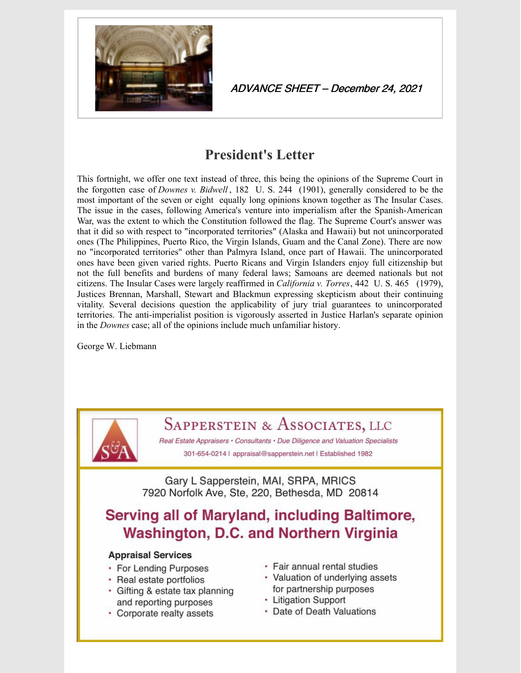

ADVANCE SHEET – December 24, 2021

# **President's Letter**

This fortnight, we offer one text instead of three, this being the opinions of the Supreme Court in the forgotten case of *Downes v. Bidwell* , 182 U. S. 244 (1901), generally considered to be the most important of the seven or eight equally long opinions known together as The Insular Cases. The issue in the cases, following America's venture into imperialism after the Spanish-American War, was the extent to which the Constitution followed the flag. The Supreme Court's answer was that it did so with respect to "incorporated territories" (Alaska and Hawaii) but not unincorporated ones (The Philippines, Puerto Rico, the Virgin Islands, Guam and the Canal Zone). There are now no "incorporated territories" other than Palmyra Island, once part of Hawaii. The unincorporated ones have been given varied rights. Puerto Ricans and Virgin Islanders enjoy full citizenship but not the full benefits and burdens of many federal laws; Samoans are deemed nationals but not citizens. The Insular Cases were largely reaffirmed in *California v. Torres*, 442 U. S. 465 (1979), Justices Brennan, Marshall, Stewart and Blackmun expressing skepticism about their continuing vitality. Several decisions question the applicability of jury trial guarantees to unincorporated territories. The anti-imperialist position is vigorously asserted in Justice Harlan's separate opinion in the *Downes* case; all of the opinions include much unfamiliar history.

George W. Liebmann



SAPPERSTEIN & ASSOCIATES, LLC

Real Estate Appraisers • Consultants • Due Diligence and Valuation Specialists 301-654-0214 | appraisal@sapperstein.net | Established 1982

Gary L Sapperstein, MAI, SRPA, MRICS 7920 Norfolk Ave, Ste, 220, Bethesda, MD 20814

# Serving all of Maryland, including Baltimore, **Washington, D.C. and Northern Virginia**

### **Appraisal Services**

- For Lending Purposes
- Real estate portfolios
- · Gifting & estate tax planning and reporting purposes
- Corporate realty assets
- Fair annual rental studies
- Valuation of underlying assets for partnership purposes
- Litigation Support
- Date of Death Valuations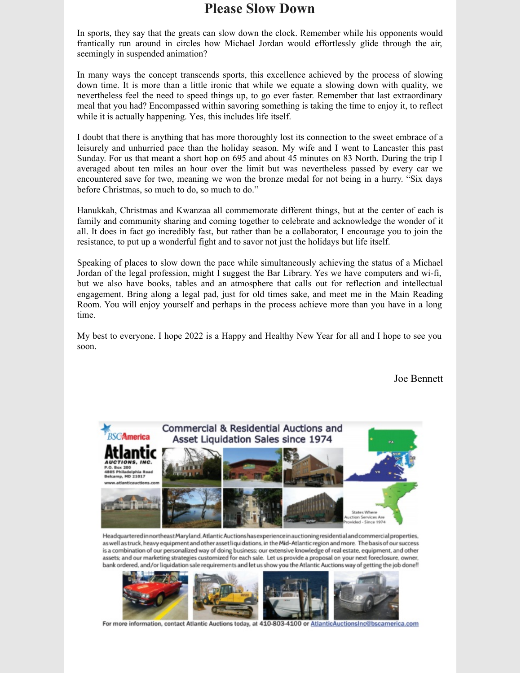### **Please Slow Down**

In sports, they say that the greats can slow down the clock. Remember while his opponents would frantically run around in circles how Michael Jordan would effortlessly glide through the air, seemingly in suspended animation?

In many ways the concept transcends sports, this excellence achieved by the process of slowing down time. It is more than a little ironic that while we equate a slowing down with quality, we nevertheless feel the need to speed things up, to go ever faster. Remember that last extraordinary meal that you had? Encompassed within savoring something is taking the time to enjoy it, to reflect while it is actually happening. Yes, this includes life itself.

I doubt that there is anything that has more thoroughly lost its connection to the sweet embrace of a leisurely and unhurried pace than the holiday season. My wife and I went to Lancaster this past Sunday. For us that meant a short hop on 695 and about 45 minutes on 83 North. During the trip I averaged about ten miles an hour over the limit but was nevertheless passed by every car we encountered save for two, meaning we won the bronze medal for not being in a hurry. "Six days before Christmas, so much to do, so much to do."

Hanukkah, Christmas and Kwanzaa all commemorate different things, but at the center of each is family and community sharing and coming together to celebrate and acknowledge the wonder of it all. It does in fact go incredibly fast, but rather than be a collaborator, I encourage you to join the resistance, to put up a wonderful fight and to savor not just the holidays but life itself.

Speaking of places to slow down the pace while simultaneously achieving the status of a Michael Jordan of the legal profession, might I suggest the Bar Library. Yes we have computers and wi-fi, but we also have books, tables and an atmosphere that calls out for reflection and intellectual engagement. Bring along a legal pad, just for old times sake, and meet me in the Main Reading Room. You will enjoy yourself and perhaps in the process achieve more than you have in a long time.

My best to everyone. I hope 2022 is a Happy and Healthy New Year for all and I hope to see you soon.

Joe Bennett



Headquartered innortheast Maryland, Atlantic Auctions has experience in auctioning residential and commercial properties, as well as truck, heavy equipment and other asset liquidations, in the Mid-Atlantic region and more. The basis of our success is a combination of our personalized way of doing business; our extensive knowledge of real estate, equipment, and other assets; and our marketing strategies customized for each sale. Let us provide a proposal on your next foreclosure, owner, bank ordered, and/or liquidation sale requirements and let us show you the Atlantic Auctions way of getting the job done!!



For more information, contact Atlantic Auctions today, at 410-803-4100 or AtlanticAuctionsInc@bscamerica.com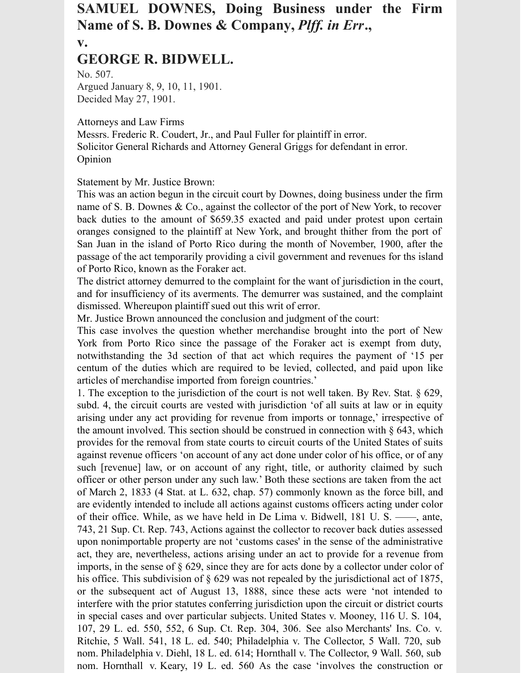# **SAMUEL DOWNES, Doing Business under the Firm Name** of S. B. Downes & Company, *Plff. in Err.*, **v.**

## **GEORGE R. BIDWELL.**

No. 507. Argued January 8, 9, 10, 11, 1901. Decided May 27, 1901.

Attorneys and Law Firms

Messrs. Frederic R. Coudert, Jr., and Paul Fuller for plaintiff in error. Solicitor General Richards and Attorney General Griggs for defendant in error. Opinion

Statement by Mr. Justice Brown:

This was an action begun in the circuit court by Downes, doing business under the firm name of S. B. Downes & Co., against the collector of the port of New York, to recover back duties to the amount of \$659.35 exacted and paid under protest upon certain oranges consigned to the plaintiff at New York, and brought thither from the port of San Juan in the island of Porto Rico during the month of November, 1900, after the passage of the act temporarily providing a civil government and revenues for ths island of Porto Rico, known as the Foraker act.

The district attorney demurred to the complaint for the want of jurisdiction in the court, and for insufficiency of its averments. The demurrer was sustained, and the complaint dismissed. Whereupon plaintiff sued out this writ of error.

Mr. Justice Brown announced the conclusion and judgment of the court:

This case involves the question whether merchandise brought into the port of New York from Porto Rico since the passage of the Foraker act is exempt from duty, notwithstanding the 3d section of that act which requires the payment of '15 per centum of the duties which are required to be levied, collected, and paid upon like articles of merchandise imported from foreign countries.'

1. The exception to the jurisdiction of the court is not well taken. By Rev. Stat. § 629, subd. 4, the circuit courts are vested with jurisdiction 'of all suits at law or in equity arising under any act providing for revenue from imports or tonnage,' irrespective of the amount involved. This section should be construed in connection with  $\S$  643, which provides for the removal from state courts to circuit courts of the United States of suits against revenue officers 'on account of any act done under color of his office, or of any such [revenue] law, or on account of any right, title, or authority claimed by such officer or other person under any such law.' Both these sections are taken from the act of March 2, 1833 (4 Stat. at L. 632, chap. 57) commonly known as the force bill, and are evidently intended to include all actions against customs officers acting under color of their office. While, as we have held in De Lima v. Bidwell, 181 U. S. ——, ante, 743, 21 Sup. Ct. [Rep.](https://1.next.westlaw.com/Link/Document/FullText?findType=Y&serNum=1901103754&pubNum=708&originatingDoc=I7a4be7179ca211d9bdd1cfdd544ca3a4&refType=RP&originationContext=document&transitionType=DocumentItem&ppcid=c08eb7709fd6411ba15f8469a157103d&contextData=(sc.UserEnteredCitation)) 743, Actions against the collector to recover back duties assessed upon nonimportable property are not 'customs cases' in the sense of the administrative act, they are, nevertheless, actions arising under an act to provide for a revenue from imports, in the sense of § 629, since they are for acts done by a collector under color of his office. This subdivision of  $\S$  629 was not repealed by the jurisdictional act of 1875, or the subsequent act of August 13, 1888, since these acts were 'not intended to interfere with the prior statutes conferring jurisdiction upon the circuit or district courts in special cases and over particular subjects. United States v. Mooney, 116 U. S. 104, 107, 29 L. ed. 550, 552, 6 Sup. Ct. [Rep.](https://1.next.westlaw.com/Link/Document/FullText?findType=Y&serNum=1885180248&pubNum=708&originatingDoc=I7a4be7179ca211d9bdd1cfdd544ca3a4&refType=RP&fi=co_pp_sp_708_306&originationContext=document&transitionType=DocumentItem&ppcid=c08eb7709fd6411ba15f8469a157103d&contextData=(sc.UserEnteredCitation)#co_pp_sp_708_306) 304, 306. See also [Merchants'](https://1.next.westlaw.com/Link/Document/FullText?findType=Y&serNum=1885180248&pubNum=780&originatingDoc=I7a4be7179ca211d9bdd1cfdd544ca3a4&refType=RP&fi=co_pp_sp_780_107&originationContext=document&transitionType=DocumentItem&ppcid=c08eb7709fd6411ba15f8469a157103d&contextData=(sc.UserEnteredCitation)#co_pp_sp_780_107) Ins. Co. v. Ritchie, 5 Wall. 541, 18 L. ed. 540; [Philadelphia](https://1.next.westlaw.com/Link/Document/FullText?findType=Y&serNum=1800148948&pubNum=780&originatingDoc=I7a4be7179ca211d9bdd1cfdd544ca3a4&refType=RP&originationContext=document&transitionType=DocumentItem&ppcid=c08eb7709fd6411ba15f8469a157103d&contextData=(sc.UserEnteredCitation)) v. The Collector, 5 Wall. 720, sub nom. [Philadelphia](https://1.next.westlaw.com/Link/Document/FullText?findType=Y&serNum=1869194176&pubNum=780&originatingDoc=I7a4be7179ca211d9bdd1cfdd544ca3a4&refType=RP&originationContext=document&transitionType=DocumentItem&ppcid=c08eb7709fd6411ba15f8469a157103d&contextData=(sc.UserEnteredCitation)) v. [Diehl,](https://1.next.westlaw.com/Link/Document/FullText?findType=Y&serNum=1800148948&pubNum=470&originatingDoc=I7a4be7179ca211d9bdd1cfdd544ca3a4&refType=RP&originationContext=document&transitionType=DocumentItem&ppcid=c08eb7709fd6411ba15f8469a157103d&contextData=(sc.UserEnteredCitation)) 18 L. ed. 614; Hornthall v. The Collector, 9 Wall. 560, sub nom. Hornthall v. [Keary,](https://1.next.westlaw.com/Link/Document/FullText?findType=Y&serNum=1869194176&pubNum=470&originatingDoc=I7a4be7179ca211d9bdd1cfdd544ca3a4&refType=RP&originationContext=document&transitionType=DocumentItem&ppcid=c08eb7709fd6411ba15f8469a157103d&contextData=(sc.UserEnteredCitation)) 19 L. ed. 560 As the case 'involves the construction or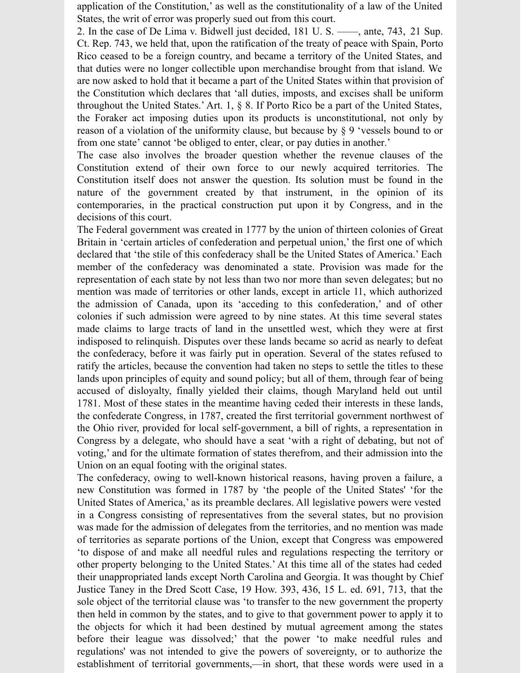application of the Constitution,' as well as the constitutionality of a law of the United States, the writ of error was properly sued out from this court.

2. In the case of De Lima v. Bidwell just decided, 181 U. S. ——, ante, 743, 21 Sup. Ct. Rep. 743, we held that, upon the [ratification](https://1.next.westlaw.com/Link/Document/FullText?findType=Y&serNum=1901103754&pubNum=708&originatingDoc=I7a4be7179ca211d9bdd1cfdd544ca3a4&refType=RP&originationContext=document&transitionType=DocumentItem&ppcid=c08eb7709fd6411ba15f8469a157103d&contextData=(sc.UserEnteredCitation)) of the treaty of peace with Spain, Porto Rico ceased to be a foreign country, and became a territory of the United States, and that duties were no longer collectible upon merchandise brought from that island. We are now asked to hold that it became a part of the United States within that provision of the Constitution which declares that 'all duties, imposts, and excises shall be uniform throughout the United States.' Art. 1, § 8. If Porto Rico be a part of the United States, the Foraker act imposing duties upon its products is unconstitutional, not only by reason of a violation of the uniformity clause, but because by § 9 'vessels bound to or from one state' cannot 'be obliged to enter, clear, or pay duties in another.'

The case also involves the broader question whether the revenue clauses of the Constitution extend of their own force to our newly acquired territories. The Constitution itself does not answer the question. Its solution must be found in the nature of the government created by that instrument, in the opinion of its contemporaries, in the practical construction put upon it by Congress, and in the decisions of this court.

The Federal government was created in 1777 by the union of thirteen colonies of Great Britain in 'certain articles of confederation and perpetual union,' the first one of which declared that 'the stile of this confederacy shall be the United States of America.' Each member of the confederacy was denominated a state. Provision was made for the representation of each state by not less than two nor more than seven delegates; but no mention was made of territories or other lands, except in article 11, which authorized the admission of Canada, upon its 'acceding to this confederation,' and of other colonies if such admission were agreed to by nine states. At this time several states made claims to large tracts of land in the unsettled west, which they were at first indisposed to relinquish. Disputes over these lands became so acrid as nearly to defeat the confederacy, before it was fairly put in operation. Several of the states refused to ratify the articles, because the convention had taken no steps to settle the titles to these lands upon principles of equity and sound policy; but all of them, through fear of being accused of disloyalty, finally yielded their claims, though Maryland held out until 1781. Most of these states in the meantime having ceded their interests in these lands, the confederate Congress, in 1787, created the first territorial government northwest of the Ohio river, provided for local self-government, a bill of rights, a representation in Congress by a delegate, who should have a seat 'with a right of debating, but not of voting,' and for the ultimate formation of states therefrom, and their admission into the Union on an equal footing with the original states.

The confederacy, owing to well-known historical reasons, having proven a failure, a new Constitution was formed in 1787 by 'the people of the United States' 'for the United States of America,' as its preamble declares. All legislative powers were vested in a Congress consisting of representatives from the several states, but no provision was made for the admission of delegates from the territories, and no mention was made of territories as separate portions of the Union, except that Congress was empowered 'to dispose of and make all needful rules and regulations respecting the territory or other property belonging to the United States.' At this time all of the states had ceded their unappropriated lands except North Carolina and Georgia. It was thought by Chief Justice Taney in the Dred Scott [Case,](https://1.next.westlaw.com/Link/Document/FullText?findType=Y&serNum=1856193196&pubNum=780&originatingDoc=I7a4be7179ca211d9bdd1cfdd544ca3a4&refType=RP&fi=co_pp_sp_780_436&originationContext=document&transitionType=DocumentItem&ppcid=c08eb7709fd6411ba15f8469a157103d&contextData=(sc.UserEnteredCitation)#co_pp_sp_780_436) 19 How. 393, 436, 15 L. ed. 691, 713, that the sole object of the territorial clause was 'to transfer to the new government the property then held in common by the states, and to give to that government power to apply it to the objects for which it had been destined by mutual agreement among the states before their league was dissolved;' that the power 'to make needful rules and regulations' was not intended to give the powers of sovereignty, or to authorize the establishment of territorial governments,—in short, that these words were used in a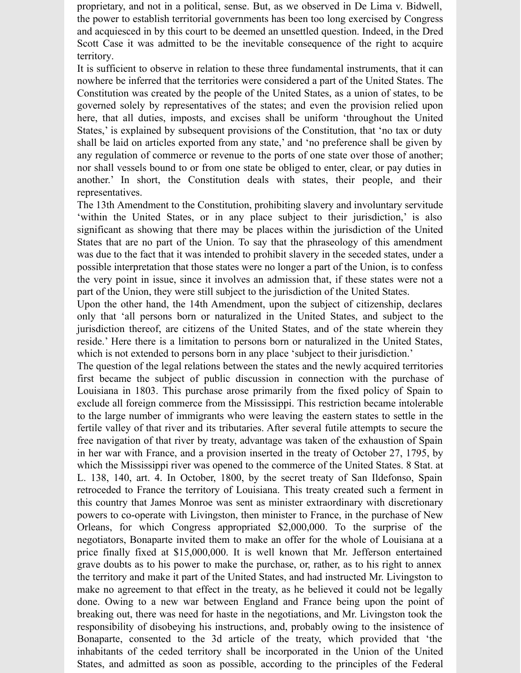proprietary, and not in a political, sense. But, as we observed in De Lima v. Bidwell, the power to establish territorial governments has been too long exercised by Congress and acquiesced in by this court to be deemed an unsettled question. Indeed, in the Dred Scott Case it was admitted to be the inevitable consequence of the right to acquire territory.

It is sufficient to observe in relation to these three fundamental instruments, that it can nowhere be inferred that the territories were considered a part of the United States. The Constitution was created by the people of the United States, as a union of states, to be governed solely by representatives of the states; and even the provision relied upon here, that all duties, imposts, and excises shall be uniform 'throughout the United States,' is explained by subsequent provisions of the Constitution, that 'no tax or duty shall be laid on articles exported from any state,' and 'no preference shall be given by any regulation of commerce or revenue to the ports of one state over those of another; nor shall vessels bound to or from one state be obliged to enter, clear, or pay duties in another.' In short, the Constitution deals with states, their people, and their representatives.

The 13th Amendment to the Constitution, prohibiting slavery and involuntary servitude 'within the United States, or in any place subject to their jurisdiction,' is also significant as showing that there may be places within the jurisdiction of the United States that are no part of the Union. To say that the phraseology of this amendment was due to the fact that it was intended to prohibit slavery in the seceded states, under a possible interpretation that those states were no longer a part of the Union, is to confess the very point in issue, since it involves an admission that, if these states were not a part of the Union, they were still subject to the jurisdiction of the United States.

Upon the other hand, the 14th Amendment, upon the subject of citizenship, declares only that 'all persons born or naturalized in the United States, and subject to the jurisdiction thereof, are citizens of the United States, and of the state wherein they reside.' Here there is a limitation to persons born or naturalized in the United States, which is not extended to persons born in any place 'subject to their jurisdiction.'

The question of the legal relations between the states and the newly acquired territories first became the subject of public discussion in connection with the purchase of Louisiana in 1803. This purchase arose primarily from the fixed policy of Spain to exclude all foreign commerce from the Mississippi. This restriction became intolerable to the large number of immigrants who were leaving the eastern states to settle in the fertile valley of that river and its tributaries. After several futile attempts to secure the free navigation of that river by treaty, advantage was taken of the exhaustion of Spain in her war with France, and a provision inserted in the treaty of October 27, 1795, by which the Mississippi river was opened to the commerce of the United States. 8 Stat. at L. 138, 140, art. 4. In October, 1800, by the secret treaty of San Ildefonso, Spain retroceded to France the territory of Louisiana. This treaty created such a ferment in this country that James Monroe was sent as minister extraordinary with discretionary powers to co-operate with Livingston, then minister to France, in the purchase of New Orleans, for which Congress appropriated \$2,000,000. To the surprise of the negotiators, Bonaparte invited them to make an offer for the whole of Louisiana at a price finally fixed at \$15,000,000. It is well known that Mr. Jefferson entertained grave doubts as to his power to make the purchase, or, rather, as to his right to annex the territory and make it part of the United States, and had instructed Mr. Livingston to make no agreement to that effect in the treaty, as he believed it could not be legally done. Owing to a new war between England and France being upon the point of breaking out, there was need for haste in the negotiations, and Mr. Livingston took the responsibility of disobeying his instructions, and, probably owing to the insistence of Bonaparte, consented to the 3d article of the treaty, which provided that 'the inhabitants of the ceded territory shall be incorporated in the Union of the United States, and admitted as soon as possible, according to the principles of the Federal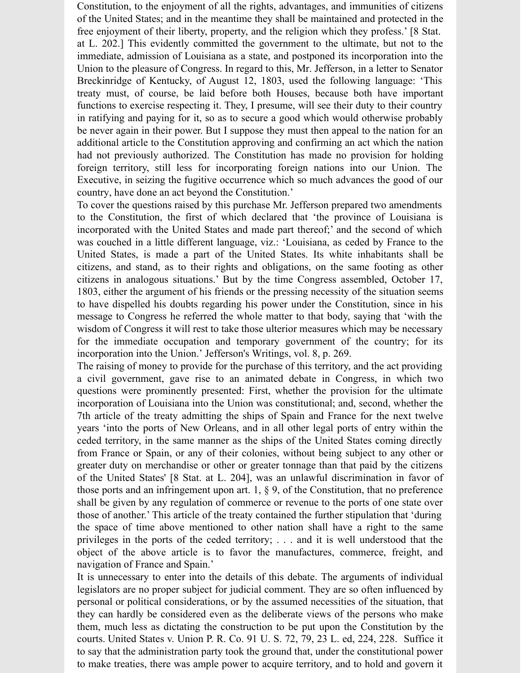Constitution, to the enjoyment of all the rights, advantages, and immunities of citizens of the United States; and in the meantime they shall be maintained and protected in the free enjoyment of their liberty, property, and the religion which they profess.' [8 Stat. at L. 202.] This evidently committed the government to the ultimate, but not to the immediate, admission of Louisiana as a state, and postponed its incorporation into the Union to the pleasure of Congress. In regard to this, Mr. Jefferson, in a letter to Senator Breckinridge of Kentucky, of August 12, 1803, used the following language: 'This treaty must, of course, be laid before both Houses, because both have important functions to exercise respecting it. They, I presume, will see their duty to their country in ratifying and paying for it, so as to secure a good which would otherwise probably be never again in their power. But I suppose they must then appeal to the nation for an additional article to the Constitution approving and confirming an act which the nation had not previously authorized. The Constitution has made no provision for holding foreign territory, still less for incorporating foreign nations into our Union. The Executive, in seizing the fugitive occurrence which so much advances the good of our country, have done an act beyond the Constitution.'

To cover the questions raised by this purchase Mr. Jefferson prepared two amendments to the Constitution, the first of which declared that 'the province of Louisiana is incorporated with the United States and made part thereof;' and the second of which was couched in a little different language, viz.: 'Louisiana, as ceded by France to the United States, is made a part of the United States. Its white inhabitants shall be citizens, and stand, as to their rights and obligations, on the same footing as other citizens in analogous situations.' But by the time Congress assembled, October 17, 1803, either the argument of his friends or the pressing necessity of the situation seems to have dispelled his doubts regarding his power under the Constitution, since in his message to Congress he referred the whole matter to that body, saying that 'with the wisdom of Congress it will rest to take those ulterior measures which may be necessary for the immediate occupation and temporary government of the country; for its incorporation into the Union.' Jefferson's Writings, vol. 8, p. 269.

The raising of money to provide for the purchase of this territory, and the act providing a civil government, gave rise to an animated debate in Congress, in which two questions were prominently presented: First, whether the provision for the ultimate incorporation of Louisiana into the Union was constitutional; and, second, whether the 7th article of the treaty admitting the ships of Spain and France for the next twelve years 'into the ports of New Orleans, and in all other legal ports of entry within the ceded territory, in the same manner as the ships of the United States coming directly from France or Spain, or any of their colonies, without being subject to any other or greater duty on merchandise or other or greater tonnage than that paid by the citizens of the United States' [8 Stat. at L. 204], was an unlawful discrimination in favor of those ports and an infringement upon art. 1, § 9, of the Constitution, that no preference shall be given by any regulation of commerce or revenue to the ports of one state over those of another.' This article of the treaty contained the further stipulation that 'during the space of time above mentioned to other nation shall have a right to the same privileges in the ports of the ceded territory; . . . and it is well understood that the object of the above article is to favor the manufactures, commerce, freight, and navigation of France and Spain.'

It is unnecessary to enter into the details of this debate. The arguments of individual legislators are no proper subject for judicial comment. They are so often influenced by personal or political considerations, or by the assumed necessities of the situation, that they can hardly be considered even as the deliberate views of the persons who make them, much less as dictating the construction to be put upon the Constitution by the courts. [United](https://1.next.westlaw.com/Link/Document/FullText?findType=Y&serNum=1875197743&pubNum=780&originatingDoc=I7a4be7179ca211d9bdd1cfdd544ca3a4&refType=RP&fi=co_pp_sp_780_79&originationContext=document&transitionType=DocumentItem&ppcid=c08eb7709fd6411ba15f8469a157103d&contextData=(sc.UserEnteredCitation)#co_pp_sp_780_79) States v. Union P. R. Co. 91 U. S. 72, 79, 23 L. ed, 224, 228. Suffice it to say that the administration party took the ground that, under the constitutional power to make treaties, there was ample power to acquire territory, and to hold and govern it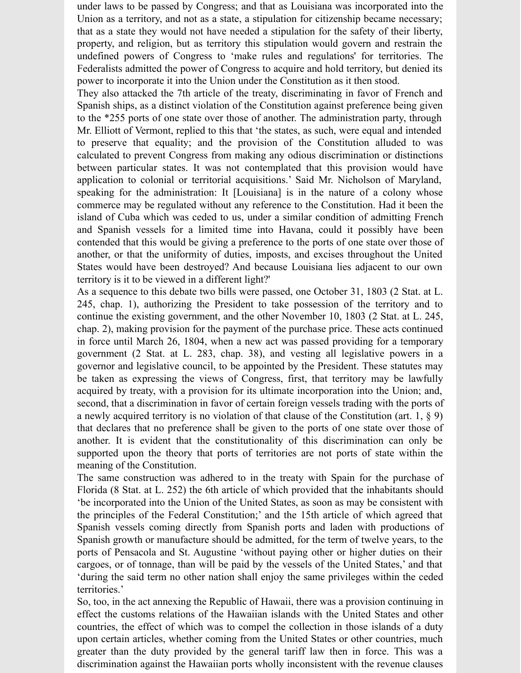under laws to be passed by Congress; and that as Louisiana was incorporated into the Union as a territory, and not as a state, a stipulation for citizenship became necessary; that as a state they would not have needed a stipulation for the safety of their liberty, property, and religion, but as territory this stipulation would govern and restrain the undefined powers of Congress to 'make rules and regulations' for territories. The Federalists admitted the power of Congress to acquire and hold territory, but denied its power to incorporate it into the Union under the Constitution as it then stood.

They also attacked the 7th article of the treaty, discriminating in favor of French and Spanish ships, as a distinct violation of the Constitution against preference being given to the \*255 ports of one state over those of another. The administration party, through Mr. Elliott of Vermont, replied to this that 'the states, as such, were equal and intended to preserve that equality; and the provision of the Constitution alluded to was calculated to prevent Congress from making any odious discrimination or distinctions between particular states. It was not contemplated that this provision would have application to colonial or territorial acquisitions.' Said Mr. Nicholson of Maryland, speaking for the administration: It [Louisiana] is in the nature of a colony whose commerce may be regulated without any reference to the Constitution. Had it been the island of Cuba which was ceded to us, under a similar condition of admitting French and Spanish vessels for a limited time into Havana, could it possibly have been contended that this would be giving a preference to the ports of one state over those of another, or that the uniformity of duties, imposts, and excises throughout the United States would have been destroyed? And because Louisiana lies adjacent to our own territory is it to be viewed in a different light?'

As a sequence to this debate two bills were passed, one October 31, 1803 (2 Stat. at L. 245, chap. 1), authorizing the President to take possession of the territory and to continue the existing government, and the other November 10, 1803 (2 Stat. at L. 245, chap. 2), making provision for the payment of the purchase price. These acts continued in force until March 26, 1804, when a new act was passed providing for a temporary government (2 Stat. at L. 283, chap. 38), and vesting all legislative powers in a governor and legislative council, to be appointed by the President. These statutes may be taken as expressing the views of Congress, first, that territory may be lawfully acquired by treaty, with a provision for its ultimate incorporation into the Union; and, second, that a discrimination in favor of certain foreign vessels trading with the ports of a newly acquired territory is no violation of that clause of the Constitution (art. 1,  $\S$  9) that declares that no preference shall be given to the ports of one state over those of another. It is evident that the constitutionality of this discrimination can only be supported upon the theory that ports of territories are not ports of state within the meaning of the Constitution.

The same construction was adhered to in the treaty with Spain for the purchase of Florida (8 Stat. at L. 252) the 6th article of which provided that the inhabitants should 'be incorporated into the Union of the United States, as soon as may be consistent with the principles of the Federal Constitution;' and the 15th article of which agreed that Spanish vessels coming directly from Spanish ports and laden with productions of Spanish growth or manufacture should be admitted, for the term of twelve years, to the ports of Pensacola and St. Augustine 'without paying other or higher duties on their cargoes, or of tonnage, than will be paid by the vessels of the United States,' and that 'during the said term no other nation shall enjoy the same privileges within the ceded territories.'

So, too, in the act annexing the Republic of Hawaii, there was a provision continuing in effect the customs relations of the Hawaiian islands with the United States and other countries, the effect of which was to compel the collection in those islands of a duty upon certain articles, whether coming from the United States or other countries, much greater than the duty provided by the general tariff law then in force. This was a discrimination against the Hawaiian ports wholly inconsistent with the revenue clauses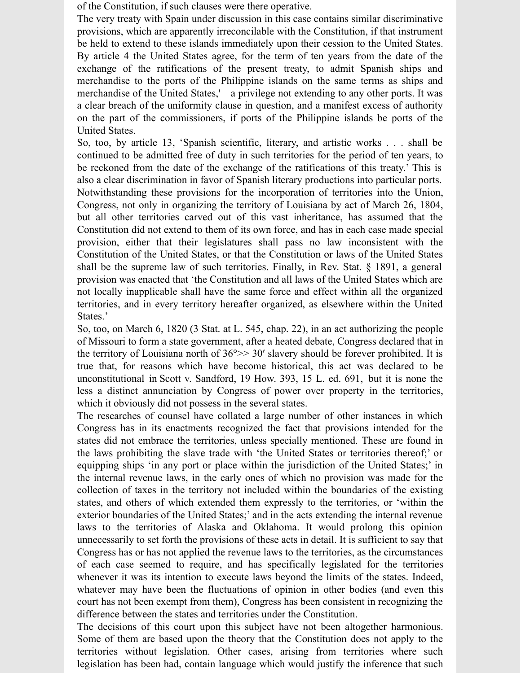of the Constitution, if such clauses were there operative.

The very treaty with Spain under discussion in this case contains similar discriminative provisions, which are apparently irreconcilable with the Constitution, if that instrument be held to extend to these islands immediately upon their cession to the United States. By article 4 the United States agree, for the term of ten years from the date of the exchange of the ratifications of the present treaty, to admit Spanish ships and merchandise to the ports of the Philippine islands on the same terms as ships and merchandise of the United States,'—a privilege not extending to any other ports. It was a clear breach of the uniformity clause in question, and a manifest excess of authority on the part of the commissioners, if ports of the Philippine islands be ports of the United States.

So, too, by article 13, 'Spanish scientific, literary, and artistic works . . . shall be continued to be admitted free of duty in such territories for the period of ten years, to be reckoned from the date of the exchange of the ratifications of this treaty.' This is also a clear discrimination in favor of Spanish literary productions into particular ports. Notwithstanding these provisions for the incorporation of territories into the Union, Congress, not only in organizing the territory of Louisiana by act of March 26, 1804, but all other territories carved out of this vast inheritance, has assumed that the Constitution did not extend to them of its own force, and has in each case made special provision, either that their legislatures shall pass no law inconsistent with the Constitution of the United States, or that the Constitution or laws of the United States shall be the supreme law of such territories. Finally, in Rev. Stat.  $\S$  1891, a general provision was enacted that 'the Constitution and all laws of the United States which are not locally inapplicable shall have the same force and effect within all the organized territories, and in every territory hereafter organized, as elsewhere within the United States.'

So, too, on March 6, 1820 (3 Stat. at L. 545, chap. 22), in an act authorizing the people of Missouri to form a state government, after a heated debate, Congress declared that in the territory of Louisiana north of  $36^{\circ}$  > 30' slavery should be forever prohibited. It is true that, for reasons which have become historical, this act was declared to be unconstitutional in Scott v. [Sandford,](https://1.next.westlaw.com/Link/Document/FullText?findType=Y&serNum=1856193196&pubNum=780&originatingDoc=I7a4be7179ca211d9bdd1cfdd544ca3a4&refType=RP&originationContext=document&transitionType=DocumentItem&ppcid=c08eb7709fd6411ba15f8469a157103d&contextData=(sc.UserEnteredCitation)) 19 How. 393, 15 L. ed. 691, but it is none the less a distinct annunciation by Congress of power over property in the territories, which it obviously did not possess in the several states.

The researches of counsel have collated a large number of other instances in which Congress has in its enactments recognized the fact that provisions intended for the states did not embrace the territories, unless specially mentioned. These are found in the laws prohibiting the slave trade with 'the United States or territories thereof;' or equipping ships 'in any port or place within the jurisdiction of the United States;' in the internal revenue laws, in the early ones of which no provision was made for the collection of taxes in the territory not included within the boundaries of the existing states, and others of which extended them expressly to the territories, or 'within the exterior boundaries of the United States;' and in the acts extending the internal revenue laws to the territories of Alaska and Oklahoma. It would prolong this opinion unnecessarily to set forth the provisions of these acts in detail. It is sufficient to say that Congress has or has not applied the revenue laws to the territories, as the circumstances of each case seemed to require, and has specifically legislated for the territories whenever it was its intention to execute laws beyond the limits of the states. Indeed, whatever may have been the fluctuations of opinion in other bodies (and even this court has not been exempt from them), Congress has been consistent in recognizing the difference between the states and territories under the Constitution.

The decisions of this court upon this subject have not been altogether harmonious. Some of them are based upon the theory that the Constitution does not apply to the territories without legislation. Other cases, arising from territories where such legislation has been had, contain language which would justify the inference that such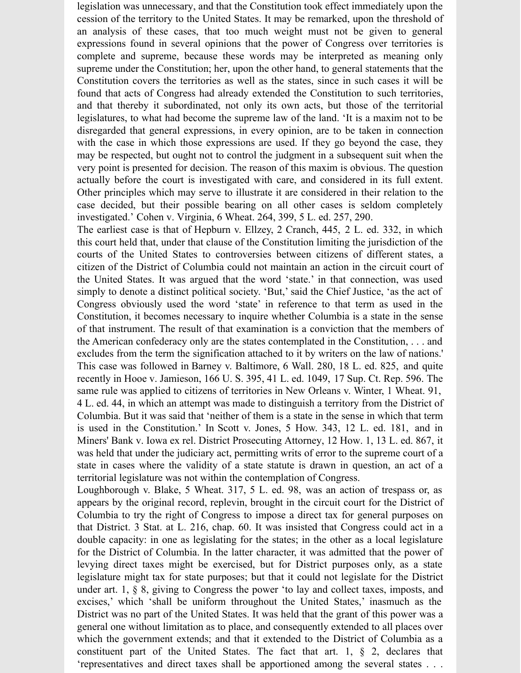legislation was unnecessary, and that the Constitution took effect immediately upon the cession of the territory to the United States. It may be remarked, upon the threshold of an analysis of these cases, that too much weight must not be given to general expressions found in several opinions that the power of Congress over territories is complete and supreme, because these words may be interpreted as meaning only supreme under the Constitution; her, upon the other hand, to general statements that the Constitution covers the territories as well as the states, since in such cases it will be found that acts of Congress had already extended the Constitution to such territories, and that thereby it subordinated, not only its own acts, but those of the territorial legislatures, to what had become the supreme law of the land. 'It is a maxim not to be disregarded that general expressions, in every opinion, are to be taken in connection with the case in which those expressions are used. If they go beyond the case, they may be respected, but ought not to control the judgment in a subsequent suit when the very point is presented for decision. The reason of this maxim is obvious. The question actually before the court is investigated with care, and considered in its full extent. Other principles which may serve to illustrate it are considered in their relation to the case decided, but their possible bearing on all other cases is seldom completely investigated.' Cohen v. [Virginia,](https://1.next.westlaw.com/Link/Document/FullText?findType=Y&serNum=1821192734&pubNum=780&originatingDoc=I7a4be7179ca211d9bdd1cfdd544ca3a4&refType=RP&fi=co_pp_sp_780_399&originationContext=document&transitionType=DocumentItem&ppcid=c08eb7709fd6411ba15f8469a157103d&contextData=(sc.UserEnteredCitation)#co_pp_sp_780_399) 6 Wheat. 264, 399, 5 L. ed. 257, 290.

The earliest case is that of [Hepburn](https://1.next.westlaw.com/Link/Document/FullText?findType=Y&serNum=1800104040&pubNum=780&originatingDoc=I7a4be7179ca211d9bdd1cfdd544ca3a4&refType=RP&originationContext=document&transitionType=DocumentItem&ppcid=c08eb7709fd6411ba15f8469a157103d&contextData=(sc.UserEnteredCitation)) v. Ellzey, 2 Cranch, 445, 2 L. ed. [332,](https://1.next.westlaw.com/Link/Document/FullText?findType=Y&serNum=1800104040&pubNum=470&originatingDoc=I7a4be7179ca211d9bdd1cfdd544ca3a4&refType=RP&originationContext=document&transitionType=DocumentItem&ppcid=c08eb7709fd6411ba15f8469a157103d&contextData=(sc.UserEnteredCitation)) in which this court held that, under that clause of the Constitution limiting the jurisdiction of the courts of the United States to controversies between citizens of different states, a citizen of the District of Columbia could not maintain an action in the circuit court of the United States. It was argued that the word 'state.' in that connection, was used simply to denote a distinct political society. 'But,' said the Chief Justice, 'as the act of Congress obviously used the word 'state' in reference to that term as used in the Constitution, it becomes necessary to inquire whether Columbia is a state in the sense of that instrument. The result of that examination is a conviction that the members of the American confederacy only are the states contemplated in the Constitution, . . . and excludes from the term the signification attached to it by writers on the law of nations.' This case was followed in Barney v. [Baltimore,](https://1.next.westlaw.com/Link/Document/FullText?findType=Y&serNum=1800145603&pubNum=780&originatingDoc=I7a4be7179ca211d9bdd1cfdd544ca3a4&refType=RP&originationContext=document&transitionType=DocumentItem&ppcid=c08eb7709fd6411ba15f8469a157103d&contextData=(sc.UserEnteredCitation)) 6 Wall. 280, 18 L. ed. 825, and quite recently in Hooe v. [Jamieson,](https://1.next.westlaw.com/Link/Document/FullText?findType=Y&serNum=1897180118&pubNum=780&originatingDoc=I7a4be7179ca211d9bdd1cfdd544ca3a4&refType=RP&originationContext=document&transitionType=DocumentItem&ppcid=c08eb7709fd6411ba15f8469a157103d&contextData=(sc.UserEnteredCitation)) 166 U. S. 395, 41 L. ed. 1049, 17 Sup. Ct. [Rep.](https://1.next.westlaw.com/Link/Document/FullText?findType=Y&serNum=1897180118&pubNum=708&originatingDoc=I7a4be7179ca211d9bdd1cfdd544ca3a4&refType=RP&originationContext=document&transitionType=DocumentItem&ppcid=c08eb7709fd6411ba15f8469a157103d&contextData=(sc.UserEnteredCitation)) 596. The same rule was applied to citizens of territories in New Orleans v. Winter, 1 Wheat. 91, 4 L. ed. 44, in which an attempt was made to [distinguish](https://1.next.westlaw.com/Link/Document/FullText?findType=Y&serNum=1800102877&pubNum=780&originatingDoc=I7a4be7179ca211d9bdd1cfdd544ca3a4&refType=RP&originationContext=document&transitionType=DocumentItem&ppcid=c08eb7709fd6411ba15f8469a157103d&contextData=(sc.UserEnteredCitation)) a territory from the District of Columbia. But it was said that 'neither of them is a state in the sense in which that term is used in the Constitution.' In Scott v. [Jones,](https://1.next.westlaw.com/Link/Document/FullText?findType=Y&serNum=1800106388&pubNum=780&originatingDoc=I7a4be7179ca211d9bdd1cfdd544ca3a4&refType=RP&originationContext=document&transitionType=DocumentItem&ppcid=c08eb7709fd6411ba15f8469a157103d&contextData=(sc.UserEnteredCitation)) 5 How. 343, 12 L. ed. 181, and in Miners' Bank v. Iowa ex rel. District [Prosecuting](https://1.next.westlaw.com/Link/Document/FullText?findType=Y&serNum=1800105283&pubNum=780&originatingDoc=I7a4be7179ca211d9bdd1cfdd544ca3a4&refType=RP&originationContext=document&transitionType=DocumentItem&ppcid=c08eb7709fd6411ba15f8469a157103d&contextData=(sc.UserEnteredCitation)) Attorney, 12 How. 1, 13 L. ed. 867, it was held that under the judiciary act, permitting writs of error to the supreme court of a state in cases where the validity of a state statute is drawn in question, an act of a territorial legislature was not within the contemplation of Congress.

[Loughborough](https://1.next.westlaw.com/Link/Document/FullText?findType=Y&serNum=1820122924&pubNum=780&originatingDoc=I7a4be7179ca211d9bdd1cfdd544ca3a4&refType=RP&originationContext=document&transitionType=DocumentItem&ppcid=c08eb7709fd6411ba15f8469a157103d&contextData=(sc.UserEnteredCitation)) v. Blake, 5 Wheat. 317, 5 L. ed. 98, was an action of trespass or, as appears by the original record, replevin, brought in the circuit court for the District of Columbia to try the right of Congress to impose a direct tax for general purposes on that District. 3 Stat. at L. 216, chap. 60. It was insisted that Congress could act in a double capacity: in one as legislating for the states; in the other as a local legislature for the District of Columbia. In the latter character, it was admitted that the power of levying direct taxes might be exercised, but for District purposes only, as a state legislature might tax for state purposes; but that it could not legislate for the District under art. 1, § 8, giving to Congress the power 'to lay and collect taxes, imposts, and excises,' which 'shall be uniform throughout the United States,' inasmuch as the District was no part of the United States. It was held that the grant of this power was a general one without limitation as to place, and consequently extended to all places over which the government extends; and that it extended to the District of Columbia as a constituent part of the United States. The fact that art. 1, § 2, declares that 'representatives and direct taxes shall be apportioned among the several states . . .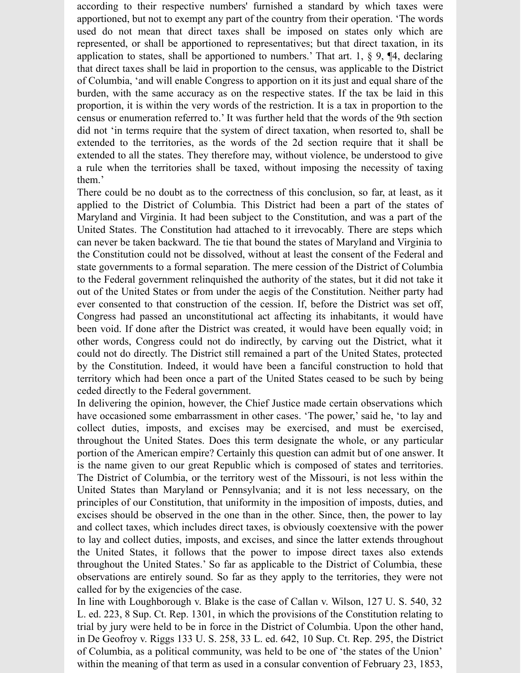according to their respective numbers' furnished a standard by which taxes were apportioned, but not to exempt any part of the country from their operation. 'The words used do not mean that direct taxes shall be imposed on states only which are represented, or shall be apportioned to representatives; but that direct taxation, in its application to states, shall be apportioned to numbers.' That art. 1, § 9, ¶4, declaring that direct taxes shall be laid in proportion to the census, was applicable to the District of Columbia, 'and will enable Congress to apportion on it its just and equal share of the burden, with the same accuracy as on the respective states. If the tax be laid in this proportion, it is within the very words of the restriction. It is a tax in proportion to the census or enumeration referred to.' It was further held that the words of the 9th section did not 'in terms require that the system of direct taxation, when resorted to, shall be extended to the territories, as the words of the 2d section require that it shall be extended to all the states. They therefore may, without violence, be understood to give a rule when the territories shall be taxed, without imposing the necessity of taxing them.'

There could be no doubt as to the correctness of this conclusion, so far, at least, as it applied to the District of Columbia. This District had been a part of the states of Maryland and Virginia. It had been subject to the Constitution, and was a part of the United States. The Constitution had attached to it irrevocably. There are steps which can never be taken backward. The tie that bound the states of Maryland and Virginia to the Constitution could not be dissolved, without at least the consent of the Federal and state governments to a formal separation. The mere cession of the District of Columbia to the Federal government relinquished the authority of the states, but it did not take it out of the United States or from under the aegis of the Constitution. Neither party had ever consented to that construction of the cession. If, before the District was set off, Congress had passed an unconstitutional act affecting its inhabitants, it would have been void. If done after the District was created, it would have been equally void; in other words, Congress could not do indirectly, by carving out the District, what it could not do directly. The District still remained a part of the United States, protected by the Constitution. Indeed, it would have been a fanciful construction to hold that territory which had been once a part of the United States ceased to be such by being ceded directly to the Federal government.

In delivering the opinion, however, the Chief Justice made certain observations which have occasioned some embarrassment in other cases. 'The power,' said he, 'to lay and collect duties, imposts, and excises may be exercised, and must be exercised, throughout the United States. Does this term designate the whole, or any particular portion of the American empire? Certainly this question can admit but of one answer. It is the name given to our great Republic which is composed of states and territories. The District of Columbia, or the territory west of the Missouri, is not less within the United States than Maryland or Pennsylvania; and it is not less necessary, on the principles of our Constitution, that uniformity in the imposition of imposts, duties, and excises should be observed in the one than in the other. Since, then, the power to lay and collect taxes, which includes direct taxes, is obviously coextensive with the power to lay and collect duties, imposts, and excises, and since the latter extends throughout the United States, it follows that the power to impose direct taxes also extends throughout the United States.' So far as applicable to the District of Columbia, these observations are entirely sound. So far as they apply to the territories, they were not called for by the exigencies of the case.

In line with [Loughborough](https://1.next.westlaw.com/Link/Document/FullText?findType=Y&serNum=1888180191&pubNum=780&originatingDoc=I7a4be7179ca211d9bdd1cfdd544ca3a4&refType=RP&originationContext=document&transitionType=DocumentItem&ppcid=c08eb7709fd6411ba15f8469a157103d&contextData=(sc.UserEnteredCitation)) v. Blake is the case of Callan v. Wilson, 127 U. S. 540, 32 L. ed. 223, 8 Sup. Ct. Rep. [1301,](https://1.next.westlaw.com/Link/Document/FullText?findType=Y&serNum=1888180191&pubNum=708&originatingDoc=I7a4be7179ca211d9bdd1cfdd544ca3a4&refType=RP&originationContext=document&transitionType=DocumentItem&ppcid=c08eb7709fd6411ba15f8469a157103d&contextData=(sc.UserEnteredCitation)) in which the provisions of the Constitution relating to trial by jury were held to be in force in the District of Columbia. Upon the other hand, in De [Geofroy](https://1.next.westlaw.com/Link/Document/FullText?findType=Y&serNum=1890180176&pubNum=780&originatingDoc=I7a4be7179ca211d9bdd1cfdd544ca3a4&refType=RP&originationContext=document&transitionType=DocumentItem&ppcid=c08eb7709fd6411ba15f8469a157103d&contextData=(sc.UserEnteredCitation)) v. Riggs 133 U. S. 258, 33 L. ed. 642, 10 Sup. Ct. [Rep.](https://1.next.westlaw.com/Link/Document/FullText?findType=Y&serNum=1890180176&pubNum=708&originatingDoc=I7a4be7179ca211d9bdd1cfdd544ca3a4&refType=RP&originationContext=document&transitionType=DocumentItem&ppcid=c08eb7709fd6411ba15f8469a157103d&contextData=(sc.UserEnteredCitation)) 295, the District of Columbia, as a political community, was held to be one of 'the states of the Union' within the meaning of that term as used in a consular convention of February 23, 1853,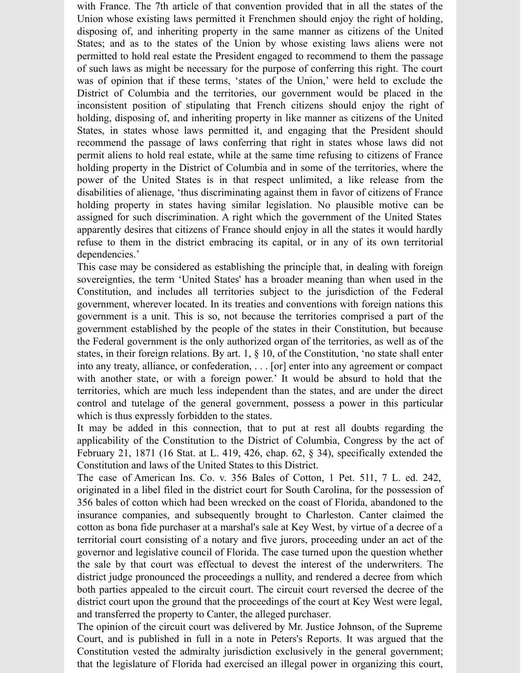with France. The 7th article of that convention provided that in all the states of the Union whose existing laws permitted it Frenchmen should enjoy the right of holding, disposing of, and inheriting property in the same manner as citizens of the United States; and as to the states of the Union by whose existing laws aliens were not permitted to hold real estate the President engaged to recommend to them the passage of such laws as might be necessary for the purpose of conferring this right. The court was of opinion that if these terms, 'states of the Union,' were held to exclude the District of Columbia and the territories, our government would be placed in the inconsistent position of stipulating that French citizens should enjoy the right of holding, disposing of, and inheriting property in like manner as citizens of the United States, in states whose laws permitted it, and engaging that the President should recommend the passage of laws conferring that right in states whose laws did not permit aliens to hold real estate, while at the same time refusing to citizens of France holding property in the District of Columbia and in some of the territories, where the power of the United States is in that respect unlimited, a like release from the disabilities of alienage, 'thus discriminating against them in favor of citizens of France holding property in states having similar legislation. No plausible motive can be assigned for such discrimination. A right which the government of the United States apparently desires that citizens of France should enjoy in all the states it would hardly refuse to them in the district embracing its capital, or in any of its own territorial dependencies.'

This case may be considered as establishing the principle that, in dealing with foreign sovereignties, the term 'United States' has a broader meaning than when used in the Constitution, and includes all territories subject to the jurisdiction of the Federal government, wherever located. In its treaties and conventions with foreign nations this government is a unit. This is so, not because the territories comprised a part of the government established by the people of the states in their Constitution, but because the Federal government is the only authorized organ of the territories, as well as of the states, in their foreign relations. By art. 1, § 10, of the Constitution, 'no state shall enter into any treaty, alliance, or confederation, . . . [or] enter into any agreement or compact with another state, or with a foreign power.' It would be absurd to hold that the territories, which are much less independent than the states, and are under the direct control and tutelage of the general government, possess a power in this particular which is thus expressly forbidden to the states.

It may be added in this connection, that to put at rest all doubts regarding the applicability of the Constitution to the District of Columbia, Congress by the act of February 21, 1871 (16 Stat. at L. 419, 426, chap. 62, § 34), specifically extended the Constitution and laws of the United States to this District.

The case of [American](https://1.next.westlaw.com/Link/Document/FullText?findType=Y&serNum=1800101649&pubNum=780&originatingDoc=I7a4be7179ca211d9bdd1cfdd544ca3a4&refType=RP&originationContext=document&transitionType=DocumentItem&ppcid=c08eb7709fd6411ba15f8469a157103d&contextData=(sc.UserEnteredCitation)) Ins. Co. v. 356 Bales of Cotton, 1 Pet. 511, 7 L. ed. 242, originated in a libel filed in the district court for South Carolina, for the possession of 356 bales of cotton which had been wrecked on the coast of Florida, abandoned to the insurance companies, and subsequently brought to Charleston. Canter claimed the cotton as bona fide purchaser at a marshal's sale at Key West, by virtue of a decree of a territorial court consisting of a notary and five jurors, proceeding under an act of the governor and legislative council of Florida. The case turned upon the question whether the sale by that court was effectual to devest the interest of the underwriters. The district judge pronounced the proceedings a nullity, and rendered a decree from which both parties appealed to the circuit court. The circuit court reversed the decree of the district court upon the ground that the proceedings of the court at Key West were legal, and transferred the property to Canter, the alleged purchaser.

The opinion of the circuit court was delivered by Mr. Justice Johnson, of the Supreme Court, and is published in full in a note in Peters's Reports. It was argued that the Constitution vested the admiralty jurisdiction exclusively in the general government; that the legislature of Florida had exercised an illegal power in organizing this court,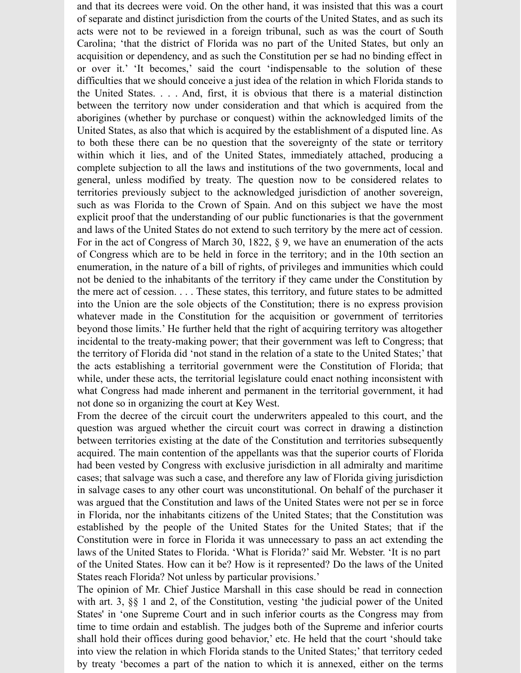and that its decrees were void. On the other hand, it was insisted that this was a court of separate and distinct jurisdiction from the courts of the United States, and as such its acts were not to be reviewed in a foreign tribunal, such as was the court of South Carolina; 'that the district of Florida was no part of the United States, but only an acquisition or dependency, and as such the Constitution per se had no binding effect in or over it.' 'It becomes,' said the court 'indispensable to the solution of these difficulties that we should conceive a just idea of the relation in which Florida stands to the United States. . . . And, first, it is obvious that there is a material distinction between the territory now under consideration and that which is acquired from the aborigines (whether by purchase or conquest) within the acknowledged limits of the United States, as also that which is acquired by the establishment of a disputed line. As to both these there can be no question that the sovereignty of the state or territory within which it lies, and of the United States, immediately attached, producing a complete subjection to all the laws and institutions of the two governments, local and general, unless modified by treaty. The question now to be considered relates to territories previously subject to the acknowledged jurisdiction of another sovereign, such as was Florida to the Crown of Spain. And on this subject we have the most explicit proof that the understanding of our public functionaries is that the government and laws of the United States do not extend to such territory by the mere act of cession. For in the act of Congress of March 30, 1822, § 9, we have an enumeration of the acts of Congress which are to be held in force in the territory; and in the 10th section an enumeration, in the nature of a bill of rights, of privileges and immunities which could not be denied to the inhabitants of the territory if they came under the Constitution by the mere act of cession. . . . These states, this territory, and future states to be admitted into the Union are the sole objects of the Constitution; there is no express provision whatever made in the Constitution for the acquisition or government of territories beyond those limits.' He further held that the right of acquiring territory was altogether incidental to the treaty-making power; that their government was left to Congress; that the territory of Florida did 'not stand in the relation of a state to the United States;' that the acts establishing a territorial government were the Constitution of Florida; that while, under these acts, the territorial legislature could enact nothing inconsistent with what Congress had made inherent and permanent in the territorial government, it had not done so in organizing the court at Key West.

From the decree of the circuit court the underwriters appealed to this court, and the question was argued whether the circuit court was correct in drawing a distinction between territories existing at the date of the Constitution and territories subsequently acquired. The main contention of the appellants was that the superior courts of Florida had been vested by Congress with exclusive jurisdiction in all admiralty and maritime cases; that salvage was such a case, and therefore any law of Florida giving jurisdiction in salvage cases to any other court was unconstitutional. On behalf of the purchaser it was argued that the Constitution and laws of the United States were not per se in force in Florida, nor the inhabitants citizens of the United States; that the Constitution was established by the people of the United States for the United States; that if the Constitution were in force in Florida it was unnecessary to pass an act extending the laws of the United States to Florida. 'What is Florida?' said Mr. Webster. 'It is no part of the United States. How can it be? How is it represented? Do the laws of the United States reach Florida? Not unless by particular provisions.'

The opinion of Mr. Chief Justice Marshall in this case should be read in connection with art. 3,  $\S$  1 and 2, of the Constitution, vesting 'the judicial power of the United States' in 'one Supreme Court and in such inferior courts as the Congress may from time to time ordain and establish. The judges both of the Supreme and inferior courts shall hold their offices during good behavior,' etc. He held that the court 'should take into view the relation in which Florida stands to the United States;' that territory ceded by treaty 'becomes a part of the nation to which it is annexed, either on the terms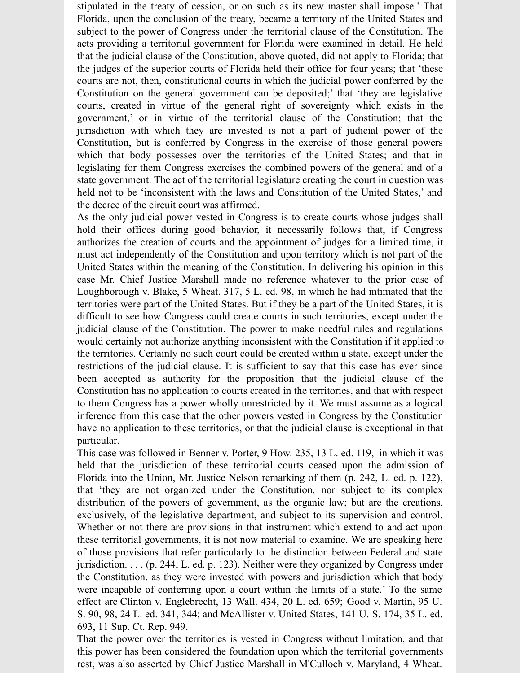stipulated in the treaty of cession, or on such as its new master shall impose.' That Florida, upon the conclusion of the treaty, became a territory of the United States and subject to the power of Congress under the territorial clause of the Constitution. The acts providing a territorial government for Florida were examined in detail. He held that the judicial clause of the Constitution, above quoted, did not apply to Florida; that the judges of the superior courts of Florida held their office for four years; that 'these courts are not, then, constitutional courts in which the judicial power conferred by the Constitution on the general government can be deposited;' that 'they are legislative courts, created in virtue of the general right of sovereignty which exists in the government,' or in virtue of the territorial clause of the Constitution; that the jurisdiction with which they are invested is not a part of judicial power of the Constitution, but is conferred by Congress in the exercise of those general powers which that body possesses over the territories of the United States; and that in legislating for them Congress exercises the combined powers of the general and of a state government. The act of the territorial legislature creating the court in question was held not to be 'inconsistent with the laws and Constitution of the United States,' and the decree of the circuit court was affirmed.

As the only judicial power vested in Congress is to create courts whose judges shall hold their offices during good behavior, it necessarily follows that, if Congress authorizes the creation of courts and the appointment of judges for a limited time, it must act independently of the Constitution and upon territory which is not part of the United States within the meaning of the Constitution. In delivering his opinion in this case Mr. Chief Justice Marshall made no reference whatever to the prior case of [Loughborough](https://1.next.westlaw.com/Link/Document/FullText?findType=Y&serNum=1820122924&pubNum=780&originatingDoc=I7a4be7179ca211d9bdd1cfdd544ca3a4&refType=RP&originationContext=document&transitionType=DocumentItem&ppcid=c08eb7709fd6411ba15f8469a157103d&contextData=(sc.UserEnteredCitation)) v. Blake, 5 Wheat. 317, 5 L. ed. 98, in which he had intimated that the territories were part of the United States. But if they be a part of the United States, it is difficult to see how Congress could create courts in such territories, except under the judicial clause of the Constitution. The power to make needful rules and regulations would certainly not authorize anything inconsistent with the Constitution if it applied to the territories. Certainly no such court could be created within a state, except under the restrictions of the judicial clause. It is sufficient to say that this case has ever since been accepted as authority for the proposition that the judicial clause of the Constitution has no application to courts created in the territories, and that with respect to them Congress has a power wholly unrestricted by it. We must assume as a logical inference from this case that the other powers vested in Congress by the Constitution have no application to these territories, or that the judicial clause is exceptional in that particular.

This case was followed in [Benner](https://1.next.westlaw.com/Link/Document/FullText?findType=Y&serNum=1850302023&pubNum=780&originatingDoc=I7a4be7179ca211d9bdd1cfdd544ca3a4&refType=RP&originationContext=document&transitionType=DocumentItem&ppcid=c08eb7709fd6411ba15f8469a157103d&contextData=(sc.UserEnteredCitation)) v. Porter, 9 How. 235, 13 L. ed. 119, in which it was held that the jurisdiction of these territorial courts ceased upon the admission of Florida into the Union, Mr. Justice Nelson remarking of them (p. 242, L. ed. p. 122), that 'they are not organized under the Constitution, nor subject to its complex distribution of the powers of government, as the organic law; but are the creations, exclusively, of the legislative department, and subject to its supervision and control. Whether or not there are provisions in that instrument which extend to and act upon these territorial governments, it is not now material to examine. We are speaking here of those provisions that refer particularly to the distinction between Federal and state jurisdiction. . . . (p. 244, L. ed. p. 123). Neither were they organized by Congress under the Constitution, as they were invested with powers and jurisdiction which that body were incapable of conferring upon a court within the limits of a state.' To the same effect are Clinton v. [Englebrecht,](https://1.next.westlaw.com/Link/Document/FullText?findType=Y&serNum=1877197475&pubNum=780&originatingDoc=I7a4be7179ca211d9bdd1cfdd544ca3a4&refType=RP&fi=co_pp_sp_780_98&originationContext=document&transitionType=DocumentItem&ppcid=c08eb7709fd6411ba15f8469a157103d&contextData=(sc.UserEnteredCitation)#co_pp_sp_780_98) 13 Wall. 434, 20 L. ed. 659; Good v. Martin, 95 U. S. 90, 98, 24 L. ed. 341, 344; and [McAllister](https://1.next.westlaw.com/Link/Document/FullText?findType=Y&serNum=1891180063&pubNum=780&originatingDoc=I7a4be7179ca211d9bdd1cfdd544ca3a4&refType=RP&originationContext=document&transitionType=DocumentItem&ppcid=c08eb7709fd6411ba15f8469a157103d&contextData=(sc.UserEnteredCitation)) v. United States, 141 U. S. 174, 35 L. ed. 693, 11 Sup. Ct. [Rep.](https://1.next.westlaw.com/Link/Document/FullText?findType=Y&serNum=1891180063&pubNum=708&originatingDoc=I7a4be7179ca211d9bdd1cfdd544ca3a4&refType=RP&originationContext=document&transitionType=DocumentItem&ppcid=c08eb7709fd6411ba15f8469a157103d&contextData=(sc.UserEnteredCitation)) 949.

That the power over the territories is vested in Congress without limitation, and that this power has been considered the foundation upon which the territorial governments rest, was also asserted by Chief Justice Marshall in [M'Culloch](https://1.next.westlaw.com/Link/Document/FullText?findType=Y&serNum=1800123335&pubNum=780&originatingDoc=I7a4be7179ca211d9bdd1cfdd544ca3a4&refType=RP&fi=co_pp_sp_780_422&originationContext=document&transitionType=DocumentItem&ppcid=c08eb7709fd6411ba15f8469a157103d&contextData=(sc.UserEnteredCitation)#co_pp_sp_780_422) v. Maryland, 4 Wheat.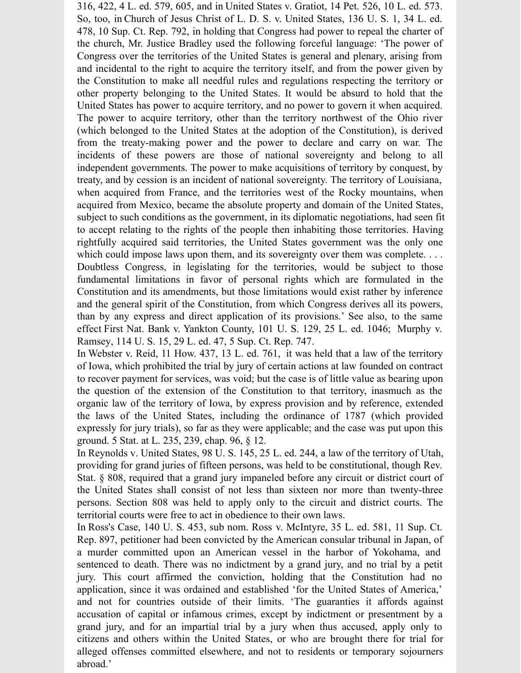316, 422, 4 L. ed. 579, 605, and in United States v. [Gratiot,](https://1.next.westlaw.com/Link/Document/FullText?findType=Y&serNum=1840197343&pubNum=780&originatingDoc=I7a4be7179ca211d9bdd1cfdd544ca3a4&refType=RP&originationContext=document&transitionType=DocumentItem&ppcid=c08eb7709fd6411ba15f8469a157103d&contextData=(sc.UserEnteredCitation)) 14 Pet. 526, 10 L. ed. 573. So, too, in Church of Jesus Christ of L. D. S. v. United States, 136 U. S. 1, 34 L. ed. 478, 10 Sup. Ct. [Rep.](https://1.next.westlaw.com/Link/Document/FullText?findType=Y&serNum=1890145167&pubNum=708&originatingDoc=I7a4be7179ca211d9bdd1cfdd544ca3a4&refType=RP&originationContext=document&transitionType=DocumentItem&ppcid=c08eb7709fd6411ba15f8469a157103d&contextData=(sc.UserEnteredCitation)) 792, in holding that [Congress](https://1.next.westlaw.com/Link/Document/FullText?findType=Y&serNum=1890145167&pubNum=780&originatingDoc=I7a4be7179ca211d9bdd1cfdd544ca3a4&refType=RP&originationContext=document&transitionType=DocumentItem&ppcid=c08eb7709fd6411ba15f8469a157103d&contextData=(sc.UserEnteredCitation)) had power to repeal the charter of the church, Mr. Justice Bradley used the following forceful language: 'The power of Congress over the territories of the United States is general and plenary, arising from and incidental to the right to acquire the territory itself, and from the power given by the Constitution to make all needful rules and regulations respecting the territory or other property belonging to the United States. It would be absurd to hold that the United States has power to acquire territory, and no power to govern it when acquired. The power to acquire territory, other than the territory northwest of the Ohio river (which belonged to the United States at the adoption of the Constitution), is derived from the treaty-making power and the power to declare and carry on war. The incidents of these powers are those of national sovereignty and belong to all independent governments. The power to make acquisitions of territory by conquest, by treaty, and by cession is an incident of national sovereignty. The territory of Louisiana, when acquired from France, and the territories west of the Rocky mountains, when acquired from Mexico, became the absolute property and domain of the United States, subject to such conditions as the government, in its diplomatic negotiations, had seen fit to accept relating to the rights of the people then inhabiting those territories. Having rightfully acquired said territories, the United States government was the only one which could impose laws upon them, and its sovereignty over them was complete. . . . Doubtless Congress, in legislating for the territories, would be subject to those fundamental limitations in favor of personal rights which are formulated in the Constitution and its amendments, but those limitations would exist rather by inference and the general spirit of the Constitution, from which Congress derives all its powers, than by any express and direct application of its provisions.' See also, to the same effect First Nat. Bank v. [Yankton](https://1.next.westlaw.com/Link/Document/FullText?findType=Y&serNum=1801193419&pubNum=780&originatingDoc=I7a4be7179ca211d9bdd1cfdd544ca3a4&refType=RP&originationContext=document&transitionType=DocumentItem&ppcid=c08eb7709fd6411ba15f8469a157103d&contextData=(sc.UserEnteredCitation)) County, 101 U. S. 129, 25 L. ed. 1046; Murphy v. [Ramsey,](https://1.next.westlaw.com/Link/Document/FullText?findType=Y&serNum=1885180171&pubNum=780&originatingDoc=I7a4be7179ca211d9bdd1cfdd544ca3a4&refType=RP&originationContext=document&transitionType=DocumentItem&ppcid=c08eb7709fd6411ba15f8469a157103d&contextData=(sc.UserEnteredCitation)) 114 U. S. 15, 29 L. ed. 47, 5 Sup. Ct. [Rep.](https://1.next.westlaw.com/Link/Document/FullText?findType=Y&serNum=1885180171&pubNum=708&originatingDoc=I7a4be7179ca211d9bdd1cfdd544ca3a4&refType=RP&originationContext=document&transitionType=DocumentItem&ppcid=c08eb7709fd6411ba15f8469a157103d&contextData=(sc.UserEnteredCitation)) 747.

In [Webster](https://1.next.westlaw.com/Link/Document/FullText?findType=Y&serNum=1800139138&pubNum=780&originatingDoc=I7a4be7179ca211d9bdd1cfdd544ca3a4&refType=RP&originationContext=document&transitionType=DocumentItem&ppcid=c08eb7709fd6411ba15f8469a157103d&contextData=(sc.UserEnteredCitation)) v. Reid, 11 How. 437, 13 L. ed. 761, it was held that a law of the territory of Iowa, which prohibited the trial by jury of certain actions at law founded on contract to recover payment for services, was void; but the case is of little value as bearing upon the question of the extension of the Constitution to that territory, inasmuch as the organic law of the territory of Iowa, by express provision and by reference, extended the laws of the United States, including the ordinance of 1787 (which provided expressly for jury trials), so far as they were applicable; and the case was put upon this ground. 5 Stat. at L. 235, 239, chap. 96, § 12.

In [Reynolds](https://1.next.westlaw.com/Link/Document/FullText?findType=Y&serNum=1878199070&pubNum=780&originatingDoc=I7a4be7179ca211d9bdd1cfdd544ca3a4&refType=RP&originationContext=document&transitionType=DocumentItem&ppcid=c08eb7709fd6411ba15f8469a157103d&contextData=(sc.UserEnteredCitation)) v. United States, 98 U. S. 145, 25 L. ed. 244, a law of the territory of Utah, providing for grand juries of fifteen persons, was held to be constitutional, though Rev. Stat. § 808, required that a grand jury impaneled before any circuit or district court of the United States shall consist of not less than sixteen nor more than twenty-three persons. Section 808 was held to apply only to the circuit and district courts. The territorial courts were free to act in obedience to their own laws.

In [Ross's](https://1.next.westlaw.com/Link/Document/FullText?findType=Y&serNum=1891180084&pubNum=780&originatingDoc=I7a4be7179ca211d9bdd1cfdd544ca3a4&refType=RP&originationContext=document&transitionType=DocumentItem&ppcid=c08eb7709fd6411ba15f8469a157103d&contextData=(sc.UserEnteredCitation)) Case, 140 U. S. 453, sub nom. Ross v. [McIntyre,](https://1.next.westlaw.com/Link/Document/FullText?findType=Y&serNum=1891180084&pubNum=470&originatingDoc=I7a4be7179ca211d9bdd1cfdd544ca3a4&refType=RP&originationContext=document&transitionType=DocumentItem&ppcid=c08eb7709fd6411ba15f8469a157103d&contextData=(sc.UserEnteredCitation)) 35 L. ed. 581, 11 Sup. Ct. Rep. 897, petitioner had been convicted by the American consular tribunal in Japan, of a murder committed upon an American vessel in the harbor of Yokohama, and sentenced to death. There was no indictment by a grand jury, and no trial by a petit jury. This court affirmed the conviction, holding that the Constitution had no application, since it was ordained and established 'for the United States of America,' and not for countries outside of their limits. 'The guaranties it affords against accusation of capital or infamous crimes, except by indictment or presentment by a grand jury, and for an impartial trial by a jury when thus accused, apply only to citizens and others within the United States, or who are brought there for trial for alleged offenses committed elsewhere, and not to residents or temporary sojourners abroad.'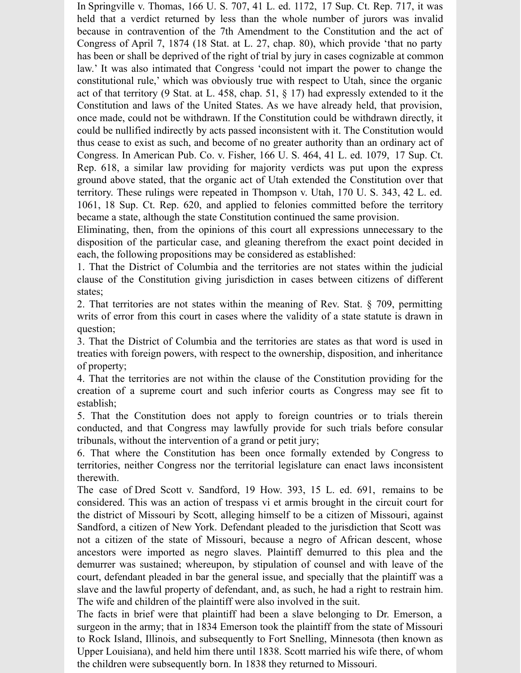In [Springville](https://1.next.westlaw.com/Link/Document/FullText?findType=Y&serNum=1897180141&pubNum=780&originatingDoc=I7a4be7179ca211d9bdd1cfdd544ca3a4&refType=RP&originationContext=document&transitionType=DocumentItem&ppcid=c08eb7709fd6411ba15f8469a157103d&contextData=(sc.UserEnteredCitation)) v. Thomas, 166 U. S. 707, 41 L. ed. 1172, 17 Sup. Ct. [Rep.](https://1.next.westlaw.com/Link/Document/FullText?findType=Y&serNum=1897180141&pubNum=708&originatingDoc=I7a4be7179ca211d9bdd1cfdd544ca3a4&refType=RP&originationContext=document&transitionType=DocumentItem&ppcid=c08eb7709fd6411ba15f8469a157103d&contextData=(sc.UserEnteredCitation)) 717, it was held that a verdict returned by less than the whole number of jurors was invalid because in contravention of the 7th Amendment to the Constitution and the act of Congress of April 7, 1874 (18 Stat. at L. 27, chap. 80), which provide 'that no party has been or shall be deprived of the right of trial by jury in cases cognizable at common law.' It was also intimated that Congress 'could not impart the power to change the constitutional rule,' which was obviously true with respect to Utah, since the organic act of that territory (9 Stat. at L. 458, chap. 51, § 17) had expressly extended to it the Constitution and laws of the United States. As we have already held, that provision, once made, could not be withdrawn. If the Constitution could be withdrawn directly, it could be nullified indirectly by acts passed inconsistent with it. The Constitution would thus cease to exist as such, and become of no greater authority than an ordinary act of [Congress.](https://1.next.westlaw.com/Link/Document/FullText?findType=Y&serNum=1897180085&pubNum=708&originatingDoc=I7a4be7179ca211d9bdd1cfdd544ca3a4&refType=RP&originationContext=document&transitionType=DocumentItem&ppcid=c08eb7709fd6411ba15f8469a157103d&contextData=(sc.UserEnteredCitation)) In [American](https://1.next.westlaw.com/Link/Document/FullText?findType=Y&serNum=1897180085&pubNum=780&originatingDoc=I7a4be7179ca211d9bdd1cfdd544ca3a4&refType=RP&originationContext=document&transitionType=DocumentItem&ppcid=c08eb7709fd6411ba15f8469a157103d&contextData=(sc.UserEnteredCitation)) Pub. Co. v. Fisher, 166 U. S. 464, 41 L. ed. 1079, 17 Sup. Ct. Rep. 618, a similar law providing for majority verdicts was put upon the express ground above stated, that the organic act of Utah extended the Constitution over that territory. These rulings were repeated in [Thompson](https://1.next.westlaw.com/Link/Document/FullText?findType=Y&serNum=1898180010&pubNum=780&originatingDoc=I7a4be7179ca211d9bdd1cfdd544ca3a4&refType=RP&originationContext=document&transitionType=DocumentItem&ppcid=c08eb7709fd6411ba15f8469a157103d&contextData=(sc.UserEnteredCitation)) v. Utah, 170 U. S. 343, 42 L. ed. 1061, 18 Sup. Ct. [Rep.](https://1.next.westlaw.com/Link/Document/FullText?findType=Y&serNum=1898180010&pubNum=708&originatingDoc=I7a4be7179ca211d9bdd1cfdd544ca3a4&refType=RP&originationContext=document&transitionType=DocumentItem&ppcid=c08eb7709fd6411ba15f8469a157103d&contextData=(sc.UserEnteredCitation)) 620, and applied to felonies committed before the territory became a state, although the state Constitution continued the same provision.

Eliminating, then, from the opinions of this court all expressions unnecessary to the disposition of the particular case, and gleaning therefrom the exact point decided in each, the following propositions may be considered as established:

1. That the District of Columbia and the territories are not states within the judicial clause of the Constitution giving jurisdiction in cases between citizens of different states;

2. That territories are not states within the meaning of Rev. Stat. § 709, permitting writs of error from this court in cases where the validity of a state statute is drawn in question;

3. That the District of Columbia and the territories are states as that word is used in treaties with foreign powers, with respect to the ownership, disposition, and inheritance of property;

4. That the territories are not within the clause of the Constitution providing for the creation of a supreme court and such inferior courts as Congress may see fit to establish;

5. That the Constitution does not apply to foreign countries or to trials therein conducted, and that Congress may lawfully provide for such trials before consular tribunals, without the intervention of a grand or petit jury;

6. That where the Constitution has been once formally extended by Congress to territories, neither Congress nor the territorial legislature can enact laws inconsistent therewith.

The case of Dred Scott v. [Sandford,](https://1.next.westlaw.com/Link/Document/FullText?findType=Y&serNum=1856193196&pubNum=780&originatingDoc=I7a4be7179ca211d9bdd1cfdd544ca3a4&refType=RP&originationContext=document&transitionType=DocumentItem&ppcid=c08eb7709fd6411ba15f8469a157103d&contextData=(sc.UserEnteredCitation)) 19 How. 393, 15 L. ed. 691, remains to be considered. This was an action of trespass vi et armis brought in the circuit court for the district of Missouri by Scott, alleging himself to be a citizen of Missouri, against Sandford, a citizen of New York. Defendant pleaded to the jurisdiction that Scott was not a citizen of the state of Missouri, because a negro of African descent, whose ancestors were imported as negro slaves. Plaintiff demurred to this plea and the demurrer was sustained; whereupon, by stipulation of counsel and with leave of the court, defendant pleaded in bar the general issue, and specially that the plaintiff was a slave and the lawful property of defendant, and, as such, he had a right to restrain him. The wife and children of the plaintiff were also involved in the suit.

The facts in brief were that plaintiff had been a slave belonging to Dr. Emerson, a surgeon in the army; that in 1834 Emerson took the plaintiff from the state of Missouri to Rock Island, Illinois, and subsequently to Fort Snelling, Minnesota (then known as Upper Louisiana), and held him there until 1838. Scott married his wife there, of whom the children were subsequently born. In 1838 they returned to Missouri.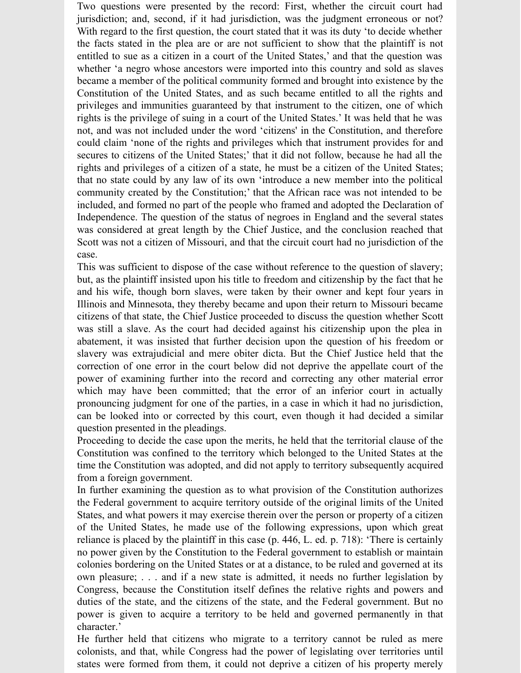Two questions were presented by the record: First, whether the circuit court had jurisdiction; and, second, if it had jurisdiction, was the judgment erroneous or not? With regard to the first question, the court stated that it was its duty 'to decide whether the facts stated in the plea are or are not sufficient to show that the plaintiff is not entitled to sue as a citizen in a court of the United States,' and that the question was whether 'a negro whose ancestors were imported into this country and sold as slaves became a member of the political community formed and brought into existence by the Constitution of the United States, and as such became entitled to all the rights and privileges and immunities guaranteed by that instrument to the citizen, one of which rights is the privilege of suing in a court of the United States.' It was held that he was not, and was not included under the word 'citizens' in the Constitution, and therefore could claim 'none of the rights and privileges which that instrument provides for and secures to citizens of the United States;' that it did not follow, because he had all the rights and privileges of a citizen of a state, he must be a citizen of the United States; that no state could by any law of its own 'introduce a new member into the political community created by the Constitution;' that the African race was not intended to be included, and formed no part of the people who framed and adopted the Declaration of Independence. The question of the status of negroes in England and the several states was considered at great length by the Chief Justice, and the conclusion reached that Scott was not a citizen of Missouri, and that the circuit court had no jurisdiction of the case.

This was sufficient to dispose of the case without reference to the question of slavery; but, as the plaintiff insisted upon his title to freedom and citizenship by the fact that he and his wife, though born slaves, were taken by their owner and kept four years in Illinois and Minnesota, they thereby became and upon their return to Missouri became citizens of that state, the Chief Justice proceeded to discuss the question whether Scott was still a slave. As the court had decided against his citizenship upon the plea in abatement, it was insisted that further decision upon the question of his freedom or slavery was extrajudicial and mere obiter dicta. But the Chief Justice held that the correction of one error in the court below did not deprive the appellate court of the power of examining further into the record and correcting any other material error which may have been committed; that the error of an inferior court in actually pronouncing judgment for one of the parties, in a case in which it had no jurisdiction, can be looked into or corrected by this court, even though it had decided a similar question presented in the pleadings.

Proceeding to decide the case upon the merits, he held that the territorial clause of the Constitution was confined to the territory which belonged to the United States at the time the Constitution was adopted, and did not apply to territory subsequently acquired from a foreign government.

In further examining the question as to what provision of the Constitution authorizes the Federal government to acquire territory outside of the original limits of the United States, and what powers it may exercise therein over the person or property of a citizen of the United States, he made use of the following expressions, upon which great reliance is placed by the plaintiff in this case (p. 446, L. ed. p. 718): 'There is certainly no power given by the Constitution to the Federal government to establish or maintain colonies bordering on the United States or at a distance, to be ruled and governed at its own pleasure; . . . and if a new state is admitted, it needs no further legislation by Congress, because the Constitution itself defines the relative rights and powers and duties of the state, and the citizens of the state, and the Federal government. But no power is given to acquire a territory to be held and governed permanently in that character.'

He further held that citizens who migrate to a territory cannot be ruled as mere colonists, and that, while Congress had the power of legislating over territories until states were formed from them, it could not deprive a citizen of his property merely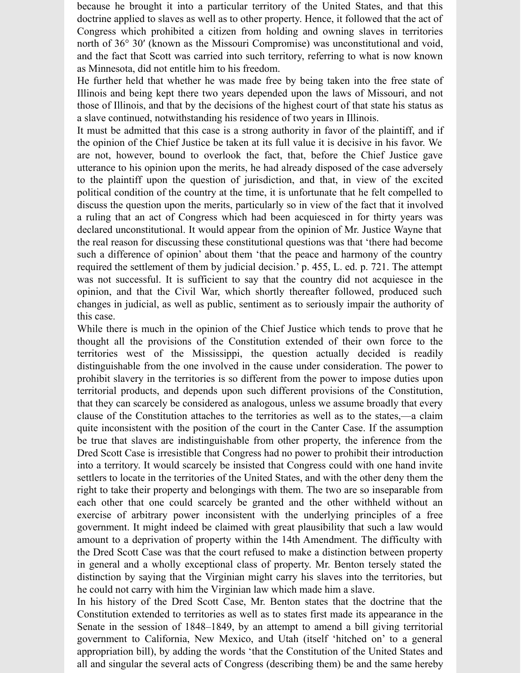because he brought it into a particular territory of the United States, and that this doctrine applied to slaves as well as to other property. Hence, it followed that the act of Congress which prohibited a citizen from holding and owning slaves in territories north of 36° 30′ (known as the Missouri Compromise) was unconstitutional and void, and the fact that Scott was carried into such territory, referring to what is now known as Minnesota, did not entitle him to his freedom.

He further held that whether he was made free by being taken into the free state of Illinois and being kept there two years depended upon the laws of Missouri, and not those of Illinois, and that by the decisions of the highest court of that state his status as a slave continued, notwithstanding his residence of two years in Illinois.

It must be admitted that this case is a strong authority in favor of the plaintiff, and if the opinion of the Chief Justice be taken at its full value it is decisive in his favor. We are not, however, bound to overlook the fact, that, before the Chief Justice gave utterance to his opinion upon the merits, he had already disposed of the case adversely to the plaintiff upon the question of jurisdiction, and that, in view of the excited political condition of the country at the time, it is unfortunate that he felt compelled to discuss the question upon the merits, particularly so in view of the fact that it involved a ruling that an act of Congress which had been acquiesced in for thirty years was declared unconstitutional. It would appear from the opinion of Mr. Justice Wayne that the real reason for discussing these constitutional questions was that 'there had become such a difference of opinion' about them 'that the peace and harmony of the country required the settlement of them by judicial decision.' p. 455, L. ed. p. 721. The attempt was not successful. It is sufficient to say that the country did not acquiesce in the opinion, and that the Civil War, which shortly thereafter followed, produced such changes in judicial, as well as public, sentiment as to seriously impair the authority of this case.

While there is much in the opinion of the Chief Justice which tends to prove that he thought all the provisions of the Constitution extended of their own force to the territories west of the Mississippi, the question actually decided is readily distinguishable from the one involved in the cause under consideration. The power to prohibit slavery in the territories is so different from the power to impose duties upon territorial products, and depends upon such different provisions of the Constitution, that they can scarcely be considered as analogous, unless we assume broadly that every clause of the Constitution attaches to the territories as well as to the states,—a claim quite inconsistent with the position of the court in the Canter Case. If the assumption be true that slaves are indistinguishable from other property, the inference from the Dred Scott Case is irresistible that Congress had no power to prohibit their introduction into a territory. It would scarcely be insisted that Congress could with one hand invite settlers to locate in the territories of the United States, and with the other deny them the right to take their property and belongings with them. The two are so inseparable from each other that one could scarcely be granted and the other withheld without an exercise of arbitrary power inconsistent with the underlying principles of a free government. It might indeed be claimed with great plausibility that such a law would amount to a deprivation of property within the 14th Amendment. The difficulty with the Dred Scott Case was that the court refused to make a distinction between property in general and a wholly exceptional class of property. Mr. Benton tersely stated the distinction by saying that the Virginian might carry his slaves into the territories, but he could not carry with him the Virginian law which made him a slave.

In his history of the Dred Scott Case, Mr. Benton states that the doctrine that the Constitution extended to territories as well as to states first made its appearance in the Senate in the session of 1848–1849, by an attempt to amend a bill giving territorial government to California, New Mexico, and Utah (itself 'hitched on' to a general appropriation bill), by adding the words 'that the Constitution of the United States and all and singular the several acts of Congress (describing them) be and the same hereby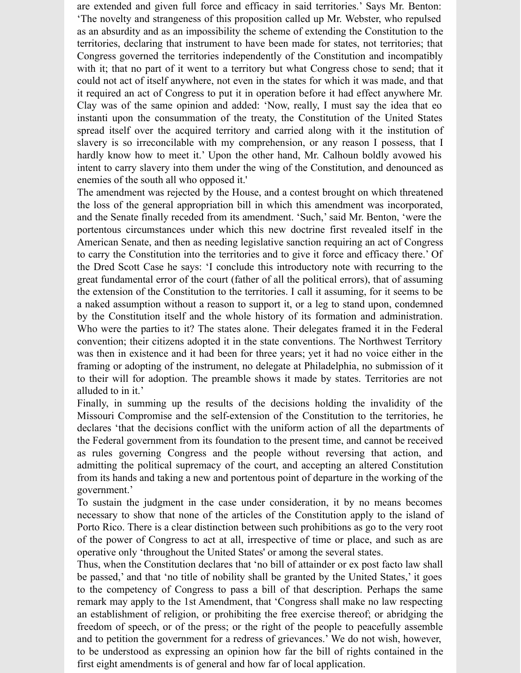are extended and given full force and efficacy in said territories.' Says Mr. Benton: 'The novelty and strangeness of this proposition called up Mr. Webster, who repulsed as an absurdity and as an impossibility the scheme of extending the Constitution to the territories, declaring that instrument to have been made for states, not territories; that Congress governed the territories independently of the Constitution and incompatibly with it; that no part of it went to a territory but what Congress chose to send; that it could not act of itself anywhere, not even in the states for which it was made, and that it required an act of Congress to put it in operation before it had effect anywhere Mr. Clay was of the same opinion and added: 'Now, really, I must say the idea that eo instanti upon the consummation of the treaty, the Constitution of the United States spread itself over the acquired territory and carried along with it the institution of slavery is so irreconcilable with my comprehension, or any reason I possess, that I hardly know how to meet it.' Upon the other hand, Mr. Calhoun boldly avowed his intent to carry slavery into them under the wing of the Constitution, and denounced as enemies of the south all who opposed it.'

The amendment was rejected by the House, and a contest brought on which threatened the loss of the general appropriation bill in which this amendment was incorporated, and the Senate finally receded from its amendment. 'Such,' said Mr. Benton, 'were the portentous circumstances under which this new doctrine first revealed itself in the American Senate, and then as needing legislative sanction requiring an act of Congress to carry the Constitution into the territories and to give it force and efficacy there.' Of the Dred Scott Case he says: 'I conclude this introductory note with recurring to the great fundamental error of the court (father of all the political errors), that of assuming the extension of the Constitution to the territories. I call it assuming, for it seems to be a naked assumption without a reason to support it, or a leg to stand upon, condemned by the Constitution itself and the whole history of its formation and administration. Who were the parties to it? The states alone. Their delegates framed it in the Federal convention; their citizens adopted it in the state conventions. The Northwest Territory was then in existence and it had been for three years; yet it had no voice either in the framing or adopting of the instrument, no delegate at Philadelphia, no submission of it to their will for adoption. The preamble shows it made by states. Territories are not alluded to in it.'

Finally, in summing up the results of the decisions holding the invalidity of the Missouri Compromise and the self-extension of the Constitution to the territories, he declares 'that the decisions conflict with the uniform action of all the departments of the Federal government from its foundation to the present time, and cannot be received as rules governing Congress and the people without reversing that action, and admitting the political supremacy of the court, and accepting an altered Constitution from its hands and taking a new and portentous point of departure in the working of the government.'

To sustain the judgment in the case under consideration, it by no means becomes necessary to show that none of the articles of the Constitution apply to the island of Porto Rico. There is a clear distinction between such prohibitions as go to the very root of the power of Congress to act at all, irrespective of time or place, and such as are operative only 'throughout the United States' or among the several states.

Thus, when the Constitution declares that 'no bill of attainder or ex post facto law shall be passed,' and that 'no title of nobility shall be granted by the United States,' it goes to the competency of Congress to pass a bill of that description. Perhaps the same remark may apply to the 1st Amendment, that 'Congress shall make no law respecting an establishment of religion, or prohibiting the free exercise thereof; or abridging the freedom of speech, or of the press; or the right of the people to peacefully assemble and to petition the government for a redress of grievances.' We do not wish, however, to be understood as expressing an opinion how far the bill of rights contained in the first eight amendments is of general and how far of local application.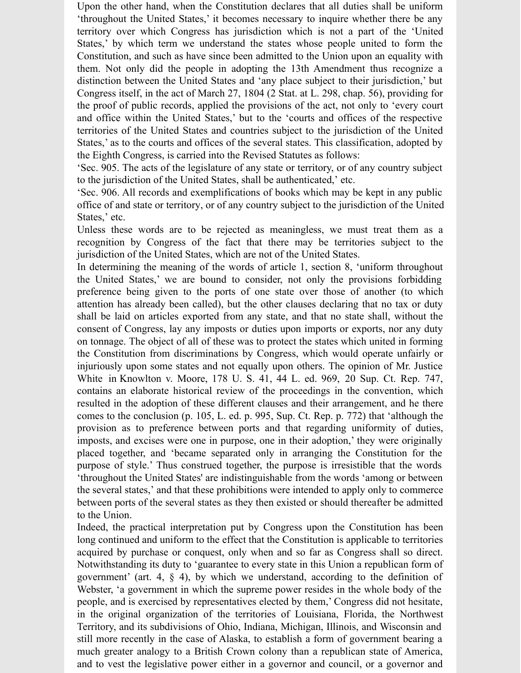Upon the other hand, when the Constitution declares that all duties shall be uniform 'throughout the United States,' it becomes necessary to inquire whether there be any territory over which Congress has jurisdiction which is not a part of the 'United States,' by which term we understand the states whose people united to form the Constitution, and such as have since been admitted to the Union upon an equality with them. Not only did the people in adopting the 13th Amendment thus recognize a distinction between the United States and 'any place subject to their jurisdiction,' but Congress itself, in the act of March 27, 1804 (2 Stat. at L. 298, chap. 56), providing for the proof of public records, applied the provisions of the act, not only to 'every court and office within the United States,' but to the 'courts and offices of the respective territories of the United States and countries subject to the jurisdiction of the United States,' as to the courts and offices of the several states. This classification, adopted by the Eighth Congress, is carried into the Revised Statutes as follows:

'Sec. 905. The acts of the legislature of any state or territory, or of any country subject to the jurisdiction of the United States, shall be authenticated,' etc.

'Sec. 906. All records and exemplifications of books which may be kept in any public office of and state or territory, or of any country subject to the jurisdiction of the United States,' etc.

Unless these words are to be rejected as meaningless, we must treat them as a recognition by Congress of the fact that there may be territories subject to the jurisdiction of the United States, which are not of the United States.

In determining the meaning of the words of article 1, section 8, 'uniform throughout the United States,' we are bound to consider, not only the provisions forbidding preference being given to the ports of one state over those of another (to which attention has already been called), but the other clauses declaring that no tax or duty shall be laid on articles exported from any state, and that no state shall, without the consent of Congress, lay any imposts or duties upon imports or exports, nor any duty on tonnage. The object of all of these was to protect the states which united in forming the Constitution from discriminations by Congress, which would operate unfairly or injuriously upon some states and not equally upon others. The opinion of Mr. Justice White in [Knowlton](https://1.next.westlaw.com/Link/Document/FullText?findType=Y&serNum=1900108659&pubNum=780&originatingDoc=I7a4be7179ca211d9bdd1cfdd544ca3a4&refType=RP&originationContext=document&transitionType=DocumentItem&ppcid=c08eb7709fd6411ba15f8469a157103d&contextData=(sc.UserEnteredCitation)) v. Moore, 178 U. S. 41, 44 L. ed. 969, 20 Sup. Ct. [Rep.](https://1.next.westlaw.com/Link/Document/FullText?findType=Y&serNum=1900108659&pubNum=708&originatingDoc=I7a4be7179ca211d9bdd1cfdd544ca3a4&refType=RP&originationContext=document&transitionType=DocumentItem&ppcid=c08eb7709fd6411ba15f8469a157103d&contextData=(sc.UserEnteredCitation)) 747, contains an elaborate historical review of the proceedings in the convention, which resulted in the adoption of these different clauses and their arrangement, and he there comes to the conclusion (p. 105, L. ed. p. 995, Sup. Ct. Rep. p. 772) that 'although the provision as to preference between ports and that regarding uniformity of duties, imposts, and excises were one in purpose, one in their adoption,' they were originally placed together, and 'became separated only in arranging the Constitution for the purpose of style.' Thus construed together, the purpose is irresistible that the words 'throughout the United States' are indistinguishable from the words 'among or between the several states,' and that these prohibitions were intended to apply only to commerce between ports of the several states as they then existed or should thereafter be admitted to the Union.

Indeed, the practical interpretation put by Congress upon the Constitution has been long continued and uniform to the effect that the Constitution is applicable to territories acquired by purchase or conquest, only when and so far as Congress shall so direct. Notwithstanding its duty to 'guarantee to every state in this Union a republican form of government' (art. 4,  $\S$  4), by which we understand, according to the definition of Webster, 'a government in which the supreme power resides in the whole body of the people, and is exercised by representatives elected by them,' Congress did not hesitate, in the original organization of the territories of Louisiana, Florida, the Northwest Territory, and its subdivisions of Ohio, Indiana, Michigan, Illinois, and Wisconsin and still more recently in the case of Alaska, to establish a form of government bearing a much greater analogy to a British Crown colony than a republican state of America, and to vest the legislative power either in a governor and council, or a governor and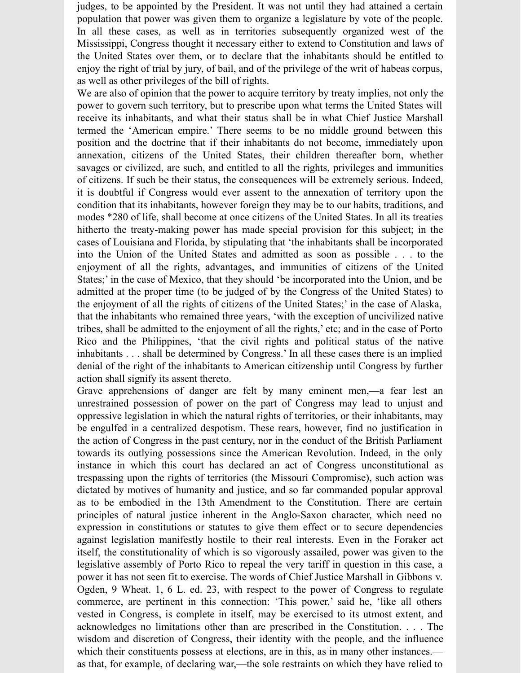judges, to be appointed by the President. It was not until they had attained a certain population that power was given them to organize a legislature by vote of the people. In all these cases, as well as in territories subsequently organized west of the Mississippi, Congress thought it necessary either to extend to Constitution and laws of the United States over them, or to declare that the inhabitants should be entitled to enjoy the right of trial by jury, of bail, and of the privilege of the writ of habeas corpus, as well as other privileges of the bill of rights.

We are also of opinion that the power to acquire territory by treaty implies, not only the power to govern such territory, but to prescribe upon what terms the United States will receive its inhabitants, and what their status shall be in what Chief Justice Marshall termed the 'American empire.' There seems to be no middle ground between this position and the doctrine that if their inhabitants do not become, immediately upon annexation, citizens of the United States, their children thereafter born, whether savages or civilized, are such, and entitled to all the rights, privileges and immunities of citizens. If such be their status, the consequences will be extremely serious. Indeed, it is doubtful if Congress would ever assent to the annexation of territory upon the condition that its inhabitants, however foreign they may be to our habits, traditions, and modes \*280 of life, shall become at once citizens of the United States. In all its treaties hitherto the treaty-making power has made special provision for this subject; in the cases of Louisiana and Florida, by stipulating that 'the inhabitants shall be incorporated into the Union of the United States and admitted as soon as possible . . . to the enjoyment of all the rights, advantages, and immunities of citizens of the United States;' in the case of Mexico, that they should 'be incorporated into the Union, and be admitted at the proper time (to be judged of by the Congress of the United States) to the enjoyment of all the rights of citizens of the United States;' in the case of Alaska, that the inhabitants who remained three years, 'with the exception of uncivilized native tribes, shall be admitted to the enjoyment of all the rights,' etc; and in the case of Porto Rico and the Philippines, 'that the civil rights and political status of the native inhabitants . . . shall be determined by Congress.' In all these cases there is an implied denial of the right of the inhabitants to American citizenship until Congress by further action shall signify its assent thereto.

Grave apprehensions of danger are felt by many eminent men,—a fear lest an unrestrained possession of power on the part of Congress may lead to unjust and oppressive legislation in which the natural rights of territories, or their inhabitants, may be engulfed in a centralized despotism. These rears, however, find no justification in the action of Congress in the past century, nor in the conduct of the British Parliament towards its outlying possessions since the American Revolution. Indeed, in the only instance in which this court has declared an act of Congress unconstitutional as trespassing upon the rights of territories (the Missouri Compromise), such action was dictated by motives of humanity and justice, and so far commanded popular approval as to be embodied in the 13th Amendment to the Constitution. There are certain principles of natural justice inherent in the Anglo-Saxon character, which need no expression in constitutions or statutes to give them effect or to secure dependencies against legislation manifestly hostile to their real interests. Even in the Foraker act itself, the constitutionality of which is so vigorously assailed, power was given to the legislative assembly of Porto Rico to repeal the very tariff in question in this case, a power it has not seen fit to exercise. The words of Chief Justice Marshall in Gibbons v. Ogden, 9 Wheat. 1, 6 L. ed. 23, with respect to the power of [Congress](https://1.next.westlaw.com/Link/Document/FullText?findType=Y&serNum=1800117190&pubNum=780&originatingDoc=I7a4be7179ca211d9bdd1cfdd544ca3a4&refType=RP&originationContext=document&transitionType=DocumentItem&ppcid=c08eb7709fd6411ba15f8469a157103d&contextData=(sc.UserEnteredCitation)) to regulate commerce, are pertinent in this connection: 'This power,' said he, 'like all others vested in Congress, is complete in itself, may be exercised to its utmost extent, and acknowledges no limitations other than are prescribed in the Constitution. . . . The wisdom and discretion of Congress, their identity with the people, and the influence which their constituents possess at elections, are in this, as in many other instances. as that, for example, of declaring war,—the sole restraints on which they have relied to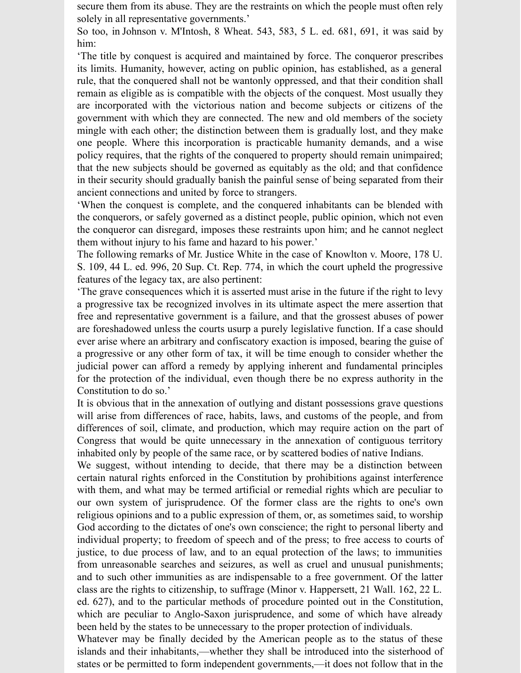secure them from its abuse. They are the restraints on which the people must often rely solely in all representative governments.'

So too, in Johnson v. [M'Intosh,](https://1.next.westlaw.com/Link/Document/FullText?findType=Y&serNum=1823194385&pubNum=780&originatingDoc=I7a4be7179ca211d9bdd1cfdd544ca3a4&refType=RP&fi=co_pp_sp_780_583&originationContext=document&transitionType=DocumentItem&ppcid=c08eb7709fd6411ba15f8469a157103d&contextData=(sc.UserEnteredCitation)#co_pp_sp_780_583) 8 Wheat. 543, 583, 5 L. ed. 681, 691, it was said by him:

'The title by conquest is acquired and maintained by force. The conqueror prescribes its limits. Humanity, however, acting on public opinion, has established, as a general rule, that the conquered shall not be wantonly oppressed, and that their condition shall remain as eligible as is compatible with the objects of the conquest. Most usually they are incorporated with the victorious nation and become subjects or citizens of the government with which they are connected. The new and old members of the society mingle with each other; the distinction between them is gradually lost, and they make one people. Where this incorporation is practicable humanity demands, and a wise policy requires, that the rights of the conquered to property should remain unimpaired; that the new subjects should be governed as equitably as the old; and that confidence in their security should gradually banish the painful sense of being separated from their ancient connections and united by force to strangers.

'When the conquest is complete, and the conquered inhabitants can be blended with the conquerors, or safely governed as a distinct people, public opinion, which not even the conqueror can disregard, imposes these restraints upon him; and he cannot neglect them without injury to his fame and hazard to his power.'

The following remarks of Mr. Justice White in the case of Knowlton v. Moore, 178 U. S. 109, 44 L. ed. 996, 20 Sup. Ct. [Rep.](https://1.next.westlaw.com/Link/Document/FullText?findType=Y&serNum=1900108658&pubNum=708&originatingDoc=I7a4be7179ca211d9bdd1cfdd544ca3a4&refType=RP&originationContext=document&transitionType=DocumentItem&ppcid=c08eb7709fd6411ba15f8469a157103d&contextData=(sc.UserEnteredCitation)) 774, in which the court upheld the [progressive](https://1.next.westlaw.com/Link/Document/FullText?findType=Y&serNum=1900108659&pubNum=780&originatingDoc=I7a4be7179ca211d9bdd1cfdd544ca3a4&refType=RP&originationContext=document&transitionType=DocumentItem&ppcid=c08eb7709fd6411ba15f8469a157103d&contextData=(sc.UserEnteredCitation)) features of the legacy tax, are also pertinent:

'The grave consequences which it is asserted must arise in the future if the right to levy a progressive tax be recognized involves in its ultimate aspect the mere assertion that free and representative government is a failure, and that the grossest abuses of power are foreshadowed unless the courts usurp a purely legislative function. If a case should ever arise where an arbitrary and confiscatory exaction is imposed, bearing the guise of a progressive or any other form of tax, it will be time enough to consider whether the judicial power can afford a remedy by applying inherent and fundamental principles for the protection of the individual, even though there be no express authority in the Constitution to do so.'

It is obvious that in the annexation of outlying and distant possessions grave questions will arise from differences of race, habits, laws, and customs of the people, and from differences of soil, climate, and production, which may require action on the part of Congress that would be quite unnecessary in the annexation of contiguous territory inhabited only by people of the same race, or by scattered bodies of native Indians.

We suggest, without intending to decide, that there may be a distinction between certain natural rights enforced in the Constitution by prohibitions against interference with them, and what may be termed artificial or remedial rights which are peculiar to our own system of jurisprudence. Of the former class are the rights to one's own religious opinions and to a public expression of them, or, as sometimes said, to worship God according to the dictates of one's own conscience; the right to personal liberty and individual property; to freedom of speech and of the press; to free access to courts of justice, to due process of law, and to an equal protection of the laws; to immunities from unreasonable searches and seizures, as well as cruel and unusual punishments; and to such other immunities as are indispensable to a free government. Of the latter class are the rights to citizenship, to suffrage (Minor v. Happersett, 21 Wall. 162, 22 L. ed. 627), and to the particular methods of procedure pointed out in the [Constitution,](https://1.next.westlaw.com/Link/Document/FullText?findType=Y&serNum=1831195061&pubNum=780&originatingDoc=I7a4be7179ca211d9bdd1cfdd544ca3a4&refType=RP&originationContext=document&transitionType=DocumentItem&ppcid=c08eb7709fd6411ba15f8469a157103d&contextData=(sc.UserEnteredCitation)) which are peculiar to Anglo-Saxon jurisprudence, and some of which have already been held by the states to be unnecessary to the proper protection of individuals.

Whatever may be finally decided by the American people as to the status of these islands and their inhabitants,—whether they shall be introduced into the sisterhood of states or be permitted to form independent governments,—it does not follow that in the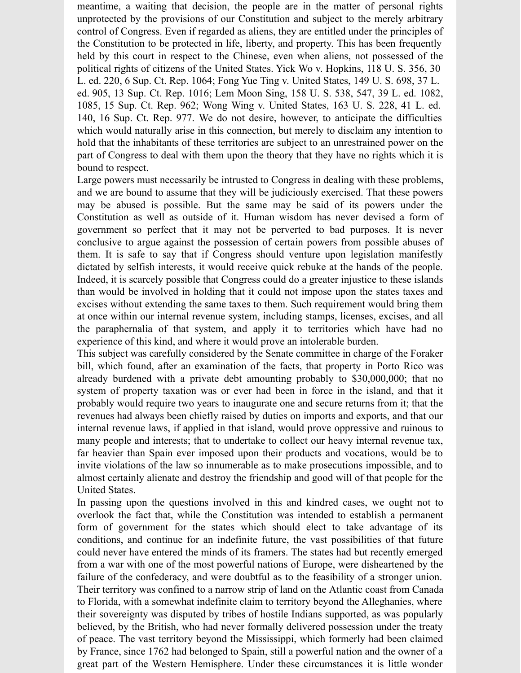meantime, a waiting that decision, the people are in the matter of personal rights unprotected by the provisions of our Constitution and subject to the merely arbitrary control of Congress. Even if regarded as aliens, they are entitled under the principles of the Constitution to be protected in life, liberty, and property. This has been frequently held by this court in respect to the Chinese, even when aliens, not possessed of the political rights of citizens of the United States. Yick Wo v. [Hopkins,](https://1.next.westlaw.com/Link/Document/FullText?findType=Y&serNum=1886180012&pubNum=780&originatingDoc=I7a4be7179ca211d9bdd1cfdd544ca3a4&refType=RP&originationContext=document&transitionType=DocumentItem&ppcid=c08eb7709fd6411ba15f8469a157103d&contextData=(sc.UserEnteredCitation)) 118 U. S. 356, 30 L. ed. 220, 6 Sup. Ct. Rep. [1064;](https://1.next.westlaw.com/Link/Document/FullText?findType=Y&serNum=1886180012&pubNum=708&originatingDoc=I7a4be7179ca211d9bdd1cfdd544ca3a4&refType=RP&originationContext=document&transitionType=DocumentItem&ppcid=c08eb7709fd6411ba15f8469a157103d&contextData=(sc.UserEnteredCitation)) Fong Yue Ting v. [United](https://1.next.westlaw.com/Link/Document/FullText?findType=Y&serNum=1893180034&pubNum=780&originatingDoc=I7a4be7179ca211d9bdd1cfdd544ca3a4&refType=RP&originationContext=document&transitionType=DocumentItem&ppcid=c08eb7709fd6411ba15f8469a157103d&contextData=(sc.UserEnteredCitation)) States, 149 U. S. 698, 37 L. ed. 905, 13 Sup. Ct. Rep. [1016;](https://1.next.westlaw.com/Link/Document/FullText?findType=Y&serNum=1893180034&pubNum=708&originatingDoc=I7a4be7179ca211d9bdd1cfdd544ca3a4&refType=RP&originationContext=document&transitionType=DocumentItem&ppcid=c08eb7709fd6411ba15f8469a157103d&contextData=(sc.UserEnteredCitation)) Lem Moon Sing, 158 U. S. 538, 547, 39 L. ed. 1082, 1085, 15 Sup. Ct. [Rep.](https://1.next.westlaw.com/Link/Document/FullText?findType=Y&serNum=1895180127&pubNum=708&originatingDoc=I7a4be7179ca211d9bdd1cfdd544ca3a4&refType=RP&originationContext=document&transitionType=DocumentItem&ppcid=c08eb7709fd6411ba15f8469a157103d&contextData=(sc.UserEnteredCitation)) 962; Wong Wing v. [United](https://1.next.westlaw.com/Link/Document/FullText?findType=Y&serNum=1895180036&pubNum=780&originatingDoc=I7a4be7179ca211d9bdd1cfdd544ca3a4&refType=RP&fi=co_pp_sp_780_547&originationContext=document&transitionType=DocumentItem&ppcid=c08eb7709fd6411ba15f8469a157103d&contextData=(sc.UserEnteredCitation)#co_pp_sp_780_547) States, 163 U. S. 228, 41 L. ed. 140, 16 Sup. Ct. [Rep.](https://1.next.westlaw.com/Link/Document/FullText?findType=Y&serNum=1896180000&pubNum=708&originatingDoc=I7a4be7179ca211d9bdd1cfdd544ca3a4&refType=RP&originationContext=document&transitionType=DocumentItem&ppcid=c08eb7709fd6411ba15f8469a157103d&contextData=(sc.UserEnteredCitation)) 977. We do not desire, however, to anticipate the [difficulties](https://1.next.westlaw.com/Link/Document/FullText?findType=Y&serNum=1896180000&pubNum=780&originatingDoc=I7a4be7179ca211d9bdd1cfdd544ca3a4&refType=RP&originationContext=document&transitionType=DocumentItem&ppcid=c08eb7709fd6411ba15f8469a157103d&contextData=(sc.UserEnteredCitation)) which would naturally arise in this connection, but merely to disclaim any intention to hold that the inhabitants of these territories are subject to an unrestrained power on the part of Congress to deal with them upon the theory that they have no rights which it is bound to respect.

Large powers must necessarily be intrusted to Congress in dealing with these problems, and we are bound to assume that they will be judiciously exercised. That these powers may be abused is possible. But the same may be said of its powers under the Constitution as well as outside of it. Human wisdom has never devised a form of government so perfect that it may not be perverted to bad purposes. It is never conclusive to argue against the possession of certain powers from possible abuses of them. It is safe to say that if Congress should venture upon legislation manifestly dictated by selfish interests, it would receive quick rebuke at the hands of the people. Indeed, it is scarcely possible that Congress could do a greater injustice to these islands than would be involved in holding that it could not impose upon the states taxes and excises without extending the same taxes to them. Such requirement would bring them at once within our internal revenue system, including stamps, licenses, excises, and all the paraphernalia of that system, and apply it to territories which have had no experience of this kind, and where it would prove an intolerable burden.

This subject was carefully considered by the Senate committee in charge of the Foraker bill, which found, after an examination of the facts, that property in Porto Rico was already burdened with a private debt amounting probably to \$30,000,000; that no system of property taxation was or ever had been in force in the island, and that it probably would require two years to inaugurate one and secure returns from it; that the revenues had always been chiefly raised by duties on imports and exports, and that our internal revenue laws, if applied in that island, would prove oppressive and ruinous to many people and interests; that to undertake to collect our heavy internal revenue tax, far heavier than Spain ever imposed upon their products and vocations, would be to invite violations of the law so innumerable as to make prosecutions impossible, and to almost certainly alienate and destroy the friendship and good will of that people for the United States.

In passing upon the questions involved in this and kindred cases, we ought not to overlook the fact that, while the Constitution was intended to establish a permanent form of government for the states which should elect to take advantage of its conditions, and continue for an indefinite future, the vast possibilities of that future could never have entered the minds of its framers. The states had but recently emerged from a war with one of the most powerful nations of Europe, were disheartened by the failure of the confederacy, and were doubtful as to the feasibility of a stronger union. Their territory was confined to a narrow strip of land on the Atlantic coast from Canada to Florida, with a somewhat indefinite claim to territory beyond the Alleghanies, where their sovereignty was disputed by tribes of hostile Indians supported, as was popularly believed, by the British, who had never formally delivered possession under the treaty of peace. The vast territory beyond the Mississippi, which formerly had been claimed by France, since 1762 had belonged to Spain, still a powerful nation and the owner of a great part of the Western Hemisphere. Under these circumstances it is little wonder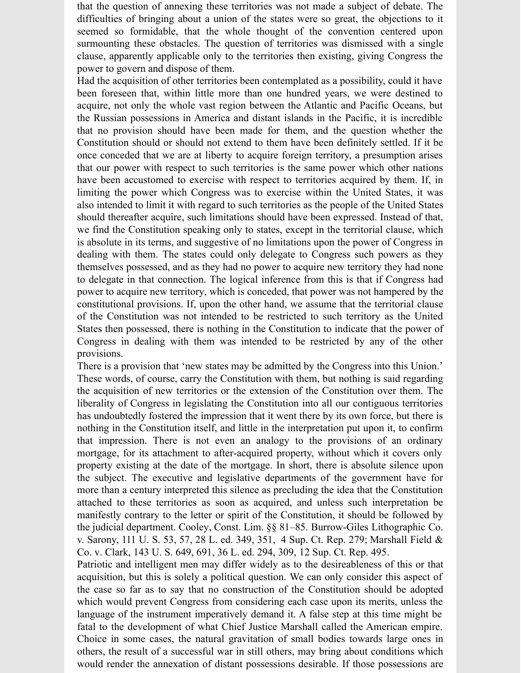that the question of annexing these territories was not made a subject of debate. The difficulties of bringing about a union of the states were so great, the objections to it seemed so formidable, that the whole thought of the convention centered upon surmounting these obstacles. The question of territories was dismissed with a single clause, apparently applicable only to the territories then existing, giving Congress the power to govern and dispose of them.

Had the acquisition of other territories been contemplated as a possibility, could it have been foreseen that, within little more than one hundred years, we were destined to acquire, not only the whole vast region between the Atlantic and Pacific Oceans, but the Russian possessions in America and distant islands in the Pacific, it is incredible that no provision should have been made for them, and the question whether the Constitution should or should not extend to them have been definitely settled. If it be once conceded that we are at liberty to acquire foreign territory, a presumption arises that our power with respect to such territories is the same power which other nations have been accustomed to exercise with respect to territories acquired by them. If, in limiting the power which Congress was to exercise within the United States, it was also intended to limit it with regard to such territories as the people of the United States should thereafter acquire, such limitations should have been expressed. Instead of that, we find the Constitution speaking only to states, except in the territorial clause, which is absolute in its terms, and suggestive of no limitations upon the power of Congress in dealing with them. The states could only delegate to Congress such powers as they themselves possessed, and as they had no power to acquire new territory they had none to delegate in that connection. The logical inference from this is that if Congress had power to acquire new territory, which is conceded, that power was not hampered by the constitutional provisions. If, upon the other hand, we assume that the territorial clause of the Constitution was not intended to be restricted to such territory as the United States then possessed, there is nothing in the Constitution to indicate that the power of Congress in dealing with them was intended to be restricted by any of the other provisions.

There is a provision that 'new states may be admitted by the Congress into this Union.' These words, of course, carry the Constitution with them, but nothing is said regarding the acquisition of new territories or the extension of the Constitution over them. The liberality of Congress in legislating the Constitution into all our contiguous territories has undoubtedly fostered the impression that it went there by its own force, but there is nothing in the Constitution itself, and little in the interpretation put upon it, to confirm that impression. There is not even an analogy to the provisions of an ordinary mortgage, for its attachment to after-acquired property, without which it covers only property existing at the date of the mortgage. In short, there is absolute silence upon the subject. The executive and legislative departments of the government have for more than a century interpreted this silence as precluding the idea that the Constitution attached to these territories as soon as acquired, and unless such interpretation be manifestly contrary to the letter or spirit of the Constitution, it should be followed by the judicial department. Cooley, Const. Lim. §§ 81–85. [Burrow-Giles](https://1.next.westlaw.com/Link/Document/FullText?findType=Y&serNum=1884180197&pubNum=780&originatingDoc=I7a4be7179ca211d9bdd1cfdd544ca3a4&refType=RP&fi=co_pp_sp_780_57&originationContext=document&transitionType=DocumentItem&ppcid=c08eb7709fd6411ba15f8469a157103d&contextData=(sc.UserEnteredCitation)#co_pp_sp_780_57) Lithographic Co. v. Sarony, 111 U. S. 53, 57, 28 L. ed. 349, 351, 4 Sup. Ct. [Rep.](https://1.next.westlaw.com/Link/Document/FullText?findType=Y&serNum=1884180197&pubNum=708&originatingDoc=I7a4be7179ca211d9bdd1cfdd544ca3a4&refType=RP&originationContext=document&transitionType=DocumentItem&ppcid=c08eb7709fd6411ba15f8469a157103d&contextData=(sc.UserEnteredCitation)) 279; [Marshall](https://1.next.westlaw.com/Link/Document/FullText?findType=Y&serNum=1892180033&pubNum=780&originatingDoc=I7a4be7179ca211d9bdd1cfdd544ca3a4&refType=RP&fi=co_pp_sp_780_691&originationContext=document&transitionType=DocumentItem&ppcid=c08eb7709fd6411ba15f8469a157103d&contextData=(sc.UserEnteredCitation)#co_pp_sp_780_691) Field & Co. v. Clark, 143 U. S. 649, 691, 36 L. ed. 294, 309, 12 Sup. Ct. [Rep.](https://1.next.westlaw.com/Link/Document/FullText?findType=Y&serNum=1892180033&pubNum=708&originatingDoc=I7a4be7179ca211d9bdd1cfdd544ca3a4&refType=RP&originationContext=document&transitionType=DocumentItem&ppcid=c08eb7709fd6411ba15f8469a157103d&contextData=(sc.UserEnteredCitation)) 495.

Patriotic and intelligent men may differ widely as to the desireableness of this or that acquisition, but this is solely a political question. We can only consider this aspect of the case so far as to say that no construction of the Constitution should be adopted which would prevent Congress from considering each case upon its merits, unless the language of the instrument imperatively demand it. A false step at this time might be fatal to the development of what Chief Justice Marshall called the American empire. Choice in some cases, the natural gravitation of small bodies towards large ones in others, the result of a successful war in still others, may bring about conditions which would render the annexation of distant possessions desirable. If those possessions are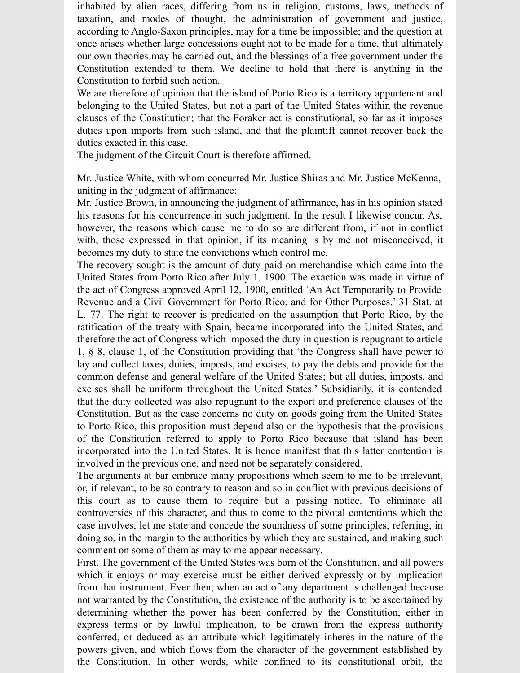inhabited by alien races, differing from us in religion, customs, laws, methods of taxation, and modes of thought, the administration of government and justice, according to Anglo-Saxon principles, may for a time be impossible; and the question at once arises whether large concessions ought not to be made for a time, that ultimately our own theories may be carried out, and the blessings of a free government under the Constitution extended to them. We decline to hold that there is anything in the Constitution to forbid such action.

We are therefore of opinion that the island of Porto Rico is a territory appurtenant and belonging to the United States, but not a part of the United States within the revenue clauses of the Constitution; that the Foraker act is constitutional, so far as it imposes duties upon imports from such island, and that the plaintiff cannot recover back the duties exacted in this case.

The judgment of the Circuit Court is therefore affirmed.

Mr. Justice White, with whom concurred Mr. Justice Shiras and Mr. Justice McKenna, uniting in the judgment of affirmance:

Mr. Justice Brown, in announcing the judgment of affirmance, has in his opinion stated his reasons for his concurrence in such judgment. In the result I likewise concur. As, however, the reasons which cause me to do so are different from, if not in conflict with, those expressed in that opinion, if its meaning is by me not misconceived, it becomes my duty to state the convictions which control me.

The recovery sought is the amount of duty paid on merchandise which came into the United States from Porto Rico after July 1, 1900. The exaction was made in virtue of the act of Congress approved April 12, 1900, entitled 'An Act Temporarily to Provide Revenue and a Civil Government for Porto Rico, and for Other Purposes.' 31 Stat. at L. 77. The right to recover is predicated on the assumption that Porto Rico, by the ratification of the treaty with Spain, became incorporated into the United States, and therefore the act of Congress which imposed the duty in question is repugnant to article 1, § 8, clause 1, of the Constitution providing that 'the Congress shall have power to lay and collect taxes, duties, imposts, and excises, to pay the debts and provide for the common defense and general welfare of the United States; but all duties, imposts, and excises shall be uniform throughout the United States.' Subsidiarily, it is contended that the duty collected was also repugnant to the export and preference clauses of the Constitution. But as the case concerns no duty on goods going from the United States to Porto Rico, this proposition must depend also on the hypothesis that the provisions of the Constitution referred to apply to Porto Rico because that island has been incorporated into the United States. It is hence manifest that this latter contention is involved in the previous one, and need not be separately considered.

The arguments at bar embrace many propositions which seem to me to be irrelevant, or, if relevant, to be so contrary to reason and so in conflict with previous decisions of this court as to cause them to require but a passing notice. To eliminate all controversies of this character, and thus to come to the pivotal contentions which the case involves, let me state and concede the soundness of some principles, referring, in doing so, in the margin to the authorities by which they are sustained, and making such comment on some of them as may to me appear necessary.

First. The government of the United States was born of the Constitution, and all powers which it enjoys or may exercise must be either derived expressly or by implication from that instrument. Ever then, when an act of any department is challenged because not warranted by the Constitution, the existence of the authority is to be ascertained by determining whether the power has been conferred by the Constitution, either in express terms or by lawful implication, to be drawn from the express authority conferred, or deduced as an attribute which legitimately inheres in the nature of the powers given, and which flows from the character of the government established by the Constitution. In other words, while confined to its constitutional orbit, the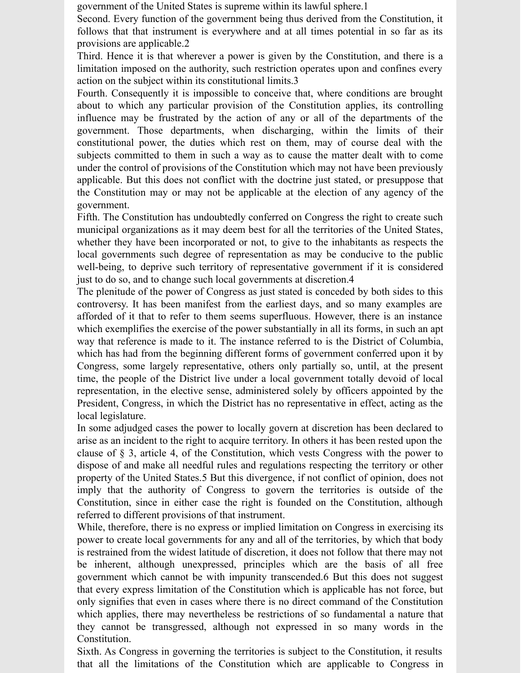government of the United States is supreme within its lawful sphere[.1](https://1.next.westlaw.com/Document/I7a4be7179ca211d9bdd1cfdd544ca3a4/View/FullText.html?transitionType=UniqueDocItem&contextData=(sc.Default)&userEnteredCitation=182+us+244#co_footnote_B00111901103898)

Second. Every function of the government being thus derived from the Constitution, it follows that that instrument is everywhere and at all times potential in so far as its provisions are applicable[.2](https://1.next.westlaw.com/Document/I7a4be7179ca211d9bdd1cfdd544ca3a4/View/FullText.html?transitionType=UniqueDocItem&contextData=(sc.Default)&userEnteredCitation=182+us+244#co_footnote_B00221901103898)

Third. Hence it is that wherever a power is given by the Constitution, and there is a limitation imposed on the authority, such restriction operates upon and confines every action on the subject within its constitutional limits[.3](https://1.next.westlaw.com/Document/I7a4be7179ca211d9bdd1cfdd544ca3a4/View/FullText.html?transitionType=UniqueDocItem&contextData=(sc.Default)&userEnteredCitation=182+us+244#co_footnote_B00331901103898)

Fourth. Consequently it is impossible to conceive that, where conditions are brought about to which any particular provision of the Constitution applies, its controlling influence may be frustrated by the action of any or all of the departments of the government. Those departments, when discharging, within the limits of their constitutional power, the duties which rest on them, may of course deal with the subjects committed to them in such a way as to cause the matter dealt with to come under the control of provisions of the Constitution which may not have been previously applicable. But this does not conflict with the doctrine just stated, or presuppose that the Constitution may or may not be applicable at the election of any agency of the government.

Fifth. The Constitution has undoubtedly conferred on Congress the right to create such municipal organizations as it may deem best for all the territories of the United States, whether they have been incorporated or not, to give to the inhabitants as respects the local governments such degree of representation as may be conducive to the public well-being, to deprive such territory of representative government if it is considered just to do so, and to change such local governments at discretion[.4](https://1.next.westlaw.com/Document/I7a4be7179ca211d9bdd1cfdd544ca3a4/View/FullText.html?transitionType=UniqueDocItem&contextData=(sc.Default)&userEnteredCitation=182+us+244#co_footnote_B00441901103898)

The plenitude of the power of Congress as just stated is conceded by both sides to this controversy. It has been manifest from the earliest days, and so many examples are afforded of it that to refer to them seems superfluous. However, there is an instance which exemplifies the exercise of the power substantially in all its forms, in such an apt way that reference is made to it. The instance referred to is the District of Columbia, which has had from the beginning different forms of government conferred upon it by Congress, some largely representative, others only partially so, until, at the present time, the people of the District live under a local government totally devoid of local representation, in the elective sense, administered solely by officers appointed by the President, Congress, in which the District has no representative in effect, acting as the local legislature.

In some adjudged cases the power to locally govern at discretion has been declared to arise as an incident to the right to acquire territory. In others it has been rested upon the clause of § 3, article 4, of the Constitution, which vests Congress with the power to dispose of and make all needful rules and regulations respecting the territory or other property of the United States[.5](https://1.next.westlaw.com/Document/I7a4be7179ca211d9bdd1cfdd544ca3a4/View/FullText.html?transitionType=UniqueDocItem&contextData=(sc.Default)&userEnteredCitation=182+us+244#co_footnote_B00551901103898) But this divergence, if not conflict of opinion, does not imply that the authority of Congress to govern the territories is outside of the Constitution, since in either case the right is founded on the Constitution, although referred to different provisions of that instrument.

While, therefore, there is no express or implied limitation on Congress in exercising its power to create local governments for any and all of the territories, by which that body is restrained from the widest latitude of discretion, it does not follow that there may not be inherent, although unexpressed, principles which are the basis of all free government which cannot be with impunity transcended[.6](https://1.next.westlaw.com/Document/I7a4be7179ca211d9bdd1cfdd544ca3a4/View/FullText.html?transitionType=UniqueDocItem&contextData=(sc.Default)&userEnteredCitation=182+us+244#co_footnote_B00661901103898) But this does not suggest that every express limitation of the Constitution which is applicable has not force, but only signifies that even in cases where there is no direct command of the Constitution which applies, there may nevertheless be restrictions of so fundamental a nature that they cannot be transgressed, although not expressed in so many words in the Constitution.

Sixth. As Congress in governing the territories is subject to the Constitution, it results that all the limitations of the Constitution which are applicable to Congress in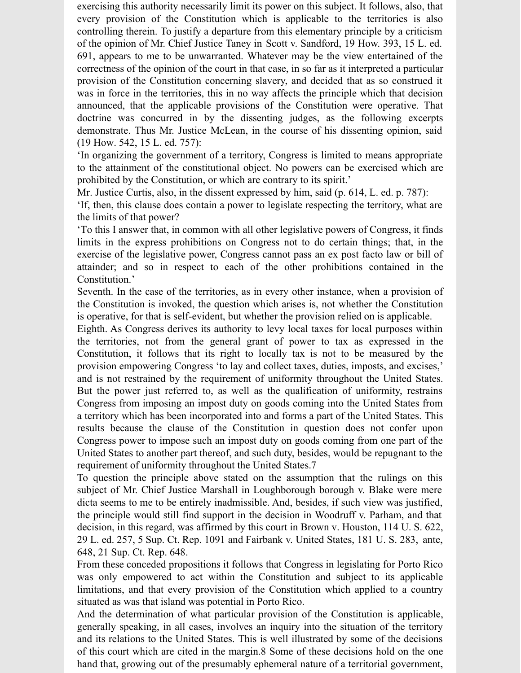exercising this authority necessarily limit its power on this subject. It follows, also, that every provision of the Constitution which is applicable to the territories is also controlling therein. To justify a departure from this elementary principle by a criticism of the opinion of Mr. Chief Justice Taney in Scott v. Sandford, 19 How. 393, 15 L. ed. 691, appears to me to be [unwarranted.](https://1.next.westlaw.com/Link/Document/FullText?findType=Y&serNum=1856193196&pubNum=780&originatingDoc=I7a4be7179ca211d9bdd1cfdd544ca3a4&refType=RP&originationContext=document&transitionType=DocumentItem&ppcid=c08eb7709fd6411ba15f8469a157103d&contextData=(sc.UserEnteredCitation)) Whatever may be the view entertained of the correctness of the opinion of the court in that case, in so far as it interpreted a particular provision of the Constitution concerning slavery, and decided that as so construed it was in force in the territories, this in no way affects the principle which that decision announced, that the applicable provisions of the Constitution were operative. That doctrine was concurred in by the dissenting judges, as the following excerpts demonstrate. Thus Mr. Justice McLean, in the course of his dissenting opinion, said (19 [How.](https://1.next.westlaw.com/Link/Document/FullText?findType=Y&serNum=1856193196&pubNum=780&originatingDoc=I7a4be7179ca211d9bdd1cfdd544ca3a4&refType=RP&originationContext=document&transitionType=DocumentItem&ppcid=c08eb7709fd6411ba15f8469a157103d&contextData=(sc.UserEnteredCitation)) 542, 15 L. ed. 757):

'In organizing the government of a territory, Congress is limited to means appropriate to the attainment of the constitutional object. No powers can be exercised which are prohibited by the Constitution, or which are contrary to its spirit.'

Mr. Justice Curtis, also, in the dissent expressed by him, said (p. 614, L. ed. p. 787):

'If, then, this clause does contain a power to legislate respecting the territory, what are the limits of that power?

'To this I answer that, in common with all other legislative powers of Congress, it finds limits in the express prohibitions on Congress not to do certain things; that, in the exercise of the legislative power, Congress cannot pass an ex post facto law or bill of attainder; and so in respect to each of the other prohibitions contained in the Constitution.'

Seventh. In the case of the territories, as in every other instance, when a provision of the Constitution is invoked, the question which arises is, not whether the Constitution is operative, for that is self-evident, but whether the provision relied on is applicable.

Eighth. As Congress derives its authority to levy local taxes for local purposes within the territories, not from the general grant of power to tax as expressed in the Constitution, it follows that its right to locally tax is not to be measured by the provision empowering Congress 'to lay and collect taxes, duties, imposts, and excises,' and is not restrained by the requirement of uniformity throughout the United States. But the power just referred to, as well as the qualification of uniformity, restrains Congress from imposing an impost duty on goods coming into the United States from a territory which has been incorporated into and forms a part of the United States. This results because the clause of the Constitution in question does not confer upon Congress power to impose such an impost duty on goods coming from one part of the United States to another part thereof, and such duty, besides, would be repugnant to the requirement of uniformity throughout the United States[.7](https://1.next.westlaw.com/Document/I7a4be7179ca211d9bdd1cfdd544ca3a4/View/FullText.html?transitionType=UniqueDocItem&contextData=(sc.Default)&userEnteredCitation=182+us+244#co_footnote_B00771901103898)

To question the principle above stated on the assumption that the rulings on this subject of Mr. Chief Justice Marshall in Loughborough borough v. Blake were mere dicta seems to me to be entirely inadmissible. And, besides, if such view was justified, the principle would still find support in the decision in Woodruff v. Parham, and that decision, in this regard, was affirmed by this court in Brown v. [Houston,](https://1.next.westlaw.com/Link/Document/FullText?findType=Y&serNum=1885180176&pubNum=780&originatingDoc=I7a4be7179ca211d9bdd1cfdd544ca3a4&refType=RP&originationContext=document&transitionType=DocumentItem&ppcid=c08eb7709fd6411ba15f8469a157103d&contextData=(sc.UserEnteredCitation)) 114 U. S. 622, 29 L. ed. 257, 5 Sup. Ct. Rep. [1091](https://1.next.westlaw.com/Link/Document/FullText?findType=Y&serNum=1885180176&pubNum=708&originatingDoc=I7a4be7179ca211d9bdd1cfdd544ca3a4&refType=RP&originationContext=document&transitionType=DocumentItem&ppcid=c08eb7709fd6411ba15f8469a157103d&contextData=(sc.UserEnteredCitation)) and [Fairbank](https://1.next.westlaw.com/Link/Document/FullText?findType=Y&serNum=1901103906&pubNum=708&originatingDoc=I7a4be7179ca211d9bdd1cfdd544ca3a4&refType=RP&originationContext=document&transitionType=DocumentItem&ppcid=c08eb7709fd6411ba15f8469a157103d&contextData=(sc.UserEnteredCitation)) v. United States, 181 U. S. 283, ante, 648, 21 Sup. Ct. Rep. 648.

From these conceded propositions it follows that Congress in legislating for Porto Rico was only empowered to act within the Constitution and subject to its applicable limitations, and that every provision of the Constitution which applied to a country situated as was that island was potential in Porto Rico.

And the determination of what particular provision of the Constitution is applicable, generally speaking, in all cases, involves an inquiry into the situation of the territory and its relations to the United States. This is well illustrated by some of the decisions of this court which are cited in the margin[.8](https://1.next.westlaw.com/Document/I7a4be7179ca211d9bdd1cfdd544ca3a4/View/FullText.html?transitionType=UniqueDocItem&contextData=(sc.Default)&userEnteredCitation=182+us+244#co_footnote_B00881901103898) Some of these decisions hold on the one hand that, growing out of the presumably ephemeral nature of a territorial government,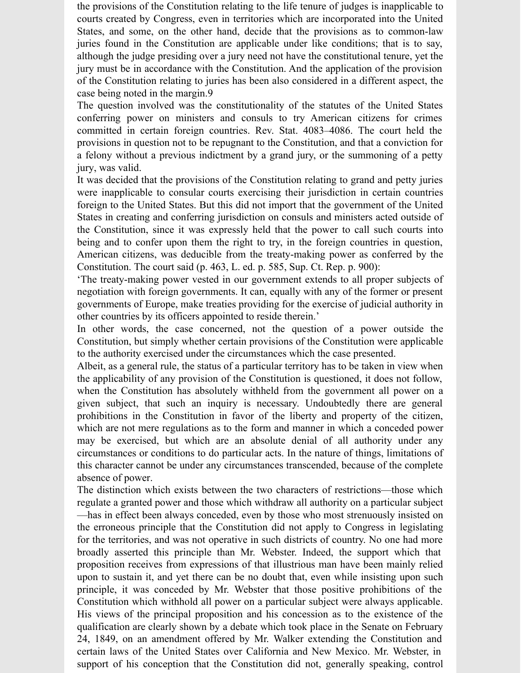the provisions of the Constitution relating to the life tenure of judges is inapplicable to courts created by Congress, even in territories which are incorporated into the United States, and some, on the other hand, decide that the provisions as to common-law juries found in the Constitution are applicable under like conditions; that is to say, although the judge presiding over a jury need not have the constitutional tenure, yet the jury must be in accordance with the Constitution. And the application of the provision of the Constitution relating to juries has been also considered in a different aspect, the case being noted in the margin[.9](https://1.next.westlaw.com/Document/I7a4be7179ca211d9bdd1cfdd544ca3a4/View/FullText.html?transitionType=UniqueDocItem&contextData=(sc.Default)&userEnteredCitation=182+us+244#co_footnote_B00991901103898)

The question involved was the constitutionality of the statutes of the United States conferring power on ministers and consuls to try American citizens for crimes committed in certain foreign countries. Rev. Stat. 4083–4086. The court held the provisions in question not to be repugnant to the Constitution, and that a conviction for a felony without a previous indictment by a grand jury, or the summoning of a petty jury, was valid.

It was decided that the provisions of the Constitution relating to grand and petty juries were inapplicable to consular courts exercising their jurisdiction in certain countries foreign to the United States. But this did not import that the government of the United States in creating and conferring jurisdiction on consuls and ministers acted outside of the Constitution, since it was expressly held that the power to call such courts into being and to confer upon them the right to try, in the foreign countries in question, American citizens, was deducible from the treaty-making power as conferred by the Constitution. The court said (p. 463, L. ed. p. 585, Sup. Ct. Rep. p. 900):

'The treaty-making power vested in our government extends to all proper subjects of negotiation with foreign governments. It can, equally with any of the former or present governments of Europe, make treaties providing for the exercise of judicial authority in other countries by its officers appointed to reside therein.'

In other words, the case concerned, not the question of a power outside the Constitution, but simply whether certain provisions of the Constitution were applicable to the authority exercised under the circumstances which the case presented.

Albeit, as a general rule, the status of a particular territory has to be taken in view when the applicability of any provision of the Constitution is questioned, it does not follow, when the Constitution has absolutely withheld from the government all power on a given subject, that such an inquiry is necessary. Undoubtedly there are general prohibitions in the Constitution in favor of the liberty and property of the citizen, which are not mere regulations as to the form and manner in which a conceded power may be exercised, but which are an absolute denial of all authority under any circumstances or conditions to do particular acts. In the nature of things, limitations of this character cannot be under any circumstances transcended, because of the complete absence of power.

The distinction which exists between the two characters of restrictions—those which regulate a granted power and those which withdraw all authority on a particular subject —has in effect been always conceded, even by those who most strenuously insisted on the erroneous principle that the Constitution did not apply to Congress in legislating for the territories, and was not operative in such districts of country. No one had more broadly asserted this principle than Mr. Webster. Indeed, the support which that proposition receives from expressions of that illustrious man have been mainly relied upon to sustain it, and yet there can be no doubt that, even while insisting upon such principle, it was conceded by Mr. Webster that those positive prohibitions of the Constitution which withhold all power on a particular subject were always applicable. His views of the principal proposition and his concession as to the existence of the qualification are clearly shown by a debate which took place in the Senate on February 24, 1849, on an amendment offered by Mr. Walker extending the Constitution and certain laws of the United States over California and New Mexico. Mr. Webster, in support of his conception that the Constitution did not, generally speaking, control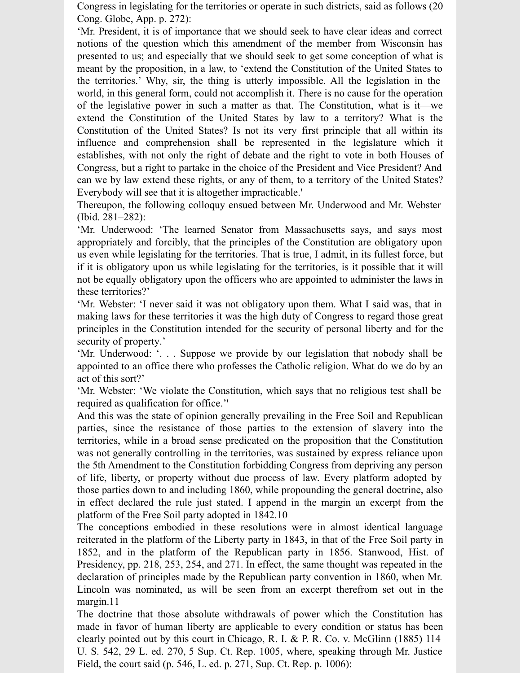Congress in legislating for the territories or operate in such districts, said as follows (20 Cong. Globe, App. p. 272):

'Mr. President, it is of importance that we should seek to have clear ideas and correct notions of the question which this amendment of the member from Wisconsin has presented to us; and especially that we should seek to get some conception of what is meant by the proposition, in a law, to 'extend the Constitution of the United States to the territories.' Why, sir, the thing is utterly impossible. All the legislation in the world, in this general form, could not accomplish it. There is no cause for the operation of the legislative power in such a matter as that. The Constitution, what is it—we extend the Constitution of the United States by law to a territory? What is the Constitution of the United States? Is not its very first principle that all within its influence and comprehension shall be represented in the legislature which it establishes, with not only the right of debate and the right to vote in both Houses of Congress, but a right to partake in the choice of the President and Vice President? And can we by law extend these rights, or any of them, to a territory of the United States? Everybody will see that it is altogether impracticable.'

Thereupon, the following colloquy ensued between Mr. Underwood and Mr. Webster (Ibid. 281–282):

'Mr. Underwood: 'The learned Senator from Massachusetts says, and says most appropriately and forcibly, that the principles of the Constitution are obligatory upon us even while legislating for the territories. That is true, I admit, in its fullest force, but if it is obligatory upon us while legislating for the territories, is it possible that it will not be equally obligatory upon the officers who are appointed to administer the laws in these territories?'

'Mr. Webster: 'I never said it was not obligatory upon them. What I said was, that in making laws for these territories it was the high duty of Congress to regard those great principles in the Constitution intended for the security of personal liberty and for the security of property.'

'Mr. Underwood: '. . . Suppose we provide by our legislation that nobody shall be appointed to an office there who professes the Catholic religion. What do we do by an act of this sort?'

'Mr. Webster: 'We violate the Constitution, which says that no religious test shall be required as qualification for office.''

And this was the state of opinion generally prevailing in the Free Soil and Republican parties, since the resistance of those parties to the extension of slavery into the territories, while in a broad sense predicated on the proposition that the Constitution was not generally controlling in the territories, was sustained by express reliance upon the 5th Amendment to the Constitution forbidding Congress from depriving any person of life, liberty, or property without due process of law. Every platform adopted by those parties down to and including 1860, while propounding the general doctrine, also in effect declared the rule just stated. I append in the margin an excerpt from the platform of the Free Soil party adopted in 1842[.10](https://1.next.westlaw.com/Document/I7a4be7179ca211d9bdd1cfdd544ca3a4/View/FullText.html?transitionType=UniqueDocItem&contextData=(sc.Default)&userEnteredCitation=182+us+244#co_footnote_B010101901103898)

The conceptions embodied in these resolutions were in almost identical language reiterated in the platform of the Liberty party in 1843, in that of the Free Soil party in 1852, and in the platform of the Republican party in 1856. Stanwood, Hist. of Presidency, pp. 218, 253, 254, and 271. In effect, the same thought was repeated in the declaration of principles made by the Republican party convention in 1860, when Mr. Lincoln was nominated, as will be seen from an excerpt therefrom set out in the margin[.11](https://1.next.westlaw.com/Document/I7a4be7179ca211d9bdd1cfdd544ca3a4/View/FullText.html?transitionType=UniqueDocItem&contextData=(sc.Default)&userEnteredCitation=182+us+244#co_footnote_B011111901103898)

The doctrine that those absolute withdrawals of power which the Constitution has made in favor of human liberty are applicable to every condition or status has been clearly pointed out by this court in Chicago, R. I. & P. R. Co. v. [McGlinn](https://1.next.westlaw.com/Link/Document/FullText?findType=Y&serNum=1885180099&pubNum=780&originatingDoc=I7a4be7179ca211d9bdd1cfdd544ca3a4&refType=RP&originationContext=document&transitionType=DocumentItem&ppcid=c08eb7709fd6411ba15f8469a157103d&contextData=(sc.UserEnteredCitation)) (1885) 114 U. S. 542, 29 L. ed. 270, 5 Sup. Ct. Rep. [1005,](https://1.next.westlaw.com/Link/Document/FullText?findType=Y&serNum=1885180099&pubNum=708&originatingDoc=I7a4be7179ca211d9bdd1cfdd544ca3a4&refType=RP&originationContext=document&transitionType=DocumentItem&ppcid=c08eb7709fd6411ba15f8469a157103d&contextData=(sc.UserEnteredCitation)) where, speaking through Mr. Justice Field, the court said (p. 546, L. ed. p. 271, Sup. Ct. Rep. p. 1006):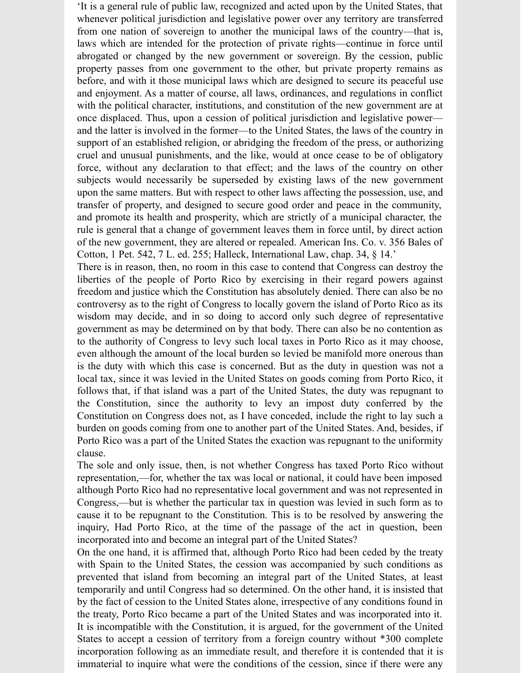'It is a general rule of public law, recognized and acted upon by the United States, that whenever political jurisdiction and legislative power over any territory are transferred from one nation of sovereign to another the municipal laws of the country—that is, laws which are intended for the protection of private rights—continue in force until abrogated or changed by the new government or sovereign. By the cession, public property passes from one government to the other, but private property remains as before, and with it those municipal laws which are designed to secure its peaceful use and enjoyment. As a matter of course, all laws, ordinances, and regulations in conflict with the political character, institutions, and constitution of the new government are at once displaced. Thus, upon a cession of political jurisdiction and legislative power and the latter is involved in the former—to the United States, the laws of the country in support of an established religion, or abridging the freedom of the press, or authorizing cruel and unusual punishments, and the like, would at once cease to be of obligatory force, without any declaration to that effect; and the laws of the country on other subjects would necessarily be superseded by existing laws of the new government upon the same matters. But with respect to other laws affecting the possession, use, and transfer of property, and designed to secure good order and peace in the community, and promote its health and prosperity, which are strictly of a municipal character, the rule is general that a change of government leaves them in force until, by direct action of the new [government,](https://1.next.westlaw.com/Link/Document/FullText?findType=Y&serNum=1800101649&pubNum=780&originatingDoc=I7a4be7179ca211d9bdd1cfdd544ca3a4&refType=RP&originationContext=document&transitionType=DocumentItem&ppcid=c08eb7709fd6411ba15f8469a157103d&contextData=(sc.UserEnteredCitation)) they are altered or repealed. American Ins. Co. v. 356 Bales of Cotton, 1 Pet. 542, 7 L. ed. 255; Halleck, International Law, chap. 34, § 14.'

There is in reason, then, no room in this case to contend that Congress can destroy the liberties of the people of Porto Rico by exercising in their regard powers against freedom and justice which the Constitution has absolutely denied. There can also be no controversy as to the right of Congress to locally govern the island of Porto Rico as its wisdom may decide, and in so doing to accord only such degree of representative government as may be determined on by that body. There can also be no contention as to the authority of Congress to levy such local taxes in Porto Rico as it may choose, even although the amount of the local burden so levied be manifold more onerous than is the duty with which this case is concerned. But as the duty in question was not a local tax, since it was levied in the United States on goods coming from Porto Rico, it follows that, if that island was a part of the United States, the duty was repugnant to the Constitution, since the authority to levy an impost duty conferred by the Constitution on Congress does not, as I have conceded, include the right to lay such a burden on goods coming from one to another part of the United States. And, besides, if Porto Rico was a part of the United States the exaction was repugnant to the uniformity clause.

The sole and only issue, then, is not whether Congress has taxed Porto Rico without representation,—for, whether the tax was local or national, it could have been imposed although Porto Rico had no representative local government and was not represented in Congress,—but is whether the particular tax in question was levied in such form as to cause it to be repugnant to the Constitution. This is to be resolved by answering the inquiry, Had Porto Rico, at the time of the passage of the act in question, been incorporated into and become an integral part of the United States?

On the one hand, it is affirmed that, although Porto Rico had been ceded by the treaty with Spain to the United States, the cession was accompanied by such conditions as prevented that island from becoming an integral part of the United States, at least temporarily and until Congress had so determined. On the other hand, it is insisted that by the fact of cession to the United States alone, irrespective of any conditions found in the treaty, Porto Rico became a part of the United States and was incorporated into it. It is incompatible with the Constitution, it is argued, for the government of the United States to accept a cession of territory from a foreign country without \*300 complete incorporation following as an immediate result, and therefore it is contended that it is immaterial to inquire what were the conditions of the cession, since if there were any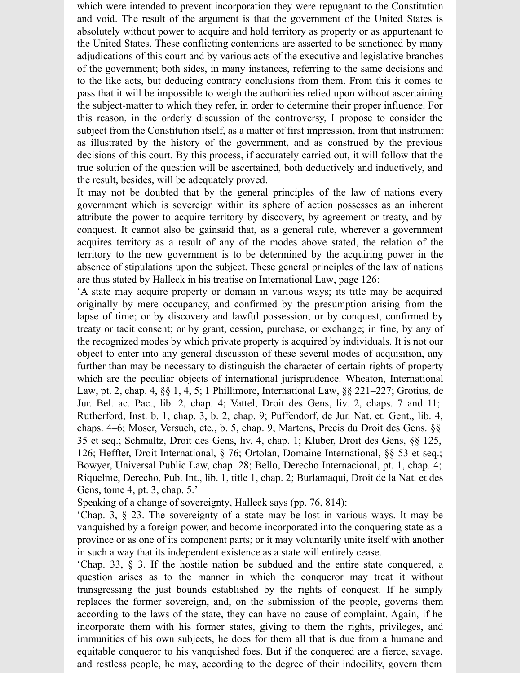which were intended to prevent incorporation they were repugnant to the Constitution and void. The result of the argument is that the government of the United States is absolutely without power to acquire and hold territory as property or as appurtenant to the United States. These conflicting contentions are asserted to be sanctioned by many adjudications of this court and by various acts of the executive and legislative branches of the government; both sides, in many instances, referring to the same decisions and to the like acts, but deducing contrary conclusions from them. From this it comes to pass that it will be impossible to weigh the authorities relied upon without ascertaining the subject-matter to which they refer, in order to determine their proper influence. For this reason, in the orderly discussion of the controversy, I propose to consider the subject from the Constitution itself, as a matter of first impression, from that instrument as illustrated by the history of the government, and as construed by the previous decisions of this court. By this process, if accurately carried out, it will follow that the true solution of the question will be ascertained, both deductively and inductively, and the result, besides, will be adequately proved.

It may not be doubted that by the general principles of the law of nations every government which is sovereign within its sphere of action possesses as an inherent attribute the power to acquire territory by discovery, by agreement or treaty, and by conquest. It cannot also be gainsaid that, as a general rule, wherever a government acquires territory as a result of any of the modes above stated, the relation of the territory to the new government is to be determined by the acquiring power in the absence of stipulations upon the subject. These general principles of the law of nations are thus stated by Halleck in his treatise on International Law, page 126:

'A state may acquire property or domain in various ways; its title may be acquired originally by mere occupancy, and confirmed by the presumption arising from the lapse of time; or by discovery and lawful possession; or by conquest, confirmed by treaty or tacit consent; or by grant, cession, purchase, or exchange; in fine, by any of the recognized modes by which private property is acquired by individuals. It is not our object to enter into any general discussion of these several modes of acquisition, any further than may be necessary to distinguish the character of certain rights of property which are the peculiar objects of international jurisprudence. Wheaton, International Law, pt. 2, chap. 4, §§ 1, 4, 5; 1 Phillimore, International Law, §§ 221–227; Grotius, de Jur. Bel. ac. Pac., lib. 2, chap. 4; Vattel, Droit des Gens, liv. 2, chaps. 7 and 11; Rutherford, Inst. b. 1, chap. 3, b. 2, chap. 9; Puffendorf, de Jur. Nat. et. Gent., lib. 4, chaps. 4–6; Moser, Versuch, etc., b. 5, chap. 9; Martens, Precis du Droit des Gens. §§ 35 et seq.; Schmaltz, Droit des Gens, liv. 4, chap. 1; Kluber, Droit des Gens, §§ 125, 126; Heffter, Droit International, § 76; Ortolan, Domaine International, §§ 53 et seq.; Bowyer, Universal Public Law, chap. 28; Bello, Derecho Internacional, pt. 1, chap. 4; Riquelme, Derecho, Pub. Int., lib. 1, title 1, chap. 2; Burlamaqui, Droit de la Nat. et des Gens, tome 4, pt. 3, chap. 5.'

Speaking of a change of sovereignty, Halleck says (pp. 76, 814):

'Chap. 3, § 23. The sovereignty of a state may be lost in various ways. It may be vanquished by a foreign power, and become incorporated into the conquering state as a province or as one of its component parts; or it may voluntarily unite itself with another in such a way that its independent existence as a state will entirely cease.

'Chap. 33, § 3. If the hostile nation be subdued and the entire state conquered, a question arises as to the manner in which the conqueror may treat it without transgressing the just bounds established by the rights of conquest. If he simply replaces the former sovereign, and, on the submission of the people, governs them according to the laws of the state, they can have no cause of complaint. Again, if he incorporate them with his former states, giving to them the rights, privileges, and immunities of his own subjects, he does for them all that is due from a humane and equitable conqueror to his vanquished foes. But if the conquered are a fierce, savage, and restless people, he may, according to the degree of their indocility, govern them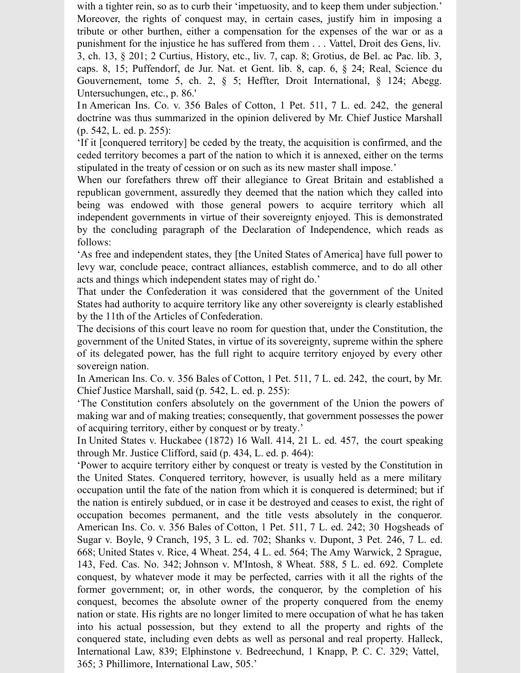with a tighter rein, so as to curb their 'impetuosity, and to keep them under subjection.' Moreover, the rights of conquest may, in certain cases, justify him in imposing a tribute or other burthen, either a compensation for the expenses of the war or as a punishment for the injustice he has suffered from them . . . Vattel, Droit des Gens, liv. 3, ch. 13, § 201; 2 Curtius, History, etc., liv. 7, cap. 8; Grotius, de Bel. ac Pac. lib. 3, caps. 8, 15; Puffendorf, de Jur. Nat. et Gent. lib. 8, cap. 6, § 24; Real, Science du Gouvernement, tome 5, ch. 2, § 5; Heffter, Droit International, § 124; Abegg. Untersuchungen, etc., p. 86.'

In [American](https://1.next.westlaw.com/Link/Document/FullText?findType=Y&serNum=1800101649&pubNum=780&originatingDoc=I7a4be7179ca211d9bdd1cfdd544ca3a4&refType=RP&originationContext=document&transitionType=DocumentItem&ppcid=c08eb7709fd6411ba15f8469a157103d&contextData=(sc.UserEnteredCitation)) Ins. Co. v. 356 Bales of Cotton, 1 Pet. 511, 7 L. ed. 242, the general doctrine was thus summarized in the opinion delivered by Mr. Chief Justice Marshall (p. 542, L. ed. p. 255):

'If it [conquered territory] be ceded by the treaty, the acquisition is confirmed, and the ceded territory becomes a part of the nation to which it is annexed, either on the terms stipulated in the treaty of cession or on such as its new master shall impose.'

When our forefathers threw off their allegiance to Great Britain and established a republican government, assuredly they deemed that the nation which they called into being was endowed with those general powers to acquire territory which all independent governments in virtue of their sovereignty enjoyed. This is demonstrated by the concluding paragraph of the Declaration of Independence, which reads as follows:

'As free and independent states, they [the United States of America] have full power to levy war, conclude peace, contract alliances, establish commerce, and to do all other acts and things which independent states may of right do.'

That under the Confederation it was considered that the government of the United States had authority to acquire territory like any other sovereignty is clearly established by the 11th of the Articles of Confederation.

The decisions of this court leave no room for question that, under the Constitution, the government of the United States, in virtue of its sovereignty, supreme within the sphere of its delegated power, has the full right to acquire territory enjoyed by every other sovereign nation.

In [American](https://1.next.westlaw.com/Link/Document/FullText?findType=Y&serNum=1800101649&pubNum=780&originatingDoc=I7a4be7179ca211d9bdd1cfdd544ca3a4&refType=RP&originationContext=document&transitionType=DocumentItem&ppcid=c08eb7709fd6411ba15f8469a157103d&contextData=(sc.UserEnteredCitation)) Ins. Co. v. 356 Bales of Cotton, 1 Pet. 511, 7 L. ed. 242, the court, by Mr. Chief Justice Marshall, said (p. 542, L. ed. p. 255):

'The Constitution confers absolutely on the government of the Union the powers of making war and of making treaties; consequently, that government possesses the power of acquiring territory, either by conquest or by treaty.'

In United States v. [Huckabee](https://1.next.westlaw.com/Link/Document/FullText?findType=Y&serNum=1872197384&pubNum=780&originatingDoc=I7a4be7179ca211d9bdd1cfdd544ca3a4&refType=RP&originationContext=document&transitionType=DocumentItem&ppcid=c08eb7709fd6411ba15f8469a157103d&contextData=(sc.UserEnteredCitation)) (1872) 16 Wall. 414, 21 L. ed. 457, the court speaking through Mr. Justice Clifford, said (p. 434, L. ed. p. 464):

'Power to acquire territory either by conquest or treaty is vested by the Constitution in the United States. Conquered territory, however, is usually held as a mere military occupation until the fate of the nation from which it is conquered is determined; but if the nation is entirely subdued, or in case it be destroyed and ceases to exist, the right of occupation becomes permanent, and the title vests absolutely in the conqueror. [American](https://1.next.westlaw.com/Link/Document/FullText?findType=Y&serNum=1800101649&pubNum=780&originatingDoc=I7a4be7179ca211d9bdd1cfdd544ca3a4&refType=RP&originationContext=document&transitionType=DocumentItem&ppcid=c08eb7709fd6411ba15f8469a157103d&contextData=(sc.UserEnteredCitation)) Ins. Co. v. 356 Bales of Cotton, 1 Pet. 511, 7 L. ed. 242; 30 [Hogsheads](https://1.next.westlaw.com/Link/Document/FullText?findType=Y&serNum=1800106953&pubNum=780&originatingDoc=I7a4be7179ca211d9bdd1cfdd544ca3a4&refType=RP&originationContext=document&transitionType=DocumentItem&ppcid=c08eb7709fd6411ba15f8469a157103d&contextData=(sc.UserEnteredCitation)) of Sugar v. Boyle, 9 Cranch, 195, 3 L. ed. 702; Shanks v. Dupont, 3 Pet. 246, 7 L. ed. 668; United States v. Rice, 4 [Wheat.](https://1.next.westlaw.com/Link/Document/FullText?findType=Y&serNum=1800107556&pubNum=780&originatingDoc=I7a4be7179ca211d9bdd1cfdd544ca3a4&refType=RP&originationContext=document&transitionType=DocumentItem&ppcid=c08eb7709fd6411ba15f8469a157103d&contextData=(sc.UserEnteredCitation)) 254, 4 L. ed. [564;](https://1.next.westlaw.com/Link/Document/FullText?findType=Y&serNum=1800102277&pubNum=470&originatingDoc=I7a4be7179ca211d9bdd1cfdd544ca3a4&refType=RP&originationContext=document&transitionType=DocumentItem&ppcid=c08eb7709fd6411ba15f8469a157103d&contextData=(sc.UserEnteredCitation)) The Amy [Warwick,](https://1.next.westlaw.com/Link/Document/FullText?findType=Y&serNum=1800106449&pubNum=780&originatingDoc=I7a4be7179ca211d9bdd1cfdd544ca3a4&refType=RP&originationContext=document&transitionType=DocumentItem&ppcid=c08eb7709fd6411ba15f8469a157103d&contextData=(sc.UserEnteredCitation)) 2 Sprague, 143, Fed. Cas. No. 342; Johnson v. [M'Intosh,](https://1.next.westlaw.com/Link/Document/FullText?findType=Y&serNum=1823194385&pubNum=780&originatingDoc=I7a4be7179ca211d9bdd1cfdd544ca3a4&refType=RP&originationContext=document&transitionType=DocumentItem&ppcid=c08eb7709fd6411ba15f8469a157103d&contextData=(sc.UserEnteredCitation)) 8 Wheat. 588, 5 L. ed. 692. Complete conquest, by whatever mode it may be perfected, carries with it all the rights of the former government; or, in other words, the conqueror, by the completion of his conquest, becomes the absolute owner of the property conquered from the enemy nation or state. His rights are no longer limited to mere occupation of what he has taken into his actual possession, but they extend to all the property and rights of the conquered state, including even debts as well as personal and real property. Halleck, International Law, 839; Elphinstone v. Bedreechund, 1 Knapp, P. C. C. 329; Vattel, 365; 3 Phillimore, International Law, 505.'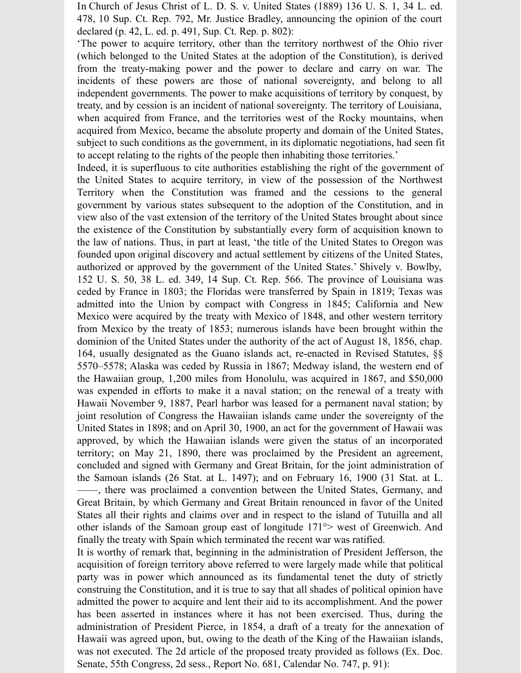In Church of Jesus Christ of L. D. S. v. United States (1889) 136 U. S. 1, 34 L. ed. 478, 10 Sup. Ct. [Rep.](https://1.next.westlaw.com/Link/Document/FullText?findType=Y&serNum=1890145167&pubNum=708&originatingDoc=I7a4be7179ca211d9bdd1cfdd544ca3a4&refType=RP&originationContext=document&transitionType=DocumentItem&ppcid=c08eb7709fd6411ba15f8469a157103d&contextData=(sc.UserEnteredCitation)) 792, Mr. Justice Bradley, [announcing](https://1.next.westlaw.com/Link/Document/FullText?findType=Y&serNum=1890145167&pubNum=780&originatingDoc=I7a4be7179ca211d9bdd1cfdd544ca3a4&refType=RP&originationContext=document&transitionType=DocumentItem&ppcid=c08eb7709fd6411ba15f8469a157103d&contextData=(sc.UserEnteredCitation)) the opinion of the court declared (p. 42, L. ed. p. 491, Sup. Ct. Rep. p. 802):

'The power to acquire territory, other than the territory northwest of the Ohio river (which belonged to the United States at the adoption of the Constitution), is derived from the treaty-making power and the power to declare and carry on war. The incidents of these powers are those of national sovereignty, and belong to all independent governments. The power to make acquisitions of territory by conquest, by treaty, and by cession is an incident of national sovereignty. The territory of Louisiana, when acquired from France, and the territories west of the Rocky mountains, when acquired from Mexico, became the absolute property and domain of the United States, subject to such conditions as the government, in its diplomatic negotiations, had seen fit to accept relating to the rights of the people then inhabiting those territories.'

Indeed, it is superfluous to cite authorities establishing the right of the government of the United States to acquire territory, in view of the possession of the Northwest Territory when the Constitution was framed and the cessions to the general government by various states subsequent to the adoption of the Constitution, and in view also of the vast extension of the territory of the United States brought about since the existence of the Constitution by substantially every form of acquisition known to the law of nations. Thus, in part at least, 'the title of the United States to Oregon was founded upon original discovery and actual settlement by citizens of the United States, authorized or approved by the [government](https://1.next.westlaw.com/Link/Document/FullText?findType=Y&serNum=1894139328&pubNum=780&originatingDoc=I7a4be7179ca211d9bdd1cfdd544ca3a4&refType=RP&originationContext=document&transitionType=DocumentItem&ppcid=c08eb7709fd6411ba15f8469a157103d&contextData=(sc.UserEnteredCitation)) of the United States.' Shively v. Bowlby, 152 U. S. 50, 38 L. ed. 349, 14 Sup. Ct. [Rep.](https://1.next.westlaw.com/Link/Document/FullText?findType=Y&serNum=1894139328&pubNum=708&originatingDoc=I7a4be7179ca211d9bdd1cfdd544ca3a4&refType=RP&originationContext=document&transitionType=DocumentItem&ppcid=c08eb7709fd6411ba15f8469a157103d&contextData=(sc.UserEnteredCitation)) 566. The province of Louisiana was ceded by France in 1803; the Floridas were transferred by Spain in 1819; Texas was admitted into the Union by compact with Congress in 1845; California and New Mexico were acquired by the treaty with Mexico of 1848, and other western territory from Mexico by the treaty of 1853; numerous islands have been brought within the dominion of the United States under the authority of the act of August 18, 1856, chap. 164, usually designated as the Guano islands act, re-enacted in Revised Statutes, §§ 5570–5578; Alaska was ceded by Russia in 1867; Medway island, the western end of the Hawaiian group, 1,200 miles from Honolulu, was acquired in 1867, and \$50,000 was expended in efforts to make it a naval station; on the renewal of a treaty with Hawaii November 9, 1887, Pearl harbor was leased for a permanent naval station; by joint resolution of Congress the Hawaiian islands came under the sovereignty of the United States in 1898; and on April 30, 1900, an act for the government of Hawaii was approved, by which the Hawaiian islands were given the status of an incorporated territory; on May 21, 1890, there was proclaimed by the President an agreement, concluded and signed with Germany and Great Britain, for the joint administration of the Samoan islands (26 Stat. at L. 1497); and on February 16, 1900 (31 Stat. at L. ——, there was proclaimed a convention between the United States, Germany, and Great Britain, by which Germany and Great Britain renounced in favor of the United States all their rights and claims over and in respect to the island of Tutuilla and all other islands of the Samoan group east of longitude 171°> west of Greenwich. And finally the treaty with Spain which terminated the recent war was ratified.

It is worthy of remark that, beginning in the administration of President Jefferson, the acquisition of foreign territory above referred to were largely made while that political party was in power which announced as its fundamental tenet the duty of strictly construing the Constitution, and it is true to say that all shades of political opinion have admitted the power to acquire and lent their aid to its accomplishment. And the power has been asserted in instances where it has not been exercised. Thus, during the administration of President Pierce, in 1854, a draft of a treaty for the annexation of Hawaii was agreed upon, but, owing to the death of the King of the Hawaiian islands, was not executed. The 2d article of the proposed treaty provided as follows (Ex. Doc. Senate, 55th Congress, 2d sess., Report No. 681, Calendar No. 747, p. 91):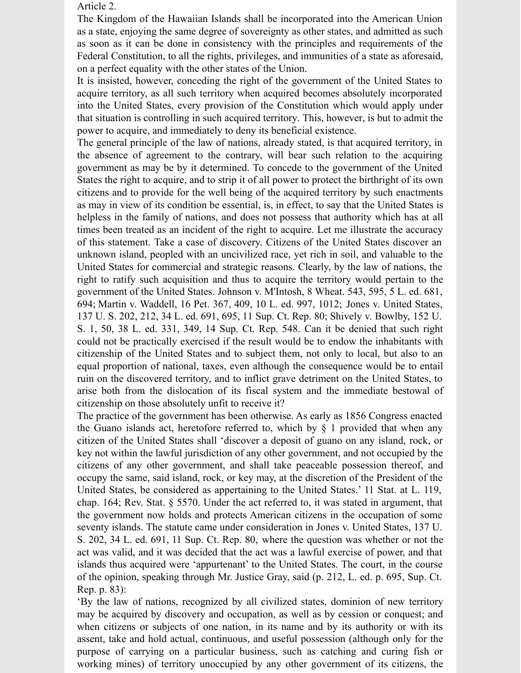#### Article 2.

The Kingdom of the Hawaiian Islands shall be incorporated into the American Union as a state, enjoying the same degree of sovereignty as other states, and admitted as such as soon as it can be done in consistency with the principles and requirements of the Federal Constitution, to all the rights, privileges, and immunities of a state as aforesaid, on a perfect equality with the other states of the Union.

It is insisted, however, conceding the right of the government of the United States to acquire territory, as all such territory when acquired becomes absolutely incorporated into the United States, every provision of the Constitution which would apply under that situation is controlling in such acquired territory. This, however, is but to admit the power to acquire, and immediately to deny its beneficial existence.

The general principle of the law of nations, already stated, is that acquired territory, in the absence of agreement to the contrary, will bear such relation to the acquiring government as may be by it determined. To concede to the government of the United States the right to acquire, and to strip it of all power to protect the birthright of its own citizens and to provide for the well being of the acquired territory by such enactments as may in view of its condition be essential, is, in effect, to say that the United States is helpless in the family of nations, and does not possess that authority which has at all times been treated as an incident of the right to acquire. Let me illustrate the accuracy of this statement. Take a case of discovery. Citizens of the United States discover an unknown island, peopled with an uncivilized race, yet rich in soil, and valuable to the United States for commercial and strategic reasons. Clearly, by the law of nations, the right to ratify such acquisition and thus to acquire the territory would pertain to the [government](https://1.next.westlaw.com/Link/Document/FullText?findType=Y&serNum=1823194385&pubNum=780&originatingDoc=I7a4be7179ca211d9bdd1cfdd544ca3a4&refType=RP&fi=co_pp_sp_780_595&originationContext=document&transitionType=DocumentItem&ppcid=c08eb7709fd6411ba15f8469a157103d&contextData=(sc.UserEnteredCitation)#co_pp_sp_780_595) of the United States. Johnson v. M'Intosh, 8 Wheat. 543, 595, 5 L. ed. 681, 694; Martin v. [Waddell,](https://1.next.westlaw.com/Link/Document/FullText?findType=Y&serNum=1890180286&pubNum=780&originatingDoc=I7a4be7179ca211d9bdd1cfdd544ca3a4&refType=RP&fi=co_pp_sp_780_212&originationContext=document&transitionType=DocumentItem&ppcid=c08eb7709fd6411ba15f8469a157103d&contextData=(sc.UserEnteredCitation)#co_pp_sp_780_212) 16 Pet. 367, 409, 10 L. ed. 997, 1012; Jones v. United States, 137 U. S. 202, 212, 34 L. ed. 691, 695, 11 Sup. Ct. [Rep.](https://1.next.westlaw.com/Link/Document/FullText?findType=Y&serNum=1890180286&pubNum=708&originatingDoc=I7a4be7179ca211d9bdd1cfdd544ca3a4&refType=RP&originationContext=document&transitionType=DocumentItem&ppcid=c08eb7709fd6411ba15f8469a157103d&contextData=(sc.UserEnteredCitation)) 80; Shively v. [Bowlby,](https://1.next.westlaw.com/Link/Document/FullText?findType=Y&serNum=1894139328&pubNum=780&originatingDoc=I7a4be7179ca211d9bdd1cfdd544ca3a4&refType=RP&fi=co_pp_sp_780_50&originationContext=document&transitionType=DocumentItem&ppcid=c08eb7709fd6411ba15f8469a157103d&contextData=(sc.UserEnteredCitation)#co_pp_sp_780_50) 152 U. S. 1, 50, 38 L. ed. 331, 349, 14 Sup. Ct. [Rep.](https://1.next.westlaw.com/Link/Document/FullText?findType=Y&serNum=1894139328&pubNum=708&originatingDoc=I7a4be7179ca211d9bdd1cfdd544ca3a4&refType=RP&originationContext=document&transitionType=DocumentItem&ppcid=c08eb7709fd6411ba15f8469a157103d&contextData=(sc.UserEnteredCitation)) 548. Can it be denied that such right could not be practically exercised if the result would be to endow the inhabitants with citizenship of the United States and to subject them, not only to local, but also to an equal proportion of national, taxes, even although the consequence would be to entail ruin on the discovered territory, and to inflict grave detriment on the United States, to arise both from the dislocation of its fiscal system and the immediate bestowal of citizenship on those absolutely unfit to receive it?

The practice of the government has been otherwise. As early as 1856 Congress enacted the Guano islands act, heretofore referred to, which by  $\S$  1 provided that when any citizen of the United States shall 'discover a deposit of guano on any island, rock, or key not within the lawful jurisdiction of any other government, and not occupied by the citizens of any other government, and shall take peaceable possession thereof, and occupy the same, said island, rock, or key may, at the discretion of the President of the United States, be considered as appertaining to the United States.' 11 Stat. at L. 119, chap. 164; Rev. Stat. § 5570. Under the act referred to, it was stated in argument, that the government now holds and protects American citizens in the occupation of some seventy islands. The statute came under [consideration](https://1.next.westlaw.com/Link/Document/FullText?findType=Y&serNum=1890180286&pubNum=780&originatingDoc=I7a4be7179ca211d9bdd1cfdd544ca3a4&refType=RP&originationContext=document&transitionType=DocumentItem&ppcid=c08eb7709fd6411ba15f8469a157103d&contextData=(sc.UserEnteredCitation)) in Jones v. United States, 137 U. S. 202, 34 L. ed. 691, 11 Sup. Ct. [Rep.](https://1.next.westlaw.com/Link/Document/FullText?findType=Y&serNum=1890180286&pubNum=708&originatingDoc=I7a4be7179ca211d9bdd1cfdd544ca3a4&refType=RP&originationContext=document&transitionType=DocumentItem&ppcid=c08eb7709fd6411ba15f8469a157103d&contextData=(sc.UserEnteredCitation)) 80, where the question was whether or not the act was valid, and it was decided that the act was a lawful exercise of power, and that islands thus acquired were 'appurtenant' to the United States. The court, in the course of the opinion, speaking through Mr. Justice Gray, said (p. 212, L. ed. p. 695, Sup. Ct. Rep. p. 83):

'By the law of nations, recognized by all civilized states, dominion of new territory may be acquired by discovery and occupation, as well as by cession or conquest; and when citizens or subjects of one nation, in its name and by its authority or with its assent, take and hold actual, continuous, and useful possession (although only for the purpose of carrying on a particular business, such as catching and curing fish or working mines) of territory unoccupied by any other government of its citizens, the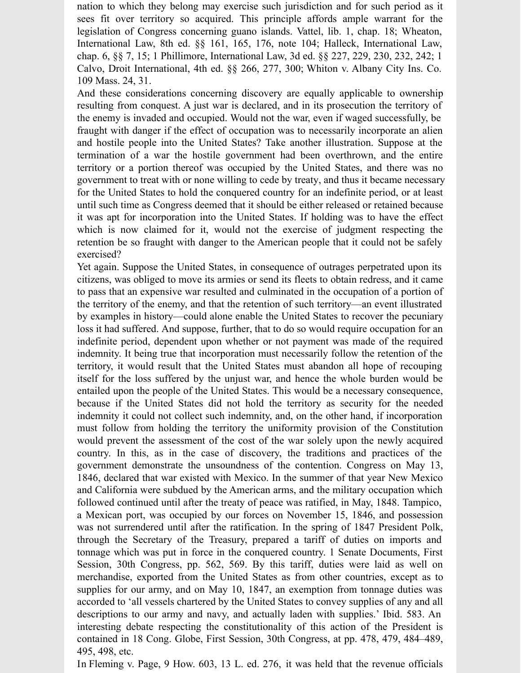nation to which they belong may exercise such jurisdiction and for such period as it sees fit over territory so acquired. This principle affords ample warrant for the legislation of Congress concerning guano islands. Vattel, lib. 1, chap. 18; Wheaton, International Law, 8th ed. §§ 161, 165, 176, note 104; Halleck, International Law, chap. 6, §§ 7, 15; 1 Phillimore, International Law, 3d ed. §§ 227, 229, 230, 232, 242; 1 Calvo, Droit [International,](https://1.next.westlaw.com/Link/Document/FullText?findType=Y&serNum=1871009080&pubNum=521&originatingDoc=I7a4be7179ca211d9bdd1cfdd544ca3a4&refType=RP&fi=co_pp_sp_521_31&originationContext=document&transitionType=DocumentItem&ppcid=c08eb7709fd6411ba15f8469a157103d&contextData=(sc.UserEnteredCitation)#co_pp_sp_521_31) 4th ed. §§ 266, 277, 300; Whiton v. Albany City Ins. Co. 109 Mass. 24, 31.

And these considerations concerning discovery are equally applicable to ownership resulting from conquest. A just war is declared, and in its prosecution the territory of the enemy is invaded and occupied. Would not the war, even if waged successfully, be fraught with danger if the effect of occupation was to necessarily incorporate an alien and hostile people into the United States? Take another illustration. Suppose at the termination of a war the hostile government had been overthrown, and the entire territory or a portion thereof was occupied by the United States, and there was no government to treat with or none willing to cede by treaty, and thus it became necessary for the United States to hold the conquered country for an indefinite period, or at least until such time as Congress deemed that it should be either released or retained because it was apt for incorporation into the United States. If holding was to have the effect which is now claimed for it, would not the exercise of judgment respecting the retention be so fraught with danger to the American people that it could not be safely exercised?

Yet again. Suppose the United States, in consequence of outrages perpetrated upon its citizens, was obliged to move its armies or send its fleets to obtain redress, and it came to pass that an expensive war resulted and culminated in the occupation of a portion of the territory of the enemy, and that the retention of such territory—an event illustrated by examples in history—could alone enable the United States to recover the pecuniary loss it had suffered. And suppose, further, that to do so would require occupation for an indefinite period, dependent upon whether or not payment was made of the required indemnity. It being true that incorporation must necessarily follow the retention of the territory, it would result that the United States must abandon all hope of recouping itself for the loss suffered by the unjust war, and hence the whole burden would be entailed upon the people of the United States. This would be a necessary consequence, because if the United States did not hold the territory as security for the needed indemnity it could not collect such indemnity, and, on the other hand, if incorporation must follow from holding the territory the uniformity provision of the Constitution would prevent the assessment of the cost of the war solely upon the newly acquired country. In this, as in the case of discovery, the traditions and practices of the government demonstrate the unsoundness of the contention. Congress on May 13, 1846, declared that war existed with Mexico. In the summer of that year New Mexico and California were subdued by the American arms, and the military occupation which followed continued until after the treaty of peace was ratified, in May, 1848. Tampico, a Mexican port, was occupied by our forces on November 15, 1846, and possession was not surrendered until after the ratification. In the spring of 1847 President Polk, through the Secretary of the Treasury, prepared a tariff of duties on imports and tonnage which was put in force in the conquered country. 1 Senate Documents, First Session, 30th Congress, pp. 562, 569. By this tariff, duties were laid as well on merchandise, exported from the United States as from other countries, except as to supplies for our army, and on May 10, 1847, an exemption from tonnage duties was accorded to 'all vessels chartered by the United States to convey supplies of any and all descriptions to our army and navy, and actually laden with supplies.' Ibid. 583. An interesting debate respecting the constitutionality of this action of the President is contained in 18 Cong. Globe, First Session, 30th Congress, at pp. 478, 479, 484–489, 495, 498, etc.

In [Fleming](https://1.next.westlaw.com/Link/Document/FullText?findType=Y&serNum=1850303455&pubNum=780&originatingDoc=I7a4be7179ca211d9bdd1cfdd544ca3a4&refType=RP&originationContext=document&transitionType=DocumentItem&ppcid=c08eb7709fd6411ba15f8469a157103d&contextData=(sc.UserEnteredCitation)) v. Page, 9 How. 603, 13 L. ed. 276, it was held that the revenue officials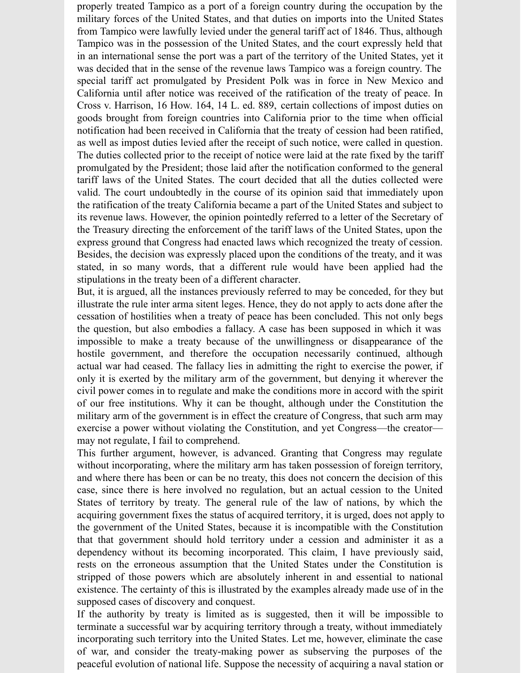properly treated Tampico as a port of a foreign country during the occupation by the military forces of the United States, and that duties on imports into the United States from Tampico were lawfully levied under the general tariff act of 1846. Thus, although Tampico was in the possession of the United States, and the court expressly held that in an international sense the port was a part of the territory of the United States, yet it was decided that in the sense of the revenue laws Tampico was a foreign country. The special tariff act promulgated by President Polk was in force in New Mexico and California until after notice was received of the ratification of the treaty of peace. In Cross v. [Harrison,](https://1.next.westlaw.com/Link/Document/FullText?findType=Y&serNum=1853132932&pubNum=780&originatingDoc=I7a4be7179ca211d9bdd1cfdd544ca3a4&refType=RP&originationContext=document&transitionType=DocumentItem&ppcid=c08eb7709fd6411ba15f8469a157103d&contextData=(sc.UserEnteredCitation)) 16 How. 164, 14 L. ed. 889, certain collections of impost duties on goods brought from foreign countries into California prior to the time when official notification had been received in California that the treaty of cession had been ratified, as well as impost duties levied after the receipt of such notice, were called in question. The duties collected prior to the receipt of notice were laid at the rate fixed by the tariff promulgated by the President; those laid after the notification conformed to the general tariff laws of the United States. The court decided that all the duties collected were valid. The court undoubtedly in the course of its opinion said that immediately upon the ratification of the treaty California became a part of the United States and subject to its revenue laws. However, the opinion pointedly referred to a letter of the Secretary of the Treasury directing the enforcement of the tariff laws of the United States, upon the express ground that Congress had enacted laws which recognized the treaty of cession. Besides, the decision was expressly placed upon the conditions of the treaty, and it was stated, in so many words, that a different rule would have been applied had the stipulations in the treaty been of a different character.

But, it is argued, all the instances previously referred to may be conceded, for they but illustrate the rule inter arma sitent leges. Hence, they do not apply to acts done after the cessation of hostilities when a treaty of peace has been concluded. This not only begs the question, but also embodies a fallacy. A case has been supposed in which it was impossible to make a treaty because of the unwillingness or disappearance of the hostile government, and therefore the occupation necessarily continued, although actual war had ceased. The fallacy lies in admitting the right to exercise the power, if only it is exerted by the military arm of the government, but denying it wherever the civil power comes in to regulate and make the conditions more in accord with the spirit of our free institutions. Why it can be thought, although under the Constitution the military arm of the government is in effect the creature of Congress, that such arm may exercise a power without violating the Constitution, and yet Congress—the creator may not regulate, I fail to comprehend.

This further argument, however, is advanced. Granting that Congress may regulate without incorporating, where the military arm has taken possession of foreign territory, and where there has been or can be no treaty, this does not concern the decision of this case, since there is here involved no regulation, but an actual cession to the United States of territory by treaty. The general rule of the law of nations, by which the acquiring government fixes the status of acquired territory, it is urged, does not apply to the government of the United States, because it is incompatible with the Constitution that that government should hold territory under a cession and administer it as a dependency without its becoming incorporated. This claim, I have previously said, rests on the erroneous assumption that the United States under the Constitution is stripped of those powers which are absolutely inherent in and essential to national existence. The certainty of this is illustrated by the examples already made use of in the supposed cases of discovery and conquest.

If the authority by treaty is limited as is suggested, then it will be impossible to terminate a successful war by acquiring territory through a treaty, without immediately incorporating such territory into the United States. Let me, however, eliminate the case of war, and consider the treaty-making power as subserving the purposes of the peaceful evolution of national life. Suppose the necessity of acquiring a naval station or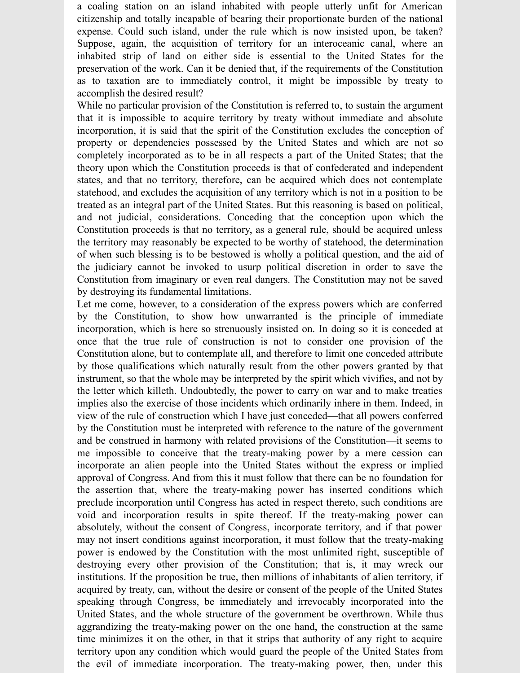a coaling station on an island inhabited with people utterly unfit for American citizenship and totally incapable of bearing their proportionate burden of the national expense. Could such island, under the rule which is now insisted upon, be taken? Suppose, again, the acquisition of territory for an interoceanic canal, where an inhabited strip of land on either side is essential to the United States for the preservation of the work. Can it be denied that, if the requirements of the Constitution as to taxation are to immediately control, it might be impossible by treaty to accomplish the desired result?

While no particular provision of the Constitution is referred to, to sustain the argument that it is impossible to acquire territory by treaty without immediate and absolute incorporation, it is said that the spirit of the Constitution excludes the conception of property or dependencies possessed by the United States and which are not so completely incorporated as to be in all respects a part of the United States; that the theory upon which the Constitution proceeds is that of confederated and independent states, and that no territory, therefore, can be acquired which does not contemplate statehood, and excludes the acquisition of any territory which is not in a position to be treated as an integral part of the United States. But this reasoning is based on political, and not judicial, considerations. Conceding that the conception upon which the Constitution proceeds is that no territory, as a general rule, should be acquired unless the territory may reasonably be expected to be worthy of statehood, the determination of when such blessing is to be bestowed is wholly a political question, and the aid of the judiciary cannot be invoked to usurp political discretion in order to save the Constitution from imaginary or even real dangers. The Constitution may not be saved by destroying its fundamental limitations.

Let me come, however, to a consideration of the express powers which are conferred by the Constitution, to show how unwarranted is the principle of immediate incorporation, which is here so strenuously insisted on. In doing so it is conceded at once that the true rule of construction is not to consider one provision of the Constitution alone, but to contemplate all, and therefore to limit one conceded attribute by those qualifications which naturally result from the other powers granted by that instrument, so that the whole may be interpreted by the spirit which vivifies, and not by the letter which killeth. Undoubtedly, the power to carry on war and to make treaties implies also the exercise of those incidents which ordinarily inhere in them. Indeed, in view of the rule of construction which I have just conceded—that all powers conferred by the Constitution must be interpreted with reference to the nature of the government and be construed in harmony with related provisions of the Constitution—it seems to me impossible to conceive that the treaty-making power by a mere cession can incorporate an alien people into the United States without the express or implied approval of Congress. And from this it must follow that there can be no foundation for the assertion that, where the treaty-making power has inserted conditions which preclude incorporation until Congress has acted in respect thereto, such conditions are void and incorporation results in spite thereof. If the treaty-making power can absolutely, without the consent of Congress, incorporate territory, and if that power may not insert conditions against incorporation, it must follow that the treaty-making power is endowed by the Constitution with the most unlimited right, susceptible of destroying every other provision of the Constitution; that is, it may wreck our institutions. If the proposition be true, then millions of inhabitants of alien territory, if acquired by treaty, can, without the desire or consent of the people of the United States speaking through Congress, be immediately and irrevocably incorporated into the United States, and the whole structure of the government be overthrown. While thus aggrandizing the treaty-making power on the one hand, the construction at the same time minimizes it on the other, in that it strips that authority of any right to acquire territory upon any condition which would guard the people of the United States from the evil of immediate incorporation. The treaty-making power, then, under this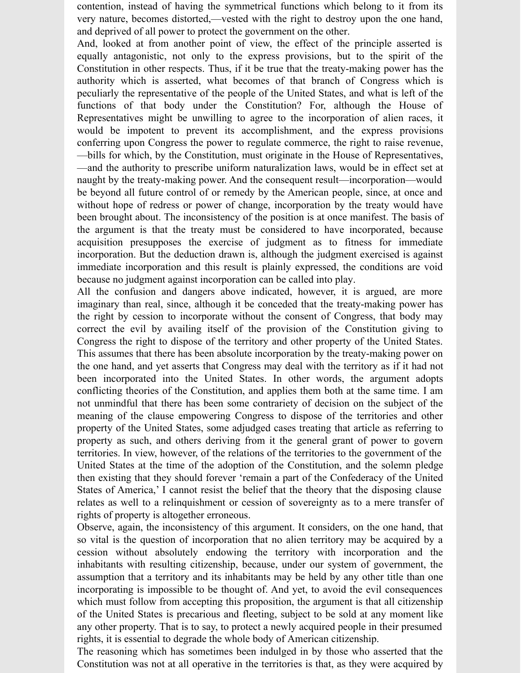contention, instead of having the symmetrical functions which belong to it from its very nature, becomes distorted,—vested with the right to destroy upon the one hand, and deprived of all power to protect the government on the other.

And, looked at from another point of view, the effect of the principle asserted is equally antagonistic, not only to the express provisions, but to the spirit of the Constitution in other respects. Thus, if it be true that the treaty-making power has the authority which is asserted, what becomes of that branch of Congress which is peculiarly the representative of the people of the United States, and what is left of the functions of that body under the Constitution? For, although the House of Representatives might be unwilling to agree to the incorporation of alien races, it would be impotent to prevent its accomplishment, and the express provisions conferring upon Congress the power to regulate commerce, the right to raise revenue, —bills for which, by the Constitution, must originate in the House of Representatives, —and the authority to prescribe uniform naturalization laws, would be in effect set at naught by the treaty-making power. And the consequent result—incorporation—would be beyond all future control of or remedy by the American people, since, at once and without hope of redress or power of change, incorporation by the treaty would have been brought about. The inconsistency of the position is at once manifest. The basis of the argument is that the treaty must be considered to have incorporated, because acquisition presupposes the exercise of judgment as to fitness for immediate incorporation. But the deduction drawn is, although the judgment exercised is against immediate incorporation and this result is plainly expressed, the conditions are void because no judgment against incorporation can be called into play.

All the confusion and dangers above indicated, however, it is argued, are more imaginary than real, since, although it be conceded that the treaty-making power has the right by cession to incorporate without the consent of Congress, that body may correct the evil by availing itself of the provision of the Constitution giving to Congress the right to dispose of the territory and other property of the United States. This assumes that there has been absolute incorporation by the treaty-making power on the one hand, and yet asserts that Congress may deal with the territory as if it had not been incorporated into the United States. In other words, the argument adopts conflicting theories of the Constitution, and applies them both at the same time. I am not unmindful that there has been some contrariety of decision on the subject of the meaning of the clause empowering Congress to dispose of the territories and other property of the United States, some adjudged cases treating that article as referring to property as such, and others deriving from it the general grant of power to govern territories. In view, however, of the relations of the territories to the government of the United States at the time of the adoption of the Constitution, and the solemn pledge then existing that they should forever 'remain a part of the Confederacy of the United States of America,' I cannot resist the belief that the theory that the disposing clause relates as well to a relinquishment or cession of sovereignty as to a mere transfer of rights of property is altogether erroneous.

Observe, again, the inconsistency of this argument. It considers, on the one hand, that so vital is the question of incorporation that no alien territory may be acquired by a cession without absolutely endowing the territory with incorporation and the inhabitants with resulting citizenship, because, under our system of government, the assumption that a territory and its inhabitants may be held by any other title than one incorporating is impossible to be thought of. And yet, to avoid the evil consequences which must follow from accepting this proposition, the argument is that all citizenship of the United States is precarious and fleeting, subject to be sold at any moment like any other property. That is to say, to protect a newly acquired people in their presumed rights, it is essential to degrade the whole body of American citizenship.

The reasoning which has sometimes been indulged in by those who asserted that the Constitution was not at all operative in the territories is that, as they were acquired by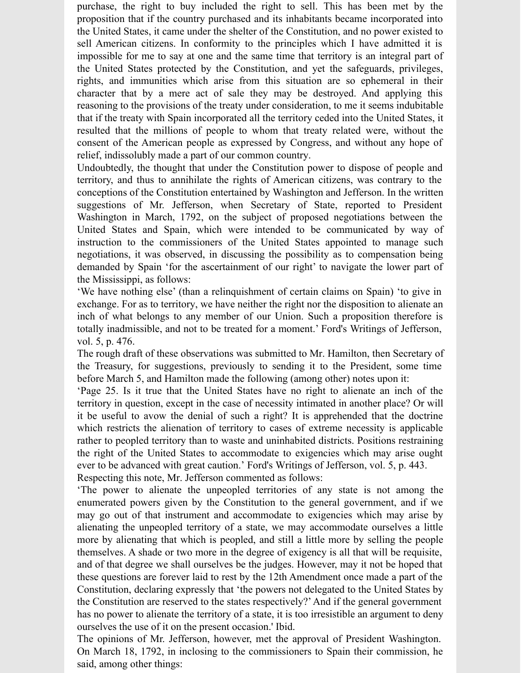purchase, the right to buy included the right to sell. This has been met by the proposition that if the country purchased and its inhabitants became incorporated into the United States, it came under the shelter of the Constitution, and no power existed to sell American citizens. In conformity to the principles which I have admitted it is impossible for me to say at one and the same time that territory is an integral part of the United States protected by the Constitution, and yet the safeguards, privileges, rights, and immunities which arise from this situation are so ephemeral in their character that by a mere act of sale they may be destroyed. And applying this reasoning to the provisions of the treaty under consideration, to me it seems indubitable that if the treaty with Spain incorporated all the territory ceded into the United States, it resulted that the millions of people to whom that treaty related were, without the consent of the American people as expressed by Congress, and without any hope of relief, indissolubly made a part of our common country.

Undoubtedly, the thought that under the Constitution power to dispose of people and territory, and thus to annihilate the rights of American citizens, was contrary to the conceptions of the Constitution entertained by Washington and Jefferson. In the written suggestions of Mr. Jefferson, when Secretary of State, reported to President Washington in March, 1792, on the subject of proposed negotiations between the United States and Spain, which were intended to be communicated by way of instruction to the commissioners of the United States appointed to manage such negotiations, it was observed, in discussing the possibility as to compensation being demanded by Spain 'for the ascertainment of our right' to navigate the lower part of the Mississippi, as follows:

'We have nothing else' (than a relinquishment of certain claims on Spain) 'to give in exchange. For as to territory, we have neither the right nor the disposition to alienate an inch of what belongs to any member of our Union. Such a proposition therefore is totally inadmissible, and not to be treated for a moment.' Ford's Writings of Jefferson, vol. 5, p. 476.

The rough draft of these observations was submitted to Mr. Hamilton, then Secretary of the Treasury, for suggestions, previously to sending it to the President, some time before March 5, and Hamilton made the following (among other) notes upon it:

'Page 25. Is it true that the United States have no right to alienate an inch of the territory in question, except in the case of necessity intimated in another place? Or will it be useful to avow the denial of such a right? It is apprehended that the doctrine which restricts the alienation of territory to cases of extreme necessity is applicable rather to peopled territory than to waste and uninhabited districts. Positions restraining the right of the United States to accommodate to exigencies which may arise ought ever to be advanced with great caution.' Ford's Writings of Jefferson, vol. 5, p. 443. Respecting this note, Mr. Jefferson commented as follows:

'The power to alienate the unpeopled territories of any state is not among the enumerated powers given by the Constitution to the general government, and if we may go out of that instrument and accommodate to exigencies which may arise by alienating the unpeopled territory of a state, we may accommodate ourselves a little more by alienating that which is peopled, and still a little more by selling the people themselves. A shade or two more in the degree of exigency is all that will be requisite, and of that degree we shall ourselves be the judges. However, may it not be hoped that these questions are forever laid to rest by the 12th Amendment once made a part of the Constitution, declaring expressly that 'the powers not delegated to the United States by the Constitution are reserved to the states respectively?'And if the general government has no power to alienate the territory of a state, it is too irresistible an argument to deny ourselves the use of it on the present occasion.' Ibid.

The opinions of Mr. Jefferson, however, met the approval of President Washington. On March 18, 1792, in inclosing to the commissioners to Spain their commission, he said, among other things: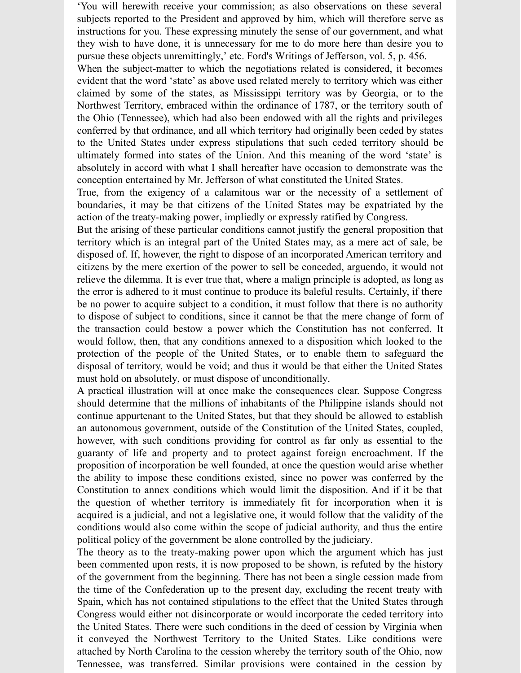'You will herewith receive your commission; as also observations on these several subjects reported to the President and approved by him, which will therefore serve as instructions for you. These expressing minutely the sense of our government, and what they wish to have done, it is unnecessary for me to do more here than desire you to pursue these objects unremittingly,' etc. Ford's Writings of Jefferson, vol. 5, p. 456.

When the subject-matter to which the negotiations related is considered, it becomes evident that the word 'state' as above used related merely to territory which was either claimed by some of the states, as Mississippi territory was by Georgia, or to the Northwest Territory, embraced within the ordinance of 1787, or the territory south of the Ohio (Tennessee), which had also been endowed with all the rights and privileges conferred by that ordinance, and all which territory had originally been ceded by states to the United States under express stipulations that such ceded territory should be ultimately formed into states of the Union. And this meaning of the word 'state' is absolutely in accord with what I shall hereafter have occasion to demonstrate was the conception entertained by Mr. Jefferson of what constituted the United States.

True, from the exigency of a calamitous war or the necessity of a settlement of boundaries, it may be that citizens of the United States may be expatriated by the action of the treaty-making power, impliedly or expressly ratified by Congress.

But the arising of these particular conditions cannot justify the general proposition that territory which is an integral part of the United States may, as a mere act of sale, be disposed of. If, however, the right to dispose of an incorporated American territory and citizens by the mere exertion of the power to sell be conceded, arguendo, it would not relieve the dilemma. It is ever true that, where a malign principle is adopted, as long as the error is adhered to it must continue to produce its baleful results. Certainly, if there be no power to acquire subject to a condition, it must follow that there is no authority to dispose of subject to conditions, since it cannot be that the mere change of form of the transaction could bestow a power which the Constitution has not conferred. It would follow, then, that any conditions annexed to a disposition which looked to the protection of the people of the United States, or to enable them to safeguard the disposal of territory, would be void; and thus it would be that either the United States must hold on absolutely, or must dispose of unconditionally.

A practical illustration will at once make the consequences clear. Suppose Congress should determine that the millions of inhabitants of the Philippine islands should not continue appurtenant to the United States, but that they should be allowed to establish an autonomous government, outside of the Constitution of the United States, coupled, however, with such conditions providing for control as far only as essential to the guaranty of life and property and to protect against foreign encroachment. If the proposition of incorporation be well founded, at once the question would arise whether the ability to impose these conditions existed, since no power was conferred by the Constitution to annex conditions which would limit the disposition. And if it be that the question of whether territory is immediately fit for incorporation when it is acquired is a judicial, and not a legislative one, it would follow that the validity of the conditions would also come within the scope of judicial authority, and thus the entire political policy of the government be alone controlled by the judiciary.

The theory as to the treaty-making power upon which the argument which has just been commented upon rests, it is now proposed to be shown, is refuted by the history of the government from the beginning. There has not been a single cession made from the time of the Confederation up to the present day, excluding the recent treaty with Spain, which has not contained stipulations to the effect that the United States through Congress would either not disincorporate or would incorporate the ceded territory into the United States. There were such conditions in the deed of cession by Virginia when it conveyed the Northwest Territory to the United States. Like conditions were attached by North Carolina to the cession whereby the territory south of the Ohio, now Tennessee, was transferred. Similar provisions were contained in the cession by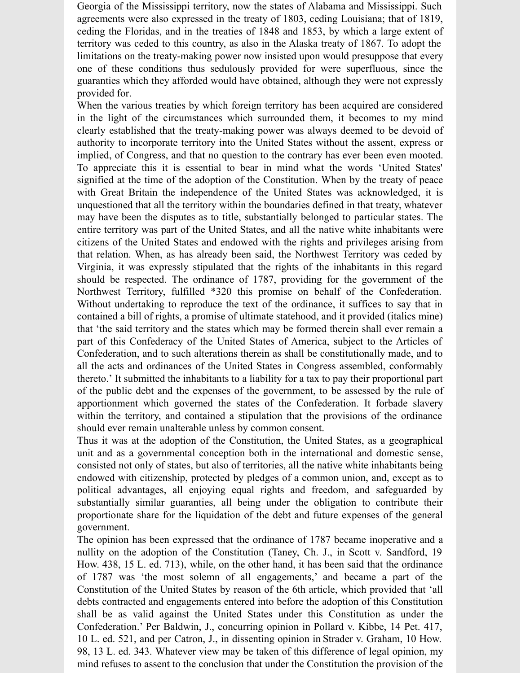Georgia of the Mississippi territory, now the states of Alabama and Mississippi. Such agreements were also expressed in the treaty of 1803, ceding Louisiana; that of 1819, ceding the Floridas, and in the treaties of 1848 and 1853, by which a large extent of territory was ceded to this country, as also in the Alaska treaty of 1867. To adopt the limitations on the treaty-making power now insisted upon would presuppose that every one of these conditions thus sedulously provided for were superfluous, since the guaranties which they afforded would have obtained, although they were not expressly provided for.

When the various treaties by which foreign territory has been acquired are considered in the light of the circumstances which surrounded them, it becomes to my mind clearly established that the treaty-making power was always deemed to be devoid of authority to incorporate territory into the United States without the assent, express or implied, of Congress, and that no question to the contrary has ever been even mooted. To appreciate this it is essential to bear in mind what the words 'United States' signified at the time of the adoption of the Constitution. When by the treaty of peace with Great Britain the independence of the United States was acknowledged, it is unquestioned that all the territory within the boundaries defined in that treaty, whatever may have been the disputes as to title, substantially belonged to particular states. The entire territory was part of the United States, and all the native white inhabitants were citizens of the United States and endowed with the rights and privileges arising from that relation. When, as has already been said, the Northwest Territory was ceded by Virginia, it was expressly stipulated that the rights of the inhabitants in this regard should be respected. The ordinance of 1787, providing for the government of the Northwest Territory, fulfilled \*320 this promise on behalf of the Confederation. Without undertaking to reproduce the text of the ordinance, it suffices to say that in contained a bill of rights, a promise of ultimate statehood, and it provided (italics mine) that 'the said territory and the states which may be formed therein shall ever remain a part of this Confederacy of the United States of America, subject to the Articles of Confederation, and to such alterations therein as shall be constitutionally made, and to all the acts and ordinances of the United States in Congress assembled, conformably thereto.' It submitted the inhabitants to a liability for a tax to pay their proportional part of the public debt and the expenses of the government, to be assessed by the rule of apportionment which governed the states of the Confederation. It forbade slavery within the territory, and contained a stipulation that the provisions of the ordinance should ever remain unalterable unless by common consent.

Thus it was at the adoption of the Constitution, the United States, as a geographical unit and as a governmental conception both in the international and domestic sense, consisted not only of states, but also of territories, all the native white inhabitants being endowed with citizenship, protected by pledges of a common union, and, except as to political advantages, all enjoying equal rights and freedom, and safeguarded by substantially similar guaranties, all being under the obligation to contribute their proportionate share for the liquidation of the debt and future expenses of the general government.

The opinion has been expressed that the ordinance of 1787 became inoperative and a nullity on the adoption of the [Constitution](https://1.next.westlaw.com/Link/Document/FullText?findType=Y&serNum=1856193196&pubNum=780&originatingDoc=I7a4be7179ca211d9bdd1cfdd544ca3a4&refType=RP&originationContext=document&transitionType=DocumentItem&ppcid=c08eb7709fd6411ba15f8469a157103d&contextData=(sc.UserEnteredCitation)) (Taney, Ch. J., in Scott v. Sandford, 19 How. 438, 15 L. ed. 713), while, on the other hand, it has been said that the ordinance of 1787 was 'the most solemn of all engagements,' and became a part of the Constitution of the United States by reason of the 6th article, which provided that 'all debts contracted and engagements entered into before the adoption of this Constitution shall be as valid against the United States under this Constitution as under the [Confederation.'](https://1.next.westlaw.com/Link/Document/FullText?findType=Y&serNum=1840195925&pubNum=780&originatingDoc=I7a4be7179ca211d9bdd1cfdd544ca3a4&refType=RP&originationContext=document&transitionType=DocumentItem&ppcid=c08eb7709fd6411ba15f8469a157103d&contextData=(sc.UserEnteredCitation)) Per Baldwin, J., concurring opinion in Pollard v. Kibbe, 14 Pet. 417, 10 L. ed. 521, and per Catron, J., in [dissenting](https://1.next.westlaw.com/Link/Document/FullText?findType=Y&serNum=1850306826&pubNum=780&originatingDoc=I7a4be7179ca211d9bdd1cfdd544ca3a4&refType=RP&originationContext=document&transitionType=DocumentItem&ppcid=c08eb7709fd6411ba15f8469a157103d&contextData=(sc.UserEnteredCitation)) opinion in Strader v. Graham, 10 How. 98, 13 L. ed. 343. Whatever view may be taken of this difference of legal opinion, my mind refuses to assent to the conclusion that under the Constitution the provision of the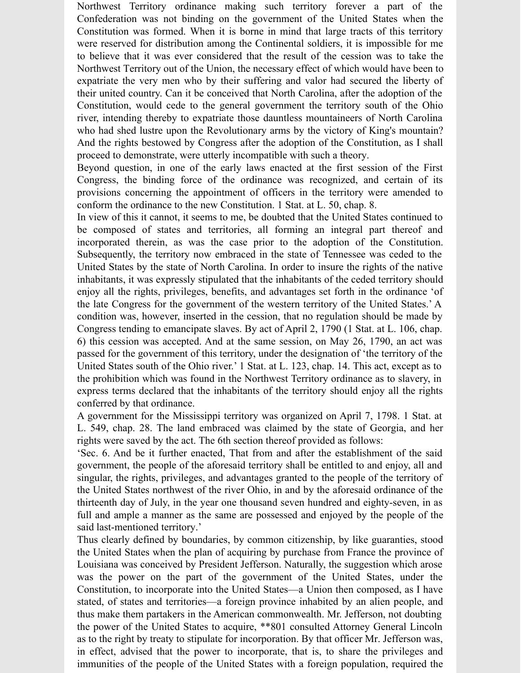Northwest Territory ordinance making such territory forever a part of the Confederation was not binding on the government of the United States when the Constitution was formed. When it is borne in mind that large tracts of this territory were reserved for distribution among the Continental soldiers, it is impossible for me to believe that it was ever considered that the result of the cession was to take the Northwest Territory out of the Union, the necessary effect of which would have been to expatriate the very men who by their suffering and valor had secured the liberty of their united country. Can it be conceived that North Carolina, after the adoption of the Constitution, would cede to the general government the territory south of the Ohio river, intending thereby to expatriate those dauntless mountaineers of North Carolina who had shed lustre upon the Revolutionary arms by the victory of King's mountain? And the rights bestowed by Congress after the adoption of the Constitution, as I shall proceed to demonstrate, were utterly incompatible with such a theory.

Beyond question, in one of the early laws enacted at the first session of the First Congress, the binding force of the ordinance was recognized, and certain of its provisions concerning the appointment of officers in the territory were amended to conform the ordinance to the new Constitution. 1 Stat. at L. 50, chap. 8.

In view of this it cannot, it seems to me, be doubted that the United States continued to be composed of states and territories, all forming an integral part thereof and incorporated therein, as was the case prior to the adoption of the Constitution. Subsequently, the territory now embraced in the state of Tennessee was ceded to the United States by the state of North Carolina. In order to insure the rights of the native inhabitants, it was expressly stipulated that the inhabitants of the ceded territory should enjoy all the rights, privileges, benefits, and advantages set forth in the ordinance 'of the late Congress for the government of the western territory of the United States.' A condition was, however, inserted in the cession, that no regulation should be made by Congress tending to emancipate slaves. By act of April 2, 1790 (1 Stat. at L. 106, chap. 6) this cession was accepted. And at the same session, on May 26, 1790, an act was passed for the government of this territory, under the designation of 'the territory of the United States south of the Ohio river.' 1 Stat. at L. 123, chap. 14. This act, except as to the prohibition which was found in the Northwest Territory ordinance as to slavery, in express terms declared that the inhabitants of the territory should enjoy all the rights conferred by that ordinance.

A government for the Mississippi territory was organized on April 7, 1798. 1 Stat. at L. 549, chap. 28. The land embraced was claimed by the state of Georgia, and her rights were saved by the act. The 6th section thereof provided as follows:

'Sec. 6. And be it further enacted, That from and after the establishment of the said government, the people of the aforesaid territory shall be entitled to and enjoy, all and singular, the rights, privileges, and advantages granted to the people of the territory of the United States northwest of the river Ohio, in and by the aforesaid ordinance of the thirteenth day of July, in the year one thousand seven hundred and eighty-seven, in as full and ample a manner as the same are possessed and enjoyed by the people of the said last-mentioned territory.'

Thus clearly defined by boundaries, by common citizenship, by like guaranties, stood the United States when the plan of acquiring by purchase from France the province of Louisiana was conceived by President Jefferson. Naturally, the suggestion which arose was the power on the part of the government of the United States, under the Constitution, to incorporate into the United States—a Union then composed, as I have stated, of states and territories—a foreign province inhabited by an alien people, and thus make them partakers in the American commonwealth. Mr. Jefferson, not doubting the power of the United States to acquire, \*\*801 consulted Attorney General Lincoln as to the right by treaty to stipulate for incorporation. By that officer Mr. Jefferson was, in effect, advised that the power to incorporate, that is, to share the privileges and immunities of the people of the United States with a foreign population, required the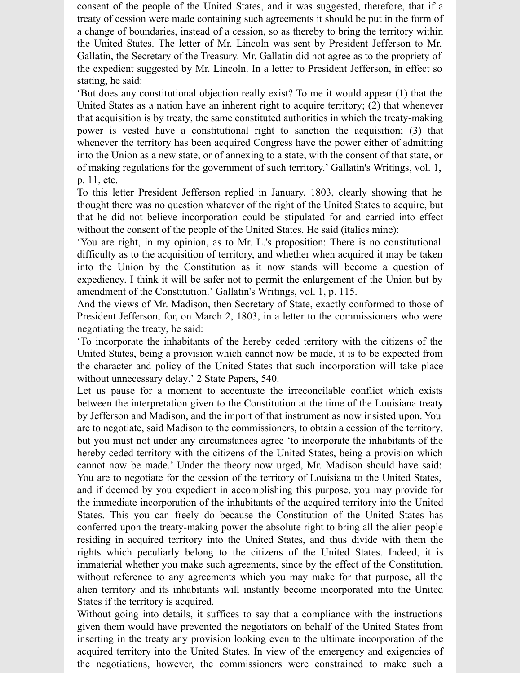consent of the people of the United States, and it was suggested, therefore, that if a treaty of cession were made containing such agreements it should be put in the form of a change of boundaries, instead of a cession, so as thereby to bring the territory within the United States. The letter of Mr. Lincoln was sent by President Jefferson to Mr. Gallatin, the Secretary of the Treasury. Mr. Gallatin did not agree as to the propriety of the expedient suggested by Mr. Lincoln. In a letter to President Jefferson, in effect so stating, he said:

'But does any constitutional objection really exist? To me it would appear (1) that the United States as a nation have an inherent right to acquire territory; (2) that whenever that acquisition is by treaty, the same constituted authorities in which the treaty-making power is vested have a constitutional right to sanction the acquisition; (3) that whenever the territory has been acquired Congress have the power either of admitting into the Union as a new state, or of annexing to a state, with the consent of that state, or of making regulations for the government of such territory.' Gallatin's Writings, vol. 1, p. 11, etc.

To this letter President Jefferson replied in January, 1803, clearly showing that he thought there was no question whatever of the right of the United States to acquire, but that he did not believe incorporation could be stipulated for and carried into effect without the consent of the people of the United States. He said (italics mine):

'You are right, in my opinion, as to Mr. L.'s proposition: There is no constitutional difficulty as to the acquisition of territory, and whether when acquired it may be taken into the Union by the Constitution as it now stands will become a question of expediency. I think it will be safer not to permit the enlargement of the Union but by amendment of the Constitution.' Gallatin's Writings, vol. 1, p. 115.

And the views of Mr. Madison, then Secretary of State, exactly conformed to those of President Jefferson, for, on March 2, 1803, in a letter to the commissioners who were negotiating the treaty, he said:

'To incorporate the inhabitants of the hereby ceded territory with the citizens of the United States, being a provision which cannot now be made, it is to be expected from the character and policy of the United States that such incorporation will take place without unnecessary delay.' 2 State Papers, 540.

Let us pause for a moment to accentuate the irreconcilable conflict which exists between the interpretation given to the Constitution at the time of the Louisiana treaty by Jefferson and Madison, and the import of that instrument as now insisted upon. You are to negotiate, said Madison to the commissioners, to obtain a cession of the territory, but you must not under any circumstances agree 'to incorporate the inhabitants of the hereby ceded territory with the citizens of the United States, being a provision which cannot now be made.' Under the theory now urged, Mr. Madison should have said: You are to negotiate for the cession of the territory of Louisiana to the United States, and if deemed by you expedient in accomplishing this purpose, you may provide for the immediate incorporation of the inhabitants of the acquired territory into the United States. This you can freely do because the Constitution of the United States has conferred upon the treaty-making power the absolute right to bring all the alien people residing in acquired territory into the United States, and thus divide with them the rights which peculiarly belong to the citizens of the United States. Indeed, it is immaterial whether you make such agreements, since by the effect of the Constitution, without reference to any agreements which you may make for that purpose, all the alien territory and its inhabitants will instantly become incorporated into the United States if the territory is acquired.

Without going into details, it suffices to say that a compliance with the instructions given them would have prevented the negotiators on behalf of the United States from inserting in the treaty any provision looking even to the ultimate incorporation of the acquired territory into the United States. In view of the emergency and exigencies of the negotiations, however, the commissioners were constrained to make such a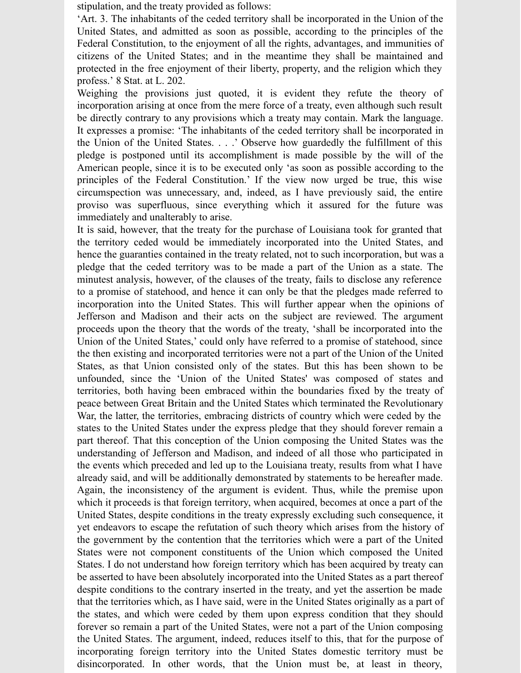stipulation, and the treaty provided as follows:

'Art. 3. The inhabitants of the ceded territory shall be incorporated in the Union of the United States, and admitted as soon as possible, according to the principles of the Federal Constitution, to the enjoyment of all the rights, advantages, and immunities of citizens of the United States; and in the meantime they shall be maintained and protected in the free enjoyment of their liberty, property, and the religion which they profess.' 8 Stat. at L. 202.

Weighing the provisions just quoted, it is evident they refute the theory of incorporation arising at once from the mere force of a treaty, even although such result be directly contrary to any provisions which a treaty may contain. Mark the language. It expresses a promise: 'The inhabitants of the ceded territory shall be incorporated in the Union of the United States. . . .' Observe how guardedly the fulfillment of this pledge is postponed until its accomplishment is made possible by the will of the American people, since it is to be executed only 'as soon as possible according to the principles of the Federal Constitution.' If the view now urged be true, this wise circumspection was unnecessary, and, indeed, as I have previously said, the entire proviso was superfluous, since everything which it assured for the future was immediately and unalterably to arise.

It is said, however, that the treaty for the purchase of Louisiana took for granted that the territory ceded would be immediately incorporated into the United States, and hence the guaranties contained in the treaty related, not to such incorporation, but was a pledge that the ceded territory was to be made a part of the Union as a state. The minutest analysis, however, of the clauses of the treaty, fails to disclose any reference to a promise of statehood, and hence it can only be that the pledges made referred to incorporation into the United States. This will further appear when the opinions of Jefferson and Madison and their acts on the subject are reviewed. The argument proceeds upon the theory that the words of the treaty, 'shall be incorporated into the Union of the United States,' could only have referred to a promise of statehood, since the then existing and incorporated territories were not a part of the Union of the United States, as that Union consisted only of the states. But this has been shown to be unfounded, since the 'Union of the United States' was composed of states and territories, both having been embraced within the boundaries fixed by the treaty of peace between Great Britain and the United States which terminated the Revolutionary War, the latter, the territories, embracing districts of country which were ceded by the states to the United States under the express pledge that they should forever remain a part thereof. That this conception of the Union composing the United States was the understanding of Jefferson and Madison, and indeed of all those who participated in the events which preceded and led up to the Louisiana treaty, results from what I have already said, and will be additionally demonstrated by statements to be hereafter made. Again, the inconsistency of the argument is evident. Thus, while the premise upon which it proceeds is that foreign territory, when acquired, becomes at once a part of the United States, despite conditions in the treaty expressly excluding such consequence, it yet endeavors to escape the refutation of such theory which arises from the history of the government by the contention that the territories which were a part of the United States were not component constituents of the Union which composed the United States. I do not understand how foreign territory which has been acquired by treaty can be asserted to have been absolutely incorporated into the United States as a part thereof despite conditions to the contrary inserted in the treaty, and yet the assertion be made that the territories which, as I have said, were in the United States originally as a part of the states, and which were ceded by them upon express condition that they should forever so remain a part of the United States, were not a part of the Union composing the United States. The argument, indeed, reduces itself to this, that for the purpose of incorporating foreign territory into the United States domestic territory must be disincorporated. In other words, that the Union must be, at least in theory,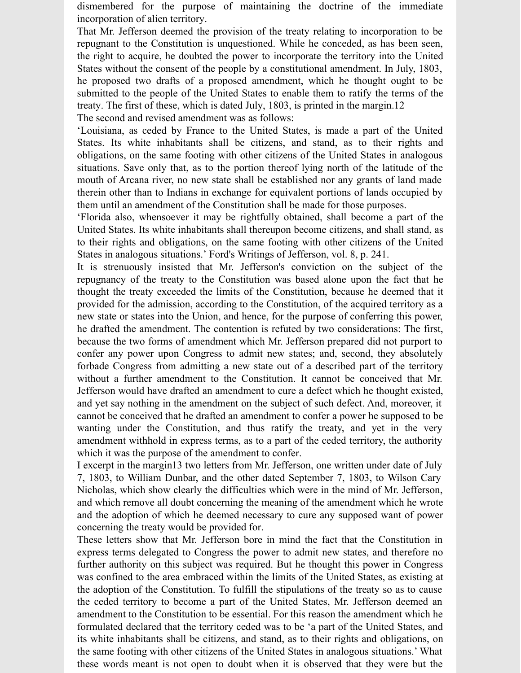dismembered for the purpose of maintaining the doctrine of the immediate incorporation of alien territory.

That Mr. Jefferson deemed the provision of the treaty relating to incorporation to be repugnant to the Constitution is unquestioned. While he conceded, as has been seen, the right to acquire, he doubted the power to incorporate the territory into the United States without the consent of the people by a constitutional amendment. In July, 1803, he proposed two drafts of a proposed amendment, which he thought ought to be submitted to the people of the United States to enable them to ratify the terms of the treaty. The first of these, which is dated July, 1803, is printed in the margin[.12](https://1.next.westlaw.com/Document/I7a4be7179ca211d9bdd1cfdd544ca3a4/View/FullText.html?transitionType=UniqueDocItem&contextData=(sc.Default)&userEnteredCitation=182+us+244#co_footnote_B012121901103898)

The second and revised amendment was as follows:

'Louisiana, as ceded by France to the United States, is made a part of the United States. Its white inhabitants shall be citizens, and stand, as to their rights and obligations, on the same footing with other citizens of the United States in analogous situations. Save only that, as to the portion thereof lying north of the latitude of the mouth of Arcana river, no new state shall be established nor any grants of land made therein other than to Indians in exchange for equivalent portions of lands occupied by them until an amendment of the Constitution shall be made for those purposes.

'Florida also, whensoever it may be rightfully obtained, shall become a part of the United States. Its white inhabitants shall thereupon become citizens, and shall stand, as to their rights and obligations, on the same footing with other citizens of the United States in analogous situations.' Ford's Writings of Jefferson, vol. 8, p. 241.

It is strenuously insisted that Mr. Jefferson's conviction on the subject of the repugnancy of the treaty to the Constitution was based alone upon the fact that he thought the treaty exceeded the limits of the Constitution, because he deemed that it provided for the admission, according to the Constitution, of the acquired territory as a new state or states into the Union, and hence, for the purpose of conferring this power, he drafted the amendment. The contention is refuted by two considerations: The first, because the two forms of amendment which Mr. Jefferson prepared did not purport to confer any power upon Congress to admit new states; and, second, they absolutely forbade Congress from admitting a new state out of a described part of the territory without a further amendment to the Constitution. It cannot be conceived that Mr. Jefferson would have drafted an amendment to cure a defect which he thought existed, and yet say nothing in the amendment on the subject of such defect. And, moreover, it cannot be conceived that he drafted an amendment to confer a power he supposed to be wanting under the Constitution, and thus ratify the treaty, and yet in the very amendment withhold in express terms, as to a part of the ceded territory, the authority which it was the purpose of the amendment to confer.

I excerpt in the margi[n13](https://1.next.westlaw.com/Document/I7a4be7179ca211d9bdd1cfdd544ca3a4/View/FullText.html?transitionType=UniqueDocItem&contextData=(sc.Default)&userEnteredCitation=182+us+244#co_footnote_B013131901103898) two letters from Mr. Jefferson, one written under date of July 7, 1803, to William Dunbar, and the other dated September 7, 1803, to Wilson Cary Nicholas, which show clearly the difficulties which were in the mind of Mr. Jefferson, and which remove all doubt concerning the meaning of the amendment which he wrote and the adoption of which he deemed necessary to cure any supposed want of power concerning the treaty would be provided for.

These letters show that Mr. Jefferson bore in mind the fact that the Constitution in express terms delegated to Congress the power to admit new states, and therefore no further authority on this subject was required. But he thought this power in Congress was confined to the area embraced within the limits of the United States, as existing at the adoption of the Constitution. To fulfill the stipulations of the treaty so as to cause the ceded territory to become a part of the United States, Mr. Jefferson deemed an amendment to the Constitution to be essential. For this reason the amendment which he formulated declared that the territory ceded was to be 'a part of the United States, and its white inhabitants shall be citizens, and stand, as to their rights and obligations, on the same footing with other citizens of the United States in analogous situations.' What these words meant is not open to doubt when it is observed that they were but the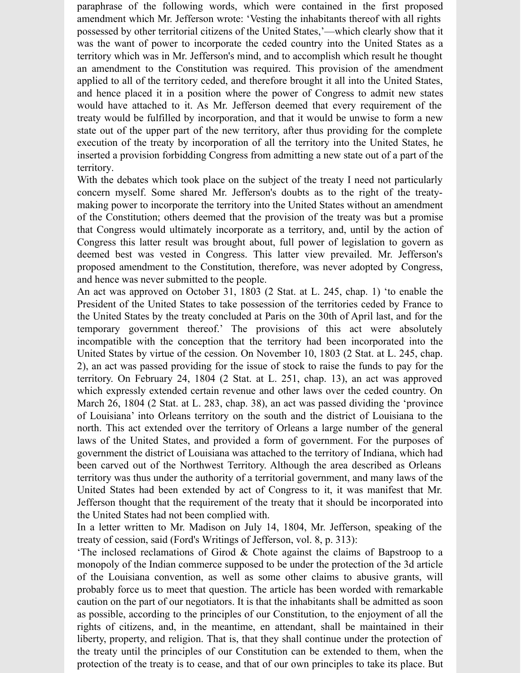paraphrase of the following words, which were contained in the first proposed amendment which Mr. Jefferson wrote: 'Vesting the inhabitants thereof with all rights possessed by other territorial citizens of the United States,'—which clearly show that it was the want of power to incorporate the ceded country into the United States as a territory which was in Mr. Jefferson's mind, and to accomplish which result he thought an amendment to the Constitution was required. This provision of the amendment applied to all of the territory ceded, and therefore brought it all into the United States, and hence placed it in a position where the power of Congress to admit new states would have attached to it. As Mr. Jefferson deemed that every requirement of the treaty would be fulfilled by incorporation, and that it would be unwise to form a new state out of the upper part of the new territory, after thus providing for the complete execution of the treaty by incorporation of all the territory into the United States, he inserted a provision forbidding Congress from admitting a new state out of a part of the territory.

With the debates which took place on the subject of the treaty I need not particularly concern myself. Some shared Mr. Jefferson's doubts as to the right of the treatymaking power to incorporate the territory into the United States without an amendment of the Constitution; others deemed that the provision of the treaty was but a promise that Congress would ultimately incorporate as a territory, and, until by the action of Congress this latter result was brought about, full power of legislation to govern as deemed best was vested in Congress. This latter view prevailed. Mr. Jefferson's proposed amendment to the Constitution, therefore, was never adopted by Congress, and hence was never submitted to the people.

An act was approved on October 31, 1803 (2 Stat. at L. 245, chap. 1) 'to enable the President of the United States to take possession of the territories ceded by France to the United States by the treaty concluded at Paris on the 30th of April last, and for the temporary government thereof.' The provisions of this act were absolutely incompatible with the conception that the territory had been incorporated into the United States by virtue of the cession. On November 10, 1803 (2 Stat. at L. 245, chap. 2), an act was passed providing for the issue of stock to raise the funds to pay for the territory. On February 24, 1804 (2 Stat. at L. 251, chap. 13), an act was approved which expressly extended certain revenue and other laws over the ceded country. On March 26, 1804 (2 Stat. at L. 283, chap. 38), an act was passed dividing the 'province of Louisiana' into Orleans territory on the south and the district of Louisiana to the north. This act extended over the territory of Orleans a large number of the general laws of the United States, and provided a form of government. For the purposes of government the district of Louisiana was attached to the territory of Indiana, which had been carved out of the Northwest Territory. Although the area described as Orleans territory was thus under the authority of a territorial government, and many laws of the United States had been extended by act of Congress to it, it was manifest that Mr. Jefferson thought that the requirement of the treaty that it should be incorporated into the United States had not been complied with.

In a letter written to Mr. Madison on July 14, 1804, Mr. Jefferson, speaking of the treaty of cession, said (Ford's Writings of Jefferson, vol. 8, p. 313):

'The inclosed reclamations of Girod & Chote against the claims of Bapstroop to a monopoly of the Indian commerce supposed to be under the protection of the 3d article of the Louisiana convention, as well as some other claims to abusive grants, will probably force us to meet that question. The article has been worded with remarkable caution on the part of our negotiators. It is that the inhabitants shall be admitted as soon as possible, according to the principles of our Constitution, to the enjoyment of all the rights of citizens, and, in the meantime, en attendant, shall be maintained in their liberty, property, and religion. That is, that they shall continue under the protection of the treaty until the principles of our Constitution can be extended to them, when the protection of the treaty is to cease, and that of our own principles to take its place. But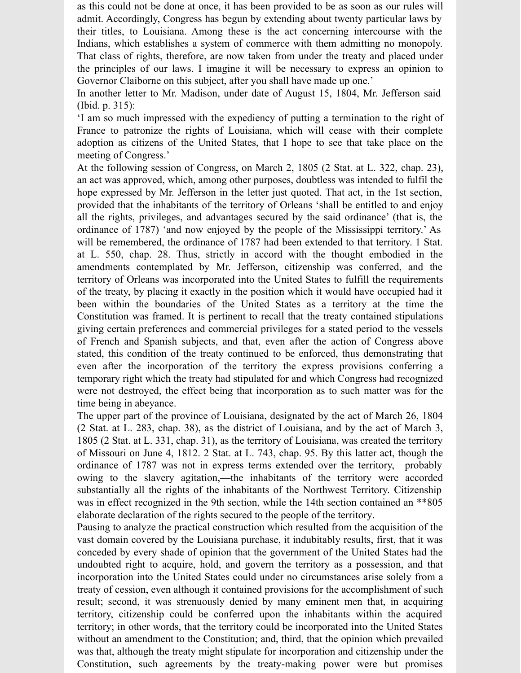as this could not be done at once, it has been provided to be as soon as our rules will admit. Accordingly, Congress has begun by extending about twenty particular laws by their titles, to Louisiana. Among these is the act concerning intercourse with the Indians, which establishes a system of commerce with them admitting no monopoly. That class of rights, therefore, are now taken from under the treaty and placed under the principles of our laws. I imagine it will be necessary to express an opinion to Governor Claiborne on this subject, after you shall have made up one.'

In another letter to Mr. Madison, under date of August 15, 1804, Mr. Jefferson said (Ibid. p. 315):

'I am so much impressed with the expediency of putting a termination to the right of France to patronize the rights of Louisiana, which will cease with their complete adoption as citizens of the United States, that I hope to see that take place on the meeting of Congress.'

At the following session of Congress, on March 2, 1805 (2 Stat. at L. 322, chap. 23), an act was approved, which, among other purposes, doubtless was intended to fulfil the hope expressed by Mr. Jefferson in the letter just quoted. That act, in the 1st section, provided that the inhabitants of the territory of Orleans 'shall be entitled to and enjoy all the rights, privileges, and advantages secured by the said ordinance' (that is, the ordinance of 1787) 'and now enjoyed by the people of the Mississippi territory.' As will be remembered, the ordinance of 1787 had been extended to that territory. 1 Stat. at L. 550, chap. 28. Thus, strictly in accord with the thought embodied in the amendments contemplated by Mr. Jefferson, citizenship was conferred, and the territory of Orleans was incorporated into the United States to fulfill the requirements of the treaty, by placing it exactly in the position which it would have occupied had it been within the boundaries of the United States as a territory at the time the Constitution was framed. It is pertinent to recall that the treaty contained stipulations giving certain preferences and commercial privileges for a stated period to the vessels of French and Spanish subjects, and that, even after the action of Congress above stated, this condition of the treaty continued to be enforced, thus demonstrating that even after the incorporation of the territory the express provisions conferring a temporary right which the treaty had stipulated for and which Congress had recognized were not destroyed, the effect being that incorporation as to such matter was for the time being in abeyance.

The upper part of the province of Louisiana, designated by the act of March 26, 1804 (2 Stat. at L. 283, chap. 38), as the district of Louisiana, and by the act of March 3, 1805 (2 Stat. at L. 331, chap. 31), as the territory of Louisiana, was created the territory of Missouri on June 4, 1812. 2 Stat. at L. 743, chap. 95. By this latter act, though the ordinance of 1787 was not in express terms extended over the territory,—probably owing to the slavery agitation,—the inhabitants of the territory were accorded substantially all the rights of the inhabitants of the Northwest Territory. Citizenship was in effect recognized in the 9th section, while the 14th section contained an \*\*805 elaborate declaration of the rights secured to the people of the territory.

Pausing to analyze the practical construction which resulted from the acquisition of the vast domain covered by the Louisiana purchase, it indubitably results, first, that it was conceded by every shade of opinion that the government of the United States had the undoubted right to acquire, hold, and govern the territory as a possession, and that incorporation into the United States could under no circumstances arise solely from a treaty of cession, even although it contained provisions for the accomplishment of such result; second, it was strenuously denied by many eminent men that, in acquiring territory, citizenship could be conferred upon the inhabitants within the acquired territory; in other words, that the territory could be incorporated into the United States without an amendment to the Constitution; and, third, that the opinion which prevailed was that, although the treaty might stipulate for incorporation and citizenship under the Constitution, such agreements by the treaty-making power were but promises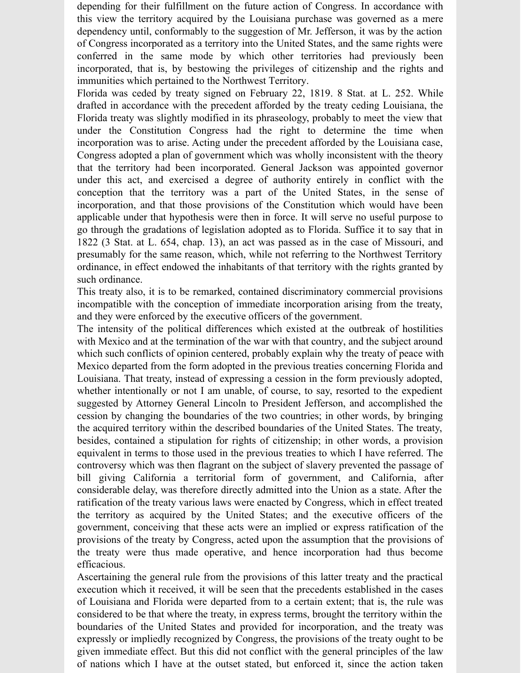depending for their fulfillment on the future action of Congress. In accordance with this view the territory acquired by the Louisiana purchase was governed as a mere dependency until, conformably to the suggestion of Mr. Jefferson, it was by the action of Congress incorporated as a territory into the United States, and the same rights were conferred in the same mode by which other territories had previously been incorporated, that is, by bestowing the privileges of citizenship and the rights and immunities which pertained to the Northwest Territory.

Florida was ceded by treaty signed on February 22, 1819. 8 Stat. at L. 252. While drafted in accordance with the precedent afforded by the treaty ceding Louisiana, the Florida treaty was slightly modified in its phraseology, probably to meet the view that under the Constitution Congress had the right to determine the time when incorporation was to arise. Acting under the precedent afforded by the Louisiana case, Congress adopted a plan of government which was wholly inconsistent with the theory that the territory had been incorporated. General Jackson was appointed governor under this act, and exercised a degree of authority entirely in conflict with the conception that the territory was a part of the United States, in the sense of incorporation, and that those provisions of the Constitution which would have been applicable under that hypothesis were then in force. It will serve no useful purpose to go through the gradations of legislation adopted as to Florida. Suffice it to say that in 1822 (3 Stat. at L. 654, chap. 13), an act was passed as in the case of Missouri, and presumably for the same reason, which, while not referring to the Northwest Territory ordinance, in effect endowed the inhabitants of that territory with the rights granted by such ordinance.

This treaty also, it is to be remarked, contained discriminatory commercial provisions incompatible with the conception of immediate incorporation arising from the treaty, and they were enforced by the executive officers of the government.

The intensity of the political differences which existed at the outbreak of hostilities with Mexico and at the termination of the war with that country, and the subject around which such conflicts of opinion centered, probably explain why the treaty of peace with Mexico departed from the form adopted in the previous treaties concerning Florida and Louisiana. That treaty, instead of expressing a cession in the form previously adopted, whether intentionally or not I am unable, of course, to say, resorted to the expedient suggested by Attorney General Lincoln to President Jefferson, and accomplished the cession by changing the boundaries of the two countries; in other words, by bringing the acquired territory within the described boundaries of the United States. The treaty, besides, contained a stipulation for rights of citizenship; in other words, a provision equivalent in terms to those used in the previous treaties to which I have referred. The controversy which was then flagrant on the subject of slavery prevented the passage of bill giving California a territorial form of government, and California, after considerable delay, was therefore directly admitted into the Union as a state. After the ratification of the treaty various laws were enacted by Congress, which in effect treated the territory as acquired by the United States; and the executive officers of the government, conceiving that these acts were an implied or express ratification of the provisions of the treaty by Congress, acted upon the assumption that the provisions of the treaty were thus made operative, and hence incorporation had thus become efficacious.

Ascertaining the general rule from the provisions of this latter treaty and the practical execution which it received, it will be seen that the precedents established in the cases of Louisiana and Florida were departed from to a certain extent; that is, the rule was considered to be that where the treaty, in express terms, brought the territory within the boundaries of the United States and provided for incorporation, and the treaty was expressly or impliedly recognized by Congress, the provisions of the treaty ought to be given immediate effect. But this did not conflict with the general principles of the law of nations which I have at the outset stated, but enforced it, since the action taken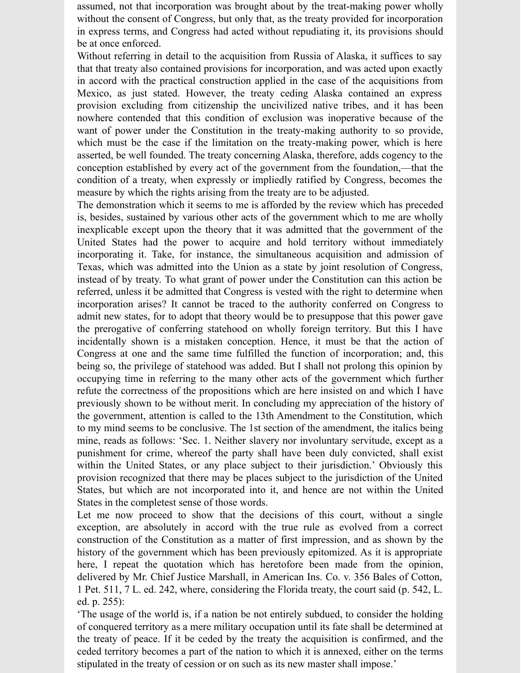assumed, not that incorporation was brought about by the treat-making power wholly without the consent of Congress, but only that, as the treaty provided for incorporation in express terms, and Congress had acted without repudiating it, its provisions should be at once enforced.

Without referring in detail to the acquisition from Russia of Alaska, it suffices to say that that treaty also contained provisions for incorporation, and was acted upon exactly in accord with the practical construction applied in the case of the acquisitions from Mexico, as just stated. However, the treaty ceding Alaska contained an express provision excluding from citizenship the uncivilized native tribes, and it has been nowhere contended that this condition of exclusion was inoperative because of the want of power under the Constitution in the treaty-making authority to so provide, which must be the case if the limitation on the treaty-making power, which is here asserted, be well founded. The treaty concerning Alaska, therefore, adds cogency to the conception established by every act of the government from the foundation,—that the condition of a treaty, when expressly or impliedly ratified by Congress, becomes the measure by which the rights arising from the treaty are to be adjusted.

The demonstration which it seems to me is afforded by the review which has preceded is, besides, sustained by various other acts of the government which to me are wholly inexplicable except upon the theory that it was admitted that the government of the United States had the power to acquire and hold territory without immediately incorporating it. Take, for instance, the simultaneous acquisition and admission of Texas, which was admitted into the Union as a state by joint resolution of Congress, instead of by treaty. To what grant of power under the Constitution can this action be referred, unless it be admitted that Congress is vested with the right to determine when incorporation arises? It cannot be traced to the authority conferred on Congress to admit new states, for to adopt that theory would be to presuppose that this power gave the prerogative of conferring statehood on wholly foreign territory. But this I have incidentally shown is a mistaken conception. Hence, it must be that the action of Congress at one and the same time fulfilled the function of incorporation; and, this being so, the privilege of statehood was added. But I shall not prolong this opinion by occupying time in referring to the many other acts of the government which further refute the correctness of the propositions which are here insisted on and which I have previously shown to be without merit. In concluding my appreciation of the history of the government, attention is called to the 13th Amendment to the Constitution, which to my mind seems to be conclusive. The 1st section of the amendment, the italics being mine, reads as follows: 'Sec. 1. Neither slavery nor involuntary servitude, except as a punishment for crime, whereof the party shall have been duly convicted, shall exist within the United States, or any place subject to their jurisdiction.' Obviously this provision recognized that there may be places subject to the jurisdiction of the United States, but which are not incorporated into it, and hence are not within the United States in the completest sense of those words.

Let me now proceed to show that the decisions of this court, without a single exception, are absolutely in accord with the true rule as evolved from a correct construction of the Constitution as a matter of first impression, and as shown by the history of the government which has been previously epitomized. As it is appropriate here, I repeat the quotation which has heretofore been made from the opinion, delivered by Mr. Chief Justice Marshall, in American Ins. Co. v. 356 Bales of Cotton, 1 Pet. 511, 7 L. ed. 242, where, [considering](https://1.next.westlaw.com/Link/Document/FullText?findType=Y&serNum=1800101649&pubNum=780&originatingDoc=I7a4be7179ca211d9bdd1cfdd544ca3a4&refType=RP&originationContext=document&transitionType=DocumentItem&ppcid=c08eb7709fd6411ba15f8469a157103d&contextData=(sc.UserEnteredCitation)) the Florida treaty, the court said (p. 542, L. ed. p. 255):

'The usage of the world is, if a nation be not entirely subdued, to consider the holding of conquered territory as a mere military occupation until its fate shall be determined at the treaty of peace. If it be ceded by the treaty the acquisition is confirmed, and the ceded territory becomes a part of the nation to which it is annexed, either on the terms stipulated in the treaty of cession or on such as its new master shall impose.'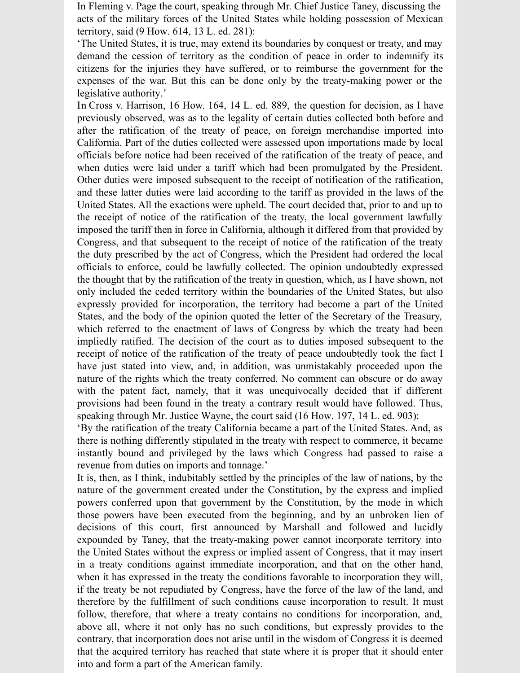In Fleming v. Page the court, speaking through Mr. Chief Justice Taney, discussing the acts of the military forces of the United States while holding possession of Mexican territory, said (9 [How.](https://1.next.westlaw.com/Link/Document/FullText?findType=Y&serNum=1850303455&pubNum=780&originatingDoc=I7a4be7179ca211d9bdd1cfdd544ca3a4&refType=RP&originationContext=document&transitionType=DocumentItem&ppcid=c08eb7709fd6411ba15f8469a157103d&contextData=(sc.UserEnteredCitation)) 614, 13 L. ed. 281):

'The United States, it is true, may extend its boundaries by conquest or treaty, and may demand the cession of territory as the condition of peace in order to indemnify its citizens for the injuries they have suffered, or to reimburse the government for the expenses of the war. But this can be done only by the treaty-making power or the legislative authority.'

In Cross v. [Harrison,](https://1.next.westlaw.com/Link/Document/FullText?findType=Y&serNum=1853132932&pubNum=780&originatingDoc=I7a4be7179ca211d9bdd1cfdd544ca3a4&refType=RP&originationContext=document&transitionType=DocumentItem&ppcid=c08eb7709fd6411ba15f8469a157103d&contextData=(sc.UserEnteredCitation)) 16 How. 164, 14 L. ed. 889, the question for decision, as I have previously observed, was as to the legality of certain duties collected both before and after the ratification of the treaty of peace, on foreign merchandise imported into California. Part of the duties collected were assessed upon importations made by local officials before notice had been received of the ratification of the treaty of peace, and when duties were laid under a tariff which had been promulgated by the President. Other duties were imposed subsequent to the receipt of notification of the ratification, and these latter duties were laid according to the tariff as provided in the laws of the United States. All the exactions were upheld. The court decided that, prior to and up to the receipt of notice of the ratification of the treaty, the local government lawfully imposed the tariff then in force in California, although it differed from that provided by Congress, and that subsequent to the receipt of notice of the ratification of the treaty the duty prescribed by the act of Congress, which the President had ordered the local officials to enforce, could be lawfully collected. The opinion undoubtedly expressed the thought that by the ratification of the treaty in question, which, as I have shown, not only included the ceded territory within the boundaries of the United States, but also expressly provided for incorporation, the territory had become a part of the United States, and the body of the opinion quoted the letter of the Secretary of the Treasury, which referred to the enactment of laws of Congress by which the treaty had been impliedly ratified. The decision of the court as to duties imposed subsequent to the receipt of notice of the ratification of the treaty of peace undoubtedly took the fact I have just stated into view, and, in addition, was unmistakably proceeded upon the nature of the rights which the treaty conferred. No comment can obscure or do away with the patent fact, namely, that it was unequivocally decided that if different provisions had been found in the treaty a contrary result would have followed. Thus, speaking through Mr. Justice Wayne, the court said (16 [How.](https://1.next.westlaw.com/Link/Document/FullText?findType=Y&serNum=1853132932&pubNum=780&originatingDoc=I7a4be7179ca211d9bdd1cfdd544ca3a4&refType=RP&originationContext=document&transitionType=DocumentItem&ppcid=c08eb7709fd6411ba15f8469a157103d&contextData=(sc.UserEnteredCitation)) 197, 14 L. ed. 903):

'By the ratification of the treaty California became a part of the United States. And, as there is nothing differently stipulated in the treaty with respect to commerce, it became instantly bound and privileged by the laws which Congress had passed to raise a revenue from duties on imports and tonnage.'

It is, then, as I think, indubitably settled by the principles of the law of nations, by the nature of the government created under the Constitution, by the express and implied powers conferred upon that government by the Constitution, by the mode in which those powers have been executed from the beginning, and by an unbroken lien of decisions of this court, first announced by Marshall and followed and lucidly expounded by Taney, that the treaty-making power cannot incorporate territory into the United States without the express or implied assent of Congress, that it may insert in a treaty conditions against immediate incorporation, and that on the other hand, when it has expressed in the treaty the conditions favorable to incorporation they will, if the treaty be not repudiated by Congress, have the force of the law of the land, and therefore by the fulfillment of such conditions cause incorporation to result. It must follow, therefore, that where a treaty contains no conditions for incorporation, and, above all, where it not only has no such conditions, but expressly provides to the contrary, that incorporation does not arise until in the wisdom of Congress it is deemed that the acquired territory has reached that state where it is proper that it should enter into and form a part of the American family.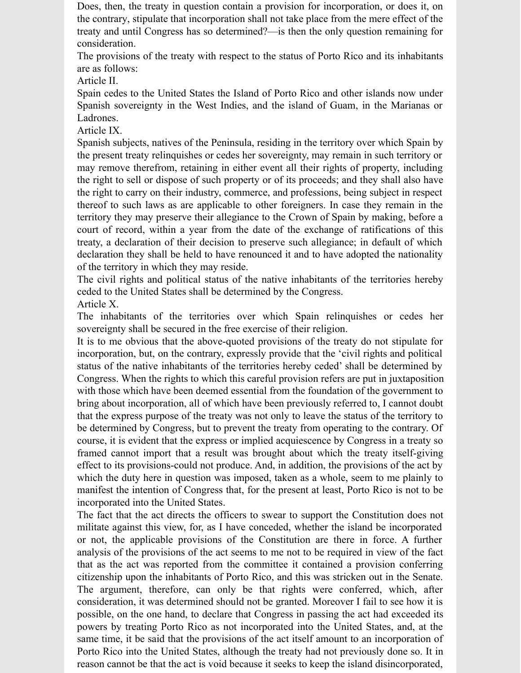Does, then, the treaty in question contain a provision for incorporation, or does it, on the contrary, stipulate that incorporation shall not take place from the mere effect of the treaty and until Congress has so determined?—is then the only question remaining for consideration.

The provisions of the treaty with respect to the status of Porto Rico and its inhabitants are as follows:

Article II.

Spain cedes to the United States the Island of Porto Rico and other islands now under Spanish sovereignty in the West Indies, and the island of Guam, in the Marianas or Ladrones.

Article IX.

Spanish subjects, natives of the Peninsula, residing in the territory over which Spain by the present treaty relinquishes or cedes her sovereignty, may remain in such territory or may remove therefrom, retaining in either event all their rights of property, including the right to sell or dispose of such property or of its proceeds; and they shall also have the right to carry on their industry, commerce, and professions, being subject in respect thereof to such laws as are applicable to other foreigners. In case they remain in the territory they may preserve their allegiance to the Crown of Spain by making, before a court of record, within a year from the date of the exchange of ratifications of this treaty, a declaration of their decision to preserve such allegiance; in default of which declaration they shall be held to have renounced it and to have adopted the nationality of the territory in which they may reside.

The civil rights and political status of the native inhabitants of the territories hereby ceded to the United States shall be determined by the Congress.

Article X.

The inhabitants of the territories over which Spain relinquishes or cedes her sovereignty shall be secured in the free exercise of their religion.

It is to me obvious that the above-quoted provisions of the treaty do not stipulate for incorporation, but, on the contrary, expressly provide that the 'civil rights and political status of the native inhabitants of the territories hereby ceded' shall be determined by Congress. When the rights to which this careful provision refers are put in juxtaposition with those which have been deemed essential from the foundation of the government to bring about incorporation, all of which have been previously referred to, I cannot doubt that the express purpose of the treaty was not only to leave the status of the territory to be determined by Congress, but to prevent the treaty from operating to the contrary. Of course, it is evident that the express or implied acquiescence by Congress in a treaty so framed cannot import that a result was brought about which the treaty itself-giving effect to its provisions-could not produce. And, in addition, the provisions of the act by which the duty here in question was imposed, taken as a whole, seem to me plainly to manifest the intention of Congress that, for the present at least, Porto Rico is not to be incorporated into the United States.

The fact that the act directs the officers to swear to support the Constitution does not militate against this view, for, as I have conceded, whether the island be incorporated or not, the applicable provisions of the Constitution are there in force. A further analysis of the provisions of the act seems to me not to be required in view of the fact that as the act was reported from the committee it contained a provision conferring citizenship upon the inhabitants of Porto Rico, and this was stricken out in the Senate. The argument, therefore, can only be that rights were conferred, which, after consideration, it was determined should not be granted. Moreover I fail to see how it is possible, on the one hand, to declare that Congress in passing the act had exceeded its powers by treating Porto Rico as not incorporated into the United States, and, at the same time, it be said that the provisions of the act itself amount to an incorporation of Porto Rico into the United States, although the treaty had not previously done so. It in reason cannot be that the act is void because it seeks to keep the island disincorporated,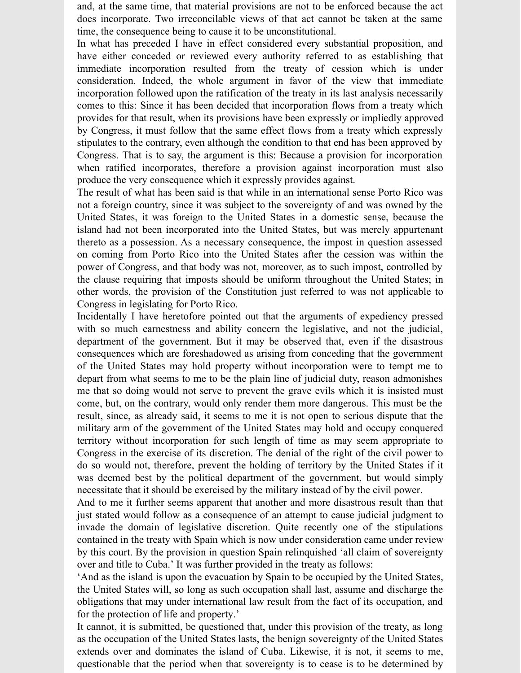and, at the same time, that material provisions are not to be enforced because the act does incorporate. Two irreconcilable views of that act cannot be taken at the same time, the consequence being to cause it to be unconstitutional.

In what has preceded I have in effect considered every substantial proposition, and have either conceded or reviewed every authority referred to as establishing that immediate incorporation resulted from the treaty of cession which is under consideration. Indeed, the whole argument in favor of the view that immediate incorporation followed upon the ratification of the treaty in its last analysis necessarily comes to this: Since it has been decided that incorporation flows from a treaty which provides for that result, when its provisions have been expressly or impliedly approved by Congress, it must follow that the same effect flows from a treaty which expressly stipulates to the contrary, even although the condition to that end has been approved by Congress. That is to say, the argument is this: Because a provision for incorporation when ratified incorporates, therefore a provision against incorporation must also produce the very consequence which it expressly provides against.

The result of what has been said is that while in an international sense Porto Rico was not a foreign country, since it was subject to the sovereignty of and was owned by the United States, it was foreign to the United States in a domestic sense, because the island had not been incorporated into the United States, but was merely appurtenant thereto as a possession. As a necessary consequence, the impost in question assessed on coming from Porto Rico into the United States after the cession was within the power of Congress, and that body was not, moreover, as to such impost, controlled by the clause requiring that imposts should be uniform throughout the United States; in other words, the provision of the Constitution just referred to was not applicable to Congress in legislating for Porto Rico.

Incidentally I have heretofore pointed out that the arguments of expediency pressed with so much earnestness and ability concern the legislative, and not the judicial, department of the government. But it may be observed that, even if the disastrous consequences which are foreshadowed as arising from conceding that the government of the United States may hold property without incorporation were to tempt me to depart from what seems to me to be the plain line of judicial duty, reason admonishes me that so doing would not serve to prevent the grave evils which it is insisted must come, but, on the contrary, would only render them more dangerous. This must be the result, since, as already said, it seems to me it is not open to serious dispute that the military arm of the government of the United States may hold and occupy conquered territory without incorporation for such length of time as may seem appropriate to Congress in the exercise of its discretion. The denial of the right of the civil power to do so would not, therefore, prevent the holding of territory by the United States if it was deemed best by the political department of the government, but would simply necessitate that it should be exercised by the military instead of by the civil power.

And to me it further seems apparent that another and more disastrous result than that just stated would follow as a consequence of an attempt to cause judicial judgment to invade the domain of legislative discretion. Quite recently one of the stipulations contained in the treaty with Spain which is now under consideration came under review by this court. By the provision in question Spain relinquished 'all claim of sovereignty over and title to Cuba.' It was further provided in the treaty as follows:

'And as the island is upon the evacuation by Spain to be occupied by the United States, the United States will, so long as such occupation shall last, assume and discharge the obligations that may under international law result from the fact of its occupation, and for the protection of life and property.'

It cannot, it is submitted, be questioned that, under this provision of the treaty, as long as the occupation of the United States lasts, the benign sovereignty of the United States extends over and dominates the island of Cuba. Likewise, it is not, it seems to me, questionable that the period when that sovereignty is to cease is to be determined by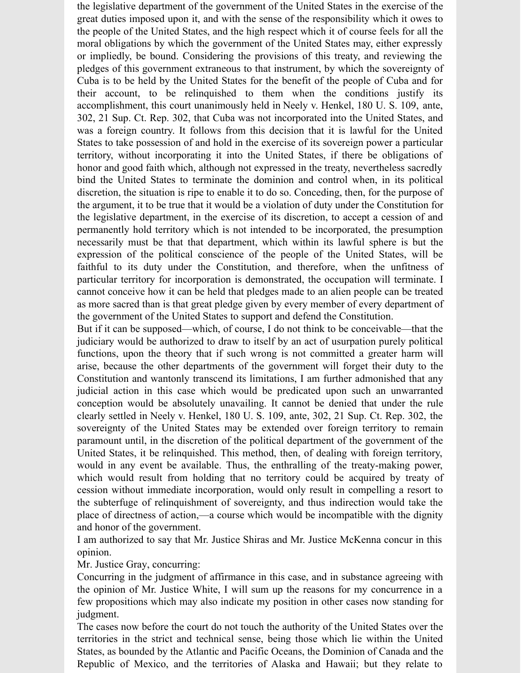the legislative department of the government of the United States in the exercise of the great duties imposed upon it, and with the sense of the responsibility which it owes to the people of the United States, and the high respect which it of course feels for all the moral obligations by which the government of the United States may, either expressly or impliedly, be bound. Considering the provisions of this treaty, and reviewing the pledges of this government extraneous to that instrument, by which the sovereignty of Cuba is to be held by the United States for the benefit of the people of Cuba and for their account, to be relinquished to them when the conditions justify its [accomplishment,](https://1.next.westlaw.com/Link/Document/FullText?findType=Y&serNum=1901103996&pubNum=708&originatingDoc=I7a4be7179ca211d9bdd1cfdd544ca3a4&refType=RP&originationContext=document&transitionType=DocumentItem&ppcid=c08eb7709fd6411ba15f8469a157103d&contextData=(sc.UserEnteredCitation)) this court unanimously held in Neely v. [Henkel,](https://1.next.westlaw.com/Link/Document/FullText?findType=Y&serNum=1901103996&pubNum=780&originatingDoc=I7a4be7179ca211d9bdd1cfdd544ca3a4&refType=RP&originationContext=document&transitionType=DocumentItem&ppcid=c08eb7709fd6411ba15f8469a157103d&contextData=(sc.UserEnteredCitation)) 180 U. S. 109, ante, 302, 21 Sup. Ct. Rep. 302, that Cuba was not incorporated into the United States, and was a foreign country. It follows from this decision that it is lawful for the United States to take possession of and hold in the exercise of its sovereign power a particular territory, without incorporating it into the United States, if there be obligations of honor and good faith which, although not expressed in the treaty, nevertheless sacredly bind the United States to terminate the dominion and control when, in its political discretion, the situation is ripe to enable it to do so. Conceding, then, for the purpose of the argument, it to be true that it would be a violation of duty under the Constitution for the legislative department, in the exercise of its discretion, to accept a cession of and permanently hold territory which is not intended to be incorporated, the presumption necessarily must be that that department, which within its lawful sphere is but the expression of the political conscience of the people of the United States, will be faithful to its duty under the Constitution, and therefore, when the unfitness of particular territory for incorporation is demonstrated, the occupation will terminate. I cannot conceive how it can be held that pledges made to an alien people can be treated as more sacred than is that great pledge given by every member of every department of the government of the United States to support and defend the Constitution.

But if it can be supposed—which, of course, I do not think to be conceivable—that the judiciary would be authorized to draw to itself by an act of usurpation purely political functions, upon the theory that if such wrong is not committed a greater harm will arise, because the other departments of the government will forget their duty to the Constitution and wantonly transcend its limitations, I am further admonished that any judicial action in this case which would be predicated upon such an unwarranted conception would be absolutely unavailing. It cannot be denied that under the rule clearly settled in Neely v. [Henkel,](https://1.next.westlaw.com/Link/Document/FullText?findType=Y&serNum=1901103996&pubNum=780&originatingDoc=I7a4be7179ca211d9bdd1cfdd544ca3a4&refType=RP&originationContext=document&transitionType=DocumentItem&ppcid=c08eb7709fd6411ba15f8469a157103d&contextData=(sc.UserEnteredCitation)) 180 U. S. 109, [ante,](https://1.next.westlaw.com/Link/Document/FullText?findType=Y&serNum=1901103996&pubNum=708&originatingDoc=I7a4be7179ca211d9bdd1cfdd544ca3a4&refType=RP&originationContext=document&transitionType=DocumentItem&ppcid=c08eb7709fd6411ba15f8469a157103d&contextData=(sc.UserEnteredCitation)) 302, 21 Sup. Ct. Rep. 302, the sovereignty of the United States may be extended over foreign territory to remain paramount until, in the discretion of the political department of the government of the United States, it be relinquished. This method, then, of dealing with foreign territory, would in any event be available. Thus, the enthralling of the treaty-making power, which would result from holding that no territory could be acquired by treaty of cession without immediate incorporation, would only result in compelling a resort to the subterfuge of relinquishment of sovereignty, and thus indirection would take the place of directness of action,—a course which would be incompatible with the dignity and honor of the government.

I am authorized to say that Mr. Justice Shiras and Mr. Justice McKenna concur in this opinion.

Mr. Justice Gray, concurring:

Concurring in the judgment of affirmance in this case, and in substance agreeing with the opinion of Mr. Justice White, I will sum up the reasons for my concurrence in a few propositions which may also indicate my position in other cases now standing for judgment.

The cases now before the court do not touch the authority of the United States over the territories in the strict and technical sense, being those which lie within the United States, as bounded by the Atlantic and Pacific Oceans, the Dominion of Canada and the Republic of Mexico, and the territories of Alaska and Hawaii; but they relate to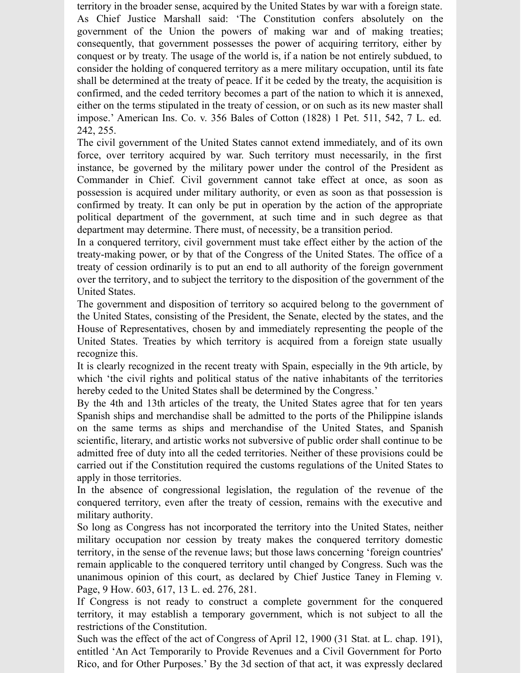territory in the broader sense, acquired by the United States by war with a foreign state. As Chief Justice Marshall said: 'The Constitution confers absolutely on the government of the Union the powers of making war and of making treaties; consequently, that government possesses the power of acquiring territory, either by conquest or by treaty. The usage of the world is, if a nation be not entirely subdued, to consider the holding of conquered territory as a mere military occupation, until its fate shall be determined at the treaty of peace. If it be ceded by the treaty, the acquisition is confirmed, and the ceded territory becomes a part of the nation to which it is annexed, either on the terms stipulated in the treaty of cession, or on such as its new master shall impose.' [American](https://1.next.westlaw.com/Link/Document/FullText?findType=Y&serNum=1800101649&pubNum=780&originatingDoc=I7a4be7179ca211d9bdd1cfdd544ca3a4&refType=RP&fi=co_pp_sp_780_542&originationContext=document&transitionType=DocumentItem&ppcid=c08eb7709fd6411ba15f8469a157103d&contextData=(sc.UserEnteredCitation)#co_pp_sp_780_542) Ins. Co. v. 356 Bales of Cotton (1828) 1 Pet. 511, 542, 7 L. ed. 242, 255.

The civil government of the United States cannot extend immediately, and of its own force, over territory acquired by war. Such territory must necessarily, in the first instance, be governed by the military power under the control of the President as Commander in Chief. Civil government cannot take effect at once, as soon as possession is acquired under military authority, or even as soon as that possession is confirmed by treaty. It can only be put in operation by the action of the appropriate political department of the government, at such time and in such degree as that department may determine. There must, of necessity, be a transition period.

In a conquered territory, civil government must take effect either by the action of the treaty-making power, or by that of the Congress of the United States. The office of a treaty of cession ordinarily is to put an end to all authority of the foreign government over the territory, and to subject the territory to the disposition of the government of the United States.

The government and disposition of territory so acquired belong to the government of the United States, consisting of the President, the Senate, elected by the states, and the House of Representatives, chosen by and immediately representing the people of the United States. Treaties by which territory is acquired from a foreign state usually recognize this.

It is clearly recognized in the recent treaty with Spain, especially in the 9th article, by which 'the civil rights and political status of the native inhabitants of the territories hereby ceded to the United States shall be determined by the Congress.'

By the 4th and 13th articles of the treaty, the United States agree that for ten years Spanish ships and merchandise shall be admitted to the ports of the Philippine islands on the same terms as ships and merchandise of the United States, and Spanish scientific, literary, and artistic works not subversive of public order shall continue to be admitted free of duty into all the ceded territories. Neither of these provisions could be carried out if the Constitution required the customs regulations of the United States to apply in those territories.

In the absence of congressional legislation, the regulation of the revenue of the conquered territory, even after the treaty of cession, remains with the executive and military authority.

So long as Congress has not incorporated the territory into the United States, neither military occupation nor cession by treaty makes the conquered territory domestic territory, in the sense of the revenue laws; but those laws concerning 'foreign countries' remain applicable to the conquered territory until changed by Congress. Such was the [unanimous](https://1.next.westlaw.com/Link/Document/FullText?findType=Y&serNum=1850303455&pubNum=780&originatingDoc=I7a4be7179ca211d9bdd1cfdd544ca3a4&refType=RP&fi=co_pp_sp_780_617&originationContext=document&transitionType=DocumentItem&ppcid=c08eb7709fd6411ba15f8469a157103d&contextData=(sc.UserEnteredCitation)#co_pp_sp_780_617) opinion of this court, as declared by Chief Justice Taney in Fleming v. Page, 9 How. 603, 617, 13 L. ed. 276, 281.

If Congress is not ready to construct a complete government for the conquered territory, it may establish a temporary government, which is not subject to all the restrictions of the Constitution.

Such was the effect of the act of Congress of April 12, 1900 (31 Stat. at L. chap. 191), entitled 'An Act Temporarily to Provide Revenues and a Civil Government for Porto Rico, and for Other Purposes.' By the 3d section of that act, it was expressly declared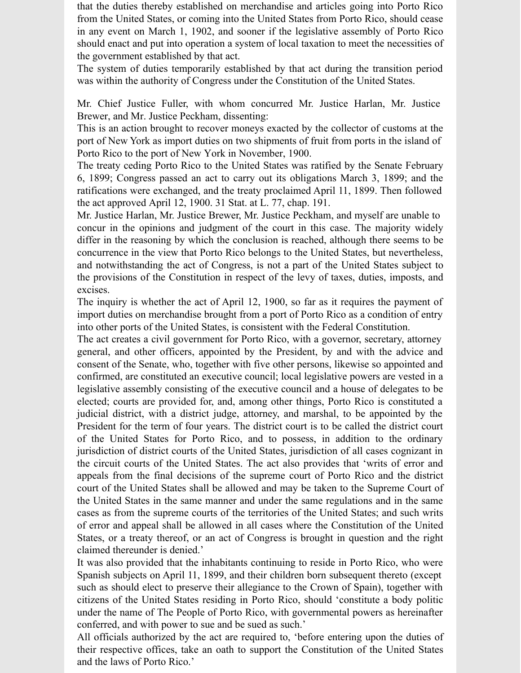that the duties thereby established on merchandise and articles going into Porto Rico from the United States, or coming into the United States from Porto Rico, should cease in any event on March 1, 1902, and sooner if the legislative assembly of Porto Rico should enact and put into operation a system of local taxation to meet the necessities of the government established by that act.

The system of duties temporarily established by that act during the transition period was within the authority of Congress under the Constitution of the United States.

Mr. Chief Justice Fuller, with whom concurred Mr. Justice Harlan, Mr. Justice Brewer, and Mr. Justice Peckham, dissenting:

This is an action brought to recover moneys exacted by the collector of customs at the port of New York as import duties on two shipments of fruit from ports in the island of Porto Rico to the port of New York in November, 1900.

The treaty ceding Porto Rico to the United States was ratified by the Senate February 6, 1899; Congress passed an act to carry out its obligations March 3, 1899; and the ratifications were exchanged, and the treaty proclaimed April 11, 1899. Then followed the act approved April 12, 1900. 31 Stat. at L. 77, chap. 191.

Mr. Justice Harlan, Mr. Justice Brewer, Mr. Justice Peckham, and myself are unable to concur in the opinions and judgment of the court in this case. The majority widely differ in the reasoning by which the conclusion is reached, although there seems to be concurrence in the view that Porto Rico belongs to the United States, but nevertheless, and notwithstanding the act of Congress, is not a part of the United States subject to the provisions of the Constitution in respect of the levy of taxes, duties, imposts, and excises.

The inquiry is whether the act of April 12, 1900, so far as it requires the payment of import duties on merchandise brought from a port of Porto Rico as a condition of entry into other ports of the United States, is consistent with the Federal Constitution.

The act creates a civil government for Porto Rico, with a governor, secretary, attorney general, and other officers, appointed by the President, by and with the advice and consent of the Senate, who, together with five other persons, likewise so appointed and confirmed, are constituted an executive council; local legislative powers are vested in a legislative assembly consisting of the executive council and a house of delegates to be elected; courts are provided for, and, among other things, Porto Rico is constituted a judicial district, with a district judge, attorney, and marshal, to be appointed by the President for the term of four years. The district court is to be called the district court of the United States for Porto Rico, and to possess, in addition to the ordinary jurisdiction of district courts of the United States, jurisdiction of all cases cognizant in the circuit courts of the United States. The act also provides that 'writs of error and appeals from the final decisions of the supreme court of Porto Rico and the district court of the United States shall be allowed and may be taken to the Supreme Court of the United States in the same manner and under the same regulations and in the same cases as from the supreme courts of the territories of the United States; and such writs of error and appeal shall be allowed in all cases where the Constitution of the United States, or a treaty thereof, or an act of Congress is brought in question and the right claimed thereunder is denied.'

It was also provided that the inhabitants continuing to reside in Porto Rico, who were Spanish subjects on April 11, 1899, and their children born subsequent thereto (except such as should elect to preserve their allegiance to the Crown of Spain), together with citizens of the United States residing in Porto Rico, should 'constitute a body politic under the name of The People of Porto Rico, with governmental powers as hereinafter conferred, and with power to sue and be sued as such.'

All officials authorized by the act are required to, 'before entering upon the duties of their respective offices, take an oath to support the Constitution of the United States and the laws of Porto Rico.'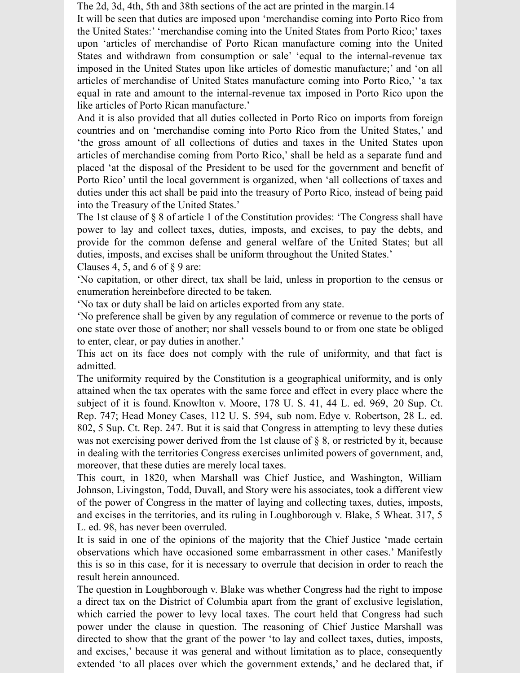The 2d, 3d, 4th, 5th and 38th sections of the act are printed in the margin[.14](https://1.next.westlaw.com/Document/I7a4be7179ca211d9bdd1cfdd544ca3a4/View/FullText.html?transitionType=UniqueDocItem&contextData=(sc.Default)&userEnteredCitation=182+us+244#co_footnote_B014141901103898)

It will be seen that duties are imposed upon 'merchandise coming into Porto Rico from the United States:' 'merchandise coming into the United States from Porto Rico;' taxes upon 'articles of merchandise of Porto Rican manufacture coming into the United States and withdrawn from consumption or sale' 'equal to the internal-revenue tax imposed in the United States upon like articles of domestic manufacture;' and 'on all articles of merchandise of United States manufacture coming into Porto Rico,' 'a tax equal in rate and amount to the internal-revenue tax imposed in Porto Rico upon the like articles of Porto Rican manufacture.'

And it is also provided that all duties collected in Porto Rico on imports from foreign countries and on 'merchandise coming into Porto Rico from the United States,' and 'the gross amount of all collections of duties and taxes in the United States upon articles of merchandise coming from Porto Rico,' shall be held as a separate fund and placed 'at the disposal of the President to be used for the government and benefit of Porto Rico' until the local government is organized, when 'all collections of taxes and duties under this act shall be paid into the treasury of Porto Rico, instead of being paid into the Treasury of the United States.'

The 1st clause of § 8 of article 1 of the Constitution provides: 'The Congress shall have power to lay and collect taxes, duties, imposts, and excises, to pay the debts, and provide for the common defense and general welfare of the United States; but all duties, imposts, and excises shall be uniform throughout the United States.' Clauses 4, 5, and 6 of  $\S$  9 are:

'No capitation, or other direct, tax shall be laid, unless in proportion to the census or

enumeration hereinbefore directed to be taken.

'No tax or duty shall be laid on articles exported from any state.

'No preference shall be given by any regulation of commerce or revenue to the ports of one state over those of another; nor shall vessels bound to or from one state be obliged to enter, clear, or pay duties in another.'

This act on its face does not comply with the rule of uniformity, and that fact is admitted.

The uniformity required by the Constitution is a geographical uniformity, and is only attained when the tax operates with the same force and effect in every place where the subject of it is found. [Knowlton](https://1.next.westlaw.com/Link/Document/FullText?findType=Y&serNum=1900108659&pubNum=780&originatingDoc=I7a4be7179ca211d9bdd1cfdd544ca3a4&refType=RP&originationContext=document&transitionType=DocumentItem&ppcid=c08eb7709fd6411ba15f8469a157103d&contextData=(sc.UserEnteredCitation)) v. Moore, 178 U. S. 41, 44 L. ed. 969, 20 Sup. Ct. Rep. 747; Head [Money](https://1.next.westlaw.com/Link/Document/FullText?findType=Y&serNum=1884180238&pubNum=780&originatingDoc=I7a4be7179ca211d9bdd1cfdd544ca3a4&refType=RP&originationContext=document&transitionType=DocumentItem&ppcid=c08eb7709fd6411ba15f8469a157103d&contextData=(sc.UserEnteredCitation)) Cases, 112 U. S. 594, sub nom. Edye v. [Robertson,](https://1.next.westlaw.com/Link/Document/FullText?findType=Y&serNum=1884180238&pubNum=708&originatingDoc=I7a4be7179ca211d9bdd1cfdd544ca3a4&refType=RP&originationContext=document&transitionType=DocumentItem&ppcid=c08eb7709fd6411ba15f8469a157103d&contextData=(sc.UserEnteredCitation)) 28 L. ed. 802, 5 Sup. Ct. Rep. 247. But it is said that Congress in attempting to levy these duties was not exercising power derived from the 1st clause of § 8, or restricted by it, because in dealing with the territories Congress exercises unlimited powers of government, and, moreover, that these duties are merely local taxes.

This court, in 1820, when Marshall was Chief Justice, and Washington, William Johnson, Livingston, Todd, Duvall, and Story were his associates, took a different view of the power of Congress in the matter of laying and collecting taxes, duties, imposts, and excises in the territories, and its ruling in [Loughborough](https://1.next.westlaw.com/Link/Document/FullText?findType=Y&serNum=1820122924&pubNum=780&originatingDoc=I7a4be7179ca211d9bdd1cfdd544ca3a4&refType=RP&originationContext=document&transitionType=DocumentItem&ppcid=c08eb7709fd6411ba15f8469a157103d&contextData=(sc.UserEnteredCitation)) v. Blake, 5 Wheat. 317, 5 L. ed. 98, has never been overruled.

It is said in one of the opinions of the majority that the Chief Justice 'made certain observations which have occasioned some embarrassment in other cases.' Manifestly this is so in this case, for it is necessary to overrule that decision in order to reach the result herein announced.

The question in Loughborough v. Blake was whether Congress had the right to impose a direct tax on the District of Columbia apart from the grant of exclusive legislation, which carried the power to levy local taxes. The court held that Congress had such power under the clause in question. The reasoning of Chief Justice Marshall was directed to show that the grant of the power 'to lay and collect taxes, duties, imposts, and excises,' because it was general and without limitation as to place, consequently extended 'to all places over which the government extends,' and he declared that, if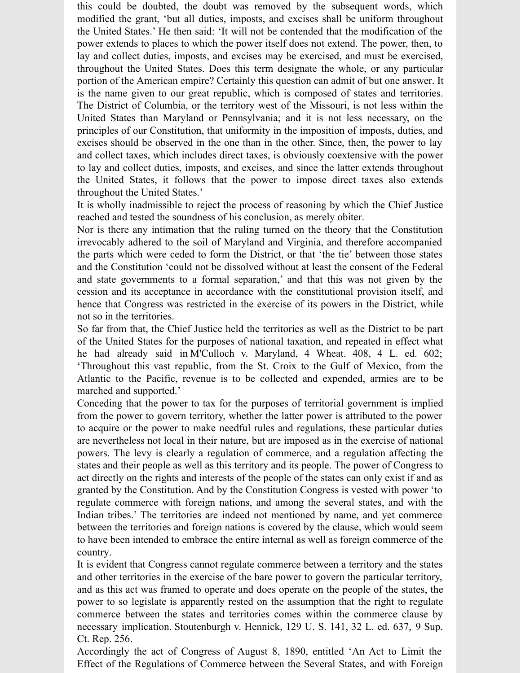this could be doubted, the doubt was removed by the subsequent words, which modified the grant, 'but all duties, imposts, and excises shall be uniform throughout the United States.' He then said: 'It will not be contended that the modification of the power extends to places to which the power itself does not extend. The power, then, to lay and collect duties, imposts, and excises may be exercised, and must be exercised, throughout the United States. Does this term designate the whole, or any particular portion of the American empire? Certainly this question can admit of but one answer. It is the name given to our great republic, which is composed of states and territories. The District of Columbia, or the territory west of the Missouri, is not less within the United States than Maryland or Pennsylvania; and it is not less necessary, on the principles of our Constitution, that uniformity in the imposition of imposts, duties, and excises should be observed in the one than in the other. Since, then, the power to lay and collect taxes, which includes direct taxes, is obviously coextensive with the power to lay and collect duties, imposts, and excises, and since the latter extends throughout the United States, it follows that the power to impose direct taxes also extends throughout the United States.'

It is wholly inadmissible to reject the process of reasoning by which the Chief Justice reached and tested the soundness of his conclusion, as merely obiter.

Nor is there any intimation that the ruling turned on the theory that the Constitution irrevocably adhered to the soil of Maryland and Virginia, and therefore accompanied the parts which were ceded to form the District, or that 'the tie' between those states and the Constitution 'could not be dissolved without at least the consent of the Federal and state governments to a formal separation,' and that this was not given by the cession and its acceptance in accordance with the constitutional provision itself, and hence that Congress was restricted in the exercise of its powers in the District, while not so in the territories.

So far from that, the Chief Justice held the territories as well as the District to be part of the United States for the purposes of national taxation, and repeated in effect what he had already said in [M'Culloch](https://1.next.westlaw.com/Link/Document/FullText?findType=Y&serNum=1800123335&pubNum=780&originatingDoc=I7a4be7179ca211d9bdd1cfdd544ca3a4&refType=RP&originationContext=document&transitionType=DocumentItem&ppcid=c08eb7709fd6411ba15f8469a157103d&contextData=(sc.UserEnteredCitation)) v. Maryland, 4 Wheat. 408, 4 L. ed. 602; 'Throughout this vast republic, from the St. Croix to the Gulf of Mexico, from the Atlantic to the Pacific, revenue is to be collected and expended, armies are to be marched and supported.'

Conceding that the power to tax for the purposes of territorial government is implied from the power to govern territory, whether the latter power is attributed to the power to acquire or the power to make needful rules and regulations, these particular duties are nevertheless not local in their nature, but are imposed as in the exercise of national powers. The levy is clearly a regulation of commerce, and a regulation affecting the states and their people as well as this territory and its people. The power of Congress to act directly on the rights and interests of the people of the states can only exist if and as granted by the Constitution. And by the Constitution Congress is vested with power 'to regulate commerce with foreign nations, and among the several states, and with the Indian tribes.' The territories are indeed not mentioned by name, and yet commerce between the territories and foreign nations is covered by the clause, which would seem to have been intended to embrace the entire internal as well as foreign commerce of the country.

It is evident that Congress cannot regulate commerce between a territory and the states and other territories in the exercise of the bare power to govern the particular territory, and as this act was framed to operate and does operate on the people of the states, the power to so legislate is apparently rested on the assumption that the right to regulate commerce between the states and territories comes within the commerce clause by necessary implication. [Stoutenburgh](https://1.next.westlaw.com/Link/Document/FullText?findType=Y&serNum=1889180192&pubNum=780&originatingDoc=I7a4be7179ca211d9bdd1cfdd544ca3a4&refType=RP&originationContext=document&transitionType=DocumentItem&ppcid=c08eb7709fd6411ba15f8469a157103d&contextData=(sc.UserEnteredCitation)) v. Hennick, 129 U. S. 141, 32 L. ed. 637, 9 Sup. Ct. Rep. 256.

Accordingly the act of Congress of August 8, 1890, entitled 'An Act to Limit the Effect of the Regulations of Commerce between the Several States, and with Foreign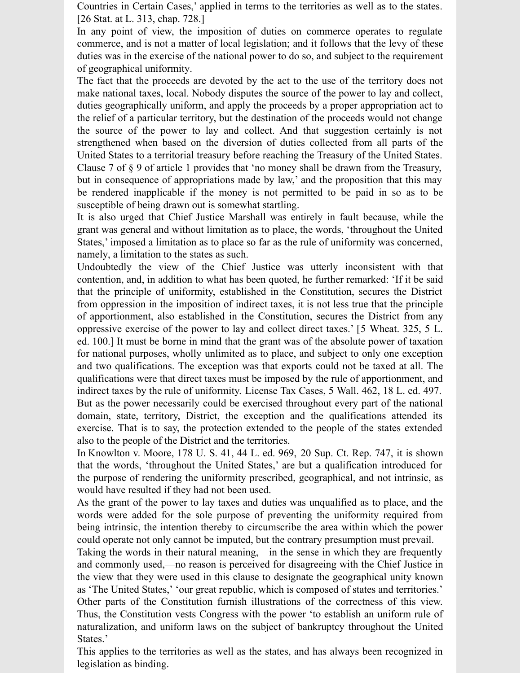Countries in Certain Cases,' applied in terms to the territories as well as to the states. [26 Stat. at L. 313, chap. 728.]

In any point of view, the imposition of duties on commerce operates to regulate commerce, and is not a matter of local legislation; and it follows that the levy of these duties was in the exercise of the national power to do so, and subject to the requirement of geographical uniformity.

The fact that the proceeds are devoted by the act to the use of the territory does not make national taxes, local. Nobody disputes the source of the power to lay and collect, duties geographically uniform, and apply the proceeds by a proper appropriation act to the relief of a particular territory, but the destination of the proceeds would not change the source of the power to lay and collect. And that suggestion certainly is not strengthened when based on the diversion of duties collected from all parts of the United States to a territorial treasury before reaching the Treasury of the United States. Clause 7 of § 9 of article 1 provides that 'no money shall be drawn from the Treasury, but in consequence of appropriations made by law,' and the proposition that this may be rendered inapplicable if the money is not permitted to be paid in so as to be susceptible of being drawn out is somewhat startling.

It is also urged that Chief Justice Marshall was entirely in fault because, while the grant was general and without limitation as to place, the words, 'throughout the United States,' imposed a limitation as to place so far as the rule of uniformity was concerned, namely, a limitation to the states as such.

Undoubtedly the view of the Chief Justice was utterly inconsistent with that contention, and, in addition to what has been quoted, he further remarked: 'If it be said that the principle of uniformity, established in the Constitution, secures the District from oppression in the imposition of indirect taxes, it is not less true that the principle of apportionment, also established in the Constitution, secures the District from any [oppressive](https://1.next.westlaw.com/Link/Document/FullText?findType=Y&serNum=1820124530&pubNum=470&originatingDoc=I7a4be7179ca211d9bdd1cfdd544ca3a4&refType=RP&originationContext=document&transitionType=DocumentItem&ppcid=c08eb7709fd6411ba15f8469a157103d&contextData=(sc.UserEnteredCitation)) exercise of the power to lay and collect direct taxes.' [5 [Wheat.](https://1.next.westlaw.com/Link/Document/FullText?findType=Y&serNum=1820122924&pubNum=780&originatingDoc=I7a4be7179ca211d9bdd1cfdd544ca3a4&refType=RP&originationContext=document&transitionType=DocumentItem&ppcid=c08eb7709fd6411ba15f8469a157103d&contextData=(sc.UserEnteredCitation)) 325, 5 L. ed. 100.] It must be borne in mind that the grant was of the absolute power of taxation for national purposes, wholly unlimited as to place, and subject to only one exception and two qualifications. The exception was that exports could not be taxed at all. The qualifications were that direct taxes must be imposed by the rule of apportionment, and indirect taxes by the rule of uniformity. [License](https://1.next.westlaw.com/Link/Document/FullText?findType=Y&serNum=1801103422&pubNum=780&originatingDoc=I7a4be7179ca211d9bdd1cfdd544ca3a4&refType=RP&originationContext=document&transitionType=DocumentItem&ppcid=c08eb7709fd6411ba15f8469a157103d&contextData=(sc.UserEnteredCitation)) Tax Cases, 5 Wall. 462, 18 L. ed. 497. But as the power necessarily could be exercised throughout every part of the national domain, state, territory, District, the exception and the qualifications attended its exercise. That is to say, the protection extended to the people of the states extended also to the people of the District and the territories.

In [Knowlton](https://1.next.westlaw.com/Link/Document/FullText?findType=Y&serNum=1900108659&pubNum=780&originatingDoc=I7a4be7179ca211d9bdd1cfdd544ca3a4&refType=RP&originationContext=document&transitionType=DocumentItem&ppcid=c08eb7709fd6411ba15f8469a157103d&contextData=(sc.UserEnteredCitation)) v. Moore, 178 U. S. 41, 44 L. ed. 969, 20 Sup. Ct. [Rep.](https://1.next.westlaw.com/Link/Document/FullText?findType=Y&serNum=1900108659&pubNum=708&originatingDoc=I7a4be7179ca211d9bdd1cfdd544ca3a4&refType=RP&originationContext=document&transitionType=DocumentItem&ppcid=c08eb7709fd6411ba15f8469a157103d&contextData=(sc.UserEnteredCitation)) 747, it is shown that the words, 'throughout the United States,' are but a qualification introduced for the purpose of rendering the uniformity prescribed, geographical, and not intrinsic, as would have resulted if they had not been used.

As the grant of the power to lay taxes and duties was unqualified as to place, and the words were added for the sole purpose of preventing the uniformity required from being intrinsic, the intention thereby to circumscribe the area within which the power could operate not only cannot be imputed, but the contrary presumption must prevail.

Taking the words in their natural meaning,—in the sense in which they are frequently and commonly used,—no reason is perceived for disagreeing with the Chief Justice in the view that they were used in this clause to designate the geographical unity known as 'The United States,' 'our great republic, which is composed of states and territories.'

Other parts of the Constitution furnish illustrations of the correctness of this view. Thus, the Constitution vests Congress with the power 'to establish an uniform rule of naturalization, and uniform laws on the subject of bankruptcy throughout the United States.'

This applies to the territories as well as the states, and has always been recognized in legislation as binding.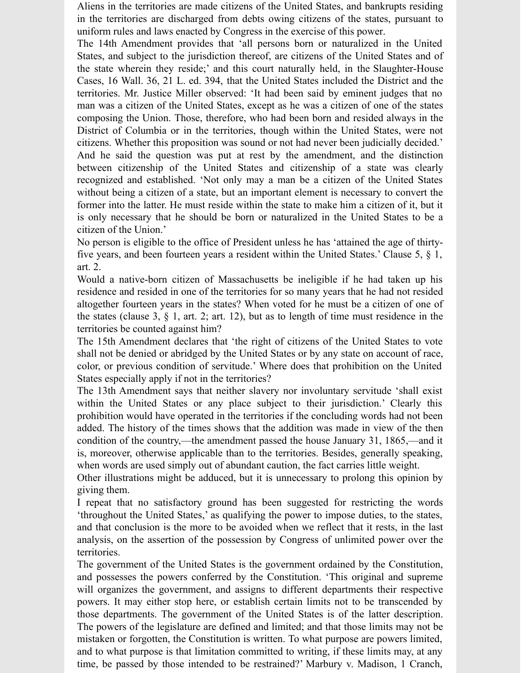Aliens in the territories are made citizens of the United States, and bankrupts residing in the territories are discharged from debts owing citizens of the states, pursuant to uniform rules and laws enacted by Congress in the exercise of this power.

The 14th Amendment provides that 'all persons born or naturalized in the United States, and subject to the jurisdiction thereof, are citizens of the United States and of the state wherein they reside;' and this court naturally held, in the [Slaughter-House](https://1.next.westlaw.com/Link/Document/FullText?findType=Y&serNum=1872196552&pubNum=780&originatingDoc=I7a4be7179ca211d9bdd1cfdd544ca3a4&refType=RP&originationContext=document&transitionType=DocumentItem&ppcid=c08eb7709fd6411ba15f8469a157103d&contextData=(sc.UserEnteredCitation)) Cases, 16 Wall. 36, 21 L. ed. 394, that the United States included the District and the territories. Mr. Justice Miller observed: 'It had been said by eminent judges that no man was a citizen of the United States, except as he was a citizen of one of the states composing the Union. Those, therefore, who had been born and resided always in the District of Columbia or in the territories, though within the United States, were not citizens. Whether this proposition was sound or not had never been judicially decided.' And he said the question was put at rest by the amendment, and the distinction between citizenship of the United States and citizenship of a state was clearly recognized and established. 'Not only may a man be a citizen of the United States without being a citizen of a state, but an important element is necessary to convert the former into the latter. He must reside within the state to make him a citizen of it, but it is only necessary that he should be born or naturalized in the United States to be a citizen of the Union.'

No person is eligible to the office of President unless he has 'attained the age of thirtyfive years, and been fourteen years a resident within the United States.' Clause 5, § 1, art. 2.

Would a native-born citizen of Massachusetts be ineligible if he had taken up his residence and resided in one of the territories for so many years that he had not resided altogether fourteen years in the states? When voted for he must be a citizen of one of the states (clause 3,  $\S$  1, art. 2; art. 12), but as to length of time must residence in the territories be counted against him?

The 15th Amendment declares that 'the right of citizens of the United States to vote shall not be denied or abridged by the United States or by any state on account of race, color, or previous condition of servitude.' Where does that prohibition on the United States especially apply if not in the territories?

The 13th Amendment says that neither slavery nor involuntary servitude 'shall exist within the United States or any place subject to their jurisdiction.' Clearly this prohibition would have operated in the territories if the concluding words had not been added. The history of the times shows that the addition was made in view of the then condition of the country,—the amendment passed the house January 31, 1865,—and it is, moreover, otherwise applicable than to the territories. Besides, generally speaking, when words are used simply out of abundant caution, the fact carries little weight.

Other illustrations might be adduced, but it is unnecessary to prolong this opinion by giving them.

I repeat that no satisfactory ground has been suggested for restricting the words 'throughout the United States,' as qualifying the power to impose duties, to the states, and that conclusion is the more to be avoided when we reflect that it rests, in the last analysis, on the assertion of the possession by Congress of unlimited power over the territories.

The government of the United States is the government ordained by the Constitution, and possesses the powers conferred by the Constitution. 'This original and supreme will organizes the government, and assigns to different departments their respective powers. It may either stop here, or establish certain limits not to be transcended by those departments. The government of the United States is of the latter description. The powers of the legislature are defined and limited; and that those limits may not be mistaken or forgotten, the Constitution is written. To what purpose are powers limited, and to what purpose is that limitation committed to writing, if these limits may, at any time, be passed by those intended to be [restrained?'](https://1.next.westlaw.com/Link/Document/FullText?findType=Y&serNum=1801123932&pubNum=780&originatingDoc=I7a4be7179ca211d9bdd1cfdd544ca3a4&refType=RP&originationContext=document&transitionType=DocumentItem&ppcid=c08eb7709fd6411ba15f8469a157103d&contextData=(sc.UserEnteredCitation)) Marbury v. Madison, 1 Cranch,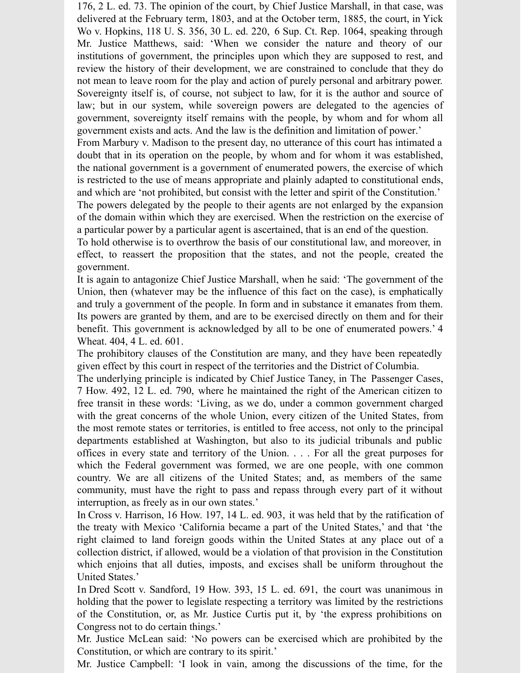176, 2 L. ed. 73. The opinion of the court, by Chief Justice Marshall, in that case, was [delivered](https://1.next.westlaw.com/Link/Document/FullText?findType=Y&serNum=1886180012&pubNum=780&originatingDoc=I7a4be7179ca211d9bdd1cfdd544ca3a4&refType=RP&originationContext=document&transitionType=DocumentItem&ppcid=c08eb7709fd6411ba15f8469a157103d&contextData=(sc.UserEnteredCitation)) at the February term, 1803, and at the October term, 1885, the court, in Yick Wo v. Hopkins, 118 U. S. 356, 30 L. ed. 220, 6 Sup. Ct. Rep. [1064,](https://1.next.westlaw.com/Link/Document/FullText?findType=Y&serNum=1886180012&pubNum=708&originatingDoc=I7a4be7179ca211d9bdd1cfdd544ca3a4&refType=RP&originationContext=document&transitionType=DocumentItem&ppcid=c08eb7709fd6411ba15f8469a157103d&contextData=(sc.UserEnteredCitation)) speaking through Mr. Justice Matthews, said: 'When we consider the nature and theory of our institutions of government, the principles upon which they are supposed to rest, and review the history of their development, we are constrained to conclude that they do not mean to leave room for the play and action of purely personal and arbitrary power. Sovereignty itself is, of course, not subject to law, for it is the author and source of law; but in our system, while sovereign powers are delegated to the agencies of government, sovereignty itself remains with the people, by whom and for whom all government exists and acts. And the law is the definition and limitation of power.'

From Marbury v. Madison to the present day, no utterance of this court has intimated a doubt that in its operation on the people, by whom and for whom it was established, the national government is a government of enumerated powers, the exercise of which is restricted to the use of means appropriate and plainly adapted to constitutional ends, and which are 'not prohibited, but consist with the letter and spirit of the Constitution.'

The powers delegated by the people to their agents are not enlarged by the expansion of the domain within which they are exercised. When the restriction on the exercise of a particular power by a particular agent is ascertained, that is an end of the question.

To hold otherwise is to overthrow the basis of our constitutional law, and moreover, in effect, to reassert the proposition that the states, and not the people, created the government.

It is again to antagonize Chief Justice Marshall, when he said: 'The government of the Union, then (whatever may be the influence of this fact on the case), is emphatically and truly a government of the people. In form and in substance it emanates from them. Its powers are granted by them, and are to be exercised directly on them and for their benefit. This government is [acknowledged](https://1.next.westlaw.com/Link/Document/FullText?findType=Y&serNum=1800123335&pubNum=780&originatingDoc=I7a4be7179ca211d9bdd1cfdd544ca3a4&refType=RP&originationContext=document&transitionType=DocumentItem&ppcid=c08eb7709fd6411ba15f8469a157103d&contextData=(sc.UserEnteredCitation)) by all to be one of enumerated powers.' 4 Wheat. 404, 4 L. ed. 601.

The prohibitory clauses of the Constitution are many, and they have been repeatedly given effect by this court in respect of the territories and the District of Columbia.

The underlying principle is indicated by Chief Justice Taney, in The Passenger Cases, 7 How. 492, 12 L. ed. 790, where he [maintained](https://1.next.westlaw.com/Link/Document/FullText?findType=Y&serNum=1800106599&pubNum=780&originatingDoc=I7a4be7179ca211d9bdd1cfdd544ca3a4&refType=RP&originationContext=document&transitionType=DocumentItem&ppcid=c08eb7709fd6411ba15f8469a157103d&contextData=(sc.UserEnteredCitation)) the right of the American citizen to free transit in these words: 'Living, as we do, under a common government charged with the great concerns of the whole Union, every citizen of the United States, from the most remote states or territories, is entitled to free access, not only to the principal departments established at Washington, but also to its judicial tribunals and public offices in every state and territory of the Union. . . . For all the great purposes for which the Federal government was formed, we are one people, with one common country. We are all citizens of the United States; and, as members of the same community, must have the right to pass and repass through every part of it without interruption, as freely as in our own states.'

In Cross v. [Harrison,](https://1.next.westlaw.com/Link/Document/FullText?findType=Y&serNum=1853132932&pubNum=780&originatingDoc=I7a4be7179ca211d9bdd1cfdd544ca3a4&refType=RP&originationContext=document&transitionType=DocumentItem&ppcid=c08eb7709fd6411ba15f8469a157103d&contextData=(sc.UserEnteredCitation)) 16 How. 197, 14 L. ed. 903, it was held that by the ratification of the treaty with Mexico 'California became a part of the United States,' and that 'the right claimed to land foreign goods within the United States at any place out of a collection district, if allowed, would be a violation of that provision in the Constitution which enjoins that all duties, imposts, and excises shall be uniform throughout the United States.'

In Dred Scott v. [Sandford,](https://1.next.westlaw.com/Link/Document/FullText?findType=Y&serNum=1856193196&pubNum=780&originatingDoc=I7a4be7179ca211d9bdd1cfdd544ca3a4&refType=RP&originationContext=document&transitionType=DocumentItem&ppcid=c08eb7709fd6411ba15f8469a157103d&contextData=(sc.UserEnteredCitation)) 19 How. 393, 15 L. ed. 691, the court was unanimous in holding that the power to legislate respecting a territory was limited by the restrictions of the Constitution, or, as Mr. Justice Curtis put it, by 'the express prohibitions on Congress not to do certain things.'

Mr. Justice McLean said: 'No powers can be exercised which are prohibited by the Constitution, or which are contrary to its spirit.'

Mr. Justice Campbell: 'I look in vain, among the discussions of the time, for the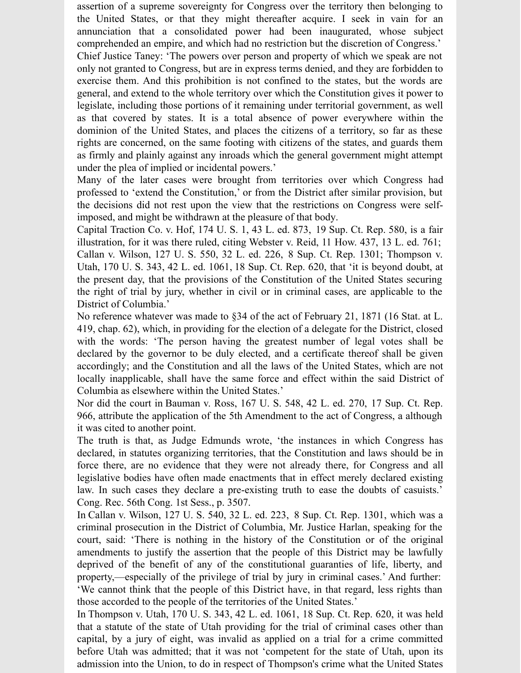assertion of a supreme sovereignty for Congress over the territory then belonging to the United States, or that they might thereafter acquire. I seek in vain for an annunciation that a consolidated power had been inaugurated, whose subject comprehended an empire, and which had no restriction but the discretion of Congress.' Chief Justice Taney: 'The powers over person and property of which we speak are not only not granted to Congress, but are in express terms denied, and they are forbidden to exercise them. And this prohibition is not confined to the states, but the words are general, and extend to the whole territory over which the Constitution gives it power to legislate, including those portions of it remaining under territorial government, as well as that covered by states. It is a total absence of power everywhere within the dominion of the United States, and places the citizens of a territory, so far as these rights are concerned, on the same footing with citizens of the states, and guards them as firmly and plainly against any inroads which the general government might attempt under the plea of implied or incidental powers.'

Many of the later cases were brought from territories over which Congress had professed to 'extend the Constitution,' or from the District after similar provision, but the decisions did not rest upon the view that the restrictions on Congress were selfimposed, and might be withdrawn at the pleasure of that body.

Capital [Traction](https://1.next.westlaw.com/Link/Document/FullText?findType=Y&serNum=1899180133&pubNum=780&originatingDoc=I7a4be7179ca211d9bdd1cfdd544ca3a4&refType=RP&originationContext=document&transitionType=DocumentItem&ppcid=c08eb7709fd6411ba15f8469a157103d&contextData=(sc.UserEnteredCitation)) Co. v. Hof, 174 U. S. 1, 43 L. ed. 873, 19 Sup. Ct. [Rep.](https://1.next.westlaw.com/Link/Document/FullText?findType=Y&serNum=1899180133&pubNum=708&originatingDoc=I7a4be7179ca211d9bdd1cfdd544ca3a4&refType=RP&originationContext=document&transitionType=DocumentItem&ppcid=c08eb7709fd6411ba15f8469a157103d&contextData=(sc.UserEnteredCitation)) 580, is a fair illustration, for it was there ruled, citing [Webster](https://1.next.westlaw.com/Link/Document/FullText?findType=Y&serNum=1800139138&pubNum=780&originatingDoc=I7a4be7179ca211d9bdd1cfdd544ca3a4&refType=RP&originationContext=document&transitionType=DocumentItem&ppcid=c08eb7709fd6411ba15f8469a157103d&contextData=(sc.UserEnteredCitation)) v. Reid, 11 How. 437, 13 L. ed. 761; Callan v. [Wilson,](https://1.next.westlaw.com/Link/Document/FullText?findType=Y&serNum=1888180191&pubNum=780&originatingDoc=I7a4be7179ca211d9bdd1cfdd544ca3a4&refType=RP&originationContext=document&transitionType=DocumentItem&ppcid=c08eb7709fd6411ba15f8469a157103d&contextData=(sc.UserEnteredCitation)) 127 U. S. 550, 32 L. ed. 226, 8 Sup. Ct. Rep. [1301;](https://1.next.westlaw.com/Link/Document/FullText?findType=Y&serNum=1888180191&pubNum=708&originatingDoc=I7a4be7179ca211d9bdd1cfdd544ca3a4&refType=RP&originationContext=document&transitionType=DocumentItem&ppcid=c08eb7709fd6411ba15f8469a157103d&contextData=(sc.UserEnteredCitation)) [Thompson](https://1.next.westlaw.com/Link/Document/FullText?findType=Y&serNum=1898180010&pubNum=780&originatingDoc=I7a4be7179ca211d9bdd1cfdd544ca3a4&refType=RP&originationContext=document&transitionType=DocumentItem&ppcid=c08eb7709fd6411ba15f8469a157103d&contextData=(sc.UserEnteredCitation)) v. Utah, 170 U. S. 343, 42 L. ed. 1061, 18 Sup. Ct. [Rep.](https://1.next.westlaw.com/Link/Document/FullText?findType=Y&serNum=1898180010&pubNum=708&originatingDoc=I7a4be7179ca211d9bdd1cfdd544ca3a4&refType=RP&originationContext=document&transitionType=DocumentItem&ppcid=c08eb7709fd6411ba15f8469a157103d&contextData=(sc.UserEnteredCitation)) 620, that 'it is beyond doubt, at the present day, that the provisions of the Constitution of the United States securing the right of trial by jury, whether in civil or in criminal cases, are applicable to the District of Columbia.'

No reference whatever was made to §34 of the act of February 21, 1871 (16 Stat. at L. 419, chap. 62), which, in providing for the election of a delegate for the District, closed with the words: 'The person having the greatest number of legal votes shall be declared by the governor to be duly elected, and a certificate thereof shall be given accordingly; and the Constitution and all the laws of the United States, which are not locally inapplicable, shall have the same force and effect within the said District of Columbia as elsewhere within the United States.'

Nor did the court in [Bauman](https://1.next.westlaw.com/Link/Document/FullText?findType=Y&serNum=1897180110&pubNum=780&originatingDoc=I7a4be7179ca211d9bdd1cfdd544ca3a4&refType=RP&originationContext=document&transitionType=DocumentItem&ppcid=c08eb7709fd6411ba15f8469a157103d&contextData=(sc.UserEnteredCitation)) v. Ross, 167 U. S. 548, 42 L. ed. 270, 17 Sup. Ct. Rep. 966, attribute the application of the 5th [Amendment](https://1.next.westlaw.com/Link/Document/FullText?findType=Y&serNum=1897180110&pubNum=708&originatingDoc=I7a4be7179ca211d9bdd1cfdd544ca3a4&refType=RP&originationContext=document&transitionType=DocumentItem&ppcid=c08eb7709fd6411ba15f8469a157103d&contextData=(sc.UserEnteredCitation)) to the act of Congress, a although it was cited to another point.

The truth is that, as Judge Edmunds wrote, 'the instances in which Congress has declared, in statutes organizing territories, that the Constitution and laws should be in force there, are no evidence that they were not already there, for Congress and all legislative bodies have often made enactments that in effect merely declared existing law. In such cases they declare a pre-existing truth to ease the doubts of casuists.' Cong. Rec. 56th Cong. 1st Sess., p. 3507.

In Callan v. [Wilson,](https://1.next.westlaw.com/Link/Document/FullText?findType=Y&serNum=1888180191&pubNum=780&originatingDoc=I7a4be7179ca211d9bdd1cfdd544ca3a4&refType=RP&originationContext=document&transitionType=DocumentItem&ppcid=c08eb7709fd6411ba15f8469a157103d&contextData=(sc.UserEnteredCitation)) 127 U. S. 540, 32 L. ed. 223, 8 Sup. Ct. Rep. [1301,](https://1.next.westlaw.com/Link/Document/FullText?findType=Y&serNum=1888180191&pubNum=708&originatingDoc=I7a4be7179ca211d9bdd1cfdd544ca3a4&refType=RP&originationContext=document&transitionType=DocumentItem&ppcid=c08eb7709fd6411ba15f8469a157103d&contextData=(sc.UserEnteredCitation)) which was a criminal prosecution in the District of Columbia, Mr. Justice Harlan, speaking for the court, said: 'There is nothing in the history of the Constitution or of the original amendments to justify the assertion that the people of this District may be lawfully deprived of the benefit of any of the constitutional guaranties of life, liberty, and property,—especially of the privilege of trial by jury in criminal cases.' And further: 'We cannot think that the people of this District have, in that regard, less rights than those accorded to the people of the territories of the United States.'

In [Thompson](https://1.next.westlaw.com/Link/Document/FullText?findType=Y&serNum=1898180010&pubNum=780&originatingDoc=I7a4be7179ca211d9bdd1cfdd544ca3a4&refType=RP&originationContext=document&transitionType=DocumentItem&ppcid=c08eb7709fd6411ba15f8469a157103d&contextData=(sc.UserEnteredCitation)) v. Utah, 170 U. S. 343, 42 L. ed. 1061, 18 Sup. Ct. [Rep.](https://1.next.westlaw.com/Link/Document/FullText?findType=Y&serNum=1898180010&pubNum=708&originatingDoc=I7a4be7179ca211d9bdd1cfdd544ca3a4&refType=RP&originationContext=document&transitionType=DocumentItem&ppcid=c08eb7709fd6411ba15f8469a157103d&contextData=(sc.UserEnteredCitation)) 620, it was held that a statute of the state of Utah providing for the trial of criminal cases other than capital, by a jury of eight, was invalid as applied on a trial for a crime committed before Utah was admitted; that it was not 'competent for the state of Utah, upon its admission into the Union, to do in respect of Thompson's crime what the United States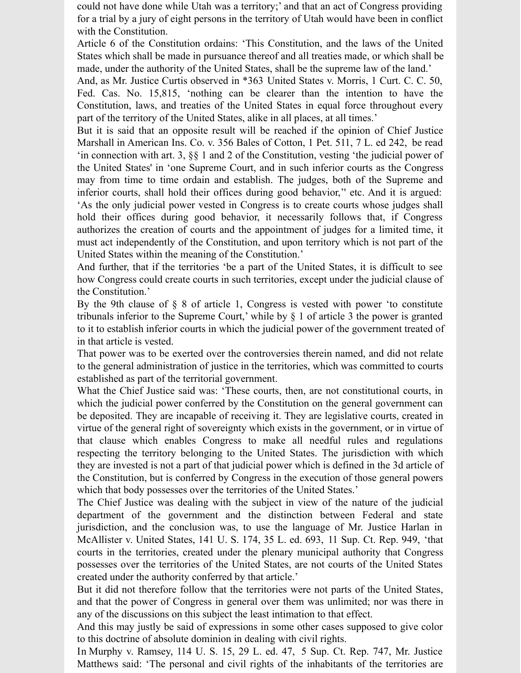could not have done while Utah was a territory;' and that an act of Congress providing for a trial by a jury of eight persons in the territory of Utah would have been in conflict with the Constitution.

Article 6 of the Constitution ordains: 'This Constitution, and the laws of the United States which shall be made in pursuance thereof and all treaties made, or which shall be made, under the authority of the United States, shall be the supreme law of the land.'

And, as Mr. Justice Curtis [observed](https://1.next.westlaw.com/Link/Document/FullText?findType=Y&serNum=1800136505&pubNum=349&originatingDoc=I7a4be7179ca211d9bdd1cfdd544ca3a4&refType=RP&originationContext=document&transitionType=DocumentItem&ppcid=c08eb7709fd6411ba15f8469a157103d&contextData=(sc.UserEnteredCitation)) in \*363 United States v. Morris, 1 Curt. C. C. 50, Fed. Cas. No. 15,815, 'nothing can be clearer than the intention to have the Constitution, laws, and treaties of the United States in equal force throughout every part of the territory of the United States, alike in all places, at all times.'

But it is said that an opposite result will be reached if the opinion of Chief Justice Marshall in [American](https://1.next.westlaw.com/Link/Document/FullText?findType=Y&serNum=1800101649&pubNum=780&originatingDoc=I7a4be7179ca211d9bdd1cfdd544ca3a4&refType=RP&originationContext=document&transitionType=DocumentItem&ppcid=c08eb7709fd6411ba15f8469a157103d&contextData=(sc.UserEnteredCitation)) Ins. Co. v. 356 Bales of Cotton, 1 Pet. 511, 7 L. ed 242, be read 'in connection with art. 3, §§ 1 and 2 of the Constitution, vesting 'the judicial power of the United States' in 'one Supreme Court, and in such inferior courts as the Congress may from time to time ordain and establish. The judges, both of the Supreme and inferior courts, shall hold their offices during good behavior,'' etc. And it is argued: 'As the only judicial power vested in Congress is to create courts whose judges shall hold their offices during good behavior, it necessarily follows that, if Congress authorizes the creation of courts and the appointment of judges for a limited time, it must act independently of the Constitution, and upon territory which is not part of the United States within the meaning of the Constitution.'

And further, that if the territories 'be a part of the United States, it is difficult to see how Congress could create courts in such territories, except under the judicial clause of the Constitution.'

By the 9th clause of § 8 of article 1, Congress is vested with power 'to constitute tribunals inferior to the Supreme Court,' while by § 1 of article 3 the power is granted to it to establish inferior courts in which the judicial power of the government treated of in that article is vested.

That power was to be exerted over the controversies therein named, and did not relate to the general administration of justice in the territories, which was committed to courts established as part of the territorial government.

What the Chief Justice said was: 'These courts, then, are not constitutional courts, in which the judicial power conferred by the Constitution on the general government can be deposited. They are incapable of receiving it. They are legislative courts, created in virtue of the general right of sovereignty which exists in the government, or in virtue of that clause which enables Congress to make all needful rules and regulations respecting the territory belonging to the United States. The jurisdiction with which they are invested is not a part of that judicial power which is defined in the 3d article of the Constitution, but is conferred by Congress in the execution of those general powers which that body possesses over the territories of the United States.'

The Chief Justice was dealing with the subject in view of the nature of the judicial department of the government and the distinction between Federal and state jurisdiction, and the conclusion was, to use the language of Mr. Justice Harlan in [McAllister](https://1.next.westlaw.com/Link/Document/FullText?findType=Y&serNum=1891180063&pubNum=780&originatingDoc=I7a4be7179ca211d9bdd1cfdd544ca3a4&refType=RP&originationContext=document&transitionType=DocumentItem&ppcid=c08eb7709fd6411ba15f8469a157103d&contextData=(sc.UserEnteredCitation)) v. United States, 141 U. S. 174, 35 L. ed. 693, 11 Sup. Ct. [Rep.](https://1.next.westlaw.com/Link/Document/FullText?findType=Y&serNum=1891180063&pubNum=708&originatingDoc=I7a4be7179ca211d9bdd1cfdd544ca3a4&refType=RP&originationContext=document&transitionType=DocumentItem&ppcid=c08eb7709fd6411ba15f8469a157103d&contextData=(sc.UserEnteredCitation)) 949, 'that courts in the territories, created under the plenary municipal authority that Congress possesses over the territories of the United States, are not courts of the United States created under the authority conferred by that article.'

But it did not therefore follow that the territories were not parts of the United States, and that the power of Congress in general over them was unlimited; nor was there in any of the discussions on this subject the least intimation to that effect.

And this may justly be said of expressions in some other cases supposed to give color to this doctrine of absolute dominion in dealing with civil rights.

In Murphy v. [Ramsey,](https://1.next.westlaw.com/Link/Document/FullText?findType=Y&serNum=1885180171&pubNum=780&originatingDoc=I7a4be7179ca211d9bdd1cfdd544ca3a4&refType=RP&originationContext=document&transitionType=DocumentItem&ppcid=c08eb7709fd6411ba15f8469a157103d&contextData=(sc.UserEnteredCitation)) 114 U. S. 15, 29 L. ed. 47, 5 Sup. Ct. [Rep.](https://1.next.westlaw.com/Link/Document/FullText?findType=Y&serNum=1885180171&pubNum=708&originatingDoc=I7a4be7179ca211d9bdd1cfdd544ca3a4&refType=RP&originationContext=document&transitionType=DocumentItem&ppcid=c08eb7709fd6411ba15f8469a157103d&contextData=(sc.UserEnteredCitation)) 747, Mr. Justice Matthews said: 'The personal and civil rights of the inhabitants of the territories are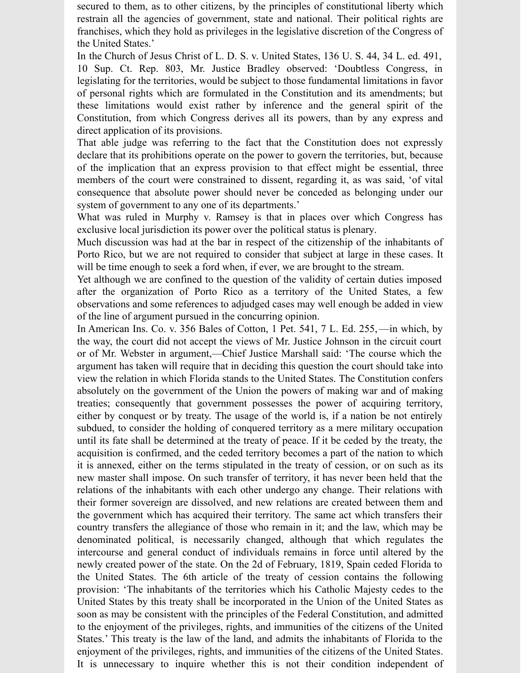secured to them, as to other citizens, by the principles of constitutional liberty which restrain all the agencies of government, state and national. Their political rights are franchises, which they hold as privileges in the legislative discretion of the Congress of the United States.'

In the [Church](https://1.next.westlaw.com/Link/Document/FullText?findType=Y&serNum=1890145167&pubNum=780&originatingDoc=I7a4be7179ca211d9bdd1cfdd544ca3a4&refType=RP&originationContext=document&transitionType=DocumentItem&ppcid=c08eb7709fd6411ba15f8469a157103d&contextData=(sc.UserEnteredCitation)) of Jesus Christ of L. D. S. v. United States, 136 U. S. 44, 34 L. ed. 491, 10 Sup. Ct. [Rep.](https://1.next.westlaw.com/Link/Document/FullText?findType=Y&serNum=1890145167&pubNum=708&originatingDoc=I7a4be7179ca211d9bdd1cfdd544ca3a4&refType=RP&originationContext=document&transitionType=DocumentItem&ppcid=c08eb7709fd6411ba15f8469a157103d&contextData=(sc.UserEnteredCitation)) 803, Mr. Justice Bradley observed: 'Doubtless Congress, in legislating for the territories, would be subject to those fundamental limitations in favor of personal rights which are formulated in the Constitution and its amendments; but these limitations would exist rather by inference and the general spirit of the Constitution, from which Congress derives all its powers, than by any express and direct application of its provisions.

That able judge was referring to the fact that the Constitution does not expressly declare that its prohibitions operate on the power to govern the territories, but, because of the implication that an express provision to that effect might be essential, three members of the court were constrained to dissent, regarding it, as was said, 'of vital consequence that absolute power should never be conceded as belonging under our system of government to any one of its departments.'

What was ruled in Murphy v. Ramsey is that in places over which Congress has exclusive local jurisdiction its power over the political status is plenary.

Much discussion was had at the bar in respect of the citizenship of the inhabitants of Porto Rico, but we are not required to consider that subject at large in these cases. It will be time enough to seek a ford when, if ever, we are brought to the stream.

Yet although we are confined to the question of the validity of certain duties imposed after the organization of Porto Rico as a territory of the United States, a few observations and some references to adjudged cases may well enough be added in view of the line of argument pursued in the concurring opinion.

In [American](https://1.next.westlaw.com/Link/Document/FullText?findType=Y&serNum=1800101649&pubNum=780&originatingDoc=I7a4be7179ca211d9bdd1cfdd544ca3a4&refType=RP&originationContext=document&transitionType=DocumentItem&ppcid=c08eb7709fd6411ba15f8469a157103d&contextData=(sc.UserEnteredCitation)) Ins. Co. v. 356 Bales of Cotton, 1 Pet. 541, 7 L. Ed. 255,—in which, by the way, the court did not accept the views of Mr. Justice Johnson in the circuit court or of Mr. Webster in argument,—Chief Justice Marshall said: 'The course which the argument has taken will require that in deciding this question the court should take into view the relation in which Florida stands to the United States. The Constitution confers absolutely on the government of the Union the powers of making war and of making treaties; consequently that government possesses the power of acquiring territory, either by conquest or by treaty. The usage of the world is, if a nation be not entirely subdued, to consider the holding of conquered territory as a mere military occupation until its fate shall be determined at the treaty of peace. If it be ceded by the treaty, the acquisition is confirmed, and the ceded territory becomes a part of the nation to which it is annexed, either on the terms stipulated in the treaty of cession, or on such as its new master shall impose. On such transfer of territory, it has never been held that the relations of the inhabitants with each other undergo any change. Their relations with their former sovereign are dissolved, and new relations are created between them and the government which has acquired their territory. The same act which transfers their country transfers the allegiance of those who remain in it; and the law, which may be denominated political, is necessarily changed, although that which regulates the intercourse and general conduct of individuals remains in force until altered by the newly created power of the state. On the 2d of February, 1819, Spain ceded Florida to the United States. The 6th article of the treaty of cession contains the following provision: 'The inhabitants of the territories which his Catholic Majesty cedes to the United States by this treaty shall be incorporated in the Union of the United States as soon as may be consistent with the principles of the Federal Constitution, and admitted to the enjoyment of the privileges, rights, and immunities of the citizens of the United States.' This treaty is the law of the land, and admits the inhabitants of Florida to the enjoyment of the privileges, rights, and immunities of the citizens of the United States. It is unnecessary to inquire whether this is not their condition independent of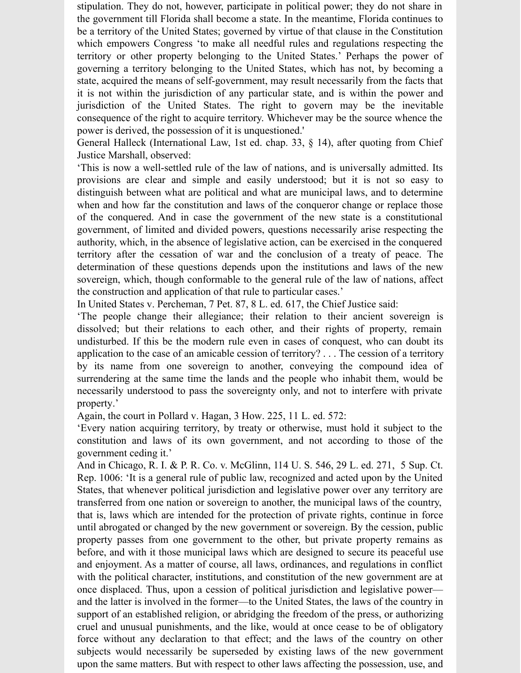stipulation. They do not, however, participate in political power; they do not share in the government till Florida shall become a state. In the meantime, Florida continues to be a territory of the United States; governed by virtue of that clause in the Constitution which empowers Congress 'to make all needful rules and regulations respecting the territory or other property belonging to the United States.' Perhaps the power of governing a territory belonging to the United States, which has not, by becoming a state, acquired the means of self-government, may result necessarily from the facts that it is not within the jurisdiction of any particular state, and is within the power and jurisdiction of the United States. The right to govern may be the inevitable consequence of the right to acquire territory. Whichever may be the source whence the power is derived, the possession of it is unquestioned.'

General Halleck (International Law, 1st ed. chap. 33, § 14), after quoting from Chief Justice Marshall, observed:

'This is now a well-settled rule of the law of nations, and is universally admitted. Its provisions are clear and simple and easily understood; but it is not so easy to distinguish between what are political and what are municipal laws, and to determine when and how far the constitution and laws of the conqueror change or replace those of the conquered. And in case the government of the new state is a constitutional government, of limited and divided powers, questions necessarily arise respecting the authority, which, in the absence of legislative action, can be exercised in the conquered territory after the cessation of war and the conclusion of a treaty of peace. The determination of these questions depends upon the institutions and laws of the new sovereign, which, though conformable to the general rule of the law of nations, affect the construction and application of that rule to particular cases.'

In United States v. [Percheman,](https://1.next.westlaw.com/Link/Document/FullText?findType=Y&serNum=1833196846&pubNum=780&originatingDoc=I7a4be7179ca211d9bdd1cfdd544ca3a4&refType=RP&originationContext=document&transitionType=DocumentItem&ppcid=c08eb7709fd6411ba15f8469a157103d&contextData=(sc.UserEnteredCitation)) 7 Pet. 87, 8 L. ed. 617, the Chief Justice said:

'The people change their allegiance; their relation to their ancient sovereign is dissolved; but their relations to each other, and their rights of property, remain undisturbed. If this be the modern rule even in cases of conquest, who can doubt its application to the case of an amicable cession of territory? . . . The cession of a territory by its name from one sovereign to another, conveying the compound idea of surrendering at the same time the lands and the people who inhabit them, would be necessarily understood to pass the sovereignty only, and not to interfere with private property.'

Again, the court in [Pollard](https://1.next.westlaw.com/Link/Document/FullText?findType=Y&serNum=1800105920&pubNum=780&originatingDoc=I7a4be7179ca211d9bdd1cfdd544ca3a4&refType=RP&originationContext=document&transitionType=DocumentItem&ppcid=c08eb7709fd6411ba15f8469a157103d&contextData=(sc.UserEnteredCitation)) v. Hagan, 3 How. 225, 11 L. ed. 572:

'Every nation acquiring territory, by treaty or otherwise, must hold it subject to the constitution and laws of its own government, and not according to those of the government ceding it.'

And in Chicago, R. I. & P. R. Co. v. [McGlinn,](https://1.next.westlaw.com/Link/Document/FullText?findType=Y&serNum=1885180099&pubNum=780&originatingDoc=I7a4be7179ca211d9bdd1cfdd544ca3a4&refType=RP&originationContext=document&transitionType=DocumentItem&ppcid=c08eb7709fd6411ba15f8469a157103d&contextData=(sc.UserEnteredCitation)) 114 U. S. 546, 29 L. ed. 271, 5 Sup. Ct. Rep. 1006: 'It is a general rule of public law, [recognized](https://1.next.westlaw.com/Link/Document/FullText?findType=Y&serNum=1885180099&pubNum=708&originatingDoc=I7a4be7179ca211d9bdd1cfdd544ca3a4&refType=RP&originationContext=document&transitionType=DocumentItem&ppcid=c08eb7709fd6411ba15f8469a157103d&contextData=(sc.UserEnteredCitation)) and acted upon by the United States, that whenever political jurisdiction and legislative power over any territory are transferred from one nation or sovereign to another, the municipal laws of the country, that is, laws which are intended for the protection of private rights, continue in force until abrogated or changed by the new government or sovereign. By the cession, public property passes from one government to the other, but private property remains as before, and with it those municipal laws which are designed to secure its peaceful use and enjoyment. As a matter of course, all laws, ordinances, and regulations in conflict with the political character, institutions, and constitution of the new government are at once displaced. Thus, upon a cession of political jurisdiction and legislative power and the latter is involved in the former—to the United States, the laws of the country in support of an established religion, or abridging the freedom of the press, or authorizing cruel and unusual punishments, and the like, would at once cease to be of obligatory force without any declaration to that effect; and the laws of the country on other subjects would necessarily be superseded by existing laws of the new government upon the same matters. But with respect to other laws affecting the possession, use, and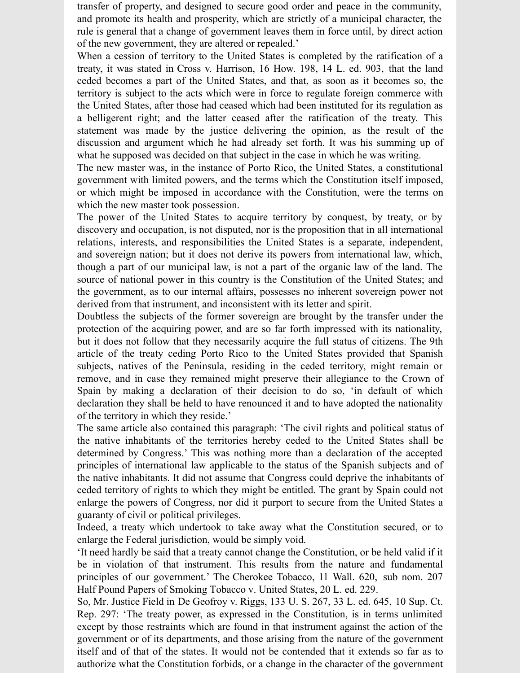transfer of property, and designed to secure good order and peace in the community, and promote its health and prosperity, which are strictly of a municipal character, the rule is general that a change of government leaves them in force until, by direct action of the new government, they are altered or repealed.'

When a cession of territory to the United States is completed by the ratification of a treaty, it was stated in Cross v. [Harrison,](https://1.next.westlaw.com/Link/Document/FullText?findType=Y&serNum=1853132932&pubNum=780&originatingDoc=I7a4be7179ca211d9bdd1cfdd544ca3a4&refType=RP&originationContext=document&transitionType=DocumentItem&ppcid=c08eb7709fd6411ba15f8469a157103d&contextData=(sc.UserEnteredCitation)) 16 How. 198, 14 L. ed. 903, that the land ceded becomes a part of the United States, and that, as soon as it becomes so, the territory is subject to the acts which were in force to regulate foreign commerce with the United States, after those had ceased which had been instituted for its regulation as a belligerent right; and the latter ceased after the ratification of the treaty. This statement was made by the justice delivering the opinion, as the result of the discussion and argument which he had already set forth. It was his summing up of what he supposed was decided on that subject in the case in which he was writing.

The new master was, in the instance of Porto Rico, the United States, a constitutional government with limited powers, and the terms which the Constitution itself imposed, or which might be imposed in accordance with the Constitution, were the terms on which the new master took possession.

The power of the United States to acquire territory by conquest, by treaty, or by discovery and occupation, is not disputed, nor is the proposition that in all international relations, interests, and responsibilities the United States is a separate, independent, and sovereign nation; but it does not derive its powers from international law, which, though a part of our municipal law, is not a part of the organic law of the land. The source of national power in this country is the Constitution of the United States; and the government, as to our internal affairs, possesses no inherent sovereign power not derived from that instrument, and inconsistent with its letter and spirit.

Doubtless the subjects of the former sovereign are brought by the transfer under the protection of the acquiring power, and are so far forth impressed with its nationality, but it does not follow that they necessarily acquire the full status of citizens. The 9th article of the treaty ceding Porto Rico to the United States provided that Spanish subjects, natives of the Peninsula, residing in the ceded territory, might remain or remove, and in case they remained might preserve their allegiance to the Crown of Spain by making a declaration of their decision to do so, 'in default of which declaration they shall be held to have renounced it and to have adopted the nationality of the territory in which they reside.'

The same article also contained this paragraph: 'The civil rights and political status of the native inhabitants of the territories hereby ceded to the United States shall be determined by Congress.' This was nothing more than a declaration of the accepted principles of international law applicable to the status of the Spanish subjects and of the native inhabitants. It did not assume that Congress could deprive the inhabitants of ceded territory of rights to which they might be entitled. The grant by Spain could not enlarge the powers of Congress, nor did it purport to secure from the United States a guaranty of civil or political privileges.

Indeed, a treaty which undertook to take away what the Constitution secured, or to enlarge the Federal jurisdiction, would be simply void.

'It need hardly be said that a treaty cannot change the Constitution, or be held valid if it be in violation of that instrument. This results from the nature and fundamental principles of our government.' The [Cherokee](https://1.next.westlaw.com/Link/Document/FullText?findType=Y&serNum=1870148605&pubNum=780&originatingDoc=I7a4be7179ca211d9bdd1cfdd544ca3a4&refType=RP&originationContext=document&transitionType=DocumentItem&ppcid=c08eb7709fd6411ba15f8469a157103d&contextData=(sc.UserEnteredCitation)) Tobacco, 11 Wall. 620, sub nom. 207 Half Pound Papers of Smoking [Tobacco](https://1.next.westlaw.com/Link/Document/FullText?findType=Y&serNum=1870148605&pubNum=470&originatingDoc=I7a4be7179ca211d9bdd1cfdd544ca3a4&refType=RP&originationContext=document&transitionType=DocumentItem&ppcid=c08eb7709fd6411ba15f8469a157103d&contextData=(sc.UserEnteredCitation)) v. United States, 20 L. ed. 229.

So, Mr. Justice Field in De [Geofroy](https://1.next.westlaw.com/Link/Document/FullText?findType=Y&serNum=1890180176&pubNum=780&originatingDoc=I7a4be7179ca211d9bdd1cfdd544ca3a4&refType=RP&originationContext=document&transitionType=DocumentItem&ppcid=c08eb7709fd6411ba15f8469a157103d&contextData=(sc.UserEnteredCitation)) v. Riggs, 133 U. S. 267, 33 L. ed. 645, 10 Sup. Ct. Rep. 297: 'The treaty power, as expressed in the [Constitution,](https://1.next.westlaw.com/Link/Document/FullText?findType=Y&serNum=1890180176&pubNum=708&originatingDoc=I7a4be7179ca211d9bdd1cfdd544ca3a4&refType=RP&originationContext=document&transitionType=DocumentItem&ppcid=c08eb7709fd6411ba15f8469a157103d&contextData=(sc.UserEnteredCitation)) is in terms unlimited except by those restraints which are found in that instrument against the action of the government or of its departments, and those arising from the nature of the government itself and of that of the states. It would not be contended that it extends so far as to authorize what the Constitution forbids, or a change in the character of the government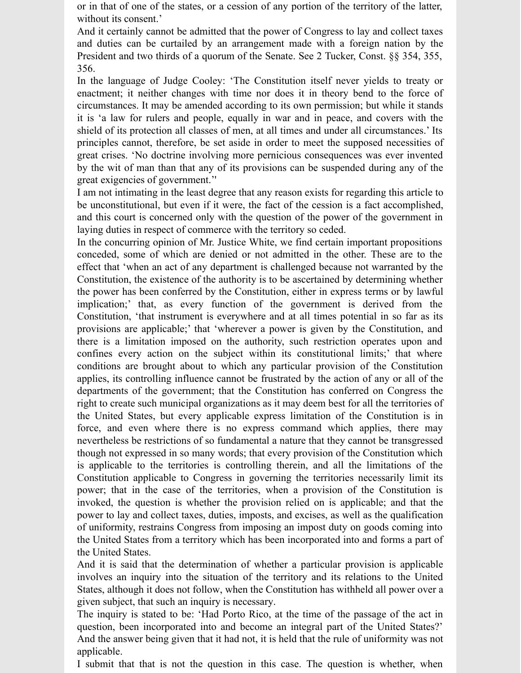or in that of one of the states, or a cession of any portion of the territory of the latter, without its consent.'

And it certainly cannot be admitted that the power of Congress to lay and collect taxes and duties can be curtailed by an arrangement made with a foreign nation by the President and two thirds of a quorum of the Senate. See 2 Tucker, Const. §§ 354, 355, 356.

In the language of Judge Cooley: 'The Constitution itself never yields to treaty or enactment; it neither changes with time nor does it in theory bend to the force of circumstances. It may be amended according to its own permission; but while it stands it is 'a law for rulers and people, equally in war and in peace, and covers with the shield of its protection all classes of men, at all times and under all circumstances.' Its principles cannot, therefore, be set aside in order to meet the supposed necessities of great crises. 'No doctrine involving more pernicious consequences was ever invented by the wit of man than that any of its provisions can be suspended during any of the great exigencies of government.''

I am not intimating in the least degree that any reason exists for regarding this article to be unconstitutional, but even if it were, the fact of the cession is a fact accomplished, and this court is concerned only with the question of the power of the government in laying duties in respect of commerce with the territory so ceded.

In the concurring opinion of Mr. Justice White, we find certain important propositions conceded, some of which are denied or not admitted in the other. These are to the effect that 'when an act of any department is challenged because not warranted by the Constitution, the existence of the authority is to be ascertained by determining whether the power has been conferred by the Constitution, either in express terms or by lawful implication;' that, as every function of the government is derived from the Constitution, 'that instrument is everywhere and at all times potential in so far as its provisions are applicable;' that 'wherever a power is given by the Constitution, and there is a limitation imposed on the authority, such restriction operates upon and confines every action on the subject within its constitutional limits;' that where conditions are brought about to which any particular provision of the Constitution applies, its controlling influence cannot be frustrated by the action of any or all of the departments of the government; that the Constitution has conferred on Congress the right to create such municipal organizations as it may deem best for all the territories of the United States, but every applicable express limitation of the Constitution is in force, and even where there is no express command which applies, there may nevertheless be restrictions of so fundamental a nature that they cannot be transgressed though not expressed in so many words; that every provision of the Constitution which is applicable to the territories is controlling therein, and all the limitations of the Constitution applicable to Congress in governing the territories necessarily limit its power; that in the case of the territories, when a provision of the Constitution is invoked, the question is whether the provision relied on is applicable; and that the power to lay and collect taxes, duties, imposts, and excises, as well as the qualification of uniformity, restrains Congress from imposing an impost duty on goods coming into the United States from a territory which has been incorporated into and forms a part of the United States.

And it is said that the determination of whether a particular provision is applicable involves an inquiry into the situation of the territory and its relations to the United States, although it does not follow, when the Constitution has withheld all power over a given subject, that such an inquiry is necessary.

The inquiry is stated to be: 'Had Porto Rico, at the time of the passage of the act in question, been incorporated into and become an integral part of the United States?' And the answer being given that it had not, it is held that the rule of uniformity was not applicable.

I submit that that is not the question in this case. The question is whether, when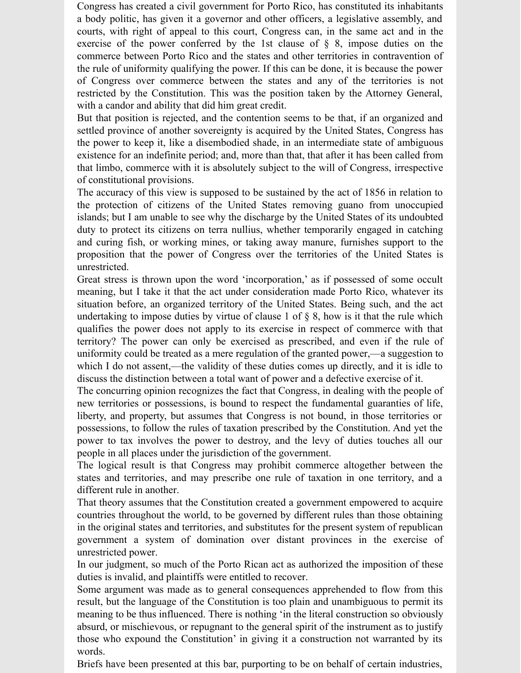Congress has created a civil government for Porto Rico, has constituted its inhabitants a body politic, has given it a governor and other officers, a legislative assembly, and courts, with right of appeal to this court, Congress can, in the same act and in the exercise of the power conferred by the 1st clause of  $\S$  8, impose duties on the commerce between Porto Rico and the states and other territories in contravention of the rule of uniformity qualifying the power. If this can be done, it is because the power of Congress over commerce between the states and any of the territories is not restricted by the Constitution. This was the position taken by the Attorney General, with a candor and ability that did him great credit.

But that position is rejected, and the contention seems to be that, if an organized and settled province of another sovereignty is acquired by the United States, Congress has the power to keep it, like a disembodied shade, in an intermediate state of ambiguous existence for an indefinite period; and, more than that, that after it has been called from that limbo, commerce with it is absolutely subject to the will of Congress, irrespective of constitutional provisions.

The accuracy of this view is supposed to be sustained by the act of 1856 in relation to the protection of citizens of the United States removing guano from unoccupied islands; but I am unable to see why the discharge by the United States of its undoubted duty to protect its citizens on terra nullius, whether temporarily engaged in catching and curing fish, or working mines, or taking away manure, furnishes support to the proposition that the power of Congress over the territories of the United States is unrestricted.

Great stress is thrown upon the word 'incorporation,' as if possessed of some occult meaning, but I take it that the act under consideration made Porto Rico, whatever its situation before, an organized territory of the United States. Being such, and the act undertaking to impose duties by virtue of clause 1 of  $\S$  8, how is it that the rule which qualifies the power does not apply to its exercise in respect of commerce with that territory? The power can only be exercised as prescribed, and even if the rule of uniformity could be treated as a mere regulation of the granted power,—a suggestion to which I do not assent,—the validity of these duties comes up directly, and it is idle to discuss the distinction between a total want of power and a defective exercise of it.

The concurring opinion recognizes the fact that Congress, in dealing with the people of new territories or possessions, is bound to respect the fundamental guaranties of life, liberty, and property, but assumes that Congress is not bound, in those territories or possessions, to follow the rules of taxation prescribed by the Constitution. And yet the power to tax involves the power to destroy, and the levy of duties touches all our people in all places under the jurisdiction of the government.

The logical result is that Congress may prohibit commerce altogether between the states and territories, and may prescribe one rule of taxation in one territory, and a different rule in another.

That theory assumes that the Constitution created a government empowered to acquire countries throughout the world, to be governed by different rules than those obtaining in the original states and territories, and substitutes for the present system of republican government a system of domination over distant provinces in the exercise of unrestricted power.

In our judgment, so much of the Porto Rican act as authorized the imposition of these duties is invalid, and plaintiffs were entitled to recover.

Some argument was made as to general consequences apprehended to flow from this result, but the language of the Constitution is too plain and unambiguous to permit its meaning to be thus influenced. There is nothing 'in the literal construction so obviously absurd, or mischievous, or repugnant to the general spirit of the instrument as to justify those who expound the Constitution' in giving it a construction not warranted by its words.

Briefs have been presented at this bar, purporting to be on behalf of certain industries,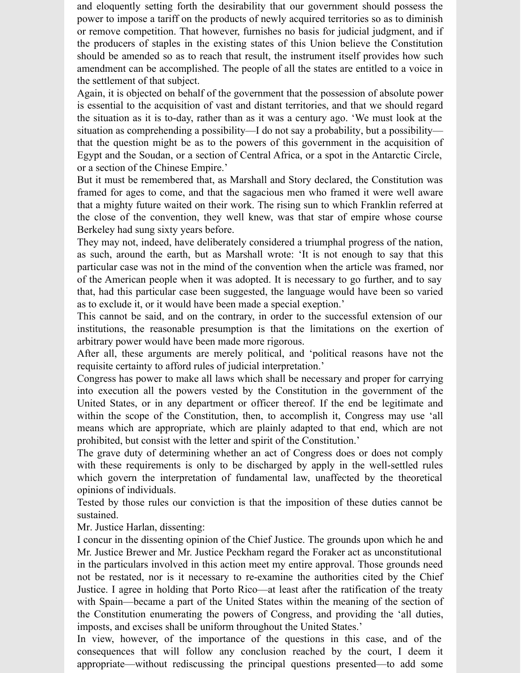and eloquently setting forth the desirability that our government should possess the power to impose a tariff on the products of newly acquired territories so as to diminish or remove competition. That however, furnishes no basis for judicial judgment, and if the producers of staples in the existing states of this Union believe the Constitution should be amended so as to reach that result, the instrument itself provides how such amendment can be accomplished. The people of all the states are entitled to a voice in the settlement of that subject.

Again, it is objected on behalf of the government that the possession of absolute power is essential to the acquisition of vast and distant territories, and that we should regard the situation as it is to-day, rather than as it was a century ago. 'We must look at the situation as comprehending a possibility—I do not say a probability, but a possibility that the question might be as to the powers of this government in the acquisition of Egypt and the Soudan, or a section of Central Africa, or a spot in the Antarctic Circle, or a section of the Chinese Empire.'

But it must be remembered that, as Marshall and Story declared, the Constitution was framed for ages to come, and that the sagacious men who framed it were well aware that a mighty future waited on their work. The rising sun to which Franklin referred at the close of the convention, they well knew, was that star of empire whose course Berkeley had sung sixty years before.

They may not, indeed, have deliberately considered a triumphal progress of the nation, as such, around the earth, but as Marshall wrote: 'It is not enough to say that this particular case was not in the mind of the convention when the article was framed, nor of the American people when it was adopted. It is necessary to go further, and to say that, had this particular case been suggested, the language would have been so varied as to exclude it, or it would have been made a special exeption.'

This cannot be said, and on the contrary, in order to the successful extension of our institutions, the reasonable presumption is that the limitations on the exertion of arbitrary power would have been made more rigorous.

After all, these arguments are merely political, and 'political reasons have not the requisite certainty to afford rules of judicial interpretation.'

Congress has power to make all laws which shall be necessary and proper for carrying into execution all the powers vested by the Constitution in the government of the United States, or in any department or officer thereof. If the end be legitimate and within the scope of the Constitution, then, to accomplish it, Congress may use 'all means which are appropriate, which are plainly adapted to that end, which are not prohibited, but consist with the letter and spirit of the Constitution.'

The grave duty of determining whether an act of Congress does or does not comply with these requirements is only to be discharged by apply in the well-settled rules which govern the interpretation of fundamental law, unaffected by the theoretical opinions of individuals.

Tested by those rules our conviction is that the imposition of these duties cannot be sustained.

Mr. Justice Harlan, dissenting:

I concur in the dissenting opinion of the Chief Justice. The grounds upon which he and Mr. Justice Brewer and Mr. Justice Peckham regard the Foraker act as unconstitutional in the particulars involved in this action meet my entire approval. Those grounds need not be restated, nor is it necessary to re-examine the authorities cited by the Chief Justice. I agree in holding that Porto Rico—at least after the ratification of the treaty with Spain—became a part of the United States within the meaning of the section of the Constitution enumerating the powers of Congress, and providing the 'all duties, imposts, and excises shall be uniform throughout the United States.'

In view, however, of the importance of the questions in this case, and of the consequences that will follow any conclusion reached by the court, I deem it appropriate—without rediscussing the principal questions presented—to add some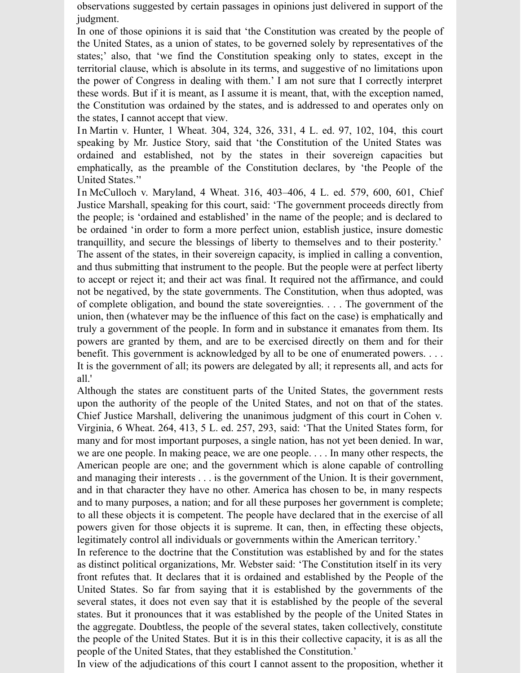observations suggested by certain passages in opinions just delivered in support of the judgment.

In one of those opinions it is said that 'the Constitution was created by the people of the United States, as a union of states, to be governed solely by representatives of the states;' also, that 'we find the Constitution speaking only to states, except in the territorial clause, which is absolute in its terms, and suggestive of no limitations upon the power of Congress in dealing with them.' I am not sure that I correctly interpret these words. But if it is meant, as I assume it is meant, that, with the exception named, the Constitution was ordained by the states, and is addressed to and operates only on the states, I cannot accept that view.

In Martin v. [Hunter,](https://1.next.westlaw.com/Link/Document/FullText?findType=Y&serNum=1800105072&pubNum=780&originatingDoc=I7a4be7179ca211d9bdd1cfdd544ca3a4&refType=RP&fi=co_pp_sp_780_324&originationContext=document&transitionType=DocumentItem&ppcid=c08eb7709fd6411ba15f8469a157103d&contextData=(sc.UserEnteredCitation)#co_pp_sp_780_324) 1 Wheat. 304, 324, 326, 331, 4 L. ed. 97, 102, 104, this court speaking by Mr. Justice Story, said that 'the Constitution of the United States was ordained and established, not by the states in their sovereign capacities but emphatically, as the preamble of the Constitution declares, by 'the People of the United States.''

In [McCulloch](https://1.next.westlaw.com/Link/Document/FullText?findType=Y&serNum=1800123335&pubNum=780&originatingDoc=I7a4be7179ca211d9bdd1cfdd544ca3a4&refType=RP&fi=co_pp_sp_780_403&originationContext=document&transitionType=DocumentItem&ppcid=c08eb7709fd6411ba15f8469a157103d&contextData=(sc.UserEnteredCitation)#co_pp_sp_780_403) v. Maryland, 4 Wheat. 316, 403-406, 4 L. ed. 579, 600, 601, Chief Justice Marshall, speaking for this court, said: 'The government proceeds directly from the people; is 'ordained and established' in the name of the people; and is declared to be ordained 'in order to form a more perfect union, establish justice, insure domestic tranquillity, and secure the blessings of liberty to themselves and to their posterity.' The assent of the states, in their sovereign capacity, is implied in calling a convention, and thus submitting that instrument to the people. But the people were at perfect liberty to accept or reject it; and their act was final. It required not the affirmance, and could not be negatived, by the state governments. The Constitution, when thus adopted, was of complete obligation, and bound the state sovereignties. . . . The government of the union, then (whatever may be the influence of this fact on the case) is emphatically and truly a government of the people. In form and in substance it emanates from them. Its powers are granted by them, and are to be exercised directly on them and for their benefit. This government is acknowledged by all to be one of enumerated powers. . . . It is the government of all; its powers are delegated by all; it represents all, and acts for all.'

Although the states are constituent parts of the United States, the government rests upon the authority of the people of the United States, and not on that of the states. Chief Justice Marshall, delivering the [unanimous](https://1.next.westlaw.com/Link/Document/FullText?findType=Y&serNum=1821192734&pubNum=780&originatingDoc=I7a4be7179ca211d9bdd1cfdd544ca3a4&refType=RP&fi=co_pp_sp_780_413&originationContext=document&transitionType=DocumentItem&ppcid=c08eb7709fd6411ba15f8469a157103d&contextData=(sc.UserEnteredCitation)#co_pp_sp_780_413) judgment of this court in Cohen v. Virginia, 6 Wheat. 264, 413, 5 L. ed. 257, 293, said: 'That the United States form, for many and for most important purposes, a single nation, has not yet been denied. In war, we are one people. In making peace, we are one people. . . . In many other respects, the American people are one; and the government which is alone capable of controlling and managing their interests . . . is the government of the Union. It is their government, and in that character they have no other. America has chosen to be, in many respects and to many purposes, a nation; and for all these purposes her government is complete; to all these objects it is competent. The people have declared that in the exercise of all powers given for those objects it is supreme. It can, then, in effecting these objects, legitimately control all individuals or governments within the American territory.'

In reference to the doctrine that the Constitution was established by and for the states as distinct political organizations, Mr. Webster said: 'The Constitution itself in its very front refutes that. It declares that it is ordained and established by the People of the United States. So far from saying that it is established by the governments of the several states, it does not even say that it is established by the people of the several states. But it pronounces that it was established by the people of the United States in the aggregate. Doubtless, the people of the several states, taken collectively, constitute the people of the United States. But it is in this their collective capacity, it is as all the people of the United States, that they established the Constitution.'

In view of the adjudications of this court I cannot assent to the proposition, whether it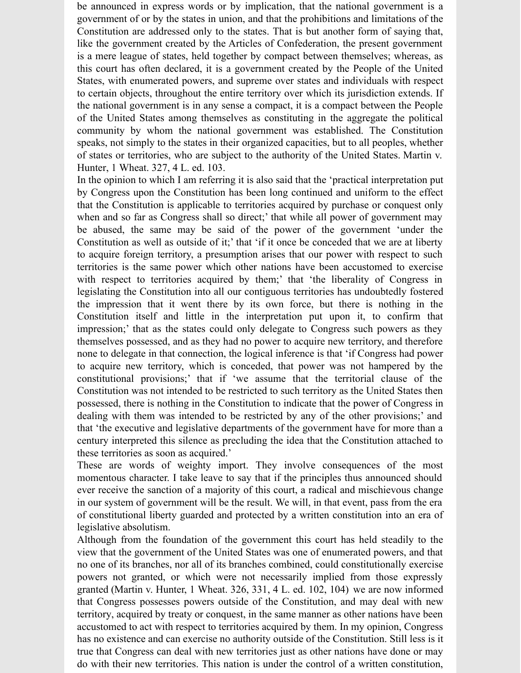be announced in express words or by implication, that the national government is a government of or by the states in union, and that the prohibitions and limitations of the Constitution are addressed only to the states. That is but another form of saying that, like the government created by the Articles of Confederation, the present government is a mere league of states, held together by compact between themselves; whereas, as this court has often declared, it is a government created by the People of the United States, with enumerated powers, and supreme over states and individuals with respect to certain objects, throughout the entire territory over which its jurisdiction extends. If the national government is in any sense a compact, it is a compact between the People of the United States among themselves as constituting in the aggregate the political community by whom the national government was established. The Constitution speaks, not simply to the states in their organized capacities, but to all peoples, whether of states or [territories,](https://1.next.westlaw.com/Link/Document/FullText?findType=Y&serNum=1800105072&pubNum=780&originatingDoc=I7a4be7179ca211d9bdd1cfdd544ca3a4&refType=RP&originationContext=document&transitionType=DocumentItem&ppcid=c08eb7709fd6411ba15f8469a157103d&contextData=(sc.UserEnteredCitation)) who are subject to the authority of the United States. Martin v. Hunter, 1 Wheat. 327, 4 L. ed. 103.

In the opinion to which I am referring it is also said that the 'practical interpretation put by Congress upon the Constitution has been long continued and uniform to the effect that the Constitution is applicable to territories acquired by purchase or conquest only when and so far as Congress shall so direct;' that while all power of government may be abused, the same may be said of the power of the government 'under the Constitution as well as outside of it;' that 'if it once be conceded that we are at liberty to acquire foreign territory, a presumption arises that our power with respect to such territories is the same power which other nations have been accustomed to exercise with respect to territories acquired by them;' that 'the liberality of Congress in legislating the Constitution into all our contiguous territories has undoubtedly fostered the impression that it went there by its own force, but there is nothing in the Constitution itself and little in the interpretation put upon it, to confirm that impression;' that as the states could only delegate to Congress such powers as they themselves possessed, and as they had no power to acquire new territory, and therefore none to delegate in that connection, the logical inference is that 'if Congress had power to acquire new territory, which is conceded, that power was not hampered by the constitutional provisions;' that if 'we assume that the territorial clause of the Constitution was not intended to be restricted to such territory as the United States then possessed, there is nothing in the Constitution to indicate that the power of Congress in dealing with them was intended to be restricted by any of the other provisions;' and that 'the executive and legislative departments of the government have for more than a century interpreted this silence as precluding the idea that the Constitution attached to these territories as soon as acquired.'

These are words of weighty import. They involve consequences of the most momentous character. I take leave to say that if the principles thus announced should ever receive the sanction of a majority of this court, a radical and mischievous change in our system of government will be the result. We will, in that event, pass from the era of constitutional liberty guarded and protected by a written constitution into an era of legislative absolutism.

Although from the foundation of the government this court has held steadily to the view that the government of the United States was one of enumerated powers, and that no one of its branches, nor all of its branches combined, could constitutionally exercise powers not granted, or which were not necessarily implied from those expressly granted (Martin v. [Hunter,](https://1.next.westlaw.com/Link/Document/FullText?findType=Y&serNum=1800105072&pubNum=780&originatingDoc=I7a4be7179ca211d9bdd1cfdd544ca3a4&refType=RP&fi=co_pp_sp_780_331&originationContext=document&transitionType=DocumentItem&ppcid=c08eb7709fd6411ba15f8469a157103d&contextData=(sc.UserEnteredCitation)#co_pp_sp_780_331) 1 Wheat. 326, 331, 4 L. ed. 102, 104) we are now informed that Congress possesses powers outside of the Constitution, and may deal with new territory, acquired by treaty or conquest, in the same manner as other nations have been accustomed to act with respect to territories acquired by them. In my opinion, Congress has no existence and can exercise no authority outside of the Constitution. Still less is it true that Congress can deal with new territories just as other nations have done or may do with their new territories. This nation is under the control of a written constitution,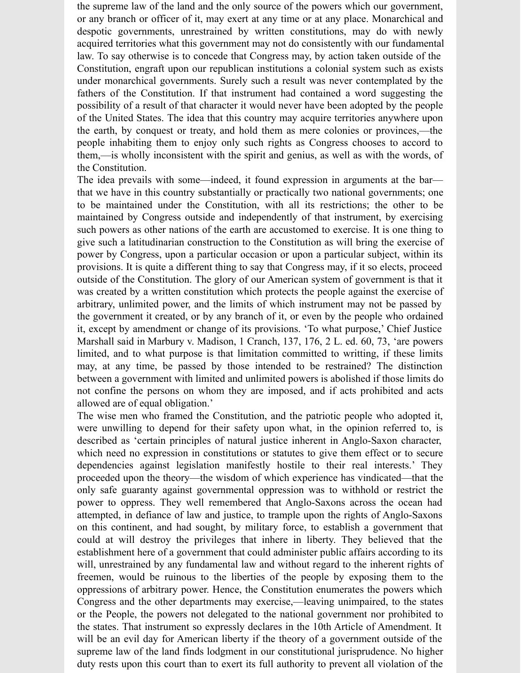the supreme law of the land and the only source of the powers which our government, or any branch or officer of it, may exert at any time or at any place. Monarchical and despotic governments, unrestrained by written constitutions, may do with newly acquired territories what this government may not do consistently with our fundamental law. To say otherwise is to concede that Congress may, by action taken outside of the Constitution, engraft upon our republican institutions a colonial system such as exists under monarchical governments. Surely such a result was never contemplated by the fathers of the Constitution. If that instrument had contained a word suggesting the possibility of a result of that character it would never have been adopted by the people of the United States. The idea that this country may acquire territories anywhere upon the earth, by conquest or treaty, and hold them as mere colonies or provinces,—the people inhabiting them to enjoy only such rights as Congress chooses to accord to them,—is wholly inconsistent with the spirit and genius, as well as with the words, of the Constitution.

The idea prevails with some—indeed, it found expression in arguments at the bar that we have in this country substantially or practically two national governments; one to be maintained under the Constitution, with all its restrictions; the other to be maintained by Congress outside and independently of that instrument, by exercising such powers as other nations of the earth are accustomed to exercise. It is one thing to give such a latitudinarian construction to the Constitution as will bring the exercise of power by Congress, upon a particular occasion or upon a particular subject, within its provisions. It is quite a different thing to say that Congress may, if it so elects, proceed outside of the Constitution. The glory of our American system of government is that it was created by a written constitution which protects the people against the exercise of arbitrary, unlimited power, and the limits of which instrument may not be passed by the government it created, or by any branch of it, or even by the people who ordained it, except by amendment or change of its provisions. 'To what purpose,' Chief Justice Marshall said in Marbury v. [Madison,](https://1.next.westlaw.com/Link/Document/FullText?findType=Y&serNum=1801123932&pubNum=780&originatingDoc=I7a4be7179ca211d9bdd1cfdd544ca3a4&refType=RP&fi=co_pp_sp_780_176&originationContext=document&transitionType=DocumentItem&ppcid=c08eb7709fd6411ba15f8469a157103d&contextData=(sc.UserEnteredCitation)#co_pp_sp_780_176) 1 Cranch, 137, 176, 2 L. ed. [60,](https://1.next.westlaw.com/Link/Document/FullText?findType=Y&serNum=1801123932&pubNum=470&originatingDoc=I7a4be7179ca211d9bdd1cfdd544ca3a4&refType=RP&fi=co_pp_sp_470_73&originationContext=document&transitionType=DocumentItem&ppcid=c08eb7709fd6411ba15f8469a157103d&contextData=(sc.UserEnteredCitation)#co_pp_sp_470_73) 73, 'are powers limited, and to what purpose is that limitation committed to writting, if these limits may, at any time, be passed by those intended to be restrained? The distinction between a government with limited and unlimited powers is abolished if those limits do not confine the persons on whom they are imposed, and if acts prohibited and acts allowed are of equal obligation.'

The wise men who framed the Constitution, and the patriotic people who adopted it, were unwilling to depend for their safety upon what, in the opinion referred to, is described as 'certain principles of natural justice inherent in Anglo-Saxon character, which need no expression in constitutions or statutes to give them effect or to secure dependencies against legislation manifestly hostile to their real interests.' They proceeded upon the theory—the wisdom of which experience has vindicated—that the only safe guaranty against governmental oppression was to withhold or restrict the power to oppress. They well remembered that Anglo-Saxons across the ocean had attempted, in defiance of law and justice, to trample upon the rights of Anglo-Saxons on this continent, and had sought, by military force, to establish a government that could at will destroy the privileges that inhere in liberty. They believed that the establishment here of a government that could administer public affairs according to its will, unrestrained by any fundamental law and without regard to the inherent rights of freemen, would be ruinous to the liberties of the people by exposing them to the oppressions of arbitrary power. Hence, the Constitution enumerates the powers which Congress and the other departments may exercise,—leaving unimpaired, to the states or the People, the powers not delegated to the national government nor prohibited to the states. That instrument so expressly declares in the 10th Article of Amendment. It will be an evil day for American liberty if the theory of a government outside of the supreme law of the land finds lodgment in our constitutional jurisprudence. No higher duty rests upon this court than to exert its full authority to prevent all violation of the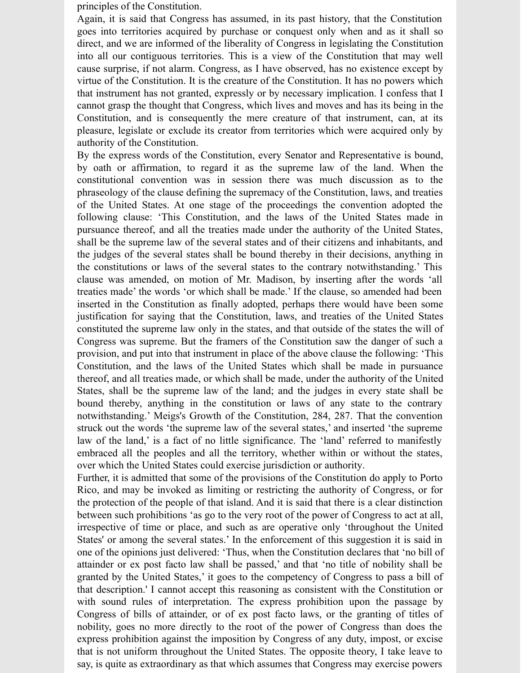principles of the Constitution.

Again, it is said that Congress has assumed, in its past history, that the Constitution goes into territories acquired by purchase or conquest only when and as it shall so direct, and we are informed of the liberality of Congress in legislating the Constitution into all our contiguous territories. This is a view of the Constitution that may well cause surprise, if not alarm. Congress, as I have observed, has no existence except by virtue of the Constitution. It is the creature of the Constitution. It has no powers which that instrument has not granted, expressly or by necessary implication. I confess that I cannot grasp the thought that Congress, which lives and moves and has its being in the Constitution, and is consequently the mere creature of that instrument, can, at its pleasure, legislate or exclude its creator from territories which were acquired only by authority of the Constitution.

By the express words of the Constitution, every Senator and Representative is bound, by oath or affirmation, to regard it as the supreme law of the land. When the constitutional convention was in session there was much discussion as to the phraseology of the clause defining the supremacy of the Constitution, laws, and treaties of the United States. At one stage of the proceedings the convention adopted the following clause: 'This Constitution, and the laws of the United States made in pursuance thereof, and all the treaties made under the authority of the United States, shall be the supreme law of the several states and of their citizens and inhabitants, and the judges of the several states shall be bound thereby in their decisions, anything in the constitutions or laws of the several states to the contrary notwithstanding.' This clause was amended, on motion of Mr. Madison, by inserting after the words 'all treaties made' the words 'or which shall be made.' If the clause, so amended had been inserted in the Constitution as finally adopted, perhaps there would have been some justification for saying that the Constitution, laws, and treaties of the United States constituted the supreme law only in the states, and that outside of the states the will of Congress was supreme. But the framers of the Constitution saw the danger of such a provision, and put into that instrument in place of the above clause the following: 'This Constitution, and the laws of the United States which shall be made in pursuance thereof, and all treaties made, or which shall be made, under the authority of the United States, shall be the supreme law of the land; and the judges in every state shall be bound thereby, anything in the constitution or laws of any state to the contrary notwithstanding.' Meigs's Growth of the Constitution, 284, 287. That the convention struck out the words 'the supreme law of the several states,' and inserted 'the supreme law of the land,' is a fact of no little significance. The 'land' referred to manifestly embraced all the peoples and all the territory, whether within or without the states, over which the United States could exercise jurisdiction or authority.

Further, it is admitted that some of the provisions of the Constitution do apply to Porto Rico, and may be invoked as limiting or restricting the authority of Congress, or for the protection of the people of that island. And it is said that there is a clear distinction between such prohibitions 'as go to the very root of the power of Congress to act at all, irrespective of time or place, and such as are operative only 'throughout the United States' or among the several states.' In the enforcement of this suggestion it is said in one of the opinions just delivered: 'Thus, when the Constitution declares that 'no bill of attainder or ex post facto law shall be passed,' and that 'no title of nobility shall be granted by the United States,' it goes to the competency of Congress to pass a bill of that description.' I cannot accept this reasoning as consistent with the Constitution or with sound rules of interpretation. The express prohibition upon the passage by Congress of bills of attainder, or of ex post facto laws, or the granting of titles of nobility, goes no more directly to the root of the power of Congress than does the express prohibition against the imposition by Congress of any duty, impost, or excise that is not uniform throughout the United States. The opposite theory, I take leave to say, is quite as extraordinary as that which assumes that Congress may exercise powers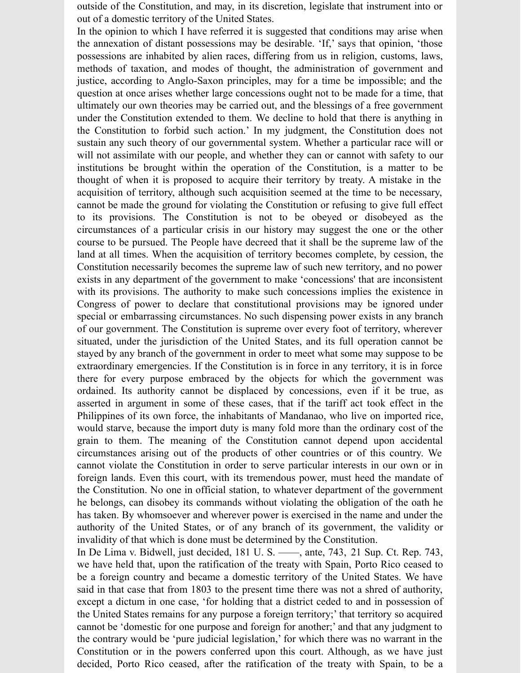outside of the Constitution, and may, in its discretion, legislate that instrument into or out of a domestic territory of the United States.

In the opinion to which I have referred it is suggested that conditions may arise when the annexation of distant possessions may be desirable. 'If,' says that opinion, 'those possessions are inhabited by alien races, differing from us in religion, customs, laws, methods of taxation, and modes of thought, the administration of government and justice, according to Anglo-Saxon principles, may for a time be impossible; and the question at once arises whether large concessions ought not to be made for a time, that ultimately our own theories may be carried out, and the blessings of a free government under the Constitution extended to them. We decline to hold that there is anything in the Constitution to forbid such action.' In my judgment, the Constitution does not sustain any such theory of our governmental system. Whether a particular race will or will not assimilate with our people, and whether they can or cannot with safety to our institutions be brought within the operation of the Constitution, is a matter to be thought of when it is proposed to acquire their territory by treaty. A mistake in the acquisition of territory, although such acquisition seemed at the time to be necessary, cannot be made the ground for violating the Constitution or refusing to give full effect to its provisions. The Constitution is not to be obeyed or disobeyed as the circumstances of a particular crisis in our history may suggest the one or the other course to be pursued. The People have decreed that it shall be the supreme law of the land at all times. When the acquisition of territory becomes complete, by cession, the Constitution necessarily becomes the supreme law of such new territory, and no power exists in any department of the government to make 'concessions' that are inconsistent with its provisions. The authority to make such concessions implies the existence in Congress of power to declare that constitutional provisions may be ignored under special or embarrassing circumstances. No such dispensing power exists in any branch of our government. The Constitution is supreme over every foot of territory, wherever situated, under the jurisdiction of the United States, and its full operation cannot be stayed by any branch of the government in order to meet what some may suppose to be extraordinary emergencies. If the Constitution is in force in any territory, it is in force there for every purpose embraced by the objects for which the government was ordained. Its authority cannot be displaced by concessions, even if it be true, as asserted in argument in some of these cases, that if the tariff act took effect in the Philippines of its own force, the inhabitants of Mandanao, who live on imported rice, would starve, because the import duty is many fold more than the ordinary cost of the grain to them. The meaning of the Constitution cannot depend upon accidental circumstances arising out of the products of other countries or of this country. We cannot violate the Constitution in order to serve particular interests in our own or in foreign lands. Even this court, with its tremendous power, must heed the mandate of the Constitution. No one in official station, to whatever department of the government he belongs, can disobey its commands without violating the obligation of the oath he has taken. By whomsoever and wherever power is exercised in the name and under the authority of the United States, or of any branch of its government, the validity or invalidity of that which is done must be determined by the Constitution.

In De Lima v. Bidwell, just decided, 181 U. S. ——, ante, 743, 21 Sup. Ct. [Rep.](https://1.next.westlaw.com/Link/Document/FullText?findType=Y&serNum=1901103754&pubNum=708&originatingDoc=I7a4be7179ca211d9bdd1cfdd544ca3a4&refType=RP&originationContext=document&transitionType=DocumentItem&ppcid=c08eb7709fd6411ba15f8469a157103d&contextData=(sc.UserEnteredCitation)) 743, we have held that, upon the ratification of the treaty with Spain, Porto Rico ceased to be a foreign country and became a domestic territory of the United States. We have said in that case that from 1803 to the present time there was not a shred of authority, except a dictum in one case, 'for holding that a district ceded to and in possession of the United States remains for any purpose a foreign territory;' that territory so acquired cannot be 'domestic for one purpose and foreign for another;' and that any judgment to the contrary would be 'pure judicial legislation,' for which there was no warrant in the Constitution or in the powers conferred upon this court. Although, as we have just decided, Porto Rico ceased, after the ratification of the treaty with Spain, to be a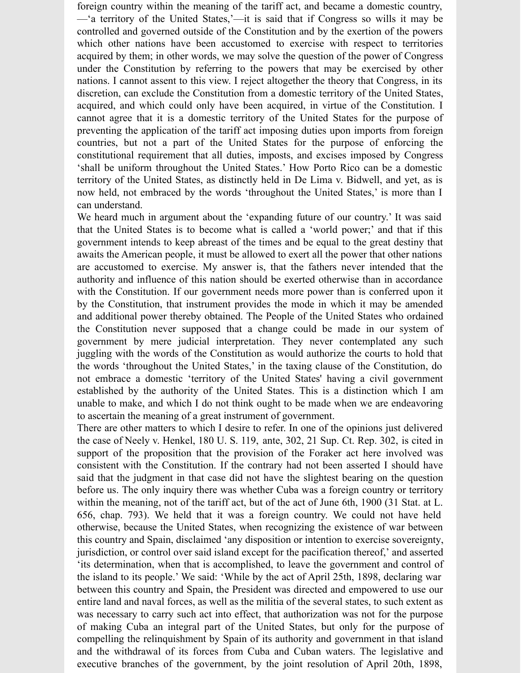foreign country within the meaning of the tariff act, and became a domestic country, —'a territory of the United States,'—it is said that if Congress so wills it may be controlled and governed outside of the Constitution and by the exertion of the powers which other nations have been accustomed to exercise with respect to territories acquired by them; in other words, we may solve the question of the power of Congress under the Constitution by referring to the powers that may be exercised by other nations. I cannot assent to this view. I reject altogether the theory that Congress, in its discretion, can exclude the Constitution from a domestic territory of the United States, acquired, and which could only have been acquired, in virtue of the Constitution. I cannot agree that it is a domestic territory of the United States for the purpose of preventing the application of the tariff act imposing duties upon imports from foreign countries, but not a part of the United States for the purpose of enforcing the constitutional requirement that all duties, imposts, and excises imposed by Congress 'shall be uniform throughout the United States.' How Porto Rico can be a domestic territory of the United States, as distinctly held in De Lima v. Bidwell, and yet, as is now held, not embraced by the words 'throughout the United States,' is more than I can understand.

We heard much in argument about the 'expanding future of our country.' It was said that the United States is to become what is called a 'world power;' and that if this government intends to keep abreast of the times and be equal to the great destiny that awaits the American people, it must be allowed to exert all the power that other nations are accustomed to exercise. My answer is, that the fathers never intended that the authority and influence of this nation should be exerted otherwise than in accordance with the Constitution. If our government needs more power than is conferred upon it by the Constitution, that instrument provides the mode in which it may be amended and additional power thereby obtained. The People of the United States who ordained the Constitution never supposed that a change could be made in our system of government by mere judicial interpretation. They never contemplated any such juggling with the words of the Constitution as would authorize the courts to hold that the words 'throughout the United States,' in the taxing clause of the Constitution, do not embrace a domestic 'territory of the United States' having a civil government established by the authority of the United States. This is a distinction which I am unable to make, and which I do not think ought to be made when we are endeavoring to ascertain the meaning of a great instrument of government.

There are other matters to which I desire to refer. In one of the opinions just delivered the case of Neely v. [Henkel,](https://1.next.westlaw.com/Link/Document/FullText?findType=Y&serNum=1901103996&pubNum=780&originatingDoc=I7a4be7179ca211d9bdd1cfdd544ca3a4&refType=RP&originationContext=document&transitionType=DocumentItem&ppcid=c08eb7709fd6411ba15f8469a157103d&contextData=(sc.UserEnteredCitation)) 180 U. S. 119, [ante,](https://1.next.westlaw.com/Link/Document/FullText?findType=Y&serNum=1901103996&pubNum=708&originatingDoc=I7a4be7179ca211d9bdd1cfdd544ca3a4&refType=RP&originationContext=document&transitionType=DocumentItem&ppcid=c08eb7709fd6411ba15f8469a157103d&contextData=(sc.UserEnteredCitation)) 302, 21 Sup. Ct. Rep. 302, is cited in support of the proposition that the provision of the Foraker act here involved was consistent with the Constitution. If the contrary had not been asserted I should have said that the judgment in that case did not have the slightest bearing on the question before us. The only inquiry there was whether Cuba was a foreign country or territory within the meaning, not of the tariff act, but of the act of June 6th, 1900 (31 Stat. at L. 656, chap. 793). We held that it was a foreign country. We could not have held otherwise, because the United States, when recognizing the existence of war between this country and Spain, disclaimed 'any disposition or intention to exercise sovereignty, jurisdiction, or control over said island except for the pacification thereof,' and asserted 'its determination, when that is accomplished, to leave the government and control of the island to its people.' We said: 'While by the act of April 25th, 1898, declaring war between this country and Spain, the President was directed and empowered to use our entire land and naval forces, as well as the militia of the several states, to such extent as was necessary to carry such act into effect, that authorization was not for the purpose of making Cuba an integral part of the United States, but only for the purpose of compelling the relinquishment by Spain of its authority and government in that island and the withdrawal of its forces from Cuba and Cuban waters. The legislative and executive branches of the government, by the joint resolution of April 20th, 1898,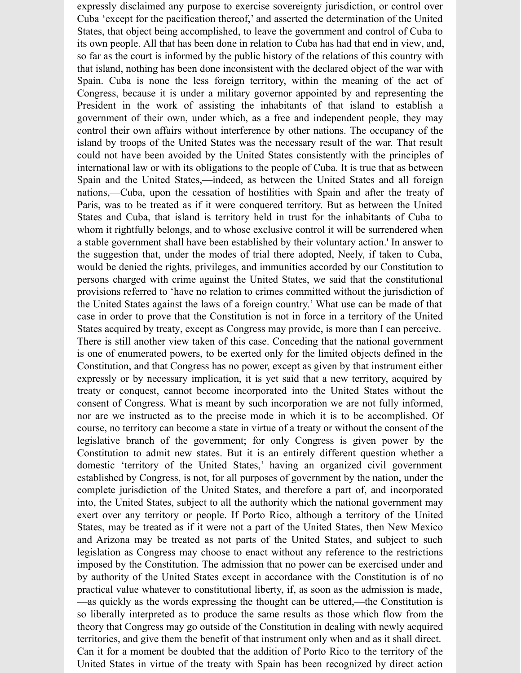expressly disclaimed any purpose to exercise sovereignty jurisdiction, or control over Cuba 'except for the pacification thereof,' and asserted the determination of the United States, that object being accomplished, to leave the government and control of Cuba to its own people. All that has been done in relation to Cuba has had that end in view, and, so far as the court is informed by the public history of the relations of this country with that island, nothing has been done inconsistent with the declared object of the war with Spain. Cuba is none the less foreign territory, within the meaning of the act of Congress, because it is under a military governor appointed by and representing the President in the work of assisting the inhabitants of that island to establish a government of their own, under which, as a free and independent people, they may control their own affairs without interference by other nations. The occupancy of the island by troops of the United States was the necessary result of the war. That result could not have been avoided by the United States consistently with the principles of international law or with its obligations to the people of Cuba. It is true that as between Spain and the United States,—indeed, as between the United States and all foreign nations,—Cuba, upon the cessation of hostilities with Spain and after the treaty of Paris, was to be treated as if it were conquered territory. But as between the United States and Cuba, that island is territory held in trust for the inhabitants of Cuba to whom it rightfully belongs, and to whose exclusive control it will be surrendered when a stable government shall have been established by their voluntary action.' In answer to the suggestion that, under the modes of trial there adopted, Neely, if taken to Cuba, would be denied the rights, privileges, and immunities accorded by our Constitution to persons charged with crime against the United States, we said that the constitutional provisions referred to 'have no relation to crimes committed without the jurisdiction of the United States against the laws of a foreign country.' What use can be made of that case in order to prove that the Constitution is not in force in a territory of the United States acquired by treaty, except as Congress may provide, is more than I can perceive. There is still another view taken of this case. Conceding that the national government is one of enumerated powers, to be exerted only for the limited objects defined in the Constitution, and that Congress has no power, except as given by that instrument either expressly or by necessary implication, it is yet said that a new territory, acquired by treaty or conquest, cannot become incorporated into the United States without the consent of Congress. What is meant by such incorporation we are not fully informed, nor are we instructed as to the precise mode in which it is to be accomplished. Of course, no territory can become a state in virtue of a treaty or without the consent of the legislative branch of the government; for only Congress is given power by the Constitution to admit new states. But it is an entirely different question whether a domestic 'territory of the United States,' having an organized civil government established by Congress, is not, for all purposes of government by the nation, under the complete jurisdiction of the United States, and therefore a part of, and incorporated into, the United States, subject to all the authority which the national government may exert over any territory or people. If Porto Rico, although a territory of the United States, may be treated as if it were not a part of the United States, then New Mexico and Arizona may be treated as not parts of the United States, and subject to such legislation as Congress may choose to enact without any reference to the restrictions imposed by the Constitution. The admission that no power can be exercised under and by authority of the United States except in accordance with the Constitution is of no practical value whatever to constitutional liberty, if, as soon as the admission is made, —as quickly as the words expressing the thought can be uttered,—the Constitution is so liberally interpreted as to produce the same results as those which flow from the theory that Congress may go outside of the Constitution in dealing with newly acquired territories, and give them the benefit of that instrument only when and as it shall direct. Can it for a moment be doubted that the addition of Porto Rico to the territory of the United States in virtue of the treaty with Spain has been recognized by direct action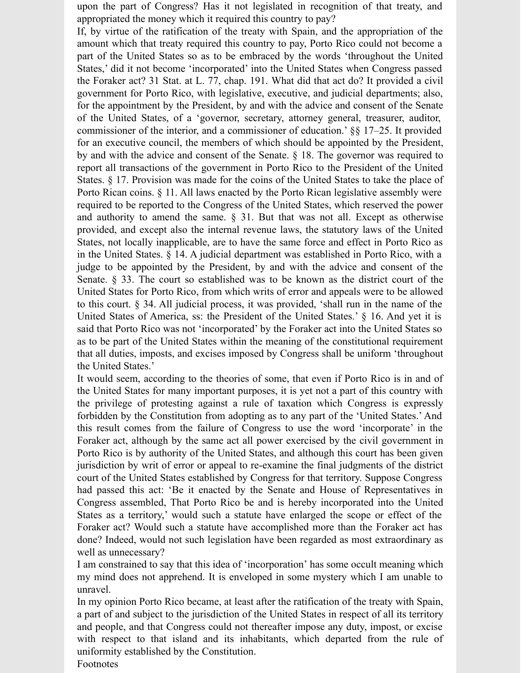upon the part of Congress? Has it not legislated in recognition of that treaty, and appropriated the money which it required this country to pay?

If, by virtue of the ratification of the treaty with Spain, and the appropriation of the amount which that treaty required this country to pay, Porto Rico could not become a part of the United States so as to be embraced by the words 'throughout the United States,' did it not become 'incorporated' into the United States when Congress passed the Foraker act? 31 Stat. at L. 77, chap. 191. What did that act do? It provided a civil government for Porto Rico, with legislative, executive, and judicial departments; also, for the appointment by the President, by and with the advice and consent of the Senate of the United States, of a 'governor, secretary, attorney general, treasurer, auditor, commissioner of the interior, and a commissioner of education.' §§ 17–25. It provided for an executive council, the members of which should be appointed by the President, by and with the advice and consent of the Senate. § 18. The governor was required to report all transactions of the government in Porto Rico to the President of the United States. § 17. Provision was made for the coins of the United States to take the place of Porto Rican coins. § 11. All laws enacted by the Porto Rican legislative assembly were required to be reported to the Congress of the United States, which reserved the power and authority to amend the same.  $\S$  31. But that was not all. Except as otherwise provided, and except also the internal revenue laws, the statutory laws of the United States, not locally inapplicable, are to have the same force and effect in Porto Rico as in the United States. § 14. A judicial department was established in Porto Rico, with a judge to be appointed by the President, by and with the advice and consent of the Senate. § 33. The court so established was to be known as the district court of the United States for Porto Rico, from which writs of error and appeals were to be allowed to this court. § 34. All judicial process, it was provided, 'shall run in the name of the United States of America, ss: the President of the United States.' § 16. And yet it is said that Porto Rico was not 'incorporated' by the Foraker act into the United States so as to be part of the United States within the meaning of the constitutional requirement that all duties, imposts, and excises imposed by Congress shall be uniform 'throughout the United States.'

It would seem, according to the theories of some, that even if Porto Rico is in and of the United States for many important purposes, it is yet not a part of this country with the privilege of protesting against a rule of taxation which Congress is expressly forbidden by the Constitution from adopting as to any part of the 'United States.' And this result comes from the failure of Congress to use the word 'incorporate' in the Foraker act, although by the same act all power exercised by the civil government in Porto Rico is by authority of the United States, and although this court has been given jurisdiction by writ of error or appeal to re-examine the final judgments of the district court of the United States established by Congress for that territory. Suppose Congress had passed this act: 'Be it enacted by the Senate and House of Representatives in Congress assembled, That Porto Rico be and is hereby incorporated into the United States as a territory,' would such a statute have enlarged the scope or effect of the Foraker act? Would such a statute have accomplished more than the Foraker act has done? Indeed, would not such legislation have been regarded as most extraordinary as well as unnecessary?

I am constrained to say that this idea of 'incorporation' has some occult meaning which my mind does not apprehend. It is enveloped in some mystery which I am unable to unravel.

In my opinion Porto Rico became, at least after the ratification of the treaty with Spain, a part of and subject to the jurisdiction of the United States in respect of all its territory and people, and that Congress could not thereafter impose any duty, impost, or excise with respect to that island and its inhabitants, which departed from the rule of uniformity established by the Constitution.

Footnotes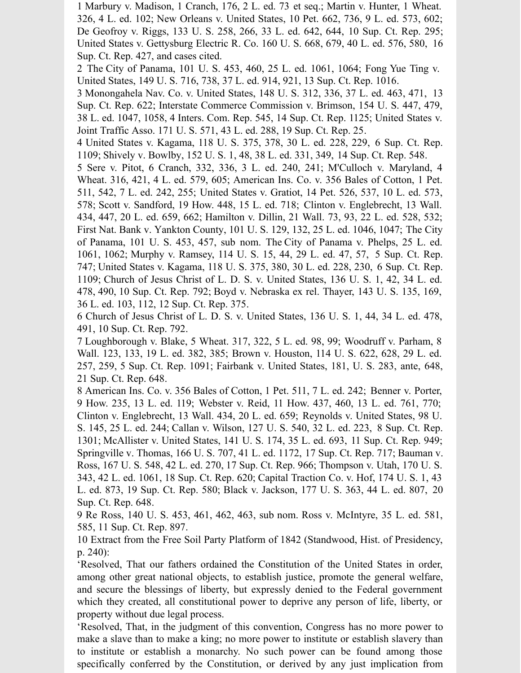[1](https://1.next.westlaw.com/Document/I7a4be7179ca211d9bdd1cfdd544ca3a4/View/FullText.html?transitionType=UniqueDocItem&contextData=(sc.Default)&userEnteredCitation=182+us+244#co_fnRef_B00111901103898_ID0E23BI) Marbury v. [Madison,](https://1.next.westlaw.com/Link/Document/FullText?findType=Y&serNum=1801123932&pubNum=780&originatingDoc=I7a4be7179ca211d9bdd1cfdd544ca3a4&refType=RP&originationContext=document&transitionType=DocumentItem&ppcid=c08eb7709fd6411ba15f8469a157103d&contextData=(sc.UserEnteredCitation)) 1 Cranch, 176, 2 L. ed. 73 et seq.; Martin v. Hunter, 1 Wheat. 326, 4 L. ed. 102; New [Orleans](https://1.next.westlaw.com/Link/Document/FullText?findType=Y&serNum=1836194470&pubNum=780&originatingDoc=I7a4be7179ca211d9bdd1cfdd544ca3a4&refType=RP&fi=co_pp_sp_780_736&originationContext=document&transitionType=DocumentItem&ppcid=c08eb7709fd6411ba15f8469a157103d&contextData=(sc.UserEnteredCitation)#co_pp_sp_780_736) v. United States, 10 Pet. 662, 736, 9 L. ed. 573, 602; De [Geofroy](https://1.next.westlaw.com/Link/Document/FullText?findType=Y&serNum=1890180176&pubNum=780&originatingDoc=I7a4be7179ca211d9bdd1cfdd544ca3a4&refType=RP&fi=co_pp_sp_780_266&originationContext=document&transitionType=DocumentItem&ppcid=c08eb7709fd6411ba15f8469a157103d&contextData=(sc.UserEnteredCitation)#co_pp_sp_780_266) v. Riggs, 133 U. S. 258, 266, 33 L. ed. 642, 644, 10 Sup. Ct. [Rep.](https://1.next.westlaw.com/Link/Document/FullText?findType=Y&serNum=1890180176&pubNum=708&originatingDoc=I7a4be7179ca211d9bdd1cfdd544ca3a4&refType=RP&originationContext=document&transitionType=DocumentItem&ppcid=c08eb7709fd6411ba15f8469a157103d&contextData=(sc.UserEnteredCitation)) 295; United States v. [Gettysburg](https://1.next.westlaw.com/Link/Document/FullText?findType=Y&serNum=1896149533&pubNum=780&originatingDoc=I7a4be7179ca211d9bdd1cfdd544ca3a4&refType=RP&fi=co_pp_sp_780_679&originationContext=document&transitionType=DocumentItem&ppcid=c08eb7709fd6411ba15f8469a157103d&contextData=(sc.UserEnteredCitation)#co_pp_sp_780_679) Electric R. Co. 160 U. S. 668, 679, 40 L. ed. 576, 580, 16 Sup. Ct. Rep. 427, and cases cited.

[2](https://1.next.westlaw.com/Document/I7a4be7179ca211d9bdd1cfdd544ca3a4/View/FullText.html?transitionType=UniqueDocItem&contextData=(sc.Default)&userEnteredCitation=182+us+244#co_fnRef_B00221901103898_ID0EU6BI) The City of [Panama,](https://1.next.westlaw.com/Link/Document/FullText?findType=Y&serNum=1879198940&pubNum=780&originatingDoc=I7a4be7179ca211d9bdd1cfdd544ca3a4&refType=RP&fi=co_pp_sp_780_460&originationContext=document&transitionType=DocumentItem&ppcid=c08eb7709fd6411ba15f8469a157103d&contextData=(sc.UserEnteredCitation)#co_pp_sp_780_460) 101 U. S. 453, 460, 25 L. ed. 1061, 1064; Fong Yue Ting v. United States, 149 U. S. 716, 738, 37 L. ed. 914, 921, 13 Sup. Ct. Rep. [1016](https://1.next.westlaw.com/Link/Document/FullText?findType=Y&serNum=1893180034&pubNum=708&originatingDoc=I7a4be7179ca211d9bdd1cfdd544ca3a4&refType=RP&originationContext=document&transitionType=DocumentItem&ppcid=c08eb7709fd6411ba15f8469a157103d&contextData=(sc.UserEnteredCitation)).

[3](https://1.next.westlaw.com/Document/I7a4be7179ca211d9bdd1cfdd544ca3a4/View/FullText.html?transitionType=UniqueDocItem&contextData=(sc.Default)&userEnteredCitation=182+us+244#co_fnRef_B00331901103898_ID0EQBCI) [Monongahela](https://1.next.westlaw.com/Link/Document/FullText?findType=Y&serNum=1893180157&pubNum=708&originatingDoc=I7a4be7179ca211d9bdd1cfdd544ca3a4&refType=RP&originationContext=document&transitionType=DocumentItem&ppcid=c08eb7709fd6411ba15f8469a157103d&contextData=(sc.UserEnteredCitation)) Nav. Co. v. United States, 148 U. S. 312, 336, 37 L. ed. 463, 471, 13 Sup. Ct. Rep. 622; Interstate Commerce [Commission](https://1.next.westlaw.com/Link/Document/FullText?findType=Y&serNum=1894180299&pubNum=780&originatingDoc=I7a4be7179ca211d9bdd1cfdd544ca3a4&refType=RP&fi=co_pp_sp_780_479&originationContext=document&transitionType=DocumentItem&ppcid=c08eb7709fd6411ba15f8469a157103d&contextData=(sc.UserEnteredCitation)#co_pp_sp_780_479) v. Brimson, 154 U. S. 447, 479, 38 L. ed. 1047, 1058, 4 [Inters.](https://1.next.westlaw.com/Link/Document/FullText?findType=Y&serNum=1894180299&pubNum=708&originatingDoc=I7a4be7179ca211d9bdd1cfdd544ca3a4&refType=RP&originationContext=document&transitionType=DocumentItem&ppcid=c08eb7709fd6411ba15f8469a157103d&contextData=(sc.UserEnteredCitation)) Com. Rep. 545, 14 Sup. Ct. Rep. 1125; [United](https://1.next.westlaw.com/Link/Document/FullText?findType=Y&serNum=1898180153&pubNum=708&originatingDoc=I7a4be7179ca211d9bdd1cfdd544ca3a4&refType=RP&originationContext=document&transitionType=DocumentItem&ppcid=c08eb7709fd6411ba15f8469a157103d&contextData=(sc.UserEnteredCitation)) States v. Joint Traffic Asso. 171 U. S. 571, 43 L. ed. 288, 19 Sup. Ct. Rep. 25.

[4](https://1.next.westlaw.com/Document/I7a4be7179ca211d9bdd1cfdd544ca3a4/View/FullText.html?transitionType=UniqueDocItem&contextData=(sc.Default)&userEnteredCitation=182+us+244#co_fnRef_B00441901103898_ID0EPECI) United States v. [Kagama,](https://1.next.westlaw.com/Link/Document/FullText?findType=Y&serNum=1886180093&pubNum=780&originatingDoc=I7a4be7179ca211d9bdd1cfdd544ca3a4&refType=RP&fi=co_pp_sp_780_378&originationContext=document&transitionType=DocumentItem&ppcid=c08eb7709fd6411ba15f8469a157103d&contextData=(sc.UserEnteredCitation)#co_pp_sp_780_378) 118 U. S. 375, 378, 30 L. ed. 228, 229, 6 Sup. Ct. Rep. 1109; Shively v. [Bowlby,](https://1.next.westlaw.com/Link/Document/FullText?findType=Y&serNum=1894139328&pubNum=780&originatingDoc=I7a4be7179ca211d9bdd1cfdd544ca3a4&refType=RP&fi=co_pp_sp_780_48&originationContext=document&transitionType=DocumentItem&ppcid=c08eb7709fd6411ba15f8469a157103d&contextData=(sc.UserEnteredCitation)#co_pp_sp_780_48) 152 U. S. 1, 48, 38 L. ed. 331, 349, 14 Sup. Ct. [Rep.](https://1.next.westlaw.com/Link/Document/FullText?findType=Y&serNum=1894139328&pubNum=708&originatingDoc=I7a4be7179ca211d9bdd1cfdd544ca3a4&refType=RP&originationContext=document&transitionType=DocumentItem&ppcid=c08eb7709fd6411ba15f8469a157103d&contextData=(sc.UserEnteredCitation)) 548.

[5](https://1.next.westlaw.com/Document/I7a4be7179ca211d9bdd1cfdd544ca3a4/View/FullText.html?transitionType=UniqueDocItem&contextData=(sc.Default)&userEnteredCitation=182+us+244#co_fnRef_B00551901103898_ID0ENHCI) Sere v. Pitot, 6 [Cranch,](https://1.next.westlaw.com/Link/Document/FullText?findType=Y&serNum=1800106427&pubNum=780&originatingDoc=I7a4be7179ca211d9bdd1cfdd544ca3a4&refType=RP&fi=co_pp_sp_780_336&originationContext=document&transitionType=DocumentItem&ppcid=c08eb7709fd6411ba15f8469a157103d&contextData=(sc.UserEnteredCitation)#co_pp_sp_780_336) 332, 336, 3 L. ed. 240, 241; [M'Culloch](https://1.next.westlaw.com/Link/Document/FullText?findType=Y&serNum=1800123335&pubNum=780&originatingDoc=I7a4be7179ca211d9bdd1cfdd544ca3a4&refType=RP&fi=co_pp_sp_780_421&originationContext=document&transitionType=DocumentItem&ppcid=c08eb7709fd6411ba15f8469a157103d&contextData=(sc.UserEnteredCitation)#co_pp_sp_780_421) v. Maryland, 4 Wheat. 316, 421, 4 L. ed. 579, 605; [American](https://1.next.westlaw.com/Link/Document/FullText?findType=Y&serNum=1800101649&pubNum=780&originatingDoc=I7a4be7179ca211d9bdd1cfdd544ca3a4&refType=RP&fi=co_pp_sp_780_542&originationContext=document&transitionType=DocumentItem&ppcid=c08eb7709fd6411ba15f8469a157103d&contextData=(sc.UserEnteredCitation)#co_pp_sp_780_542) Ins. Co. v. 356 Bales of Cotton, 1 Pet. 511, 542, 7 L. ed. 242, 255; United States v. Gratiot, 14 Pet. 526, 537, 10 L. ed. 573, 578; Scott v. [Sandford,](https://1.next.westlaw.com/Link/Document/FullText?findType=Y&serNum=1856193196&pubNum=780&originatingDoc=I7a4be7179ca211d9bdd1cfdd544ca3a4&refType=RP&originationContext=document&transitionType=DocumentItem&ppcid=c08eb7709fd6411ba15f8469a157103d&contextData=(sc.UserEnteredCitation)) 19 How. 448, 15 L. ed. 718; Clinton v. [Englebrecht,](https://1.next.westlaw.com/Link/Document/FullText?findType=Y&serNum=1840197343&pubNum=780&originatingDoc=I7a4be7179ca211d9bdd1cfdd544ca3a4&refType=RP&fi=co_pp_sp_780_537&originationContext=document&transitionType=DocumentItem&ppcid=c08eb7709fd6411ba15f8469a157103d&contextData=(sc.UserEnteredCitation)#co_pp_sp_780_537) 13 Wall. 434, 447, 20 L. ed. 659, 662; [Hamilton](https://1.next.westlaw.com/Link/Document/FullText?findType=Y&serNum=1874147418&pubNum=780&originatingDoc=I7a4be7179ca211d9bdd1cfdd544ca3a4&refType=RP&fi=co_pp_sp_780_93&originationContext=document&transitionType=DocumentItem&ppcid=c08eb7709fd6411ba15f8469a157103d&contextData=(sc.UserEnteredCitation)#co_pp_sp_780_93) v. Dillin, 21 Wall. 73, 93, 22 L. ed. 528, 532; First Nat. Bank v. [Yankton](https://1.next.westlaw.com/Link/Document/FullText?findType=Y&serNum=1879198940&pubNum=780&originatingDoc=I7a4be7179ca211d9bdd1cfdd544ca3a4&refType=RP&fi=co_pp_sp_780_457&originationContext=document&transitionType=DocumentItem&ppcid=c08eb7709fd6411ba15f8469a157103d&contextData=(sc.UserEnteredCitation)#co_pp_sp_780_457) County, 101 U. S. 129, 132, 25 L. ed. 1046, 1047; The City of [Panama,](https://1.next.westlaw.com/Link/Document/FullText?findType=Y&serNum=1879198940&pubNum=470&originatingDoc=I7a4be7179ca211d9bdd1cfdd544ca3a4&refType=RP&fi=co_pp_sp_470_1062&originationContext=document&transitionType=DocumentItem&ppcid=c08eb7709fd6411ba15f8469a157103d&contextData=(sc.UserEnteredCitation)#co_pp_sp_470_1062) 101 U. S. 453, 457, sub nom. The City of Panama v. Phelps, 25 L. ed. 1061, 1062; Murphy v. [Ramsey,](https://1.next.westlaw.com/Link/Document/FullText?findType=Y&serNum=1885180171&pubNum=780&originatingDoc=I7a4be7179ca211d9bdd1cfdd544ca3a4&refType=RP&fi=co_pp_sp_780_44&originationContext=document&transitionType=DocumentItem&ppcid=c08eb7709fd6411ba15f8469a157103d&contextData=(sc.UserEnteredCitation)#co_pp_sp_780_44) 114 U. S. 15, 44, 29 L. ed. 47, 57, 5 Sup. Ct. Rep. 747; United States v. [Kagama,](https://1.next.westlaw.com/Link/Document/FullText?findType=Y&serNum=1885180171&pubNum=708&originatingDoc=I7a4be7179ca211d9bdd1cfdd544ca3a4&refType=RP&originationContext=document&transitionType=DocumentItem&ppcid=c08eb7709fd6411ba15f8469a157103d&contextData=(sc.UserEnteredCitation)) 118 U. S. 375, 380, 30 L. ed. 228, 230, 6 Sup. Ct. Rep. 1109; Church of Jesus Christ of L. D. S. v. United States, 136 U. S. 1, 42, 34 L. ed. 478, 490, 10 Sup. Ct. [Rep.](https://1.next.westlaw.com/Link/Document/FullText?findType=Y&serNum=1890145167&pubNum=708&originatingDoc=I7a4be7179ca211d9bdd1cfdd544ca3a4&refType=RP&originationContext=document&transitionType=DocumentItem&ppcid=c08eb7709fd6411ba15f8469a157103d&contextData=(sc.UserEnteredCitation)) 792; Boyd v. [Nebraska](https://1.next.westlaw.com/Link/Document/FullText?findType=Y&serNum=1892180159&pubNum=780&originatingDoc=I7a4be7179ca211d9bdd1cfdd544ca3a4&refType=RP&fi=co_pp_sp_780_169&originationContext=document&transitionType=DocumentItem&ppcid=c08eb7709fd6411ba15f8469a157103d&contextData=(sc.UserEnteredCitation)#co_pp_sp_780_169) ex rel. Thayer, 143 U. S. 135, 169, 36 L. ed. 103, 112, 12 Sup. Ct. [Rep.](https://1.next.westlaw.com/Link/Document/FullText?findType=Y&serNum=1892180159&pubNum=708&originatingDoc=I7a4be7179ca211d9bdd1cfdd544ca3a4&refType=RP&originationContext=document&transitionType=DocumentItem&ppcid=c08eb7709fd6411ba15f8469a157103d&contextData=(sc.UserEnteredCitation)) 375.

[6](https://1.next.westlaw.com/Document/I7a4be7179ca211d9bdd1cfdd544ca3a4/View/FullText.html?transitionType=UniqueDocItem&contextData=(sc.Default)&userEnteredCitation=182+us+244#co_fnRef_B00661901103898_ID0EUNCI) [Church](https://1.next.westlaw.com/Link/Document/FullText?findType=Y&serNum=1890145167&pubNum=780&originatingDoc=I7a4be7179ca211d9bdd1cfdd544ca3a4&refType=RP&fi=co_pp_sp_780_44&originationContext=document&transitionType=DocumentItem&ppcid=c08eb7709fd6411ba15f8469a157103d&contextData=(sc.UserEnteredCitation)#co_pp_sp_780_44) of Jesus Christ of L. D. S. v. United States, 136 U. S. 1, 44, 34 L. ed. 478, 491, 10 Sup. Ct. [Rep.](https://1.next.westlaw.com/Link/Document/FullText?findType=Y&serNum=1890145167&pubNum=708&originatingDoc=I7a4be7179ca211d9bdd1cfdd544ca3a4&refType=RP&originationContext=document&transitionType=DocumentItem&ppcid=c08eb7709fd6411ba15f8469a157103d&contextData=(sc.UserEnteredCitation)) 792.

[7](https://1.next.westlaw.com/Document/I7a4be7179ca211d9bdd1cfdd544ca3a4/View/FullText.html?transitionType=UniqueDocItem&contextData=(sc.Default)&userEnteredCitation=182+us+244#co_fnRef_B00771901103898_ID0EQTCI) [Loughborough](https://1.next.westlaw.com/Link/Document/FullText?findType=Y&serNum=1868140269&pubNum=780&originatingDoc=I7a4be7179ca211d9bdd1cfdd544ca3a4&refType=RP&fi=co_pp_sp_780_133&originationContext=document&transitionType=DocumentItem&ppcid=c08eb7709fd6411ba15f8469a157103d&contextData=(sc.UserEnteredCitation)#co_pp_sp_780_133) v. Blake, 5 Wheat. 317, 322, 5 L. ed. 98, 99; Woodruff v. Parham, 8 Wall. 123, 133, 19 L. ed. 382, 385; Brown v. [Houston,](https://1.next.westlaw.com/Link/Document/FullText?findType=Y&serNum=1885180176&pubNum=780&originatingDoc=I7a4be7179ca211d9bdd1cfdd544ca3a4&refType=RP&fi=co_pp_sp_780_628&originationContext=document&transitionType=DocumentItem&ppcid=c08eb7709fd6411ba15f8469a157103d&contextData=(sc.UserEnteredCitation)#co_pp_sp_780_628) 114 U. S. 622, 628, 29 L. ed. 257, 259, 5 Sup. Ct. Rep. [1091;](https://1.next.westlaw.com/Link/Document/FullText?findType=Y&serNum=1885180176&pubNum=708&originatingDoc=I7a4be7179ca211d9bdd1cfdd544ca3a4&refType=RP&originationContext=document&transitionType=DocumentItem&ppcid=c08eb7709fd6411ba15f8469a157103d&contextData=(sc.UserEnteredCitation)) [Fairbank](https://1.next.westlaw.com/Link/Document/FullText?findType=Y&serNum=1901103906&pubNum=708&originatingDoc=I7a4be7179ca211d9bdd1cfdd544ca3a4&refType=RP&originationContext=document&transitionType=DocumentItem&ppcid=c08eb7709fd6411ba15f8469a157103d&contextData=(sc.UserEnteredCitation)) v. United States, 181, U. S. 283, ante, 648, 21 Sup. Ct. Rep. 648.

[8](https://1.next.westlaw.com/Document/I7a4be7179ca211d9bdd1cfdd544ca3a4/View/FullText.html?transitionType=UniqueDocItem&contextData=(sc.Default)&userEnteredCitation=182+us+244#co_fnRef_B00881901103898_ID0ELZCI) [A](https://1.next.westlaw.com/Link/Document/FullText?findType=Y&serNum=1850302023&pubNum=780&originatingDoc=I7a4be7179ca211d9bdd1cfdd544ca3a4&refType=RP&originationContext=document&transitionType=DocumentItem&ppcid=c08eb7709fd6411ba15f8469a157103d&contextData=(sc.UserEnteredCitation))[merican](https://1.next.westlaw.com/Link/Document/FullText?findType=Y&serNum=1800101649&pubNum=780&originatingDoc=I7a4be7179ca211d9bdd1cfdd544ca3a4&refType=RP&originationContext=document&transitionType=DocumentItem&ppcid=c08eb7709fd6411ba15f8469a157103d&contextData=(sc.UserEnteredCitation)) Ins. Co. v. 356 Bales of Cotton, 1 Pet. 511, 7 L. ed. 242; Benner v. Porter, 9 How. 235, 13 L. ed. 119; [Webster](https://1.next.westlaw.com/Link/Document/FullText?findType=Y&serNum=1800139138&pubNum=780&originatingDoc=I7a4be7179ca211d9bdd1cfdd544ca3a4&refType=RP&fi=co_pp_sp_780_460&originationContext=document&transitionType=DocumentItem&ppcid=c08eb7709fd6411ba15f8469a157103d&contextData=(sc.UserEnteredCitation)#co_pp_sp_780_460) v. Reid, 11 How. 437, 460, 13 L. ed. 761, 770; Clinton v. [Englebrecht,](https://1.next.westlaw.com/Link/Document/FullText?findType=Y&serNum=1878199070&pubNum=780&originatingDoc=I7a4be7179ca211d9bdd1cfdd544ca3a4&refType=RP&originationContext=document&transitionType=DocumentItem&ppcid=c08eb7709fd6411ba15f8469a157103d&contextData=(sc.UserEnteredCitation)) 13 Wall. 434, 20 L. ed. 659; Reynolds v. United States, 98 U. S. 145, 25 L. ed. 244; Callan v. [Wilson,](https://1.next.westlaw.com/Link/Document/FullText?findType=Y&serNum=1888180191&pubNum=780&originatingDoc=I7a4be7179ca211d9bdd1cfdd544ca3a4&refType=RP&originationContext=document&transitionType=DocumentItem&ppcid=c08eb7709fd6411ba15f8469a157103d&contextData=(sc.UserEnteredCitation)) 127 U. S. 540, 32 L. ed. 223, 8 Sup. Ct. Rep. 1301; [McAllister](https://1.next.westlaw.com/Link/Document/FullText?findType=Y&serNum=1891180063&pubNum=780&originatingDoc=I7a4be7179ca211d9bdd1cfdd544ca3a4&refType=RP&originationContext=document&transitionType=DocumentItem&ppcid=c08eb7709fd6411ba15f8469a157103d&contextData=(sc.UserEnteredCitation)) v. United States, 141 U. S. 174, 35 L. ed. 693, 11 Sup. Ct. [Rep.](https://1.next.westlaw.com/Link/Document/FullText?findType=Y&serNum=1891180063&pubNum=708&originatingDoc=I7a4be7179ca211d9bdd1cfdd544ca3a4&refType=RP&originationContext=document&transitionType=DocumentItem&ppcid=c08eb7709fd6411ba15f8469a157103d&contextData=(sc.UserEnteredCitation)) 949; [Springville](https://1.next.westlaw.com/Link/Document/FullText?findType=Y&serNum=1897180141&pubNum=780&originatingDoc=I7a4be7179ca211d9bdd1cfdd544ca3a4&refType=RP&originationContext=document&transitionType=DocumentItem&ppcid=c08eb7709fd6411ba15f8469a157103d&contextData=(sc.UserEnteredCitation)) v. Thomas, 166 U. S. 707, 41 L. ed. 1172, 17 Sup. Ct. [Rep.](https://1.next.westlaw.com/Link/Document/FullText?findType=Y&serNum=1897180141&pubNum=708&originatingDoc=I7a4be7179ca211d9bdd1cfdd544ca3a4&refType=RP&originationContext=document&transitionType=DocumentItem&ppcid=c08eb7709fd6411ba15f8469a157103d&contextData=(sc.UserEnteredCitation)) 717; Bauman v. Ross, 167 U. S. 548, 42 L. ed. 270, 17 Sup. Ct. [Rep.](https://1.next.westlaw.com/Link/Document/FullText?findType=Y&serNum=1897180110&pubNum=708&originatingDoc=I7a4be7179ca211d9bdd1cfdd544ca3a4&refType=RP&originationContext=document&transitionType=DocumentItem&ppcid=c08eb7709fd6411ba15f8469a157103d&contextData=(sc.UserEnteredCitation)) 966; [Thompson](https://1.next.westlaw.com/Link/Document/FullText?findType=Y&serNum=1898180010&pubNum=780&originatingDoc=I7a4be7179ca211d9bdd1cfdd544ca3a4&refType=RP&originationContext=document&transitionType=DocumentItem&ppcid=c08eb7709fd6411ba15f8469a157103d&contextData=(sc.UserEnteredCitation)) v. Utah, 170 U. S. 343, 42 L. ed. 1061, 18 Sup. Ct. [Rep.](https://1.next.westlaw.com/Link/Document/FullText?findType=Y&serNum=1898180010&pubNum=708&originatingDoc=I7a4be7179ca211d9bdd1cfdd544ca3a4&refType=RP&originationContext=document&transitionType=DocumentItem&ppcid=c08eb7709fd6411ba15f8469a157103d&contextData=(sc.UserEnteredCitation)) 620; Capital Traction Co. v. Hof, 174 U. S. 1, 43 L. ed. 873, 19 Sup. Ct. [Rep.](https://1.next.westlaw.com/Link/Document/FullText?findType=Y&serNum=1899180133&pubNum=708&originatingDoc=I7a4be7179ca211d9bdd1cfdd544ca3a4&refType=RP&originationContext=document&transitionType=DocumentItem&ppcid=c08eb7709fd6411ba15f8469a157103d&contextData=(sc.UserEnteredCitation)) 580; Black v. [Jackson,](https://1.next.westlaw.com/Link/Document/FullText?findType=Y&serNum=1900108743&pubNum=708&originatingDoc=I7a4be7179ca211d9bdd1cfdd544ca3a4&refType=RP&originationContext=document&transitionType=DocumentItem&ppcid=c08eb7709fd6411ba15f8469a157103d&contextData=(sc.UserEnteredCitation)) 177 U. S. 363, 44 L. ed. 807, 20 Sup. Ct. Rep. 648.

[9](https://1.next.westlaw.com/Document/I7a4be7179ca211d9bdd1cfdd544ca3a4/View/FullText.html?transitionType=UniqueDocItem&contextData=(sc.Default)&userEnteredCitation=182+us+244#co_fnRef_B00991901103898_ID0EYZCI) Re [Ross,](https://1.next.westlaw.com/Link/Document/FullText?findType=Y&serNum=1891180084&pubNum=780&originatingDoc=I7a4be7179ca211d9bdd1cfdd544ca3a4&refType=RP&fi=co_pp_sp_780_461&originationContext=document&transitionType=DocumentItem&ppcid=c08eb7709fd6411ba15f8469a157103d&contextData=(sc.UserEnteredCitation)#co_pp_sp_780_461) 140 U. S. 453, 461, 462, 463, sub nom. Ross v. [McIntyre,](https://1.next.westlaw.com/Link/Document/FullText?findType=Y&serNum=1891180084&pubNum=470&originatingDoc=I7a4be7179ca211d9bdd1cfdd544ca3a4&refType=RP&fi=co_pp_sp_470_585&originationContext=document&transitionType=DocumentItem&ppcid=c08eb7709fd6411ba15f8469a157103d&contextData=(sc.UserEnteredCitation)#co_pp_sp_470_585) 35 L. ed. 581, 585, 11 Sup. Ct. [Rep.](https://1.next.westlaw.com/Link/Document/FullText?findType=Y&serNum=1891180084&pubNum=708&originatingDoc=I7a4be7179ca211d9bdd1cfdd544ca3a4&refType=RP&originationContext=document&transitionType=DocumentItem&ppcid=c08eb7709fd6411ba15f8469a157103d&contextData=(sc.UserEnteredCitation)) 897.

[10](https://1.next.westlaw.com/Document/I7a4be7179ca211d9bdd1cfdd544ca3a4/View/FullText.html?transitionType=UniqueDocItem&contextData=(sc.Default)&userEnteredCitation=182+us+244#co_fnRef_B010101901103898_ID0EZJDI) Extract from the Free Soil Party Platform of 1842 (Standwood, Hist. of Presidency, p. 240):

'Resolved, That our fathers ordained the Constitution of the United States in order, among other great national objects, to establish justice, promote the general welfare, and secure the blessings of liberty, but expressly denied to the Federal government which they created, all constitutional power to deprive any person of life, liberty, or property without due legal process.

'Resolved, That, in the judgment of this convention, Congress has no more power to make a slave than to make a king; no more power to institute or establish slavery than to institute or establish a monarchy. No such power can be found among those specifically conferred by the Constitution, or derived by any just implication from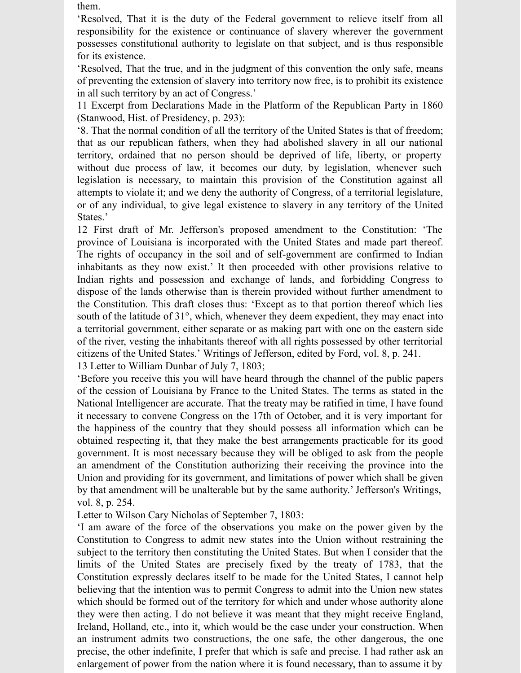them.

'Resolved, That it is the duty of the Federal government to relieve itself from all responsibility for the existence or continuance of slavery wherever the government possesses constitutional authority to legislate on that subject, and is thus responsible for its existence.

'Resolved, That the true, and in the judgment of this convention the only safe, means of preventing the extension of slavery into territory now free, is to prohibit its existence in all such territory by an act of Congress.'

[11](https://1.next.westlaw.com/Document/I7a4be7179ca211d9bdd1cfdd544ca3a4/View/FullText.html?transitionType=UniqueDocItem&contextData=(sc.Default)&userEnteredCitation=182+us+244#co_fnRef_B011111901103898_ID0EDMDI) Excerpt from Declarations Made in the Platform of the Republican Party in 1860 (Stanwood, Hist. of Presidency, p. 293):

'8. That the normal condition of all the territory of the United States is that of freedom; that as our republican fathers, when they had abolished slavery in all our national territory, ordained that no person should be deprived of life, liberty, or property without due process of law, it becomes our duty, by legislation, whenever such legislation is necessary, to maintain this provision of the Constitution against all attempts to violate it; and we deny the authority of Congress, of a territorial legislature, or of any individual, to give legal existence to slavery in any territory of the United States.'

[12](https://1.next.westlaw.com/Document/I7a4be7179ca211d9bdd1cfdd544ca3a4/View/FullText.html?transitionType=UniqueDocItem&contextData=(sc.Default)&userEnteredCitation=182+us+244#co_fnRef_B012121901103898_ID0EMZBK) First draft of Mr. Jefferson's proposed amendment to the Constitution: 'The province of Louisiana is incorporated with the United States and made part thereof. The rights of occupancy in the soil and of self-government are confirmed to Indian inhabitants as they now exist.' It then proceeded with other provisions relative to Indian rights and possession and exchange of lands, and forbidding Congress to dispose of the lands otherwise than is therein provided without further amendment to the Constitution. This draft closes thus: 'Except as to that portion thereof which lies south of the latitude of 31°, which, whenever they deem expedient, they may enact into a territorial government, either separate or as making part with one on the eastern side of the river, vesting the inhabitants thereof with all rights possessed by other territorial citizens of the United States.' Writings of Jefferson, edited by Ford, vol. 8, p. 241.

[13](https://1.next.westlaw.com/Document/I7a4be7179ca211d9bdd1cfdd544ca3a4/View/FullText.html?transitionType=UniqueDocItem&contextData=(sc.Default)&userEnteredCitation=182+us+244#co_fnRef_B013131901103898_ID0ER4BK) Letter to William Dunbar of July 7, 1803;

'Before you receive this you will have heard through the channel of the public papers of the cession of Louisiana by France to the United States. The terms as stated in the National Intelligencer are accurate. That the treaty may be ratified in time, I have found it necessary to convene Congress on the 17th of October, and it is very important for the happiness of the country that they should possess all information which can be obtained respecting it, that they make the best arrangements practicable for its good government. It is most necessary because they will be obliged to ask from the people an amendment of the Constitution authorizing their receiving the province into the Union and providing for its government, and limitations of power which shall be given by that amendment will be unalterable but by the same authority.' Jefferson's Writings, vol. 8, p. 254.

Letter to Wilson Cary Nicholas of September 7, 1803:

'I am aware of the force of the observations you make on the power given by the Constitution to Congress to admit new states into the Union without restraining the subject to the territory then constituting the United States. But when I consider that the limits of the United States are precisely fixed by the treaty of 1783, that the Constitution expressly declares itself to be made for the United States, I cannot help believing that the intention was to permit Congress to admit into the Union new states which should be formed out of the territory for which and under whose authority alone they were then acting. I do not believe it was meant that they might receive England, Ireland, Holland, etc., into it, which would be the case under your construction. When an instrument admits two constructions, the one safe, the other dangerous, the one precise, the other indefinite, I prefer that which is safe and precise. I had rather ask an enlargement of power from the nation where it is found necessary, than to assume it by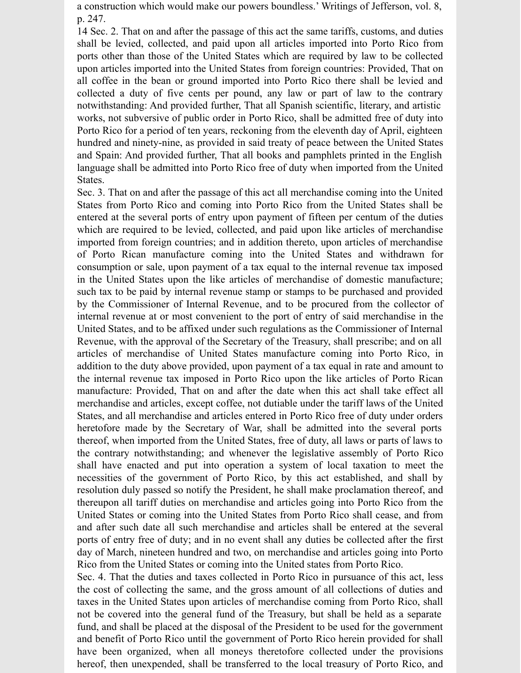a construction which would make our powers boundless.' Writings of Jefferson, vol. 8, p. 247.

[14](https://1.next.westlaw.com/Document/I7a4be7179ca211d9bdd1cfdd544ca3a4/View/FullText.html?transitionType=UniqueDocItem&contextData=(sc.Default)&userEnteredCitation=182+us+244#co_fnRef_B014141901103898_ID0EIQDK) Sec. 2. That on and after the passage of this act the same tariffs, customs, and duties shall be levied, collected, and paid upon all articles imported into Porto Rico from ports other than those of the United States which are required by law to be collected upon articles imported into the United States from foreign countries: Provided, That on all coffee in the bean or ground imported into Porto Rico there shall be levied and collected a duty of five cents per pound, any law or part of law to the contrary notwithstanding: And provided further, That all Spanish scientific, literary, and artistic works, not subversive of public order in Porto Rico, shall be admitted free of duty into Porto Rico for a period of ten years, reckoning from the eleventh day of April, eighteen hundred and ninety-nine, as provided in said treaty of peace between the United States and Spain: And provided further, That all books and pamphlets printed in the English language shall be admitted into Porto Rico free of duty when imported from the United States.

Sec. 3. That on and after the passage of this act all merchandise coming into the United States from Porto Rico and coming into Porto Rico from the United States shall be entered at the several ports of entry upon payment of fifteen per centum of the duties which are required to be levied, collected, and paid upon like articles of merchandise imported from foreign countries; and in addition thereto, upon articles of merchandise of Porto Rican manufacture coming into the United States and withdrawn for consumption or sale, upon payment of a tax equal to the internal revenue tax imposed in the United States upon the like articles of merchandise of domestic manufacture; such tax to be paid by internal revenue stamp or stamps to be purchased and provided by the Commissioner of Internal Revenue, and to be procured from the collector of internal revenue at or most convenient to the port of entry of said merchandise in the United States, and to be affixed under such regulations as the Commissioner of Internal Revenue, with the approval of the Secretary of the Treasury, shall prescribe; and on all articles of merchandise of United States manufacture coming into Porto Rico, in addition to the duty above provided, upon payment of a tax equal in rate and amount to the internal revenue tax imposed in Porto Rico upon the like articles of Porto Rican manufacture: Provided, That on and after the date when this act shall take effect all merchandise and articles, except coffee, not dutiable under the tariff laws of the United States, and all merchandise and articles entered in Porto Rico free of duty under orders heretofore made by the Secretary of War, shall be admitted into the several ports thereof, when imported from the United States, free of duty, all laws or parts of laws to the contrary notwithstanding; and whenever the legislative assembly of Porto Rico shall have enacted and put into operation a system of local taxation to meet the necessities of the government of Porto Rico, by this act established, and shall by resolution duly passed so notify the President, he shall make proclamation thereof, and thereupon all tariff duties on merchandise and articles going into Porto Rico from the United States or coming into the United States from Porto Rico shall cease, and from and after such date all such merchandise and articles shall be entered at the several ports of entry free of duty; and in no event shall any duties be collected after the first day of March, nineteen hundred and two, on merchandise and articles going into Porto Rico from the United States or coming into the United states from Porto Rico.

Sec. 4. That the duties and taxes collected in Porto Rico in pursuance of this act, less the cost of collecting the same, and the gross amount of all collections of duties and taxes in the United States upon articles of merchandise coming from Porto Rico, shall not be covered into the general fund of the Treasury, but shall be held as a separate fund, and shall be placed at the disposal of the President to be used for the government and benefit of Porto Rico until the government of Porto Rico herein provided for shall have been organized, when all moneys theretofore collected under the provisions hereof, then unexpended, shall be transferred to the local treasury of Porto Rico, and